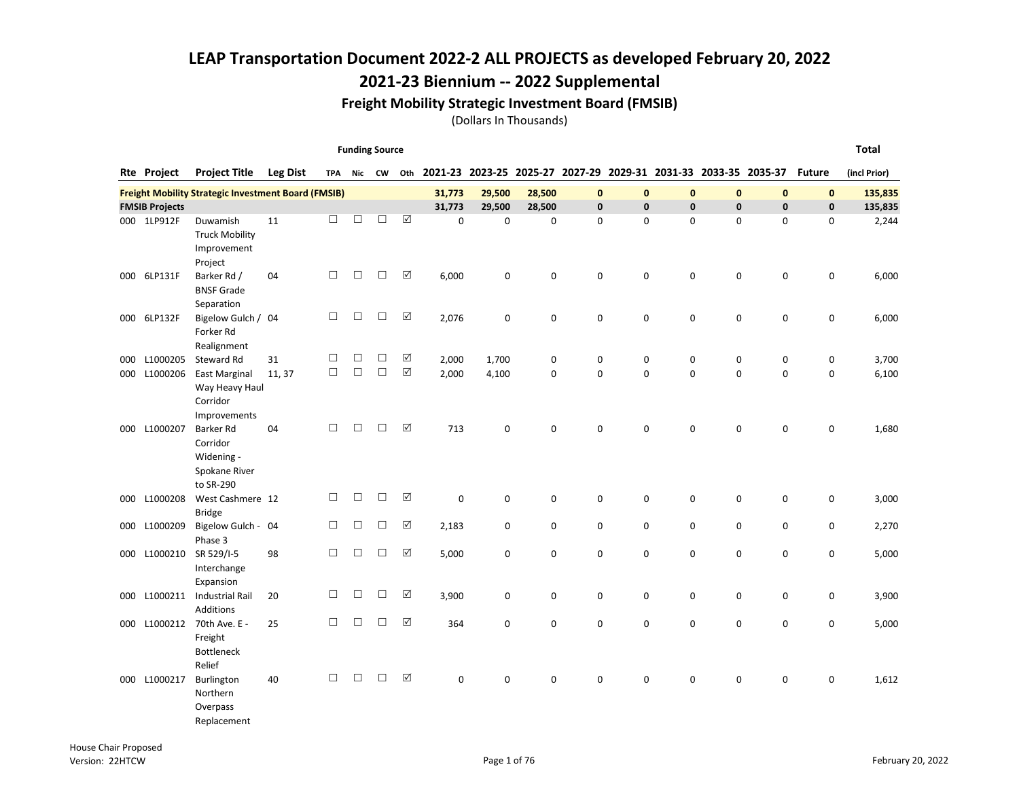2021-23 Biennium -- 2022 Supplemental

#### Freight Mobility Strategic Investment Board (FMSIB)

|     |                       |                                                                          |                 |            | <b>Funding Source</b> |        |                      |             |             |             |   |             |                                                                 |              |             |               | Total        |
|-----|-----------------------|--------------------------------------------------------------------------|-----------------|------------|-----------------------|--------|----------------------|-------------|-------------|-------------|---|-------------|-----------------------------------------------------------------|--------------|-------------|---------------|--------------|
|     | Rte Project           | <b>Project Title</b>                                                     | <b>Leg Dist</b> | <b>TPA</b> |                       | Nic CW | Oth                  |             |             |             |   |             | 2021-23 2023-25 2025-27 2027-29 2029-31 2031-33 2033-35 2035-37 |              |             | <b>Future</b> | (incl Prior) |
|     |                       | <b>Freight Mobility Strategic Investment Board (FMSIB)</b>               |                 |            |                       |        |                      | 31,773      | 29,500      | 28,500      | 0 | $\bf{0}$    | $\mathbf{0}$                                                    | $\mathbf{0}$ | $\mathbf 0$ | $\mathbf{0}$  | 135,835      |
|     | <b>FMSIB Projects</b> |                                                                          |                 |            |                       |        |                      | 31,773      | 29,500      | 28,500      | 0 | $\mathbf 0$ | 0                                                               | $\mathbf{0}$ | 0           | $\mathbf 0$   | 135,835      |
|     | 000 1LP912F           | Duwamish<br><b>Truck Mobility</b><br>Improvement<br>Project              | 11              | □          | □                     | $\Box$ | ☑                    | 0           | $\mathbf 0$ | $\mathbf 0$ | 0 | $\pmb{0}$   | 0                                                               | 0            | 0           | 0             | 2,244        |
|     | 000 6LP131F           | Barker Rd /<br><b>BNSF Grade</b><br>Separation                           | 04              | $\Box$     | $\Box$                | $\Box$ | $\Delta$             | 6,000       | 0           | $\mathbf 0$ | 0 | 0           | 0                                                               | $\mathbf 0$  | 0           | 0             | 6,000        |
| 000 | 6LP132F               | Bigelow Gulch / 04<br>Forker Rd<br>Realignment                           |                 | $\Box$     | □                     | $\Box$ | ☑                    | 2,076       | 0           | $\mathbf 0$ | 0 | 0           | 0                                                               | $\pmb{0}$    | 0           | 0             | 6,000        |
| 000 | L1000205              | Steward Rd                                                               | 31              | $\Box$     | □                     | $\Box$ | ☑                    | 2,000       | 1,700       | $\pmb{0}$   | 0 | 0           | 0                                                               | 0            | 0           | 0             | 3,700        |
| 000 | L1000206              | <b>East Marginal</b><br>Way Heavy Haul<br>Corridor<br>Improvements       | 11, 37          | $\Box$     | $\Box$                | $\Box$ | $\boxtimes$          | 2,000       | 4,100       | $\mathbf 0$ | 0 | $\mathbf 0$ | 0                                                               | $\mathbf 0$  | 0           | 0             | 6,100        |
| 000 | L1000207              | <b>Barker Rd</b><br>Corridor<br>Widening -<br>Spokane River<br>to SR-290 | 04              | $\Box$     | $\Box$                | $\Box$ | $\boxed{\checkmark}$ | 713         | 0           | $\mathbf 0$ | 0 | $\pmb{0}$   | 0                                                               | $\mathbf 0$  | 0           | 0             | 1,680        |
| 000 | L1000208              | West Cashmere 12<br><b>Bridge</b>                                        |                 | □          | □                     | П      | $\Delta$             | 0           | 0           | $\mathbf 0$ | 0 | 0           | 0                                                               | 0            | 0           | 0             | 3,000        |
| 000 | L1000209              | Bigelow Gulch - 04<br>Phase 3                                            |                 | $\Box$     | □                     | □      | ☑                    | 2,183       | 0           | 0           | 0 | 0           | 0                                                               | 0            | 0           | 0             | 2,270        |
| 000 | L1000210              | SR 529/I-5<br>Interchange<br>Expansion                                   | 98              | $\Box$     | $\Box$                | $\Box$ | $\Delta$             | 5,000       | 0           | $\mathbf 0$ | 0 | 0           | 0                                                               | $\mathbf 0$  | 0           | 0             | 5,000        |
| 000 | L1000211              | <b>Industrial Rail</b><br>Additions                                      | 20              | □          | □                     | $\Box$ | ☑                    | 3,900       | 0           | 0           | 0 | 0           | 0                                                               | 0            | 0           | 0             | 3,900        |
| 000 | L1000212              | 70th Ave. E -<br>Freight<br><b>Bottleneck</b><br>Relief                  | 25              | □          | $\Box$                | □      | $\Delta$             | 364         | 0           | 0           | 0 | 0           | 0                                                               | $\pmb{0}$    | 0           | 0             | 5,000        |
|     | 000 L1000217          | Burlington<br>Northern<br>Overpass<br>Replacement                        | 40              | □          | $\Box$                | $\Box$ | $\Delta$             | $\mathbf 0$ | 0           | 0           | 0 | $\pmb{0}$   | 0                                                               | 0            | 0           | 0             | 1,612        |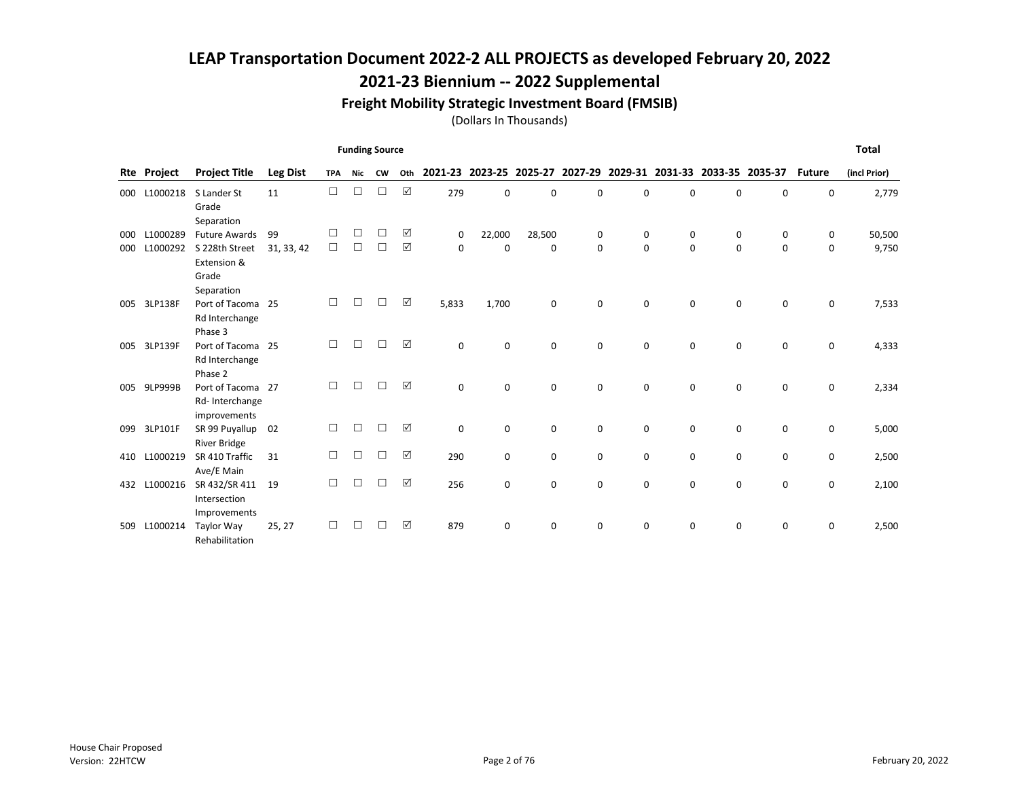## 2021-23 Biennium -- 2022 Supplemental

#### Freight Mobility Strategic Investment Board (FMSIB)

|            |                      |                                        |                 |            | <b>Funding Source</b> |           |     |             |                         |             |        |                  |          |                                         |        |               | <b>Total</b> |
|------------|----------------------|----------------------------------------|-----------------|------------|-----------------------|-----------|-----|-------------|-------------------------|-------------|--------|------------------|----------|-----------------------------------------|--------|---------------|--------------|
| Rte        | Project              | <b>Project Title</b>                   | <b>Leg Dist</b> | <b>TPA</b> | Nic                   | <b>CW</b> | Oth |             | 2021-23 2023-25 2025-27 |             |        |                  |          | 2027-29 2029-31 2031-33 2033-35 2035-37 |        | <b>Future</b> | (incl Prior) |
| 000        | L1000218             | S Lander St                            | 11              | $\Box$     | □                     | □         | ☑   | 279         | 0                       | $\Omega$    | 0      | $\mathbf 0$      | $\Omega$ | $\mathbf 0$                             | 0      | $\mathbf 0$   | 2,779        |
|            |                      | Grade                                  |                 |            |                       |           |     |             |                         |             |        |                  |          |                                         |        |               |              |
|            |                      | Separation                             |                 | П          |                       | П         | ☑   |             |                         |             |        |                  |          |                                         |        |               |              |
| 000<br>000 | L1000289<br>L1000292 | <b>Future Awards</b><br>S 228th Street | 99              | $\Box$     | □<br>□                | П         | ⊠   | 0<br>0      | 22,000<br>0             | 28,500<br>0 | 0<br>0 | 0<br>$\mathbf 0$ | 0<br>0   | 0<br>$\mathbf 0$                        | 0<br>0 | 0<br>0        | 50,500       |
|            |                      | Extension &                            | 31, 33, 42      |            |                       |           |     |             |                         |             |        |                  |          |                                         |        |               | 9,750        |
|            |                      | Grade                                  |                 |            |                       |           |     |             |                         |             |        |                  |          |                                         |        |               |              |
|            |                      | Separation                             |                 |            |                       |           |     |             |                         |             |        |                  |          |                                         |        |               |              |
| 005        | 3LP138F              | Port of Tacoma                         | 25              | п          | П                     |           | ☑   | 5,833       | 1,700                   | $\mathbf 0$ | 0      | 0                | 0        | $\mathbf 0$                             | 0      | 0             | 7,533        |
|            |                      | Rd Interchange                         |                 |            |                       |           |     |             |                         |             |        |                  |          |                                         |        |               |              |
|            |                      | Phase 3                                |                 |            |                       |           |     |             |                         |             |        |                  |          |                                         |        |               |              |
| 005        | 3LP139F              | Port of Tacoma 25                      |                 | П          | П                     | П         | ⊠   | $\mathbf 0$ | 0                       | $\mathbf 0$ | 0      | $\mathbf 0$      | 0        | $\mathbf 0$                             | 0      | 0             | 4,333        |
|            |                      | Rd Interchange                         |                 |            |                       |           |     |             |                         |             |        |                  |          |                                         |        |               |              |
|            |                      | Phase 2                                |                 | п          | П                     |           | ⊠   |             |                         |             |        |                  |          |                                         |        |               |              |
| 005        | 9LP999B              | Port of Tacoma 27<br>Rd-Interchange    |                 |            |                       |           |     | $\Omega$    | 0                       | $\Omega$    | 0      | $\Omega$         | $\Omega$ | $\Omega$                                | 0      | 0             | 2,334        |
|            |                      | improvements                           |                 |            |                       |           |     |             |                         |             |        |                  |          |                                         |        |               |              |
| 099        | 3LP101F              | SR 99 Puyallup                         | 02              | П          | П                     | П         | ☑   | $\mathbf 0$ | 0                       | $\mathbf 0$ | 0      | $\mathbf 0$      | 0        | $\mathbf 0$                             | 0      | 0             | 5,000        |
|            |                      | <b>River Bridge</b>                    |                 |            |                       |           |     |             |                         |             |        |                  |          |                                         |        |               |              |
| 410        | L1000219             | SR 410 Traffic                         | 31              | □          | □                     | П         | ☑   | 290         | 0                       | 0           | 0      | $\mathbf 0$      | 0        | 0                                       | 0      | 0             | 2,500        |
|            |                      | Ave/E Main                             |                 |            |                       |           |     |             |                         |             |        |                  |          |                                         |        |               |              |
| 432        | L1000216             | SR 432/SR 411                          | 19              | п          | П                     |           | ⊠   | 256         | 0                       | $\mathbf 0$ | 0      | $\mathbf 0$      | 0        | $\mathbf 0$                             | 0      | 0             | 2,100        |
|            |                      | Intersection                           |                 |            |                       |           |     |             |                         |             |        |                  |          |                                         |        |               |              |
|            |                      | Improvements                           |                 |            |                       |           |     |             |                         |             |        |                  |          |                                         |        |               |              |
| 509        | L1000214             | Taylor Way                             | 25, 27          |            | П                     |           | ⊠   | 879         | 0                       | 0           | 0      | $\mathbf 0$      | 0        | 0                                       | 0      | 0             | 2,500        |
|            |                      | Rehabilitation                         |                 |            |                       |           |     |             |                         |             |        |                  |          |                                         |        |               |              |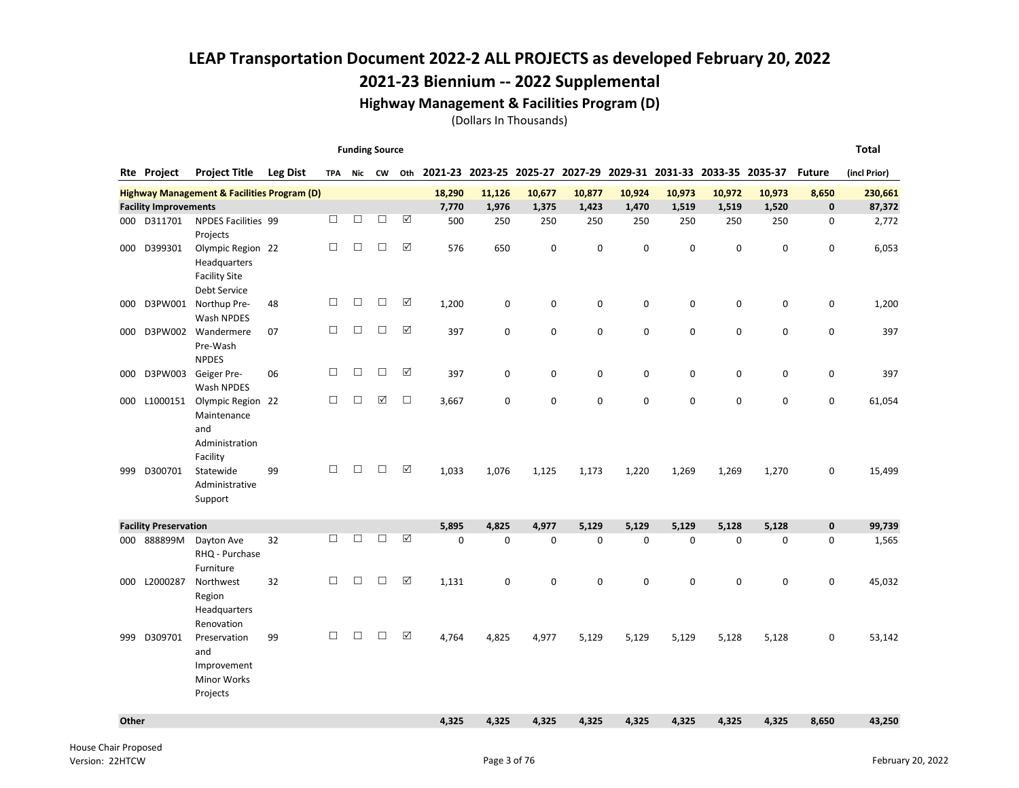## 2021-23 Biennium -- 2022 Supplemental

#### Highway Management & Facilities Program (D)

|       |                              |                                                                                         |                 |            | <b>Funding Source</b> |        |             |                                                                            |        |             |             |             |             |             |             |               | Total        |
|-------|------------------------------|-----------------------------------------------------------------------------------------|-----------------|------------|-----------------------|--------|-------------|----------------------------------------------------------------------------|--------|-------------|-------------|-------------|-------------|-------------|-------------|---------------|--------------|
|       | Rte Project                  | <b>Project Title</b>                                                                    | <b>Leg Dist</b> | <b>TPA</b> |                       |        |             | Nic CW Oth 2021-23 2023-25 2025-27 2027-29 2029-31 2031-33 2033-35 2035-37 |        |             |             |             |             |             |             | <b>Future</b> | (incl Prior) |
|       |                              | <b>Highway Management &amp; Facilities Program (D)</b>                                  |                 |            |                       |        |             | 18,290                                                                     | 11,126 | 10,677      | 10,877      | 10,924      | 10,973      | 10,972      | 10,973      | 8,650         | 230,661      |
|       | <b>Facility Improvements</b> |                                                                                         |                 |            |                       |        |             | 7,770                                                                      | 1,976  | 1,375       | 1,423       | 1,470       | 1,519       | 1,519       | 1,520       | $\mathbf 0$   | 87,372       |
| 000   | D311701                      | <b>NPDES Facilities 99</b><br>Projects                                                  |                 | П          | □                     | $\Box$ | ☑           | 500                                                                        | 250    | 250         | 250         | 250         | 250         | 250         | 250         | 0             | 2,772        |
| 000   | D399301                      | Olympic Region 22<br><b>Headquarters</b><br><b>Facility Site</b><br><b>Debt Service</b> |                 | $\Box$     | □                     | $\Box$ | ☑           | 576                                                                        | 650    | $\Omega$    | $\mathbf 0$ | $\mathbf 0$ | $\Omega$    | $\mathbf 0$ | $\Omega$    | 0             | 6,053        |
| 000   | D3PW001                      | Northup Pre-<br>Wash NPDES                                                              | 48              | П          | $\Box$                | $\Box$ | ☑           | 1,200                                                                      | 0      | $\mathbf 0$ | 0           | $\pmb{0}$   | $\mathbf 0$ | 0           | $\mathbf 0$ | 0             | 1,200        |
| 000   | D3PW002                      | Wandermere<br>Pre-Wash<br><b>NPDES</b>                                                  | 07              | П          | □                     | П      | ☑           | 397                                                                        | 0      | $\mathbf 0$ | $\mathbf 0$ | $\mathsf 0$ | $\mathbf 0$ | $\mathbf 0$ | $\mathbf 0$ | 0             | 397          |
| 000   | D3PW003                      | Geiger Pre-<br>Wash NPDES                                                               | 06              | $\Box$     | □                     | $\Box$ | ☑           | 397                                                                        | 0      | 0           | 0           | 0           | 0           | 0           | $\mathbf 0$ | 0             | 397          |
| 000   | L1000151                     | Olympic Region 22<br>Maintenance<br>and<br>Administration<br>Facility                   |                 | П          | $\Box$                | ☑      | $\Box$      | 3,667                                                                      | 0      | 0           | 0           | 0           | 0           | 0           | $\mathbf 0$ | 0             | 61,054       |
| 999   | D300701                      | Statewide<br>Administrative<br>Support                                                  | 99              | $\Box$     | □                     | $\Box$ | ☑           | 1,033                                                                      | 1,076  | 1,125       | 1,173       | 1,220       | 1,269       | 1,269       | 1,270       | 0             | 15,499       |
|       | <b>Facility Preservation</b> |                                                                                         |                 |            |                       |        |             | 5,895                                                                      | 4,825  | 4,977       | 5,129       | 5,129       | 5,129       | 5,128       | 5,128       | $\pmb{0}$     | 99,739       |
| 000   | 888899M                      | Dayton Ave<br>RHQ - Purchase<br>Furniture                                               | 32              | П          | $\Box$                | □      | ☑           | $\mathbf 0$                                                                | 0      | $\mathbf 0$ | $\mathbf 0$ | $\mathsf 0$ | $\mathbf 0$ | $\mathbf 0$ | $\mathbf 0$ | 0             | 1,565        |
| 000   | L2000287                     | Northwest<br>Region<br>Headquarters<br>Renovation                                       | 32              | $\Box$     | $\Box$                | $\Box$ | $\boxtimes$ | 1,131                                                                      | 0      | $\mathbf 0$ | $\mathbf 0$ | $\mathbf 0$ | $\mathbf 0$ | $\mathbf 0$ | $\pmb{0}$   | 0             | 45,032       |
| 999   | D309701                      | Preservation<br>and<br>Improvement<br>Minor Works<br>Projects                           | 99              | П          | П                     | П      | ☑           | 4,764                                                                      | 4,825  | 4,977       | 5,129       | 5,129       | 5,129       | 5,128       | 5,128       | 0             | 53,142       |
| Other |                              |                                                                                         |                 |            |                       |        |             | 4,325                                                                      | 4,325  | 4,325       | 4,325       | 4,325       | 4,325       | 4,325       | 4,325       | 8,650         | 43,250       |
|       |                              |                                                                                         |                 |            |                       |        |             |                                                                            |        |             |             |             |             |             |             |               |              |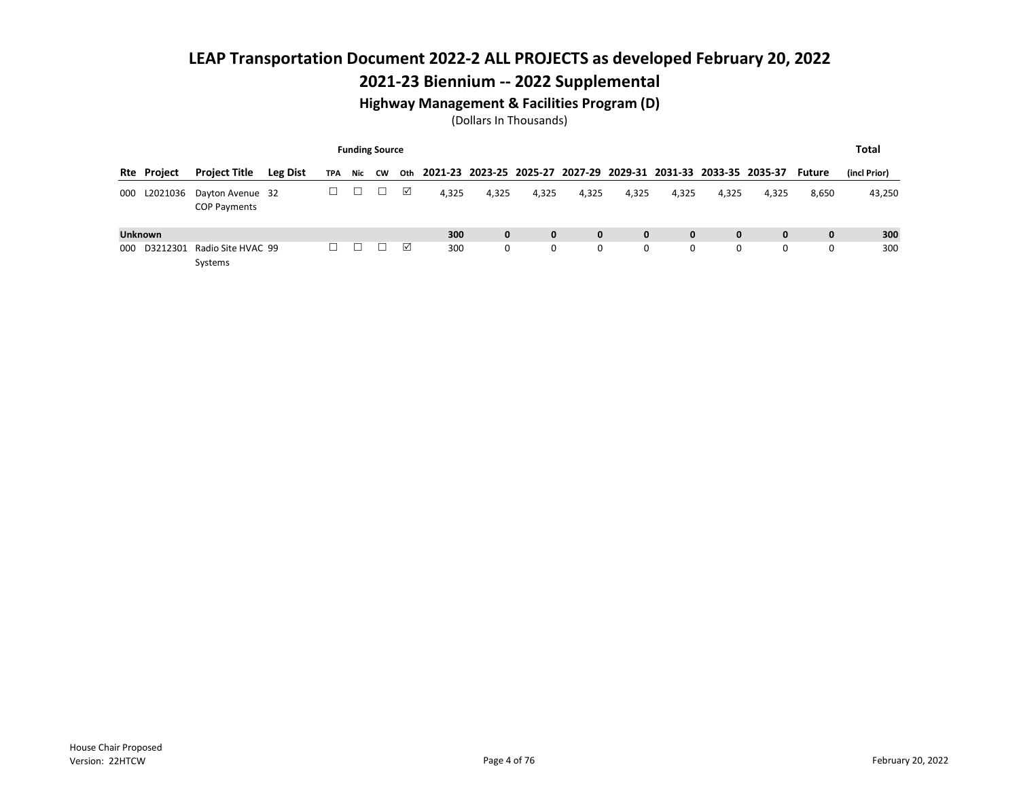## 2021-23 Biennium -- 2022 Supplemental

#### Highway Management & Facilities Program (D)

|     |                    |                                         |                 |            |     | <b>Funding Source</b> |     |                                                                 |              |       |       |              |              |              |              |        | Total        |
|-----|--------------------|-----------------------------------------|-----------------|------------|-----|-----------------------|-----|-----------------------------------------------------------------|--------------|-------|-------|--------------|--------------|--------------|--------------|--------|--------------|
|     | <b>Rte Project</b> | <b>Project Title</b>                    | <b>Leg Dist</b> | <b>TPA</b> | Nic | CW                    | Oth | 2021-23 2023-25 2025-27 2027-29 2029-31 2031-33 2033-35 2035-37 |              |       |       |              |              |              |              | Future | (incl Prior) |
| 000 | L2021036           | Dayton Avenue 32<br><b>COP Payments</b> |                 |            |     |                       | ☑   | 4,325                                                           | 4,325        | 4,325 | 4,325 | 4,325        | 4,325        | 4,325        | 4,325        | 8,650  | 43,250       |
|     | <b>Unknown</b>     |                                         |                 |            |     |                       |     | 300                                                             | $\mathbf{0}$ | 0     | 0     | $\mathbf{0}$ | $\mathbf{0}$ | $\mathbf{0}$ | $\mathbf{0}$ | 0      | 300          |
| 000 | D3212301           | Radio Site HVAC 99<br>Systems           |                 |            |     |                       | ☑   | 300                                                             | 0            | 0     | 0     | 0            | 0            | 0            | 0            | 0      | 300          |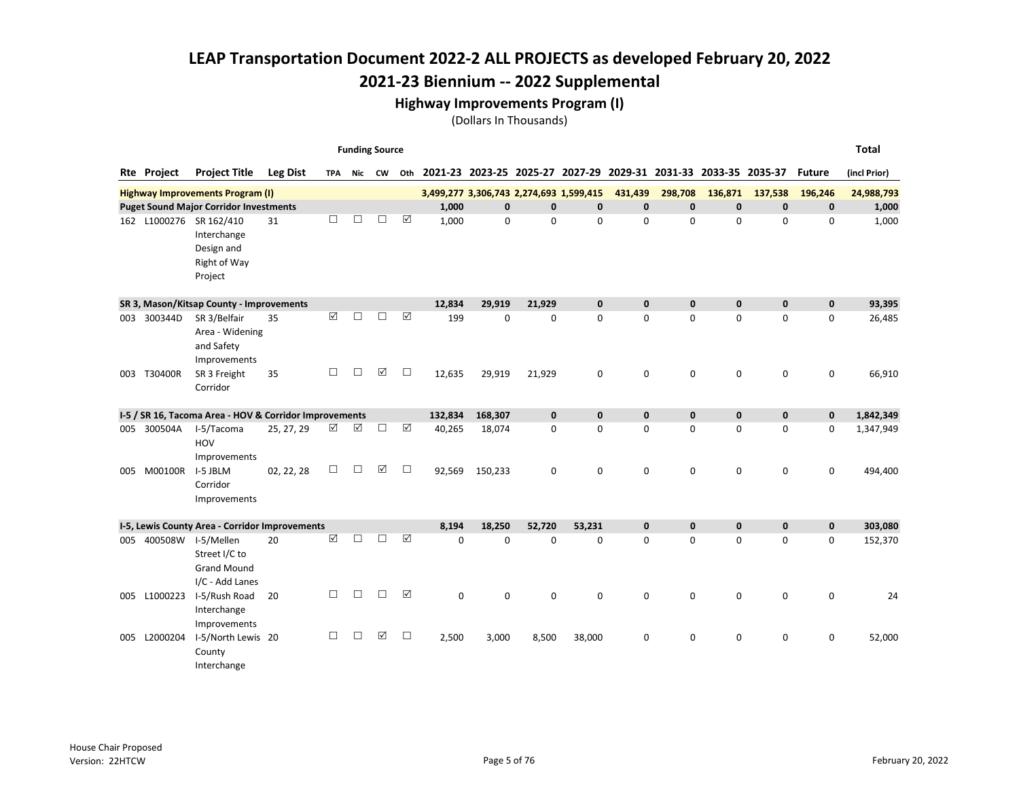#### Highway Improvements Program (I)

|     |                    |                                                        |                 |                 |                       | <b>Funding Source</b> |                       |         |              |                                         |             |                                                                 |              |              |              |               | <b>Total</b> |
|-----|--------------------|--------------------------------------------------------|-----------------|-----------------|-----------------------|-----------------------|-----------------------|---------|--------------|-----------------------------------------|-------------|-----------------------------------------------------------------|--------------|--------------|--------------|---------------|--------------|
|     | <b>Rte Project</b> | <b>Project Title</b>                                   | <b>Leg Dist</b> | TPA             |                       | Nic CW                | Oth                   |         |              |                                         |             | 2021-23 2023-25 2025-27 2027-29 2029-31 2031-33 2033-35 2035-37 |              |              |              | <b>Future</b> | (incl Prior) |
|     |                    | <b>Highway Improvements Program (I)</b>                |                 |                 |                       |                       |                       |         |              | 3,499,277 3,306,743 2,274,693 1,599,415 |             | 431,439                                                         | 298,708      | 136,871      | 137,538      | 196,246       | 24,988,793   |
|     |                    | <b>Puget Sound Major Corridor Investments</b>          |                 |                 |                       |                       |                       | 1,000   | $\mathbf{0}$ | $\mathbf{0}$                            | $\pmb{0}$   | $\mathbf{0}$                                                    | $\mathbf{0}$ | $\mathbf{0}$ | $\mathbf{0}$ | $\mathbf 0$   | 1,000        |
|     |                    | 162 L1000276 SR 162/410                                | 31              | □               | □                     | □                     | ☑                     | 1,000   | $\mathbf 0$  | $\Omega$                                | 0           | $\mathbf 0$                                                     | $\Omega$     | $\Omega$     | $\Omega$     | 0             | 1,000        |
|     |                    | Interchange                                            |                 |                 |                       |                       |                       |         |              |                                         |             |                                                                 |              |              |              |               |              |
|     |                    | Design and                                             |                 |                 |                       |                       |                       |         |              |                                         |             |                                                                 |              |              |              |               |              |
|     |                    | Right of Way                                           |                 |                 |                       |                       |                       |         |              |                                         |             |                                                                 |              |              |              |               |              |
|     |                    | Project                                                |                 |                 |                       |                       |                       |         |              |                                         |             |                                                                 |              |              |              |               |              |
|     |                    | SR 3, Mason/Kitsap County - Improvements               |                 |                 |                       |                       |                       | 12,834  | 29,919       | 21,929                                  | $\mathbf 0$ | $\mathbf 0$                                                     | $\mathbf{0}$ | $\mathbf{0}$ | $\mathbf{0}$ | $\mathbf 0$   | 93,395       |
|     | 003 300344D        | SR 3/Belfair                                           | 35              | $\triangledown$ | П                     | П                     | ☑                     | 199     | $\mathbf 0$  | $\Omega$                                | $\Omega$    | $\mathbf 0$                                                     | 0            | $\Omega$     | $\Omega$     | 0             | 26,485       |
|     |                    | Area - Widening                                        |                 |                 |                       |                       |                       |         |              |                                         |             |                                                                 |              |              |              |               |              |
|     |                    | and Safety                                             |                 |                 |                       |                       |                       |         |              |                                         |             |                                                                 |              |              |              |               |              |
|     |                    | Improvements                                           |                 |                 |                       |                       |                       |         |              |                                         |             |                                                                 |              |              |              |               |              |
| 003 | T30400R            | SR 3 Freight                                           | 35              | П               | $\Box$                | ☑                     | $\Box$                | 12,635  | 29,919       | 21,929                                  | 0           | $\mathbf 0$                                                     | $\mathbf 0$  | $\mathbf 0$  | $\mathbf 0$  | 0             | 66,910       |
|     |                    | Corridor                                               |                 |                 |                       |                       |                       |         |              |                                         |             |                                                                 |              |              |              |               |              |
|     |                    | I-5 / SR 16, Tacoma Area - HOV & Corridor Improvements |                 |                 |                       |                       |                       | 132,834 | 168,307      | $\mathbf{0}$                            | $\mathbf 0$ | $\mathbf 0$                                                     | $\mathbf{0}$ | $\mathbf{0}$ | $\mathbf{0}$ | $\mathbf 0$   | 1,842,349    |
|     | 005 300504A        | I-5/Tacoma                                             | 25, 27, 29      | ☑               | $\boxed{\mathcal{S}}$ | □                     | $\boxed{\mathcal{S}}$ | 40,265  | 18,074       | $\Omega$                                | 0           | 0                                                               | 0            | $\Omega$     | $\Omega$     | 0             | 1,347,949    |
|     |                    | <b>HOV</b>                                             |                 |                 |                       |                       |                       |         |              |                                         |             |                                                                 |              |              |              |               |              |
|     |                    | Improvements                                           |                 |                 |                       |                       |                       |         |              |                                         |             |                                                                 |              |              |              |               |              |
| 005 | M00100R            | I-5 JBLM                                               | 02, 22, 28      | $\Box$          | $\Box$                | ☑                     | $\Box$                | 92,569  | 150,233      | 0                                       | 0           | 0                                                               | 0            | $\mathbf 0$  | 0            | 0             | 494,400      |
|     |                    | Corridor                                               |                 |                 |                       |                       |                       |         |              |                                         |             |                                                                 |              |              |              |               |              |
|     |                    | Improvements                                           |                 |                 |                       |                       |                       |         |              |                                         |             |                                                                 |              |              |              |               |              |
|     |                    | I-5, Lewis County Area - Corridor Improvements         |                 |                 |                       |                       |                       | 8,194   | 18,250       | 52,720                                  | 53,231      | $\mathbf 0$                                                     | $\mathbf{0}$ | $\mathbf{0}$ | $\mathbf{0}$ | $\mathbf 0$   | 303,080      |
|     | 005 400508W        | I-5/Mellen                                             | 20              | ☑               | □                     | П                     | ☑                     | 0       | $\Omega$     | $\Omega$                                | $\Omega$    | $\mathbf 0$                                                     | 0            | $\Omega$     | $\Omega$     | 0             | 152,370      |
|     |                    | Street I/C to                                          |                 |                 |                       |                       |                       |         |              |                                         |             |                                                                 |              |              |              |               |              |
|     |                    | <b>Grand Mound</b>                                     |                 |                 |                       |                       |                       |         |              |                                         |             |                                                                 |              |              |              |               |              |
|     |                    | I/C - Add Lanes                                        |                 |                 |                       |                       |                       |         |              |                                         |             |                                                                 |              |              |              |               |              |
| 005 | L1000223           | I-5/Rush Road                                          | 20              | □               | $\Box$                | $\Box$                | ☑                     | 0       | $\mathbf 0$  | $\mathbf 0$                             | 0           | 0                                                               | 0            | $\mathbf 0$  | 0            | 0             | 24           |
|     |                    | Interchange                                            |                 |                 |                       |                       |                       |         |              |                                         |             |                                                                 |              |              |              |               |              |
|     |                    | Improvements                                           |                 |                 |                       | ☑                     |                       |         |              |                                         |             |                                                                 |              |              |              |               |              |
| 005 | L2000204           | I-5/North Lewis 20                                     |                 | □               | □                     |                       | $\Box$                | 2,500   | 3,000        | 8,500                                   | 38,000      | 0                                                               | 0            | 0            | 0            | 0             | 52,000       |
|     |                    |                                                        |                 |                 |                       |                       |                       |         |              |                                         |             |                                                                 |              |              |              |               |              |
|     |                    | County<br>Interchange                                  |                 |                 |                       |                       |                       |         |              |                                         |             |                                                                 |              |              |              |               |              |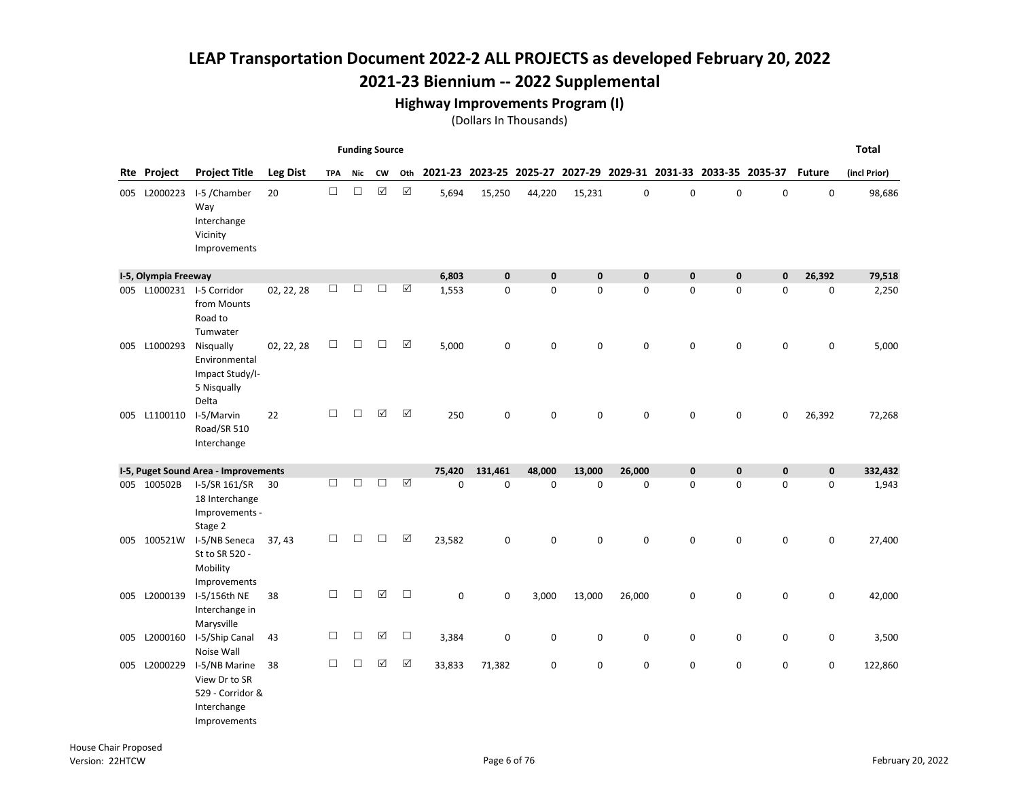## 2021-23 Biennium -- 2022 Supplemental

#### Highway Improvements Program (I)

|     |                      |                                                                                   |                 |            | <b>Funding Source</b> |                      |                      |        |                                                                 |              |              |              |              |              |              |               | <b>Total</b> |
|-----|----------------------|-----------------------------------------------------------------------------------|-----------------|------------|-----------------------|----------------------|----------------------|--------|-----------------------------------------------------------------|--------------|--------------|--------------|--------------|--------------|--------------|---------------|--------------|
|     | Rte Project          | <b>Project Title</b>                                                              | <b>Leg Dist</b> | <b>TPA</b> | Nic                   | <b>CW</b>            | Oth                  |        | 2021-23 2023-25 2025-27 2027-29 2029-31 2031-33 2033-35 2035-37 |              |              |              |              |              |              | <b>Future</b> | (incl Prior) |
|     | 005 L2000223         | I-5 /Chamber<br>Way<br>Interchange<br>Vicinity<br>Improvements                    | 20              | $\Box$     | $\Box$                | $\boxed{\checkmark}$ | $\boxtimes$          | 5,694  | 15,250                                                          | 44,220       | 15,231       | 0            | $\mathbf 0$  | $\mathbf 0$  | $\mathbf 0$  | $\mathbf 0$   | 98,686       |
|     | I-5, Olympia Freeway |                                                                                   |                 |            |                       |                      |                      | 6,803  | $\mathbf{0}$                                                    | $\mathbf{0}$ | $\mathbf{0}$ | $\mathbf{0}$ | $\mathbf{0}$ | $\mathbf{0}$ | $\mathbf{0}$ | 26,392        | 79,518       |
|     |                      | 005 L1000231 I-5 Corridor<br>from Mounts<br>Road to<br>Tumwater                   | 02, 22, 28      | □          | □                     | □                    | $\boxed{\checkmark}$ | 1,553  | 0                                                               | $\mathbf 0$  | 0            | $\mathbf 0$  | $\mathbf 0$  | $\mathbf 0$  | $\mathbf 0$  | 0             | 2,250        |
| 005 | L1000293             | Nisqually<br>Environmental<br>Impact Study/I-<br>5 Nisqually<br>Delta             | 02, 22, 28      | □          | $\Box$                | П                    | $\Delta$             | 5,000  | 0                                                               | $\pmb{0}$    | 0            | 0            | $\Omega$     | $\pmb{0}$    | $\mathbf 0$  | 0             | 5,000        |
|     | 005 L1100110         | I-5/Marvin<br>Road/SR 510<br>Interchange                                          | 22              | $\Box$     | $\Box$                | ☑                    | $\boxed{\mathbf{v}}$ | 250    | 0                                                               | $\mathbf 0$  | 0            | 0            | 0            | $\mathbf 0$  | 0            | 26,392        | 72,268       |
|     |                      | I-5, Puget Sound Area - Improvements                                              |                 |            |                       |                      |                      | 75,420 | 131.461                                                         | 48,000       | 13,000       | 26,000       | $\mathbf{0}$ | $\mathbf{0}$ | $\mathbf 0$  | $\pmb{0}$     | 332,432      |
| 005 | 100502B              | I-5/SR 161/SR<br>18 Interchange<br>Improvements -<br>Stage 2                      | 30              | П          | $\Box$                | $\Box$               | $\boxed{\checkmark}$ | 0      | 0                                                               | $\pmb{0}$    | $\mathbf 0$  | $\pmb{0}$    | 0            | $\pmb{0}$    | $\mathbf 0$  | 0             | 1,943        |
|     | 005 100521W          | I-5/NB Seneca<br>St to SR 520 -<br>Mobility<br>Improvements                       | 37, 43          | □          | $\Box$                | $\Box$               | $\Delta$             | 23,582 | 0                                                               | $\mathbf 0$  | 0            | 0            | 0            | $\mathbf 0$  | $\mathbf 0$  | 0             | 27,400       |
| 005 | L2000139             | I-5/156th NE<br>Interchange in<br>Marysville                                      | 38              | $\Box$     | $\Box$                | ☑                    | $\Box$               | 0      | 0                                                               | 3,000        | 13,000       | 26,000       | 0            | $\mathbf 0$  | 0            | 0             | 42,000       |
|     | 005 L2000160         | I-5/Ship Canal<br>Noise Wall                                                      | 43              | □          | $\Box$                | ☑                    | $\Box$               | 3,384  | 0                                                               | $\mathbf 0$  | 0            | 0            | 0            | $\mathbf 0$  | 0            | 0             | 3,500        |
|     | 005 L2000229         | I-5/NB Marine<br>View Dr to SR<br>529 - Corridor &<br>Interchange<br>Improvements | 38              | $\Box$     | $\Box$                | ☑                    | $\boxtimes$          | 33,833 | 71,382                                                          | $\mathbf 0$  | 0            | 0            | 0            | $\mathbf 0$  | 0            | 0             | 122,860      |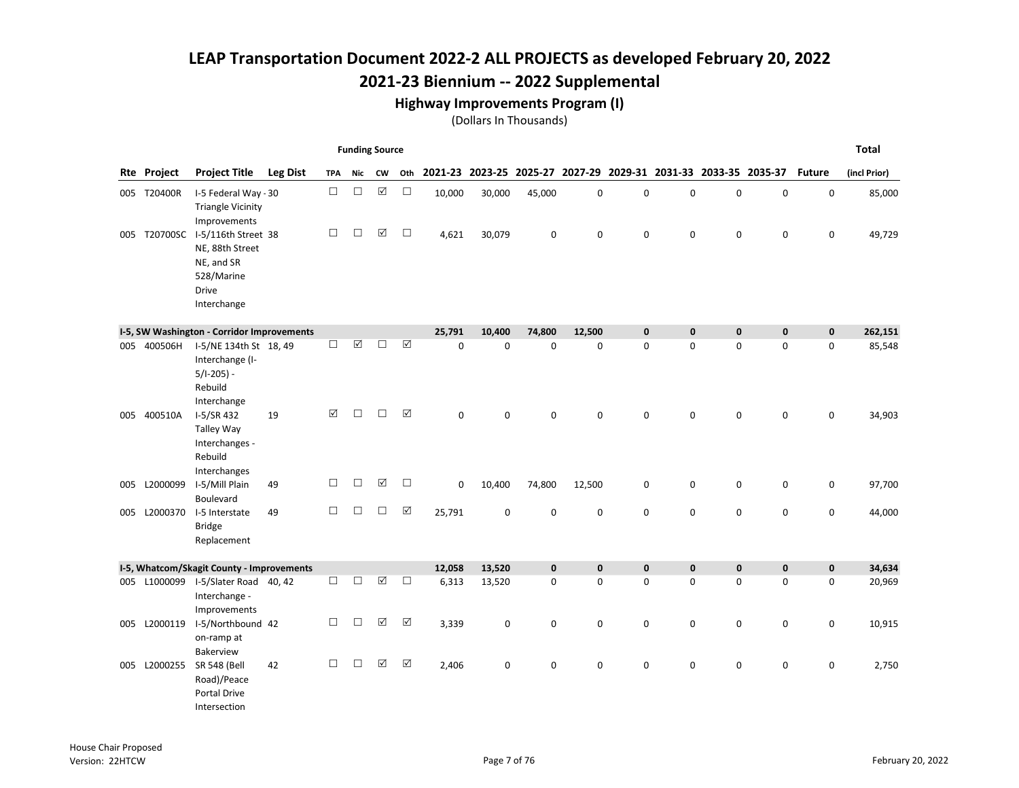#### Highway Improvements Program (I)

|     |              |                                                                                                   |                 |            | <b>Funding Source</b> |                 |             |             |             |                                                                 |             |             |              |              |             |               | <b>Total</b> |
|-----|--------------|---------------------------------------------------------------------------------------------------|-----------------|------------|-----------------------|-----------------|-------------|-------------|-------------|-----------------------------------------------------------------|-------------|-------------|--------------|--------------|-------------|---------------|--------------|
|     | Rte Project  | <b>Project Title</b>                                                                              | <b>Leg Dist</b> | <b>TPA</b> | Nic                   | <b>CW</b>       | Oth         |             |             | 2021-23 2023-25 2025-27 2027-29 2029-31 2031-33 2033-35 2035-37 |             |             |              |              |             | <b>Future</b> | (incl Prior) |
|     | 005 T20400R  | I-5 Federal Way - 30<br><b>Triangle Vicinity</b><br>Improvements                                  |                 | $\Box$     | $\Box$                | $\boxed{\sqrt}$ | $\Box$      | 10,000      | 30,000      | 45,000                                                          | 0           | 0           | $\mathbf 0$  | $\mathbf 0$  | 0           | 0             | 85,000       |
|     | 005 T20700SC | I-5/116th Street 38<br>NE, 88th Street<br>NE, and SR<br>528/Marine<br><b>Drive</b><br>Interchange |                 | □          | $\Box$                | ☑               | $\Box$      | 4,621       | 30,079      | $\mathbf 0$                                                     | 0           | $\mathbf 0$ | 0            | 0            | 0           | 0             | 49,729       |
|     |              | I-5, SW Washington - Corridor Improvements                                                        |                 |            |                       |                 |             | 25,791      | 10,400      | 74,800                                                          | 12,500      | $\mathbf 0$ | $\mathbf{0}$ | $\mathbf 0$  | $\pmb{0}$   | $\mathbf 0$   | 262,151      |
|     | 005 400506H  | I-5/NE 134th St 18, 49<br>Interchange (I-<br>$5/1-205$ ) -<br>Rebuild<br>Interchange              |                 | $\Box$     | $\boxtimes$           | □               | ☑           | $\mathbf 0$ | 0           | $\mathbf 0$                                                     | 0           | $\mathbf 0$ | 0            | 0            | 0           | 0             | 85,548       |
|     | 005 400510A  | I-5/SR 432<br><b>Talley Way</b><br>Interchanges -<br>Rebuild<br>Interchanges                      | 19              | ☑          | $\Box$                | $\Box$          | ☑           | $\mathbf 0$ | 0           | $\mathbf 0$                                                     | 0           | $\mathbf 0$ | 0            | $\mathbf 0$  | 0           | 0             | 34,903       |
| 005 | L2000099     | I-5/Mill Plain<br>Boulevard                                                                       | 49              | □          | $\Box$                | ☑               | $\Box$      | 0           | 10,400      | 74,800                                                          | 12,500      | 0           | $\mathbf 0$  | 0            | 0           | 0             | 97,700       |
| 005 | L2000370     | I-5 Interstate<br><b>Bridge</b><br>Replacement                                                    | 49              | $\Box$     | $\Box$                | $\Box$          | $\boxtimes$ | 25,791      | 0           | $\mathbf 0$                                                     | 0           | $\mathbf 0$ | 0            | 0            | 0           | 0             | 44,000       |
|     |              | I-5, Whatcom/Skagit County - Improvements                                                         |                 |            |                       |                 |             | 12,058      | 13,520      | $\mathbf{0}$                                                    | $\mathbf 0$ | $\mathbf 0$ | $\mathbf{0}$ | $\mathbf{0}$ | $\mathbf 0$ | $\pmb{0}$     | 34,634       |
|     | 005 L1000099 | I-5/Slater Road 40, 42<br>Interchange -<br>Improvements                                           |                 | $\Box$     | $\Box$                | ☑               | $\Box$      | 6,313       | 13,520      | $\mathbf 0$                                                     | 0           | $\mathbf 0$ | 0            | 0            | 0           | 0             | 20,969       |
| 005 | L2000119     | I-5/Northbound 42<br>on-ramp at<br>Bakerview                                                      |                 | □          | $\Box$                | ☑               | ☑           | 3,339       | $\mathbf 0$ | $\mathbf 0$                                                     | 0           | $\mathbf 0$ | 0            | 0            | 0           | 0             | 10,915       |
| 005 | L2000255     | <b>SR 548 (Bell</b><br>Road)/Peace<br>Portal Drive<br>Intersection                                | 42              | □          | $\Box$                | ☑               | $\Delta$    | 2,406       | 0           | $\mathbf 0$                                                     | 0           | $\mathbf 0$ | 0            | 0            | 0           | 0             | 2,750        |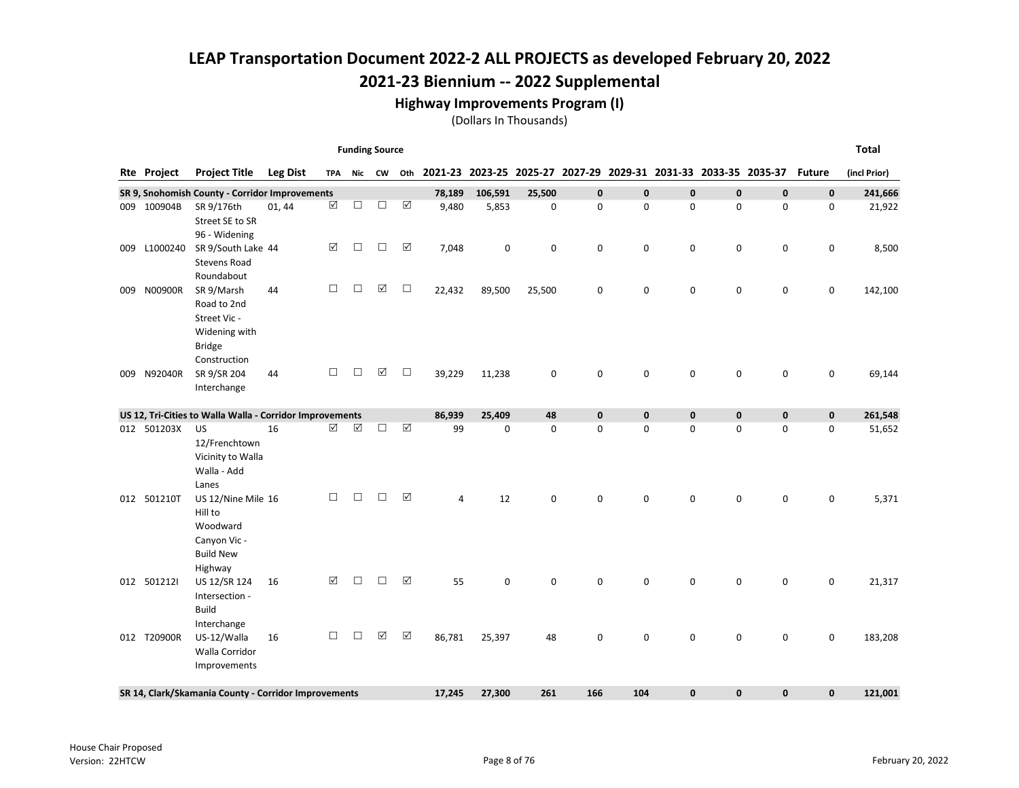#### Highway Improvements Program (I)

|     |             |                                                          |                 |                      |        | <b>Funding Source</b> |             |        |             |                                                                 |             |             |              |              |              |               | <b>Total</b> |
|-----|-------------|----------------------------------------------------------|-----------------|----------------------|--------|-----------------------|-------------|--------|-------------|-----------------------------------------------------------------|-------------|-------------|--------------|--------------|--------------|---------------|--------------|
|     | Rte Project | <b>Project Title</b>                                     | <b>Leg Dist</b> | <b>TPA</b>           | Nic    | CW                    | Oth         |        |             | 2021-23 2023-25 2025-27 2027-29 2029-31 2031-33 2033-35 2035-37 |             |             |              |              |              | <b>Future</b> | (incl Prior) |
|     |             | SR 9, Snohomish County - Corridor Improvements           |                 |                      |        |                       |             | 78,189 | 106,591     | 25,500                                                          | $\mathbf 0$ | $\mathbf 0$ | $\mathbf 0$  | $\mathbf{0}$ | $\mathbf 0$  | 0             | 241,666      |
|     | 009 100904B | SR 9/176th                                               | 01, 44          | $\boxed{\checkmark}$ | $\Box$ | $\Box$                | ☑           | 9,480  | 5,853       | 0                                                               | 0           | 0           | 0            | 0            | $\mathbf 0$  | 0             | 21,922       |
|     |             | Street SE to SR                                          |                 |                      |        |                       |             |        |             |                                                                 |             |             |              |              |              |               |              |
|     | L1000240    | 96 - Widening<br>SR 9/South Lake 44                      |                 | ☑                    | $\Box$ | $\Box$                | ☑           | 7,048  | $\mathbf 0$ | $\mathbf 0$                                                     | 0           | 0           | 0            | 0            | $\pmb{0}$    | 0             | 8,500        |
| 009 |             | <b>Stevens Road</b>                                      |                 |                      |        |                       |             |        |             |                                                                 |             |             |              |              |              |               |              |
|     |             | Roundabout                                               |                 |                      |        |                       |             |        |             |                                                                 |             |             |              |              |              |               |              |
| 009 | N00900R     | SR 9/Marsh                                               | 44              | $\Box$               | □      | ☑                     | $\Box$      | 22,432 | 89,500      | 25,500                                                          | 0           | 0           | 0            | 0            | $\mathbf 0$  | 0             | 142,100      |
|     |             | Road to 2nd                                              |                 |                      |        |                       |             |        |             |                                                                 |             |             |              |              |              |               |              |
|     |             | Street Vic -                                             |                 |                      |        |                       |             |        |             |                                                                 |             |             |              |              |              |               |              |
|     |             | Widening with<br><b>Bridge</b>                           |                 |                      |        |                       |             |        |             |                                                                 |             |             |              |              |              |               |              |
|     |             | Construction                                             |                 |                      |        |                       |             |        |             |                                                                 |             |             |              |              |              |               |              |
| 009 | N92040R     | SR 9/SR 204                                              | 44              | $\Box$               | □      | ☑                     | $\Box$      | 39,229 | 11,238      | 0                                                               | $\pmb{0}$   | 0           | 0            | 0            | $\pmb{0}$    | 0             | 69,144       |
|     |             | Interchange                                              |                 |                      |        |                       |             |        |             |                                                                 |             |             |              |              |              |               |              |
|     |             | US 12, Tri-Cities to Walla Walla - Corridor Improvements |                 |                      |        |                       |             | 86,939 | 25,409      | 48                                                              | $\pmb{0}$   | $\mathbf 0$ | $\mathbf 0$  | $\pmb{0}$    | $\pmb{0}$    | 0             | 261,548      |
|     | 012 501203X | US                                                       | 16              | $\Delta$             | ☑      | □                     | $\boxtimes$ | 99     | $\mathbf 0$ | $\mathbf 0$                                                     | 0           | 0           | 0            | 0            | $\pmb{0}$    | 0             | 51,652       |
|     |             | 12/Frenchtown                                            |                 |                      |        |                       |             |        |             |                                                                 |             |             |              |              |              |               |              |
|     |             | Vicinity to Walla                                        |                 |                      |        |                       |             |        |             |                                                                 |             |             |              |              |              |               |              |
|     |             | Walla - Add<br>Lanes                                     |                 |                      |        |                       |             |        |             |                                                                 |             |             |              |              |              |               |              |
|     | 012 501210T | US 12/Nine Mile 16                                       |                 | $\Box$               | □      | □                     | ☑           | 4      | 12          | $\mathbf 0$                                                     | 0           | 0           | 0            | 0            | $\mathbf 0$  | 0             | 5,371        |
|     |             | Hill to                                                  |                 |                      |        |                       |             |        |             |                                                                 |             |             |              |              |              |               |              |
|     |             | Woodward                                                 |                 |                      |        |                       |             |        |             |                                                                 |             |             |              |              |              |               |              |
|     |             | Canyon Vic -                                             |                 |                      |        |                       |             |        |             |                                                                 |             |             |              |              |              |               |              |
|     |             | <b>Build New</b><br>Highway                              |                 |                      |        |                       |             |        |             |                                                                 |             |             |              |              |              |               |              |
|     | 012 5012121 | US 12/SR 124                                             | 16              | ☑                    | П      | П                     | ☑           | 55     | 0           | 0                                                               | 0           | 0           | 0            | 0            | $\mathbf 0$  | 0             | 21,317       |
|     |             | Intersection -                                           |                 |                      |        |                       |             |        |             |                                                                 |             |             |              |              |              |               |              |
|     |             | <b>Build</b>                                             |                 |                      |        |                       |             |        |             |                                                                 |             |             |              |              |              |               |              |
|     |             | Interchange                                              |                 |                      |        |                       |             |        |             |                                                                 |             |             |              |              |              |               |              |
|     | 012 T20900R | US-12/Walla<br>Walla Corridor                            | 16              | $\Box$               | $\Box$ | ☑                     | ☑           | 86,781 | 25,397      | 48                                                              | $\mathbf 0$ | 0           | 0            | 0            | $\mathbf 0$  | 0             | 183,208      |
|     |             | Improvements                                             |                 |                      |        |                       |             |        |             |                                                                 |             |             |              |              |              |               |              |
|     |             |                                                          |                 |                      |        |                       |             |        |             |                                                                 |             |             |              |              |              |               |              |
|     |             | SR 14, Clark/Skamania County - Corridor Improvements     |                 |                      |        |                       |             | 17,245 | 27,300      | 261                                                             | 166         | 104         | $\mathbf{0}$ | 0            | $\mathbf{0}$ | 0             | 121,001      |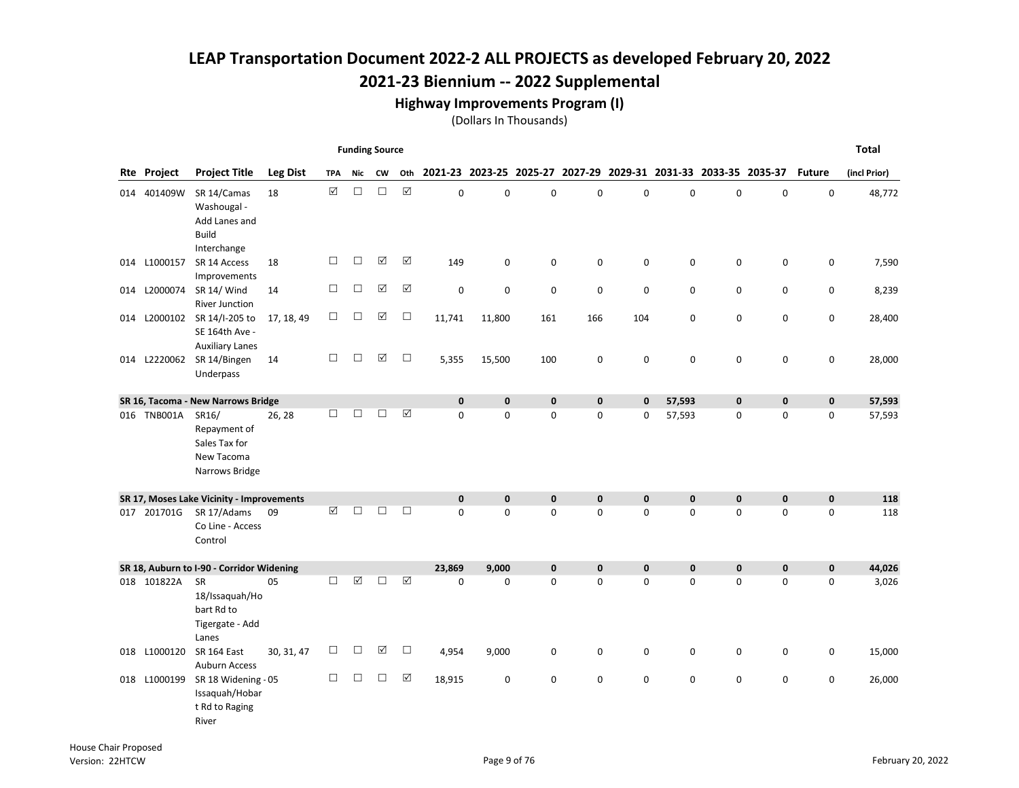Highway Improvements Program (I)

|     |                    |                                                                            |                 |                      | <b>Funding Source</b> |           |                     |             |             |              |              |                                                                 |              |              |              |               | <b>Total</b> |
|-----|--------------------|----------------------------------------------------------------------------|-----------------|----------------------|-----------------------|-----------|---------------------|-------------|-------------|--------------|--------------|-----------------------------------------------------------------|--------------|--------------|--------------|---------------|--------------|
|     | <b>Rte Project</b> | <b>Project Title</b>                                                       | <b>Leg Dist</b> | <b>TPA</b>           | Nic                   | <b>CW</b> | Oth                 |             |             |              |              | 2021-23 2023-25 2025-27 2027-29 2029-31 2031-33 2033-35 2035-37 |              |              |              | <b>Future</b> | (incl Prior) |
|     | 014 401409W        | SR 14/Camas<br>Washougal -<br>Add Lanes and<br><b>Build</b><br>Interchange | 18              | $\boxed{\mathsf{v}}$ | $\Box$                | $\Box$    | $\boxtimes$         | 0           | 0           | $\mathbf 0$  | 0            | 0                                                               | 0            | $\mathbf 0$  | 0            | $\mathbf 0$   | 48,772       |
|     | 014 L1000157       | SR 14 Access<br>Improvements                                               | 18              | $\Box$               | $\Box$                | ☑         | ☑                   | 149         | 0           | 0            | 0            | 0                                                               | 0            | 0            | 0            | 0             | 7,590        |
| 014 | L2000074           | SR 14/ Wind<br><b>River Junction</b>                                       | 14              | $\Box$               | $\Box$                | ☑         | $\Delta$            | 0           | 0           | $\mathbf 0$  | 0            | 0                                                               | 0            | 0            | 0            | 0             | 8,239        |
| 014 | L2000102           | SR 14/I-205 to<br>SE 164th Ave -<br><b>Auxiliary Lanes</b>                 | 17, 18, 49      | $\Box$               | □                     | ☑         | $\Box$              | 11,741      | 11,800      | 161          | 166          | 104                                                             | 0            | 0            | 0            | 0             | 28,400       |
|     |                    | 014 L2220062 SR 14/Bingen<br>Underpass                                     | 14              | $\Box$               | $\Box$                | ☑         | $\Box$              | 5,355       | 15,500      | 100          | 0            | $\pmb{0}$                                                       | 0            | 0            | 0            | 0             | 28,000       |
|     |                    | SR 16, Tacoma - New Narrows Bridge                                         |                 |                      |                       |           |                     | $\mathbf 0$ | $\mathbf 0$ | $\mathbf{0}$ | $\mathbf 0$  | $\mathbf 0$                                                     | 57,593       | $\mathbf 0$  | $\mathbf 0$  | $\mathbf 0$   | 57,593       |
|     | 016 TNB001A        | SR16/<br>Repayment of<br>Sales Tax for<br>New Tacoma<br>Narrows Bridge     | 26, 28          | $\Box$               | $\Box$                | П         | $\boxtimes$         | 0           | 0           | $\mathbf 0$  | 0            | 0                                                               | 57,593       | 0            | 0            | 0             | 57,593       |
|     |                    | SR 17, Moses Lake Vicinity - Improvements                                  |                 |                      |                       |           |                     | $\mathbf 0$ | $\mathbf 0$ | $\bf{0}$     | $\mathbf 0$  | $\mathbf 0$                                                     | $\mathbf 0$  | $\bf{0}$     | $\pmb{0}$    | $\pmb{0}$     | 118          |
|     | 017 201701G        | SR 17/Adams<br>Co Line - Access<br>Control                                 | 09              | ☑                    | П                     | П         | $\Box$              | $\Omega$    | $\Omega$    | $\Omega$     | 0            | $\Omega$                                                        | $\Omega$     | $\Omega$     | $\Omega$     | $\mathbf 0$   | 118          |
|     |                    | SR 18, Auburn to I-90 - Corridor Widening                                  |                 |                      |                       |           |                     | 23,869      | 9,000       | $\mathbf 0$  | $\mathbf{0}$ | $\mathbf 0$                                                     | $\mathbf{0}$ | $\mathbf{0}$ | $\mathbf{0}$ | $\mathbf 0$   | 44,026       |
|     | 018 101822A        | <b>SR</b><br>18/Issaquah/Ho<br>bart Rd to<br>Tigergate - Add<br>Lanes      | 05              | $\Box$               | ☑                     | □         | $\boxed{\triangle}$ | 0           | 0           | $\mathbf 0$  | 0            | 0                                                               | 0            | 0            | 0            | 0             | 3,026        |
| 018 | L1000120           | <b>SR 164 East</b><br><b>Auburn Access</b>                                 | 30, 31, 47      | □                    | □                     | ☑         | $\Box$              | 4,954       | 9,000       | 0            | 0            | 0                                                               | 0            | 0            | 0            | 0             | 15,000       |
| 018 | L1000199           | SR 18 Widening - 05<br>Issaquah/Hobar<br>t Rd to Raging<br>River           |                 | $\Box$               | □                     | $\Box$    | ☑                   | 18,915      | 0           | 0            | 0            | $\pmb{0}$                                                       | 0            | 0            | 0            | 0             | 26,000       |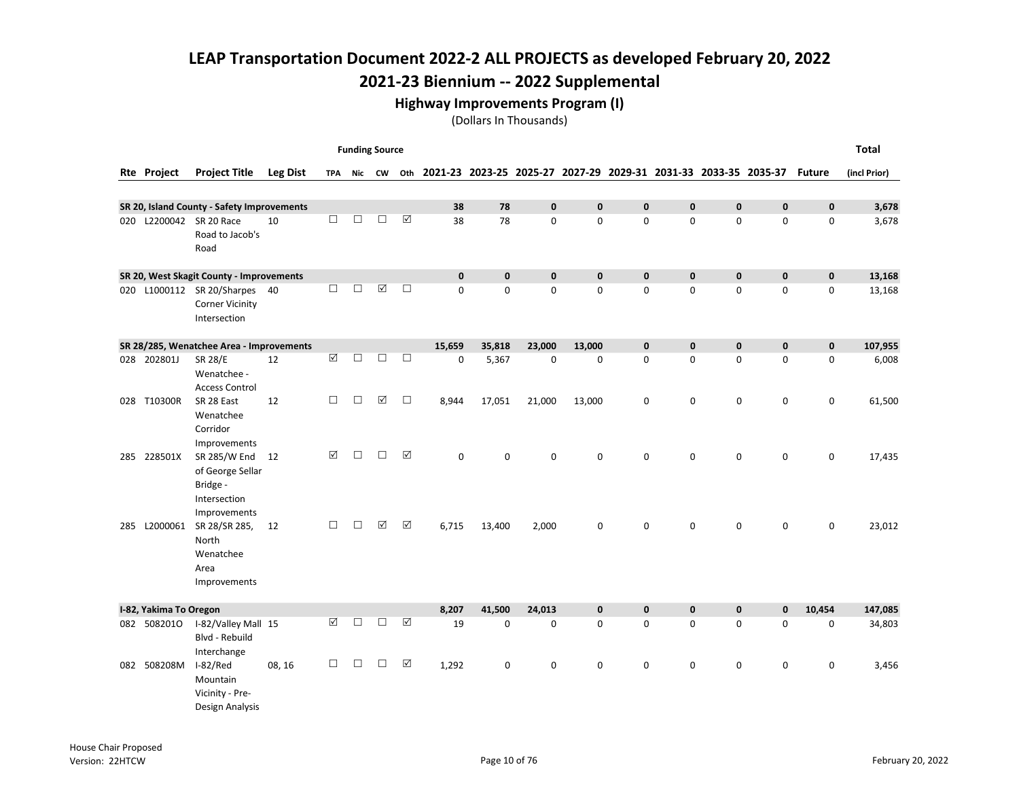#### Highway Improvements Program (I)

|     |                        |                                                                                                 |                 |                    | <b>Funding Source</b> |        |                      |             |              |              |        |              |                                                                 |              |              |               | <b>Total</b> |
|-----|------------------------|-------------------------------------------------------------------------------------------------|-----------------|--------------------|-----------------------|--------|----------------------|-------------|--------------|--------------|--------|--------------|-----------------------------------------------------------------|--------------|--------------|---------------|--------------|
|     | <b>Rte Project</b>     | <b>Project Title</b>                                                                            | <b>Leg Dist</b> |                    | TPA Nic CW            |        | Oth                  |             |              |              |        |              | 2021-23 2023-25 2025-27 2027-29 2029-31 2031-33 2033-35 2035-37 |              |              | <b>Future</b> | (incl Prior) |
|     |                        |                                                                                                 |                 |                    |                       |        |                      |             |              |              |        |              |                                                                 |              |              |               |              |
|     |                        | SR 20, Island County - Safety Improvements                                                      |                 |                    |                       |        |                      | 38          | 78           | $\mathbf{0}$ | 0      | $\mathbf 0$  | $\mathbf{0}$                                                    | $\mathbf{0}$ | $\bf{0}$     | $\mathbf 0$   | 3,678        |
|     |                        | 020 L2200042 SR 20 Race<br>Road to Jacob's<br>Road                                              | 10              | $\Box$             | $\Box$                | $\Box$ | $\boxed{\mathbf{v}}$ | 38          | 78           | 0            | 0      | 0            | 0                                                               | 0            | $\mathbf 0$  | 0             | 3,678        |
|     |                        | SR 20, West Skagit County - Improvements                                                        |                 |                    |                       |        |                      | $\mathbf 0$ | $\mathbf{0}$ | $\mathbf{0}$ | 0      | $\mathbf 0$  | $\mathbf{0}$                                                    | $\mathbf{0}$ | $\mathbf{0}$ | $\pmb{0}$     | 13,168       |
|     |                        | 020 L1000112 SR 20/Sharpes 40<br><b>Corner Vicinity</b><br>Intersection                         |                 | $\Box$             | $\Box$                | ☑      | $\Box$               | $\Omega$    | 0            | 0            | 0      | $\mathbf 0$  | 0                                                               | $\mathbf 0$  | $\mathbf 0$  | 0             | 13,168       |
|     |                        | SR 28/285, Wenatchee Area - Improvements                                                        |                 |                    |                       |        |                      | 15,659      | 35,818       | 23,000       | 13,000 | $\mathbf{0}$ | $\mathbf{0}$                                                    | $\mathbf{0}$ | $\mathbf{0}$ | $\mathbf 0$   | 107,955      |
|     | 028 202801J            | <b>SR 28/E</b><br>Wenatchee -<br><b>Access Control</b>                                          | 12              | $\boxed{\text{V}}$ | $\Box$                | $\Box$ | $\Box$               | $\Omega$    | 5,367        | $\mathbf 0$  | 0      | $\mathbf 0$  | 0                                                               | $\mathbf 0$  | $\mathbf 0$  | 0             | 6,008        |
|     | 028 T10300R            | SR 28 East<br>Wenatchee<br>Corridor                                                             | 12              | $\Box$             | □                     | ☑      | $\Box$               | 8,944       | 17,051       | 21,000       | 13,000 | 0            | 0                                                               | 0            | $\mathbf 0$  | 0             | 61,500       |
|     | 285 228501X            | Improvements<br>SR 285/W End 12<br>of George Sellar<br>Bridge -<br>Intersection<br>Improvements |                 | ☑                  | П                     | П      | ☑                    | $\Omega$    | $\Omega$     | 0            | 0      | $\mathbf 0$  | $\Omega$                                                        | $\mathbf 0$  | $\mathbf 0$  | 0             | 17,435       |
| 285 | L2000061               | SR 28/SR 285,<br>North<br>Wenatchee<br>Area<br>Improvements                                     | 12              | □                  | $\Box$                | ☑      | $\boxed{\checkmark}$ | 6,715       | 13,400       | 2,000        | 0      | $\mathbf 0$  | 0                                                               | $\mathbf 0$  | $\mathbf 0$  | $\mathbf 0$   | 23,012       |
|     | I-82, Yakima To Oregon |                                                                                                 |                 |                    |                       |        |                      | 8,207       | 41,500       | 24,013       | 0      | $\pmb{0}$    | 0                                                               | $\pmb{0}$    | $\bf{0}$     | 10,454        | 147,085      |
|     | 082 5082010            | I-82/Valley Mall 15<br>Blvd - Rebuild<br>Interchange                                            |                 | ☑                  | п                     | П      | ☑                    | 19          | 0            | $\mathbf 0$  | 0      | $\mathbf 0$  | $\Omega$                                                        | $\Omega$     | $\mathbf 0$  | $\mathbf 0$   | 34,803       |
|     | 082 508208M            | I-82/Red<br>Mountain<br>Vicinity - Pre-<br>Design Analysis                                      | 08, 16          | □                  | $\Box$                | $\Box$ | ☑                    | 1,292       | 0            | $\mathsf 0$  | 0      | $\mathbf 0$  | $\mathbf 0$                                                     | 0            | $\mathbf 0$  | 0             | 3,456        |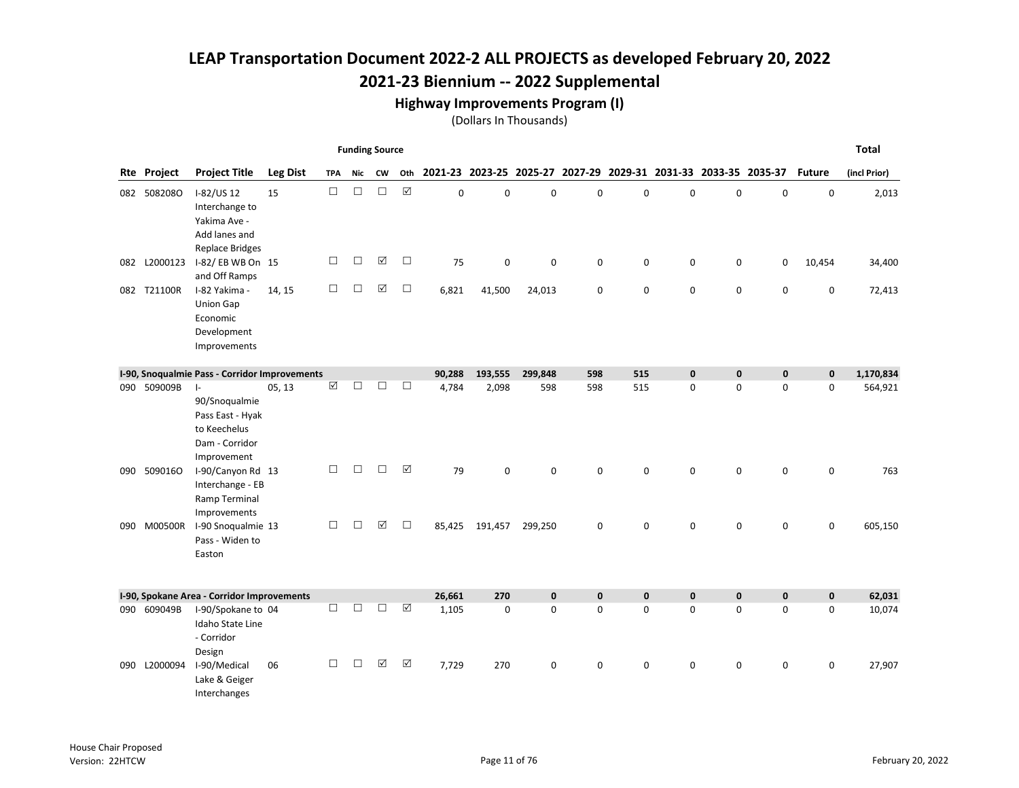## 2021-23 Biennium -- 2022 Supplemental

#### Highway Improvements Program (I)

|     |                    |                                                                                                 |                 |            | <b>Funding Source</b> |        |                      |             |             |             |             |                                                                 |             |             |             |               | <b>Total</b> |
|-----|--------------------|-------------------------------------------------------------------------------------------------|-----------------|------------|-----------------------|--------|----------------------|-------------|-------------|-------------|-------------|-----------------------------------------------------------------|-------------|-------------|-------------|---------------|--------------|
|     | <b>Rte Project</b> | <b>Project Title</b>                                                                            | <b>Leg Dist</b> | <b>TPA</b> | Nic                   | CW     | Oth                  |             |             |             |             | 2021-23 2023-25 2025-27 2027-29 2029-31 2031-33 2033-35 2035-37 |             |             |             | <b>Future</b> | (incl Prior) |
|     | 082 5082080        | I-82/US 12<br>Interchange to<br>Yakima Ave -<br>Add lanes and<br><b>Replace Bridges</b>         | 15              | $\Box$     | $\Box$                | $\Box$ | $\boxed{\checkmark}$ | $\mathbf 0$ | 0           | $\Omega$    | 0           | $\mathbf 0$                                                     | $\Omega$    | $\mathbf 0$ | 0           | $\mathbf 0$   | 2,013        |
|     | 082 L2000123       | I-82/EB WB On 15<br>and Off Ramps                                                               |                 | $\Box$     | □                     | ☑      | $\Box$               | 75          | $\mathbf 0$ | $\mathbf 0$ | 0           | 0                                                               | 0           | 0           | 0           | 10,454        | 34,400       |
|     | 082 T21100R        | I-82 Yakima -<br><b>Union Gap</b><br>Economic<br>Development<br>Improvements                    | 14, 15          | $\Box$     | $\Box$                | ☑      | $\Box$               | 6,821       | 41,500      | 24,013      | 0           | 0                                                               | 0           | 0           | 0           | 0             | 72,413       |
|     |                    | I-90, Snoqualmie Pass - Corridor Improvements                                                   |                 |            |                       |        |                      | 90,288      | 193,555     | 299,848     | 598         | 515                                                             | $\mathbf 0$ | $\mathbf 0$ | 0           | $\mathbf 0$   | 1,170,834    |
|     | 090 509009B        | $\vert$ -<br>90/Snoqualmie<br>Pass East - Hyak<br>to Keechelus<br>Dam - Corridor<br>Improvement | 05, 13          | ☑          | $\Box$                | □      | $\Box$               | 4,784       | 2,098       | 598         | 598         | 515                                                             | 0           | $\Omega$    | 0           | 0             | 564,921      |
| 090 | 5090160            | I-90/Canyon Rd 13<br>Interchange - EB<br>Ramp Terminal<br>Improvements                          |                 | $\Box$     | □                     | □      | ☑                    | 79          | 0           | 0           | 0           | 0                                                               | 0           | 0           | 0           | 0             | 763          |
|     | 090 M00500R        | I-90 Snoqualmie 13<br>Pass - Widen to<br>Easton                                                 |                 | $\Box$     | □                     | ☑      | $\Box$               | 85,425      | 191,457     | 299,250     | 0           | $\mathsf 0$                                                     | 0           | 0           | 0           | 0             | 605,150      |
|     |                    | I-90, Spokane Area - Corridor Improvements                                                      |                 |            |                       |        |                      | 26,661      | 270         | $\mathbf 0$ | $\mathbf 0$ | $\mathbf 0$                                                     | $\mathbf 0$ | $\mathbf 0$ | $\bf{0}$    | $\pmb{0}$     | 62,031       |
|     | 090 609049B        | I-90/Spokane to 04<br>Idaho State Line<br>- Corridor<br>Design                                  |                 | $\Box$     | П                     | $\Box$ | ☑                    | 1,105       | $\mathbf 0$ | $\mathbf 0$ | 0           | $\mathbf 0$                                                     | $\Omega$    | $\Omega$    | $\mathbf 0$ | 0             | 10,074       |
|     | 090 L2000094       | I-90/Medical<br>Lake & Geiger<br>Interchanges                                                   | 06              | $\Box$     | □                     | ☑      | $\boxtimes$          | 7,729       | 270         | $\mathbf 0$ | 0           | $\mathbf 0$                                                     | $\mathbf 0$ | $\mathbf 0$ | $\mathbf 0$ | 0             | 27,907       |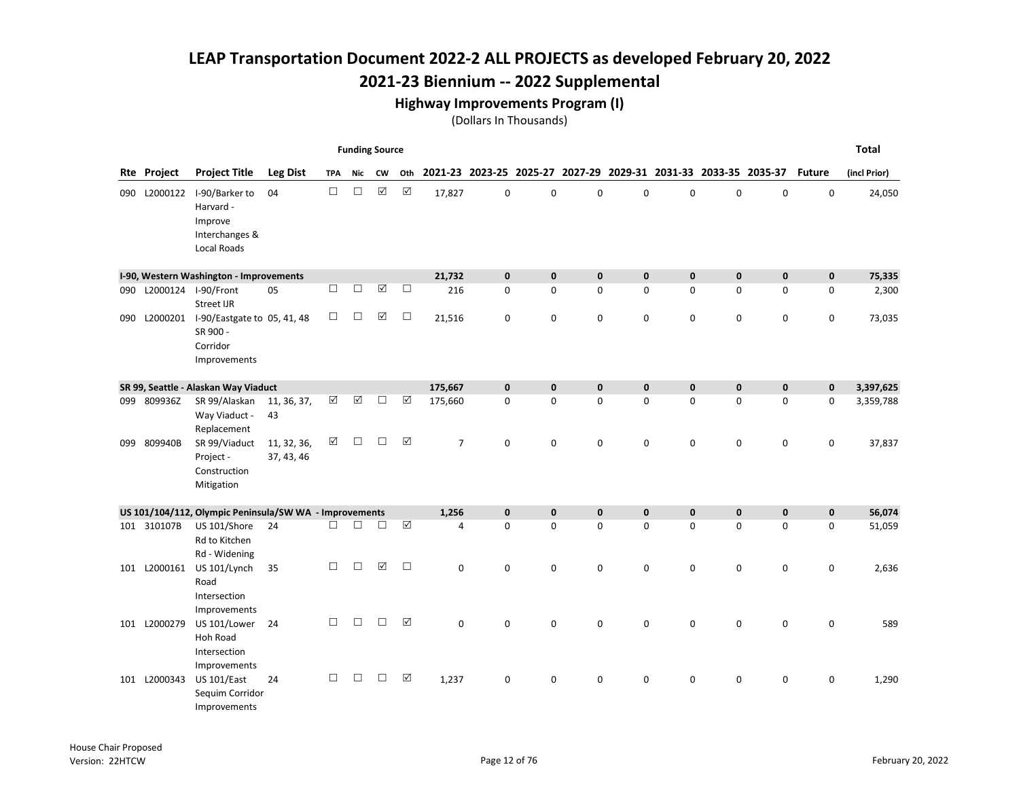## 2021-23 Biennium -- 2022 Supplemental

#### Highway Improvements Program (I)

|     |                    |                                                                                |                           |            | <b>Funding Source</b> |                      |                      |                |              |              |              |              |                                                                 |              |              |               | <b>Total</b> |
|-----|--------------------|--------------------------------------------------------------------------------|---------------------------|------------|-----------------------|----------------------|----------------------|----------------|--------------|--------------|--------------|--------------|-----------------------------------------------------------------|--------------|--------------|---------------|--------------|
|     | <b>Rte Project</b> | <b>Project Title</b>                                                           | <b>Leg Dist</b>           | <b>TPA</b> | Nic                   | <b>CW</b>            | Oth                  |                |              |              |              |              | 2021-23 2023-25 2025-27 2027-29 2029-31 2031-33 2033-35 2035-37 |              |              | <b>Future</b> | (incl Prior) |
|     | 090 L2000122       | I-90/Barker to<br>Harvard -<br>Improve<br>Interchanges &<br><b>Local Roads</b> | 04                        | $\Box$     | $\Box$                | $\boxed{\checkmark}$ | $\boxtimes$          | 17,827         | $\mathbf 0$  | $\mathbf 0$  | $\mathbf 0$  | $\pmb{0}$    | $\mathbf 0$                                                     | $\mathbf 0$  | $\mathbf 0$  | $\mathbf 0$   | 24,050       |
|     |                    | I-90, Western Washington - Improvements                                        |                           |            |                       |                      |                      | 21,732         | $\mathbf 0$  | $\mathbf 0$  | $\pmb{0}$    | $\mathbf 0$  | $\mathbf 0$                                                     | $\mathbf 0$  | $\bf{0}$     | 0             | 75,335       |
| 090 |                    | L2000124 I-90/Front<br><b>Street IJR</b>                                       | 05                        | $\Box$     | $\Box$                | $\boxed{\text{V}}$   | $\Box$               | 216            | 0            | $\mathbf 0$  | 0            | $\mathbf 0$  | $\Omega$                                                        | 0            | $\mathbf 0$  | 0             | 2,300        |
| 090 | L2000201           | I-90/Eastgate to 05, 41, 48<br>SR 900 -<br>Corridor<br>Improvements            |                           | $\Box$     | □                     | ☑                    | $\Box$               | 21,516         | 0            | $\mathbf 0$  | 0            | 0            | $\mathbf 0$                                                     | $\mathbf 0$  | $\mathbf 0$  | 0             | 73,035       |
|     |                    | SR 99, Seattle - Alaskan Way Viaduct                                           |                           |            |                       |                      |                      | 175,667        | $\mathbf{0}$ | $\mathbf{0}$ | $\mathbf{0}$ | $\mathbf{0}$ | $\mathbf{0}$                                                    | $\mathbf{0}$ | $\mathbf{0}$ | $\mathbf 0$   | 3,397,625    |
| 099 | 809936Z            | SR 99/Alaskan<br>Way Viaduct -<br>Replacement                                  | 11, 36, 37,<br>43         | ☑          | $\boxed{\checkmark}$  | $\Box$               | $\boxed{\checkmark}$ | 175,660        | $\mathbf 0$  | $\mathbf 0$  | 0            | 0            | 0                                                               | $\mathbf 0$  | $\mathbf 0$  | 0             | 3,359,788    |
|     | 099 809940B        | SR 99/Viaduct<br>Project -<br>Construction<br>Mitigation                       | 11, 32, 36,<br>37, 43, 46 | ☑          | $\Box$                | $\Box$               | ☑                    | $\overline{7}$ | 0            | $\mathbf 0$  | 0            | $\mathbf 0$  | 0                                                               | $\mathsf 0$  | 0            | $\mathbf 0$   | 37,837       |
|     |                    | US 101/104/112, Olympic Peninsula/SW WA - Improvements                         |                           |            |                       |                      |                      | 1,256          | $\mathbf 0$  | $\mathbf 0$  | $\mathbf 0$  | $\mathbf 0$  | $\mathbf 0$                                                     | $\mathbf 0$  | $\bf{0}$     | 0             | 56,074       |
|     | 101 310107B        | US 101/Shore<br>Rd to Kitchen<br>Rd - Widening                                 | 24                        | П.         | П                     | П                    | ☑                    | $\overline{4}$ | $\Omega$     | $\Omega$     | 0            | $\Omega$     | $\Omega$                                                        | $\Omega$     | $\mathbf{0}$ | 0             | 51,059       |
| 101 | L2000161           | US 101/Lynch<br>Road<br>Intersection<br>Improvements                           | 35                        | П.         | □                     | ☑                    | $\Box$               | $\mathbf 0$    | 0            | $\mathbf 0$  | 0            | $\mathbf 0$  | 0                                                               | $\mathbf 0$  | 0            | 0             | 2,636        |
|     | 101 L2000279       | US 101/Lower<br><b>Hoh Road</b><br>Intersection<br>Improvements                | 24                        | $\Box$     | П                     | П                    | ☑                    | $\Omega$       | $\Omega$     | $\Omega$     | 0            | $\mathbf 0$  | $\Omega$                                                        | $\mathbf 0$  | 0            | 0             | 589          |
|     | 101 L2000343       | <b>US 101/East</b><br>Sequim Corridor<br>Improvements                          | 24                        | $\Box$     | $\Box$                | $\Box$               | $\boxed{\mathbf{v}}$ | 1,237          | 0            | $\mathbf 0$  | 0            | $\mathbf 0$  | $\mathbf 0$                                                     | $\mathbf 0$  | $\mathbf 0$  | 0             | 1,290        |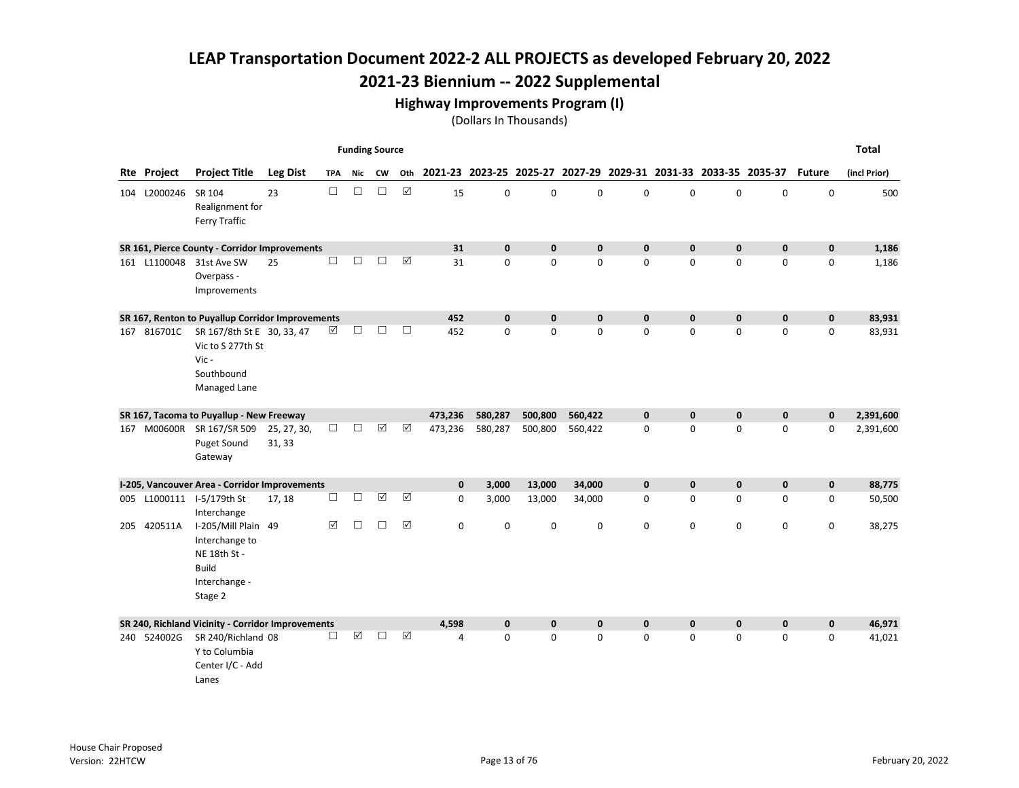## 2021-23 Biennium -- 2022 Supplemental

#### Highway Improvements Program (I)

|                    |                                                                                                   |                       |            | <b>Funding Source</b> |                      |                      |              |              |                                                                 |             |             |              |              |              |               | <b>Total</b> |
|--------------------|---------------------------------------------------------------------------------------------------|-----------------------|------------|-----------------------|----------------------|----------------------|--------------|--------------|-----------------------------------------------------------------|-------------|-------------|--------------|--------------|--------------|---------------|--------------|
| <b>Rte Project</b> | <b>Project Title</b>                                                                              | <b>Leg Dist</b>       | <b>TPA</b> | Nic                   | CW                   | Oth                  |              |              | 2021-23 2023-25 2025-27 2027-29 2029-31 2031-33 2033-35 2035-37 |             |             |              |              |              | <b>Future</b> | (incl Prior) |
| 104 L2000246       | SR 104<br>Realignment for<br>Ferry Traffic                                                        | 23                    | $\Box$     | $\Box$                | $\Box$               | $\boxtimes$          | 15           | $\mathbf 0$  | $\mathbf 0$                                                     | 0           | $\mathbf 0$ | $\Omega$     | $\mathbf 0$  | 0            | $\mathbf 0$   | 500          |
|                    | SR 161, Pierce County - Corridor Improvements                                                     |                       |            |                       |                      |                      | 31           | $\mathbf 0$  | $\mathbf{0}$                                                    | $\mathbf 0$ | $\mathbf 0$ | $\mathbf{0}$ | $\mathbf 0$  | $\bf{0}$     | $\mathbf 0$   | 1,186        |
| 161 L1100048       | 31st Ave SW<br>Overpass -<br>Improvements                                                         | 25                    | $\Box$     | $\Box$                | □                    | $\boxed{\sqrt}$      | 31           | $\mathbf 0$  | $\mathbf 0$                                                     | 0           | 0           | 0            | $\mathbf 0$  | 0            | 0             | 1,186        |
|                    | SR 167, Renton to Puyallup Corridor Improvements                                                  |                       |            |                       |                      |                      | 452          | $\mathbf{0}$ | $\mathbf{0}$                                                    | $\mathbf 0$ | $\mathbf 0$ | 0            | $\mathbf{0}$ | $\mathbf{0}$ | $\mathbf 0$   | 83,931       |
| 167 816701C        | SR 167/8th St E 30, 33, 47<br>Vic to S 277th St<br>Vic-<br>Southbound<br>Managed Lane             |                       | ☑          | $\Box$                | □                    | $\Box$               | 452          | $\mathbf 0$  | $\mathbf 0$                                                     | 0           | $\mathbf 0$ | 0            | $\mathbf 0$  | $\mathbf 0$  | 0             | 83,931       |
|                    | SR 167, Tacoma to Puyallup - New Freeway                                                          |                       |            |                       |                      |                      | 473,236      | 580,287      | 500,800                                                         | 560,422     | 0           | 0            | $\mathbf 0$  | $\mathbf 0$  | $\pmb{0}$     | 2,391,600    |
| 167 M00600R        | SR 167/SR 509<br><b>Puget Sound</b><br>Gateway                                                    | 25, 27, 30,<br>31, 33 | $\Box$     | $\Box$                | $\boxed{\checkmark}$ | ☑                    | 473,236      | 580,287      | 500,800                                                         | 560,422     | 0           | 0            | 0            | $\mathbf 0$  | 0             | 2,391,600    |
|                    | I-205, Vancouver Area - Corridor Improvements                                                     |                       |            |                       |                      |                      | $\mathbf{0}$ | 3,000        | 13,000                                                          | 34,000      | $\mathbf 0$ | 0            | $\mathbf 0$  | $\mathbf{0}$ | 0             | 88,775       |
|                    | 005 L1000111 I-5/179th St<br>Interchange                                                          | 17, 18                | □          | $\Box$                | $\boxed{\checkmark}$ | $\boxed{\checkmark}$ | $\mathbf 0$  | 3,000        | 13,000                                                          | 34,000      | 0           | $\Omega$     | $\Omega$     | $\Omega$     | 0             | 50,500       |
| 205 420511A        | I-205/Mill Plain 49<br>Interchange to<br>NE 18th St -<br><b>Build</b><br>Interchange -<br>Stage 2 |                       | ⊠          | П                     | П                    | ☑                    | 0            | 0            | $\mathbf 0$                                                     | 0           | 0           | 0            | 0            | 0            | 0             | 38,275       |
|                    | SR 240, Richland Vicinity - Corridor Improvements                                                 |                       |            |                       |                      |                      | 4,598        | $\mathbf 0$  | $\mathbf{0}$                                                    | $\mathbf 0$ | $\mathbf 0$ | 0            | $\mathbf{0}$ | $\mathbf{0}$ | $\mathbf 0$   | 46,971       |
| 240 524002G        | SR 240/Richland 08<br>Y to Columbia<br>Center I/C - Add<br>Lanes                                  |                       | □          | $\boxed{\text{V}}$    | П                    | ☑                    | 4            | $\mathbf 0$  | $\Omega$                                                        | 0           | $\mathbf 0$ | $\Omega$     | $\mathbf 0$  | $\mathbf 0$  | 0             | 41,021       |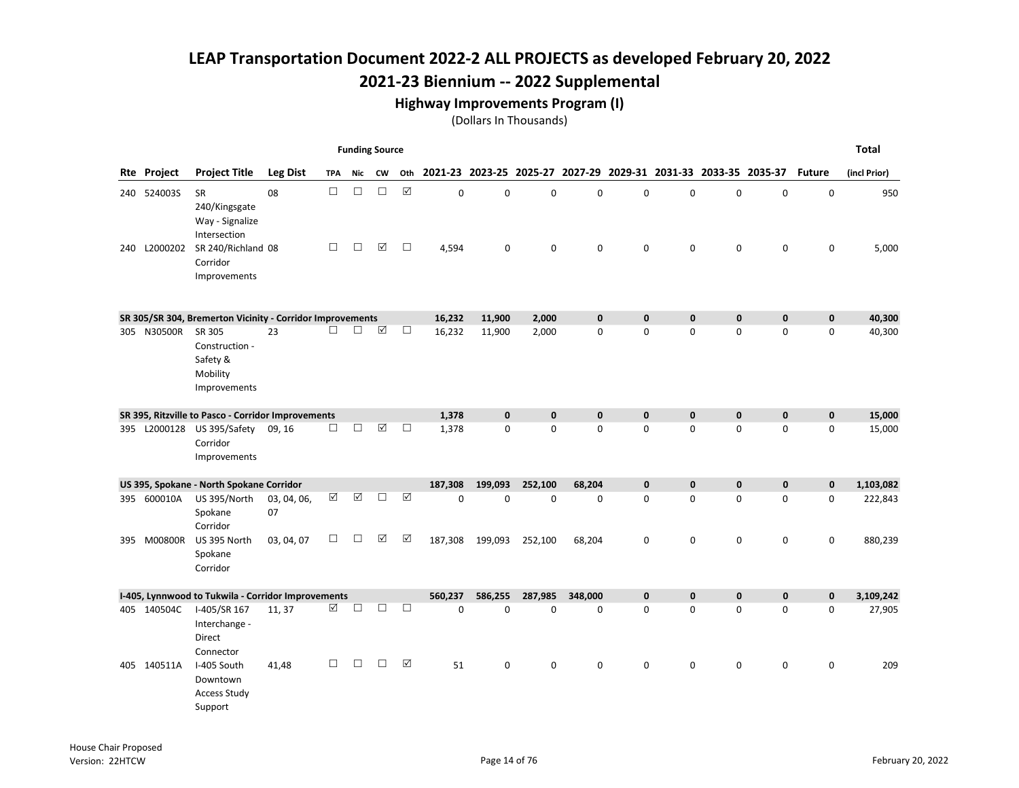#### Highway Improvements Program (I)

|              |                                                                  |                   |            | <b>Funding Source</b> |                       |                       |                                                                     |              |              |              |             |              |              |              |               | <b>Total</b> |
|--------------|------------------------------------------------------------------|-------------------|------------|-----------------------|-----------------------|-----------------------|---------------------------------------------------------------------|--------------|--------------|--------------|-------------|--------------|--------------|--------------|---------------|--------------|
| Rte Project  | <b>Project Title</b>                                             | <b>Leg Dist</b>   | <b>TPA</b> | Nic                   | <b>CW</b>             |                       | Oth 2021-23 2023-25 2025-27 2027-29 2029-31 2031-33 2033-35 2035-37 |              |              |              |             |              |              |              | <b>Future</b> | (incl Prior) |
| 240 524003S  | <b>SR</b><br>240/Kingsgate<br>Way - Signalize<br>Intersection    | 08                | $\Box$     | $\Box$                | $\Box$                | $\boxed{\checkmark}$  | 0                                                                   | $\mathbf 0$  | $\mathbf 0$  | 0            | 0           | 0            | $\pmb{0}$    | $\mathbf 0$  | $\pmb{0}$     | 950          |
| 240 L2000202 | SR 240/Richland 08<br>Corridor<br>Improvements                   |                   | $\Box$     | $\Box$                | $\Delta$              | $\Box$                | 4,594                                                               | 0            | $\mathbf 0$  | 0            | 0           | 0            | 0            | $\mathbf 0$  | 0             | 5,000        |
|              | SR 305/SR 304, Bremerton Vicinity - Corridor Improvements        |                   |            |                       |                       |                       | 16,232                                                              | 11,900       | 2,000        | $\mathbf 0$  | $\mathbf 0$ | $\mathbf{0}$ | $\mathbf{0}$ | $\mathbf{0}$ | $\mathbf 0$   | 40,300       |
| 305 N30500R  | SR 305<br>Construction -<br>Safety &<br>Mobility<br>Improvements | 23                | п          | $\Box$                | $\boxed{\mathcal{S}}$ | $\Box$                | 16,232                                                              | 11,900       | 2,000        | $\mathbf 0$  | 0           | $\Omega$     | $\Omega$     | $\mathbf 0$  | 0             | 40,300       |
|              | SR 395, Ritzville to Pasco - Corridor Improvements               |                   |            |                       |                       |                       | 1,378                                                               | $\mathbf{0}$ | $\mathbf{0}$ | $\mathbf{0}$ | $\mathbf 0$ | $\mathbf{0}$ | $\mathbf{0}$ | $\mathbf{0}$ | $\mathbf 0$   | 15,000       |
|              | 395 L2000128 US 395/Safety<br>Corridor<br>Improvements           | 09, 16            | $\Box$     | $\Box$                | $\boxed{\surd}$       | $\Box$                | 1,378                                                               | 0            | $\mathbf 0$  | 0            | 0           | 0            | $\mathbf 0$  | $\mathbf 0$  | 0             | 15,000       |
|              | US 395, Spokane - North Spokane Corridor                         |                   |            |                       |                       |                       | 187,308                                                             | 199,093      | 252,100      | 68,204       | $\mathbf 0$ | 0            | $\mathbf 0$  | $\mathbf 0$  | 0             | 1,103,082    |
| 395 600010A  | US 395/North<br>Spokane<br>Corridor                              | 03, 04, 06,<br>07 | ☑          | $\boxed{\mathcal{S}}$ | □                     | $\boxed{\mathcal{S}}$ | 0                                                                   | $\mathbf 0$  | $\mathbf 0$  | $\mathbf 0$  | $\mathbf 0$ | 0            | $\mathbf 0$  | $\mathbf{0}$ | 0             | 222,843      |
| 395 M00800R  | US 395 North<br>Spokane<br>Corridor                              | 03, 04, 07        | □          | $\Box$                | ☑                     | ☑                     | 187,308                                                             | 199,093      | 252,100      | 68,204       | 0           | 0            | $\mathbf 0$  | $\mathbf 0$  | 0             | 880,239      |
|              | I-405, Lynnwood to Tukwila - Corridor Improvements               |                   |            |                       |                       |                       | 560.237                                                             | 586,255      | 287,985      | 348,000      | $\mathbf 0$ | 0            | $\mathbf{0}$ | $\mathbf{0}$ | 0             | 3,109,242    |
| 405 140504C  | I-405/SR 167<br>Interchange -<br>Direct<br>Connector             | 11, 37            | ☑          | П                     | □                     | □                     | 0                                                                   | $\mathbf 0$  | $\mathbf 0$  | $\mathbf 0$  | 0           | 0            | $\mathbf 0$  | 0            | 0             | 27,905       |
| 405 140511A  | I-405 South<br>Downtown<br><b>Access Study</b><br>Support        | 41,48             | □          | $\Box$                | □                     | $\boxed{\checkmark}$  | 51                                                                  | 0            | 0            | 0            | 0           | 0            | 0            | 0            | 0             | 209          |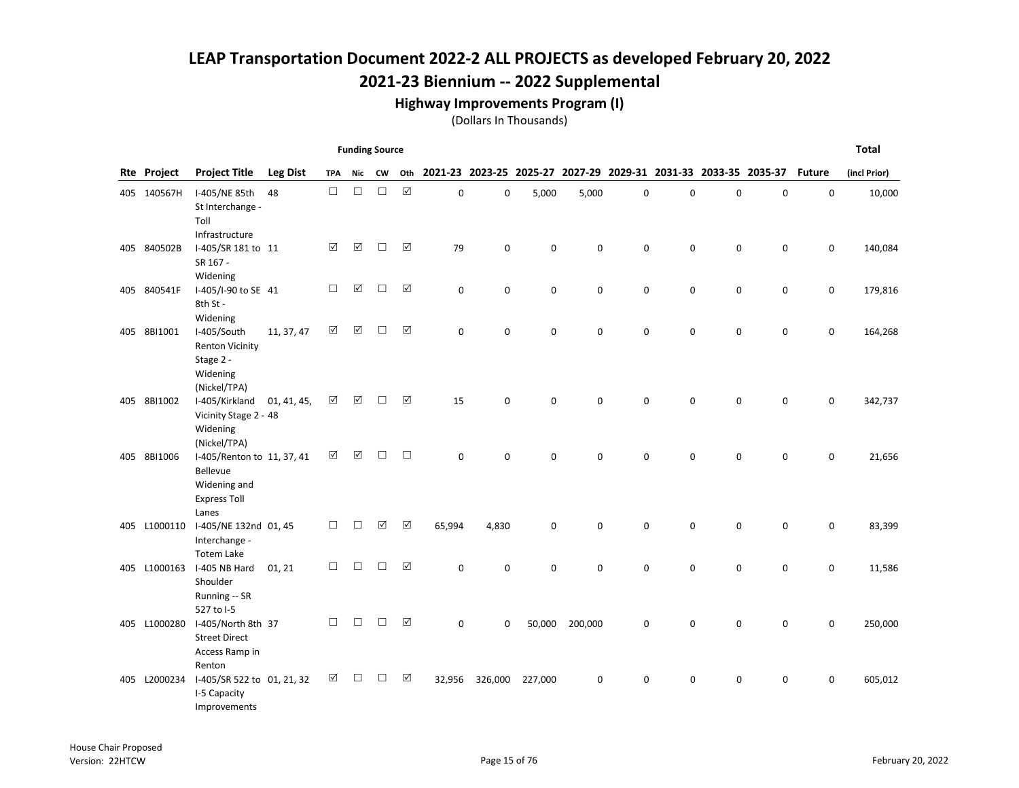#### Highway Improvements Program (I)

|     |              |                                                                                        |                 |            | <b>Funding Source</b> |           |                      |             |             |             |          |             |                                                                 |             |             |               | <b>Total</b> |
|-----|--------------|----------------------------------------------------------------------------------------|-----------------|------------|-----------------------|-----------|----------------------|-------------|-------------|-------------|----------|-------------|-----------------------------------------------------------------|-------------|-------------|---------------|--------------|
|     | Rte Project  | <b>Project Title</b>                                                                   | <b>Leg Dist</b> | <b>TPA</b> | Nic                   | <b>CW</b> | Oth                  |             |             |             |          |             | 2021-23 2023-25 2025-27 2027-29 2029-31 2031-33 2033-35 2035-37 |             |             | <b>Future</b> | (incl Prior) |
|     | 405 140567H  | I-405/NE 85th<br>St Interchange -<br>Toll<br>Infrastructure                            | 48              | $\Box$     | $\Box$                | $\Box$    | $\boxtimes$          | 0           | 0           | 5,000       | 5,000    | 0           | 0                                                               | 0           | $\pmb{0}$   | 0             | 10,000       |
|     | 405 840502B  | I-405/SR 181 to 11<br>SR 167 -<br>Widening                                             |                 | ☑          | $\Delta$              | П         | $\boxed{\checkmark}$ | 79          | $\mathbf 0$ | $\mathbf 0$ | 0        | $\mathbf 0$ | 0                                                               | $\mathbf 0$ | $\mathbf 0$ | 0             | 140,084      |
|     | 405 840541F  | I-405/I-90 to SE 41<br>8th St -<br>Widening                                            |                 | □          | ☑                     | П         | ☑                    | $\mathbf 0$ | 0           | $\mathbf 0$ | 0        | 0           | 0                                                               | 0           | $\pmb{0}$   | 0             | 179,816      |
|     | 405 8BI1001  | I-405/South<br><b>Renton Vicinity</b><br>Stage 2 -<br>Widening<br>(Nickel/TPA)         | 11, 37, 47      | ☑          | ☑                     | П         | ☑                    | $\Omega$    | $\mathbf 0$ | $\mathbf 0$ | 0        | $\mathbf 0$ | 0                                                               | $\mathbf 0$ | $\mathbf 0$ | 0             | 164,268      |
|     | 405 8BI1002  | I-405/Kirkland<br>Vicinity Stage 2 - 48<br>Widening<br>(Nickel/TPA)                    | 01, 41, 45,     | ☑          | ☑                     | П         | ☑                    | 15          | $\Omega$    | $\Omega$    | $\Omega$ | $\Omega$    | 0                                                               | 0           | 0           | 0             | 342,737      |
|     | 405 8BI1006  | I-405/Renton to 11, 37, 41<br>Bellevue<br>Widening and<br><b>Express Toll</b><br>Lanes |                 | ☑          | ☑                     | П         | П                    | $\Omega$    | 0           | $\Omega$    | 0        | $\Omega$    | $\Omega$                                                        | $\Omega$    | 0           | 0             | 21,656       |
| 405 | L1000110     | I-405/NE 132nd 01, 45<br>Interchange -<br><b>Totem Lake</b>                            |                 | □          | $\Box$                | ☑         | $\boxed{\checkmark}$ | 65,994      | 4,830       | $\mathbf 0$ | 0        | 0           | 0                                                               | 0           | 0           | 0             | 83,399       |
|     | 405 L1000163 | I-405 NB Hard<br>Shoulder<br>Running -- SR<br>527 to I-5                               | 01, 21          | □          | □                     | П         | ☑                    | $\mathbf 0$ | 0           | $\mathbf 0$ | 0        | $\mathbf 0$ | 0                                                               | 0           | $\mathbf 0$ | 0             | 11,586       |
|     | 405 L1000280 | I-405/North 8th 37<br><b>Street Direct</b><br>Access Ramp in<br>Renton                 |                 | П          | П                     | П         | ☑                    | $\Omega$    | 0           | 50,000      | 200,000  | 0           | $\Omega$                                                        | $\mathbf 0$ | 0           | 0             | 250,000      |
|     | 405 L2000234 | I-405/SR 522 to 01, 21, 32<br>I-5 Capacity<br>Improvements                             |                 | ☑          | П                     | П         | ☑                    | 32,956      | 326,000     | 227,000     | 0        | 0           | 0                                                               | 0           | 0           | 0             | 605,012      |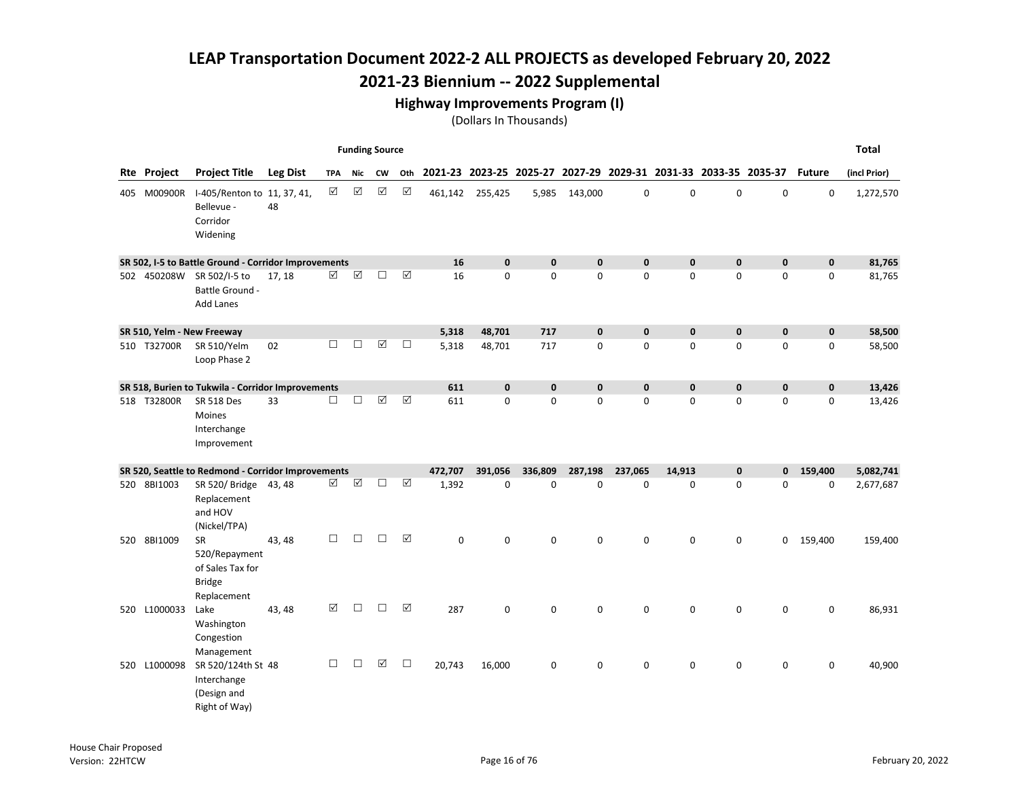## 2021-23 Biennium -- 2022 Supplemental

#### Highway Improvements Program (I)

|                    |                                                                                |                 |            | <b>Funding Source</b> |                       |                      |             |              |                                                                 |             |             |              |              |              |               | <b>Total</b> |
|--------------------|--------------------------------------------------------------------------------|-----------------|------------|-----------------------|-----------------------|----------------------|-------------|--------------|-----------------------------------------------------------------|-------------|-------------|--------------|--------------|--------------|---------------|--------------|
| <b>Rte Project</b> | <b>Project Title</b>                                                           | <b>Leg Dist</b> | <b>TPA</b> | Nic                   | <b>CW</b>             | Oth                  |             |              | 2021-23 2023-25 2025-27 2027-29 2029-31 2031-33 2033-35 2035-37 |             |             |              |              |              | <b>Future</b> | (incl Prior) |
| 405 M00900R        | I-405/Renton to 11, 37, 41,<br>Bellevue -<br>Corridor<br>Widening              | 48              | ☑          | ☑                     | $\boxed{\mathsf{v}}$  | $\boxed{\mathbf{v}}$ | 461,142     | 255,425      | 5,985                                                           | 143,000     | $\mathbf 0$ | $\mathbf 0$  | $\mathbf 0$  | 0            | $\mathbf 0$   | 1,272,570    |
|                    | SR 502, I-5 to Battle Ground - Corridor Improvements                           |                 |            |                       |                       |                      | 16          | $\mathbf{0}$ | $\mathbf{0}$                                                    | $\mathbf 0$ | $\mathbf 0$ | $\mathbf{0}$ | $\mathbf 0$  | $\mathbf{0}$ | $\mathbf 0$   | 81,765       |
| 502 450208W        | SR 502/I-5 to<br>Battle Ground -<br><b>Add Lanes</b>                           | 17, 18          | $\Delta$   | $\boxtimes$           | П                     | ☑                    | 16          | $\mathbf 0$  | $\mathbf 0$                                                     | 0           | $\mathbf 0$ | 0            | 0            | $\mathbf 0$  | $\mathbf 0$   | 81,765       |
|                    | SR 510, Yelm - New Freeway                                                     |                 |            |                       |                       |                      | 5,318       | 48,701       | 717                                                             | $\pmb{0}$   | $\mathbf 0$ | $\mathbf 0$  | $\mathbf 0$  | $\mathbf 0$  | $\mathbf 0$   | 58,500       |
| 510 T32700R        | SR 510/Yelm<br>Loop Phase 2                                                    | 02              | П          | П                     | $\boxed{\mathcal{S}}$ | $\Box$               | 5,318       | 48,701       | 717                                                             | 0           | $\mathbf 0$ | $\Omega$     | $\Omega$     | $\mathbf{0}$ | $\mathbf 0$   | 58,500       |
|                    | SR 518, Burien to Tukwila - Corridor Improvements                              |                 |            |                       |                       |                      | 611         | $\pmb{0}$    | $\mathbf{0}$                                                    | 0           | $\mathbf 0$ | $\mathbf{0}$ | $\mathbf{0}$ | $\mathbf{0}$ | $\mathbf 0$   | 13,426       |
| 518 T32800R        | <b>SR 518 Des</b><br><b>Moines</b><br>Interchange<br>Improvement               | 33              | $\Box$     | $\Box$                | ☑                     | ☑                    | 611         | $\mathbf 0$  | $\Omega$                                                        | 0           | 0           | $\Omega$     | 0            | 0            | $\mathbf 0$   | 13,426       |
|                    | SR 520, Seattle to Redmond - Corridor Improvements                             |                 |            |                       |                       |                      | 472,707     | 391.056      | 336,809                                                         | 287,198     | 237,065     | 14,913       | $\pmb{0}$    | $\mathbf{0}$ | 159,400       | 5,082,741    |
| 520 8BI1003        | SR 520/ Bridge 43, 48<br>Replacement<br>and HOV<br>(Nickel/TPA)                |                 | ☑          | $\boxed{\checkmark}$  | $\Box$                | $\boxtimes$          | 1,392       | 0            | $\Omega$                                                        | 0           | 0           | $\mathbf 0$  | 0            | 0            | 0             | 2,677,687    |
| 520 8BI1009        | <b>SR</b><br>520/Repayment<br>of Sales Tax for<br><b>Bridge</b><br>Replacement | 43, 48          | □          | $\Box$                | П                     | ☑                    | $\mathbf 0$ | 0            | $\mathbf 0$                                                     | 0           | 0           | 0            | $\mathsf 0$  | 0            | 159,400       | 159,400      |
| 520 L1000033       | Lake<br>Washington<br>Congestion<br>Management                                 | 43, 48          | ☑          | П                     | П                     | ☑                    | 287         | 0            | $\Omega$                                                        | 0           | $\mathbf 0$ | $\Omega$     | $\mathbf 0$  | 0            | 0             | 86,931       |
| 520 L1000098       | SR 520/124th St 48<br>Interchange<br>(Design and<br>Right of Way)              |                 | $\Box$     | П                     | ☑                     | $\Box$               | 20,743      | 16,000       | $\mathbf 0$                                                     | 0           | $\mathbf 0$ | $\Omega$     | 0            | 0            | 0             | 40,900       |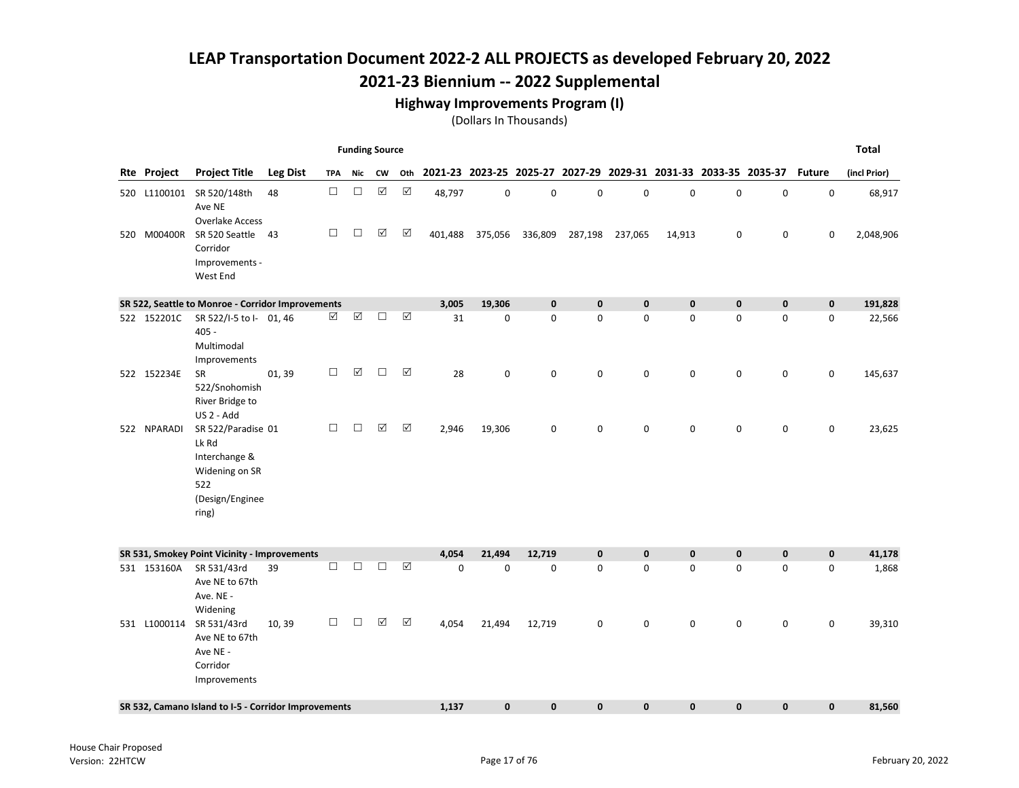## 2021-23 Biennium -- 2022 Supplemental

#### Highway Improvements Program (I)

|             |                                                                                                   |                 |            | <b>Funding Source</b> |             |             |                                                                     |             |             |             |             |             |             |             |               | <b>Total</b> |
|-------------|---------------------------------------------------------------------------------------------------|-----------------|------------|-----------------------|-------------|-------------|---------------------------------------------------------------------|-------------|-------------|-------------|-------------|-------------|-------------|-------------|---------------|--------------|
| Rte Project | <b>Project Title</b>                                                                              | <b>Leg Dist</b> | <b>TPA</b> | Nic                   | <b>CW</b>   |             | Oth 2021-23 2023-25 2025-27 2027-29 2029-31 2031-33 2033-35 2035-37 |             |             |             |             |             |             |             | <b>Future</b> | (incl Prior) |
|             | 520 L1100101 SR 520/148th<br>Ave NE<br><b>Overlake Access</b>                                     | 48              | $\Box$     | $\Box$                | $\boxtimes$ | $\boxtimes$ | 48,797                                                              | 0           | $\mathbf 0$ | $\pmb{0}$   | $\pmb{0}$   | 0           | 0           | $\pmb{0}$   | 0             | 68,917       |
| 520 M00400R | SR 520 Seattle<br>Corridor<br>Improvements -<br>West End                                          | 43              | $\Box$     | $\Box$                | $\Delta$    | ☑           | 401,488                                                             | 375,056     | 336,809     | 287,198     | 237,065     | 14,913      | 0           | $\mathsf 0$ | 0             | 2,048,906    |
|             | SR 522, Seattle to Monroe - Corridor Improvements                                                 |                 |            |                       |             |             | 3,005                                                               | 19,306      | $\mathbf 0$ | $\pmb{0}$   | $\mathbf 0$ | $\mathbf 0$ | $\mathbf 0$ | $\pmb{0}$   | $\pmb{0}$     | 191,828      |
| 522 152201C | SR 522/I-5 to I- 01, 46<br>$405 -$<br>Multimodal<br>Improvements                                  |                 | ☑          | $\boxed{\checkmark}$  | $\Box$      | $\Delta$    | 31                                                                  | $\mathbf 0$ | 0           | 0           | $\mathbf 0$ | 0           | $\mathbf 0$ | 0           | 0             | 22,566       |
| 522 152234E | SR<br>522/Snohomish<br>River Bridge to<br>US 2 - Add                                              | 01, 39          | □          | $\boxed{\mathbf{v}}$  | $\Box$      | $\Delta$    | 28                                                                  | 0           | $\mathbf 0$ | 0           | $\mathbf 0$ | 0           | $\pmb{0}$   | 0           | 0             | 145,637      |
| 522 NPARADI | SR 522/Paradise 01<br>Lk Rd<br>Interchange &<br>Widening on SR<br>522<br>(Design/Enginee<br>ring) |                 | $\Box$     | □                     | ☑           | ☑           | 2,946                                                               | 19,306      | 0           | 0           | 0           | 0           | $\mathbf 0$ | 0           | 0             | 23,625       |
|             | SR 531, Smokey Point Vicinity - Improvements                                                      |                 |            |                       |             |             | 4,054                                                               | 21,494      | 12,719      | $\mathbf 0$ | $\pmb{0}$   | $\mathbf 0$ | $\mathbf 0$ | $\mathbf 0$ | $\mathbf 0$   | 41,178       |
| 531 153160A | SR 531/43rd<br>Ave NE to 67th<br>Ave. NE -<br>Widening                                            | 39              | $\Box$     | $\Box$                | $\Box$      | ☑           | 0                                                                   | 0           | 0           | 0           | 0           | 0           | 0           | 0           | 0             | 1,868        |
|             | 531 L1000114 SR 531/43rd<br>Ave NE to 67th<br>Ave NE -<br>Corridor<br>Improvements                | 10, 39          | □          | $\Box$                | $\Delta$    | ☑           | 4,054                                                               | 21,494      | 12,719      | 0           | $\mathbf 0$ | 0           | $\mathbf 0$ | 0           | 0             | 39,310       |
|             | SR 532, Camano Island to I-5 - Corridor Improvements                                              |                 |            |                       |             |             | 1,137                                                               | $\mathbf 0$ | $\bf{0}$    | 0           | 0           | 0           | $\mathbf 0$ | $\pmb{0}$   | 0             | 81,560       |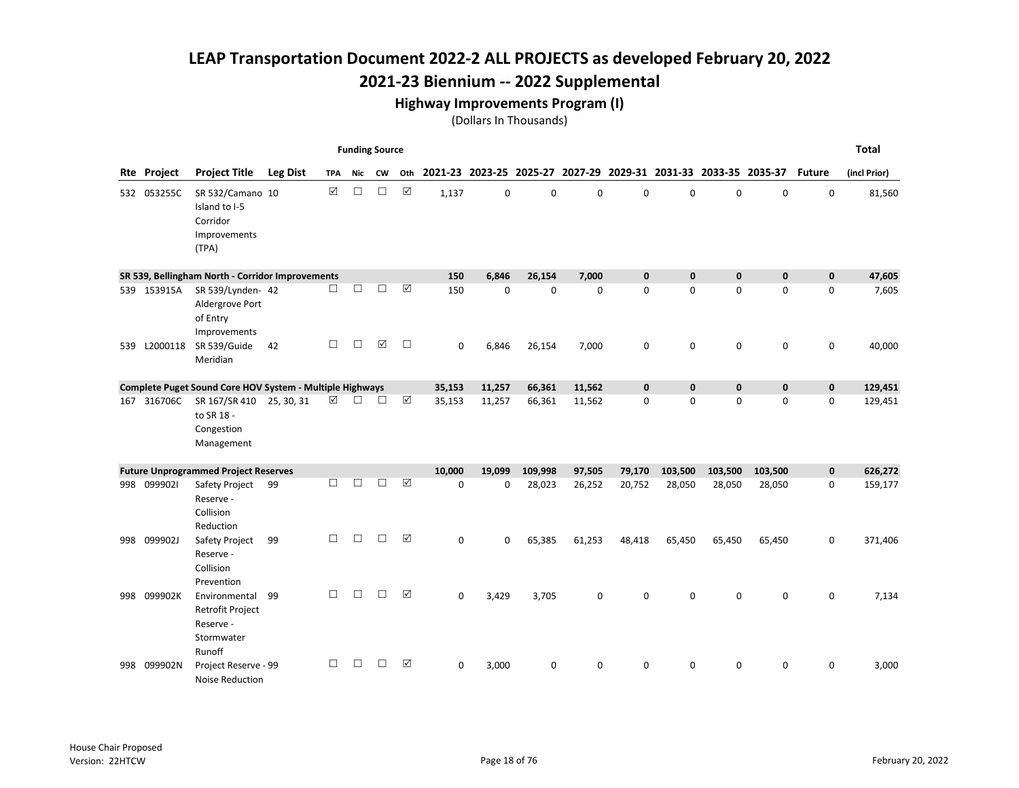## 2021-23 Biennium -- 2022 Supplemental

#### Highway Improvements Program (I)

|     |                    |                                                                               |                 |        | <b>Funding Source</b> |        |        |             |             |                                                                 |        |              |              |              |              |               | <b>Total</b> |
|-----|--------------------|-------------------------------------------------------------------------------|-----------------|--------|-----------------------|--------|--------|-------------|-------------|-----------------------------------------------------------------|--------|--------------|--------------|--------------|--------------|---------------|--------------|
|     | <b>Rte Project</b> | <b>Project Title</b>                                                          | <b>Leg Dist</b> | TPA    | Nic                   | CW     | Oth    |             |             | 2021-23 2023-25 2025-27 2027-29 2029-31 2031-33 2033-35 2035-37 |        |              |              |              |              | <b>Future</b> | (incl Prior) |
|     | 532 053255C        | SR 532/Camano 10<br>Island to I-5<br>Corridor<br>Improvements<br>(TPA)        |                 | ☑      | $\Box$                | $\Box$ | ☑      | 1,137       | $\mathbf 0$ | $\Omega$                                                        | 0      | $\mathbf 0$  | $\Omega$     | $\mathbf 0$  | 0            | 0             | 81,560       |
|     |                    | SR 539, Bellingham North - Corridor Improvements                              |                 |        |                       |        |        | 150         | 6,846       | 26,154                                                          | 7.000  | $\mathbf{0}$ | $\mathbf{0}$ | $\mathbf{0}$ | $\mathbf{0}$ | $\mathbf 0$   | 47,605       |
|     | 539 153915A        | SR 539/Lynden- 42<br>Aldergrove Port<br>of Entry<br>Improvements              |                 | $\Box$ | $\Box$                | $\Box$ | ☑      | 150         | $\mathbf 0$ | $\mathbf 0$                                                     | 0      | $\mathbf 0$  | $\mathbf 0$  | 0            | 0            | 0             | 7,605        |
| 539 | L2000118           | SR 539/Guide<br>Meridian                                                      | 42              | □      | $\Box$                | ☑      | $\Box$ | $\mathbf 0$ | 6,846       | 26,154                                                          | 7,000  | $\mathbf 0$  | $\mathbf 0$  | $\mathbf 0$  | 0            | 0             | 40,000       |
|     |                    | Complete Puget Sound Core HOV System - Multiple Highways                      |                 |        |                       |        |        | 35,153      | 11,257      | 66,361                                                          | 11,562 | $\mathbf 0$  | $\mathbf{0}$ | $\mathbf{0}$ | $\mathbf{0}$ | $\mathbf 0$   | 129,451      |
|     | 167 316706C        | SR 167/SR 410 25, 30, 31<br>to SR 18 -<br>Congestion<br>Management            |                 | ☑      | П                     | П      | ☑      | 35,153      | 11,257      | 66,361                                                          | 11,562 | 0            | $\mathbf 0$  | 0            | 0            | 0             | 129,451      |
|     |                    | <b>Future Unprogrammed Project Reserves</b>                                   |                 |        |                       |        |        | 10,000      | 19,099      | 109,998                                                         | 97,505 | 79,170       | 103,500      | 103,500      | 103,500      | $\mathbf 0$   | 626,272      |
|     | 998 0999021        | Safety Project<br>Reserve -<br>Collision<br>Reduction                         | 99              | П      | П                     | $\Box$ | ☑      | 0           | 0           | 28,023                                                          | 26,252 | 20,752       | 28,050       | 28,050       | 28,050       | 0             | 159,177      |
| 998 | 099902J            | Safety Project<br>Reserve -<br>Collision<br>Prevention                        | 99              | $\Box$ | $\Box$                | $\Box$ | ☑      | 0           | $\mathbf 0$ | 65,385                                                          | 61,253 | 48,418       | 65,450       | 65,450       | 65,450       | 0             | 371,406      |
| 998 | 099902K            | Environmental<br><b>Retrofit Project</b><br>Reserve -<br>Stormwater<br>Runoff | 99              | $\Box$ | $\Box$                | $\Box$ | ☑      | $\mathbf 0$ | 3,429       | 3,705                                                           | 0      | 0            | $\Omega$     | $\mathbf 0$  | 0            | 0             | 7,134        |
|     | 998 099902N        | Project Reserve - 99<br>Noise Reduction                                       |                 | □      | □                     | $\Box$ | ☑      | $\mathbf 0$ | 3,000       | 0                                                               | 0      | 0            | 0            | 0            | 0            | 0             | 3,000        |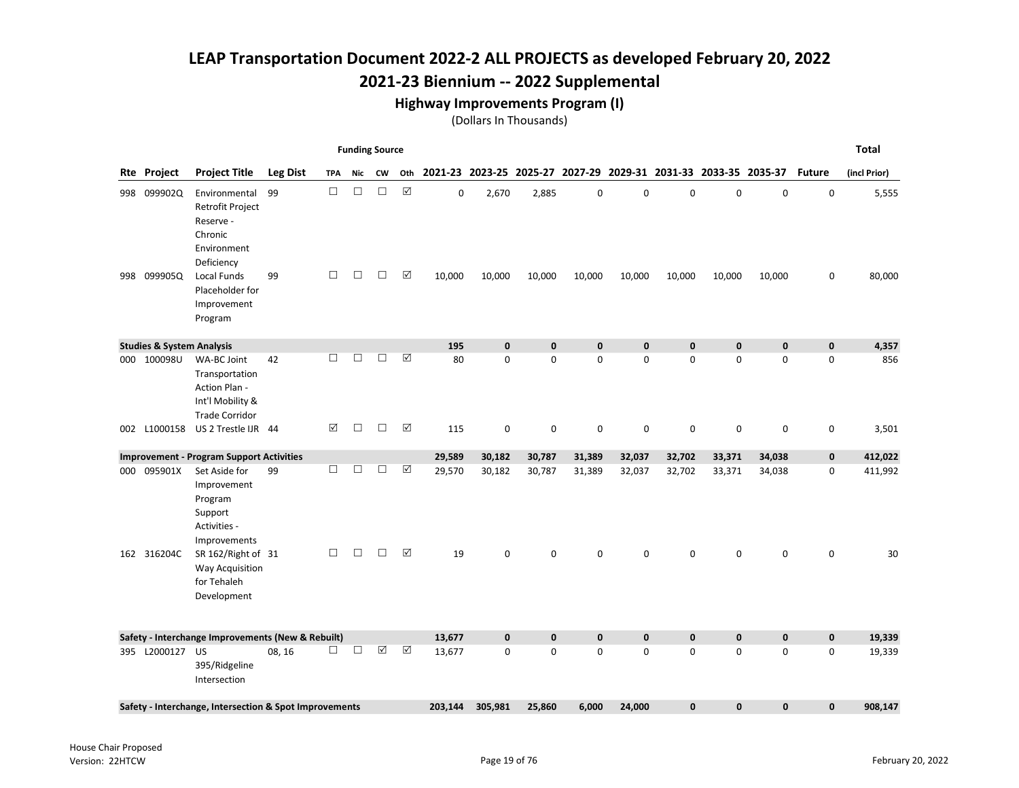## 2021-23 Biennium -- 2022 Supplemental

#### Highway Improvements Program (I)

|                                      |                                                                                               |                 |            | <b>Funding Source</b> |           |                      |             |                                                                 |              |              |              |              |              |              |               | <b>Total</b> |
|--------------------------------------|-----------------------------------------------------------------------------------------------|-----------------|------------|-----------------------|-----------|----------------------|-------------|-----------------------------------------------------------------|--------------|--------------|--------------|--------------|--------------|--------------|---------------|--------------|
| Rte Project                          | <b>Project Title</b>                                                                          | <b>Leg Dist</b> | <b>TPA</b> | Nic                   | <b>CW</b> | Oth                  |             | 2021-23 2023-25 2025-27 2027-29 2029-31 2031-33 2033-35 2035-37 |              |              |              |              |              |              | <b>Future</b> | (incl Prior) |
| 998 099902Q                          | Environmental<br><b>Retrofit Project</b><br>Reserve -<br>Chronic<br>Environment<br>Deficiency | 99              | $\Box$     | $\Box$                | $\Box$    | $\boxed{\text{V}}$   | $\mathbf 0$ | 2,670                                                           | 2,885        | $\mathbf 0$  | 0            | $\mathbf 0$  | $\mathbf 0$  | 0            | $\mathbf 0$   | 5,555        |
| 998 099905Q                          | Local Funds<br>Placeholder for<br>Improvement<br>Program                                      | 99              | □          | $\Box$                | $\Box$    | ☑                    | 10,000      | 10,000                                                          | 10,000       | 10,000       | 10,000       | 10,000       | 10,000       | 10,000       | 0             | 80,000       |
| <b>Studies &amp; System Analysis</b> |                                                                                               |                 |            |                       |           |                      | 195         | $\mathbf{0}$                                                    | $\mathbf{0}$ | $\mathbf{0}$ | $\mathbf{0}$ | $\mathbf{0}$ | $\mathbf{0}$ | $\mathbf{0}$ | $\mathbf 0$   | 4,357        |
| 000 100098U                          | WA-BC Joint<br>Transportation<br>Action Plan -<br>Int'l Mobility &<br><b>Trade Corridor</b>   | 42              | П.         | $\Box$                | $\Box$    | $\boxed{\mathsf{v}}$ | 80          | 0                                                               | $\mathbf 0$  | 0            | $\mathbf 0$  | 0            | 0            | 0            | $\mathbf 0$   | 856          |
| 002 L1000158                         | US 2 Trestle IJR 44                                                                           |                 | ☑          | $\Box$                | $\Box$    | $\Delta$             | 115         | 0                                                               | 0            | 0            | 0            | 0            | 0            | 0            | 0             | 3,501        |
|                                      | <b>Improvement - Program Support Activities</b>                                               |                 |            |                       |           |                      | 29,589      | 30,182                                                          | 30,787       | 31,389       | 32,037       | 32,702       | 33,371       | 34,038       | $\mathbf 0$   | 412,022      |
| 000 095901X                          | Set Aside for<br>Improvement<br>Program<br>Support<br>Activities -<br>Improvements            | 99              | □          | □                     | $\Box$    | ☑                    | 29,570      | 30,182                                                          | 30,787       | 31,389       | 32,037       | 32,702       | 33,371       | 34,038       | 0             | 411,992      |
| 162 316204C                          | SR 162/Right of 31<br>Way Acquisition<br>for Tehaleh<br>Development                           |                 | $\Box$     | $\Box$                | $\Box$    | ☑                    | 19          | 0                                                               | $\mathbf 0$  | 0            | $\Omega$     | $\Omega$     | 0            | 0            | $\mathbf 0$   | 30           |
|                                      | Safety - Interchange Improvements (New & Rebuilt)                                             |                 |            |                       |           |                      | 13,677      | $\mathbf 0$                                                     | $\pmb{0}$    | $\mathbf 0$  | $\mathbf 0$  | $\mathbf 0$  | $\mathbf 0$  | $\mathbf 0$  | $\mathbf 0$   | 19,339       |
| 395 L2000127 US                      | 395/Ridgeline<br>Intersection                                                                 | 08, 16          | □          | $\Box$                | ☑         | ☑                    | 13,677      | $\mathbf 0$                                                     | $\mathbf 0$  | 0            | $\mathbf 0$  | $\Omega$     | 0            | 0            | $\mathbf 0$   | 19,339       |
|                                      | Safety - Interchange, Intersection & Spot Improvements                                        |                 |            |                       |           |                      | 203,144     | 305,981                                                         | 25,860       | 6,000        | 24,000       | $\mathbf 0$  | $\mathbf 0$  | 0            | $\mathbf 0$   | 908,147      |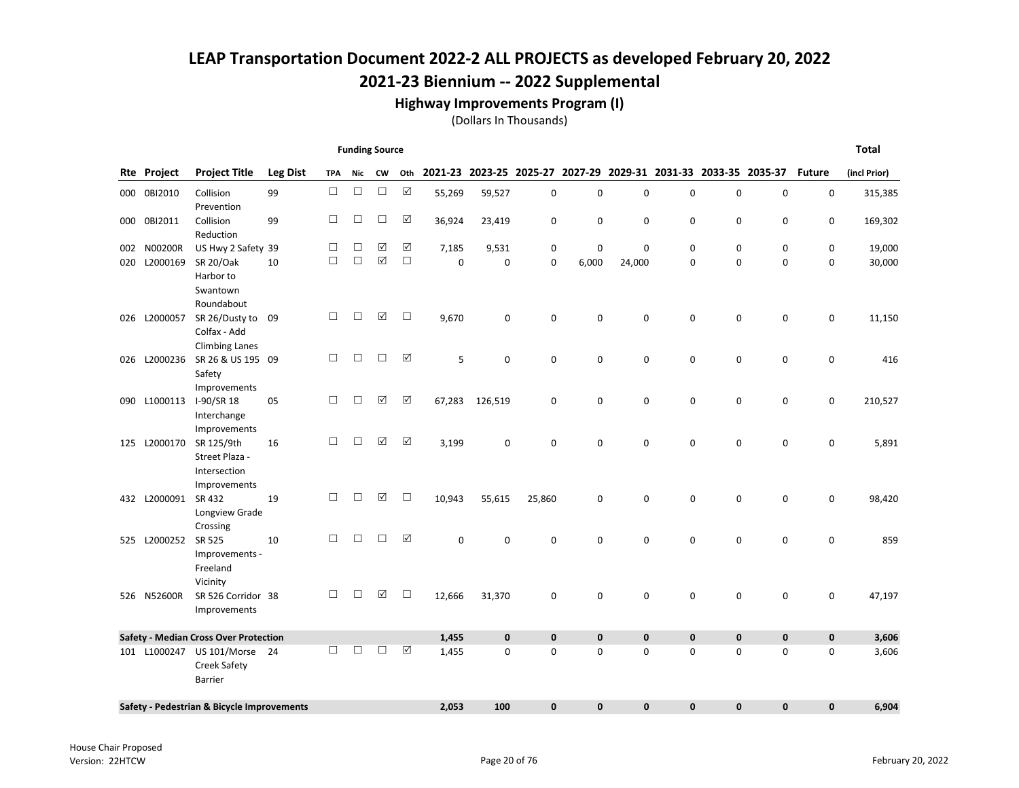#### Highway Improvements Program (I)

|     |                    |                                              |                 |            |        | <b>Funding Source</b> |        |        |             |              |             |             |              |                                                                 |             |               | <b>Total</b> |
|-----|--------------------|----------------------------------------------|-----------------|------------|--------|-----------------------|--------|--------|-------------|--------------|-------------|-------------|--------------|-----------------------------------------------------------------|-------------|---------------|--------------|
|     | <b>Rte Project</b> | <b>Project Title</b>                         | <b>Leg Dist</b> | <b>TPA</b> | Nic    | CW                    | Oth    |        |             |              |             |             |              | 2021-23 2023-25 2025-27 2027-29 2029-31 2031-33 2033-35 2035-37 |             | <b>Future</b> | (incl Prior) |
|     | 000 0BI2010        | Collision                                    | 99              | $\Box$     | $\Box$ | $\Box$                | ☑      | 55,269 | 59,527      | $\mathbf 0$  | 0           | 0           | $\mathsf 0$  | $\pmb{0}$                                                       | 0           | 0             | 315,385      |
|     |                    | Prevention                                   |                 |            |        |                       |        |        |             |              |             |             |              |                                                                 |             |               |              |
| 000 | 0BI2011            | Collision                                    | 99              | $\Box$     | $\Box$ | $\Box$                | ☑      | 36,924 | 23,419      | 0            | 0           | 0           | $\mathbf 0$  | 0                                                               | $\mathbf 0$ | 0             | 169,302      |
|     |                    | Reduction                                    |                 |            |        |                       |        |        |             |              |             |             |              |                                                                 |             |               |              |
| 002 | N00200R            | US Hwy 2 Safety 39                           |                 | $\Box$     | □      | $\boxed{\checkmark}$  | ☑      | 7,185  | 9,531       | 0            | 0           | $\mathbf 0$ | $\mathbf 0$  | 0                                                               | 0           | 0             | 19,000       |
| 020 | L2000169           | <b>SR 20/Oak</b>                             | 10              | $\Box$     | $\Box$ | $\boxtimes$           | $\Box$ | 0      | $\mathbf 0$ | $\mathbf 0$  | 6,000       | 24,000      | $\mathbf 0$  | 0                                                               | 0           | $\mathbf 0$   | 30,000       |
|     |                    | Harbor to                                    |                 |            |        |                       |        |        |             |              |             |             |              |                                                                 |             |               |              |
|     |                    | Swantown                                     |                 |            |        |                       |        |        |             |              |             |             |              |                                                                 |             |               |              |
|     |                    | Roundabout                                   |                 |            |        |                       |        |        |             |              |             |             |              |                                                                 |             |               |              |
| 026 | L2000057           | SR 26/Dusty to                               | 09              | $\Box$     | $\Box$ | $\boxed{\checkmark}$  | $\Box$ | 9,670  | $\mathbf 0$ | $\mathbf 0$  | 0           | 0           | $\mathbf 0$  | $\mathbf 0$                                                     | $\mathbf 0$ | 0             | 11,150       |
|     |                    | Colfax - Add                                 |                 |            |        |                       |        |        |             |              |             |             |              |                                                                 |             |               |              |
|     |                    | <b>Climbing Lanes</b>                        |                 | □          | $\Box$ | $\Box$                | ☑      |        |             |              |             |             |              |                                                                 |             |               |              |
| 026 | L2000236           | SR 26 & US 195 09                            |                 |            |        |                       |        | 5      | 0           | $\mathbf 0$  | 0           | 0           | $\mathbf 0$  | 0                                                               | 0           | 0             | 416          |
|     |                    | Safety                                       |                 |            |        |                       |        |        |             |              |             |             |              |                                                                 |             |               |              |
|     | 090 L1000113       | Improvements<br>I-90/SR 18                   | 05              | □          | $\Box$ | $\boxed{\checkmark}$  | ☑      | 67,283 | 126,519     | 0            | 0           | 0           | $\mathbf 0$  | $\mathbf 0$                                                     | 0           | 0             | 210,527      |
|     |                    | Interchange                                  |                 |            |        |                       |        |        |             |              |             |             |              |                                                                 |             |               |              |
|     |                    | Improvements                                 |                 |            |        |                       |        |        |             |              |             |             |              |                                                                 |             |               |              |
|     | 125 L2000170       | SR 125/9th                                   | 16              | □          | □      | ☑                     | ☑      | 3,199  | $\mathbf 0$ | $\Omega$     | 0           | $\mathbf 0$ | $\Omega$     | 0                                                               | 0           | 0             | 5,891        |
|     |                    | Street Plaza -                               |                 |            |        |                       |        |        |             |              |             |             |              |                                                                 |             |               |              |
|     |                    | Intersection                                 |                 |            |        |                       |        |        |             |              |             |             |              |                                                                 |             |               |              |
|     |                    | Improvements                                 |                 |            |        |                       |        |        |             |              |             |             |              |                                                                 |             |               |              |
|     | 432 L2000091       | SR 432                                       | 19              | $\Box$     | $\Box$ | $\boxed{\checkmark}$  | $\Box$ | 10,943 | 55,615      | 25,860       | 0           | 0           | $\mathbf 0$  | $\mathbf 0$                                                     | 0           | 0             | 98,420       |
|     |                    | Longview Grade                               |                 |            |        |                       |        |        |             |              |             |             |              |                                                                 |             |               |              |
|     |                    | Crossing                                     |                 |            |        |                       |        |        |             |              |             |             |              |                                                                 |             |               |              |
| 525 | L2000252           | SR 525                                       | 10              | □          | $\Box$ | $\Box$                | ☑      | 0      | 0           | 0            | 0           | 0           | $\mathbf 0$  | 0                                                               | 0           | 0             | 859          |
|     |                    | Improvements -                               |                 |            |        |                       |        |        |             |              |             |             |              |                                                                 |             |               |              |
|     |                    | Freeland                                     |                 |            |        |                       |        |        |             |              |             |             |              |                                                                 |             |               |              |
|     |                    | Vicinity                                     |                 |            |        |                       |        |        |             |              |             |             |              |                                                                 |             |               |              |
|     | 526 N52600R        | SR 526 Corridor 38                           |                 | □          | П      | ☑                     | □      | 12,666 | 31,370      | 0            | 0           | 0           | $\mathbf 0$  | 0                                                               | 0           | 0             | 47,197       |
|     |                    | Improvements                                 |                 |            |        |                       |        |        |             |              |             |             |              |                                                                 |             |               |              |
|     |                    | <b>Safety - Median Cross Over Protection</b> |                 |            |        |                       |        | 1,455  | $\mathbf 0$ | $\bf{0}$     | $\mathbf 0$ | $\pmb{0}$   | $\mathbf 0$  | $\mathbf 0$                                                     | $\pmb{0}$   | 0             | 3,606        |
|     | 101 L1000247       | US 101/Morse 24                              |                 | П          | $\Box$ | $\Box$                | ☑      | 1,455  | $\mathbf 0$ | $\Omega$     | 0           | 0           | $\Omega$     | $\Omega$                                                        | $\Omega$    | 0             | 3,606        |
|     |                    | <b>Creek Safety</b>                          |                 |            |        |                       |        |        |             |              |             |             |              |                                                                 |             |               |              |
|     |                    | <b>Barrier</b>                               |                 |            |        |                       |        |        |             |              |             |             |              |                                                                 |             |               |              |
|     |                    |                                              |                 |            |        |                       |        |        |             |              |             |             |              |                                                                 |             |               |              |
|     |                    | Safety - Pedestrian & Bicycle Improvements   |                 |            |        |                       |        | 2,053  | 100         | $\mathbf{0}$ | $\mathbf 0$ | $\pmb{0}$   | $\mathbf{0}$ | 0                                                               | $\pmb{0}$   | 0             | 6,904        |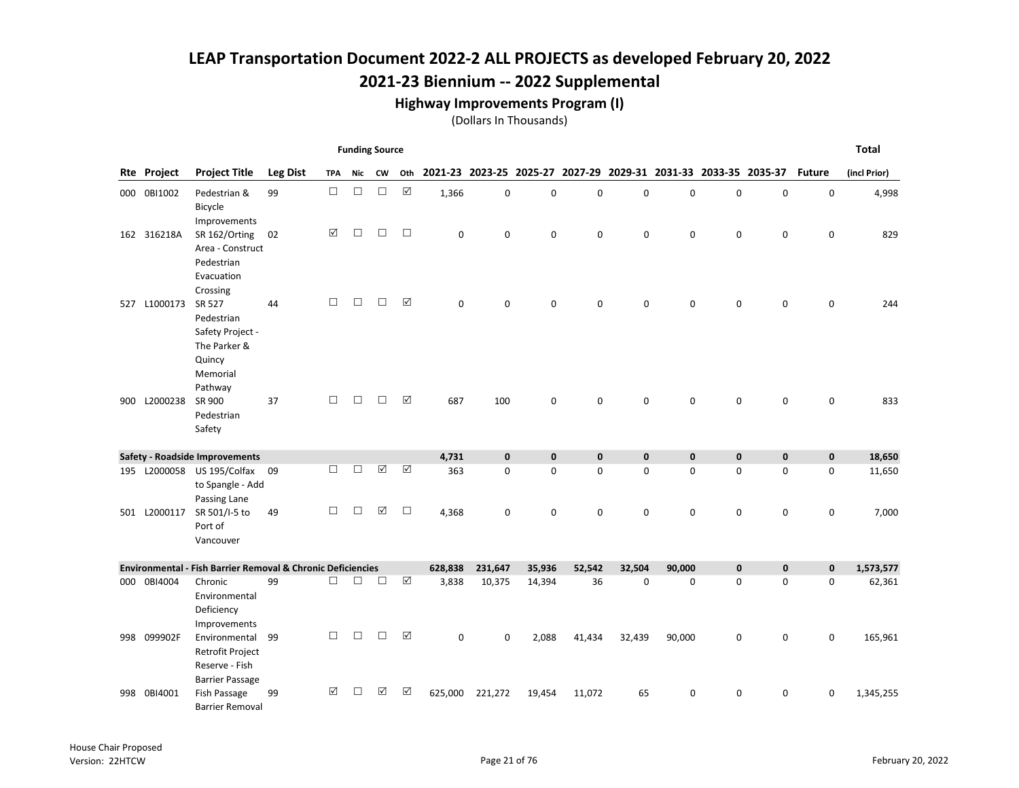#### Highway Improvements Program (I)

|     |                    |                                                                                            |                 |            | <b>Funding Source</b> |                      |                      |                                                                     |             |             |             |             |             |             |             |               | <b>Total</b> |
|-----|--------------------|--------------------------------------------------------------------------------------------|-----------------|------------|-----------------------|----------------------|----------------------|---------------------------------------------------------------------|-------------|-------------|-------------|-------------|-------------|-------------|-------------|---------------|--------------|
|     | <b>Rte Project</b> | <b>Project Title</b>                                                                       | <b>Leg Dist</b> | <b>TPA</b> | Nic                   | <b>CW</b>            |                      | Oth 2021-23 2023-25 2025-27 2027-29 2029-31 2031-33 2033-35 2035-37 |             |             |             |             |             |             |             | <b>Future</b> | (incl Prior) |
|     | 000 0BI1002        | Pedestrian &<br>Bicycle<br>Improvements                                                    | 99              | $\Box$     | $\Box$                | $\Box$               | $\boxtimes$          | 1,366                                                               | $\pmb{0}$   | $\mathbf 0$ | 0           | 0           | $\pmb{0}$   | $\mathbf 0$ | $\pmb{0}$   | $\mathbf 0$   | 4,998        |
|     | 162 316218A        | SR 162/Orting<br>Area - Construct<br>Pedestrian<br>Evacuation                              | 02              | ☑          | $\Box$                | $\Box$               | $\Box$               | 0                                                                   | $\mathbf 0$ | 0           | 0           | 0           | 0           | 0           | 0           | 0             | 829          |
|     | 527 L1000173       | Crossing<br>SR 527<br>Pedestrian<br>Safety Project -<br>The Parker &<br>Quincy<br>Memorial | 44              | □          | $\Box$                | $\Box$               | ☑                    | $\Omega$                                                            | $\mathbf 0$ | 0           | $\mathbf 0$ | $\mathbf 0$ | $\mathbf 0$ | 0           | $\mathbf 0$ | $\mathbf 0$   | 244          |
|     | 900 L2000238       | Pathway<br>SR 900<br>Pedestrian<br>Safety                                                  | 37              | П          | $\Box$                | П                    | $\triangledown$      | 687                                                                 | 100         | 0           | $\mathbf 0$ | 0           | $\mathbf 0$ | $\mathbf 0$ | $\mathbf 0$ | 0             | 833          |
|     |                    | Safety - Roadside Improvements                                                             |                 |            |                       |                      |                      | 4,731                                                               | $\mathbf 0$ | $\pmb{0}$   | $\mathbf 0$ | $\mathbf 0$ | $\mathbf 0$ | $\bf{0}$    | $\mathbf 0$ | $\mathbf 0$   | 18,650       |
|     |                    | 195 L2000058 US 195/Colfax 09<br>to Spangle - Add<br>Passing Lane                          |                 | П          | $\Box$                | $\boxed{\checkmark}$ | $\boxed{\checkmark}$ | 363                                                                 | $\mathbf 0$ | 0           | $\mathbf 0$ | 0           | $\mathbf 0$ | $\mathbf 0$ | $\mathbf 0$ | 0             | 11,650       |
|     | 501 L2000117       | SR 501/I-5 to<br>Port of<br>Vancouver                                                      | 49              | □          | $\Box$                | $\Delta$             | $\Box$               | 4,368                                                               | $\mathbf 0$ | 0           | 0           | 0           | $\mathbf 0$ | $\mathbf 0$ | $\mathbf 0$ | 0             | 7,000        |
|     |                    | <b>Environmental - Fish Barrier Removal &amp; Chronic Deficiencies</b>                     |                 |            |                       |                      |                      | 628,838                                                             | 231,647     | 35,936      | 52,542      | 32,504      | 90,000      | $\mathbf 0$ | $\mathbf 0$ | 0             | 1,573,577    |
|     | 000 0BI4004        | Chronic<br>Environmental<br>Deficiency<br>Improvements                                     | 99              | □          | $\Box$                | П                    | $\boxed{\checkmark}$ | 3,838                                                               | 10,375      | 14,394      | 36          | 0           | $\mathbf 0$ | $\mathbf 0$ | $\mathbf 0$ | 0             | 62,361       |
|     | 998 099902F        | Environmental<br>Retrofit Project<br>Reserve - Fish<br><b>Barrier Passage</b>              | 99              | $\Box$     | $\Box$                | $\Box$               | $\boxed{\checkmark}$ | $\mathbf 0$                                                         | $\mathbf 0$ | 2,088       | 41,434      | 32,439      | 90,000      | $\mathbf 0$ | $\mathbf 0$ | 0             | 165,961      |
| 998 | 0BI4001            | Fish Passage<br><b>Barrier Removal</b>                                                     | 99              | ☑          | П                     | ☑                    | ☑                    | 625,000                                                             | 221,272     | 19,454      | 11,072      | 65          | 0           | 0           | 0           | 0             | 1,345,255    |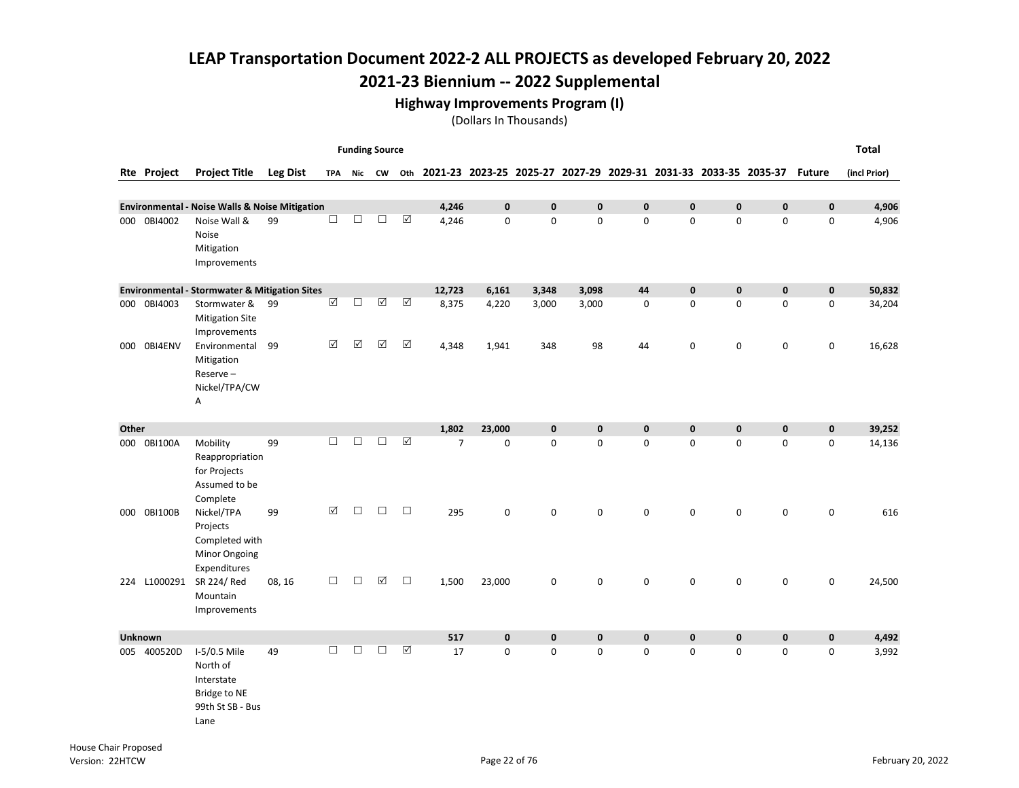#### Highway Improvements Program (I)

|       |                |                                                                                    |                 |        | <b>Funding Source</b> |             |                      |                                                                 |              |              |              |              |              |              |              |               | <b>Total</b> |
|-------|----------------|------------------------------------------------------------------------------------|-----------------|--------|-----------------------|-------------|----------------------|-----------------------------------------------------------------|--------------|--------------|--------------|--------------|--------------|--------------|--------------|---------------|--------------|
|       | Rte Project    | <b>Project Title</b>                                                               | <b>Leg Dist</b> |        | TPA Nic CW Oth        |             |                      | 2021-23 2023-25 2025-27 2027-29 2029-31 2031-33 2033-35 2035-37 |              |              |              |              |              |              |              | <b>Future</b> | (incl Prior) |
|       |                | <b>Environmental - Noise Walls &amp; Noise Mitigation</b>                          |                 |        |                       |             |                      | 4,246                                                           | $\mathbf{0}$ | $\mathbf{0}$ | $\mathbf{0}$ | $\mathbf{0}$ | $\mathbf{0}$ | $\mathbf{0}$ | $\mathbf{0}$ | $\mathbf 0$   | 4,906        |
|       | 000 0BI4002    | Noise Wall &<br>Noise<br>Mitigation<br>Improvements                                | 99              | $\Box$ | $\Box$                | П           | $\boxed{\checkmark}$ | 4,246                                                           | 0            | $\mathsf 0$  | 0            | 0            | 0            | $\mathsf 0$  | $\mathbf 0$  | 0             | 4,906        |
|       |                | <b>Environmental - Stormwater &amp; Mitigation Sites</b>                           |                 |        |                       |             |                      | 12,723                                                          | 6,161        | 3,348        | 3,098        | 44           | $\mathbf{0}$ | $\mathbf{0}$ | $\mathbf{0}$ | $\mathbf 0$   | 50,832       |
|       | 000 0BI4003    | Stormwater &<br><b>Mitigation Site</b><br>Improvements                             | 99              | ☑      | $\Box$                | ☑           | $\boxed{\triangle}$  | 8,375                                                           | 4,220        | 3,000        | 3,000        | 0            | $\mathbf 0$  | $\mathbf 0$  | $\mathbf 0$  | 0             | 34,204       |
|       | 000 OBI4ENV    | Environmental<br>Mitigation<br>Reserve-<br>Nickel/TPA/CW<br>Α                      | 99              | ☑      | $\Delta$              | $\Delta$    | ☑                    | 4,348                                                           | 1,941        | 348          | 98           | 44           | $\mathbf 0$  | $\pmb{0}$    | $\mathbf 0$  | $\pmb{0}$     | 16,628       |
| Other |                |                                                                                    |                 |        |                       |             |                      | 1,802                                                           | 23,000       | $\mathbf{0}$ | 0            | $\mathbf 0$  | $\mathbf{0}$ | $\mathbf 0$  | $\mathbf 0$  | $\mathbf 0$   | 39,252       |
|       | 000 0BI100A    | Mobility<br>Reappropriation<br>for Projects<br>Assumed to be<br>Complete           | 99              | $\Box$ | $\Box$                | $\Box$      | $\boxed{\triangle}$  | $\overline{7}$                                                  | 0            | $\mathbf 0$  | 0            | $\pmb{0}$    | 0            | $\mathbf 0$  | $\mathbf 0$  | 0             | 14,136       |
|       | 000 0BI100B    | Nickel/TPA<br>Projects<br>Completed with<br><b>Minor Ongoing</b><br>Expenditures   | 99              | ☑      | $\Box$                | $\Box$      | $\Box$               | 295                                                             | 0            | $\mathbf 0$  | 0            | 0            | 0            | $\mathbf 0$  | $\pmb{0}$    | 0             | 616          |
|       | 224 L1000291   | SR 224/Red<br>Mountain<br>Improvements                                             | 08, 16          | □      | $\Box$                | $\boxtimes$ | $\Box$               | 1,500                                                           | 23,000       | 0            | 0            | 0            | $\mathbf 0$  | $\mathbf 0$  | 0            | 0             | 24,500       |
|       | <b>Unknown</b> |                                                                                    |                 |        |                       |             |                      | 517                                                             | $\mathbf 0$  | $\mathbf 0$  | 0            | $\pmb{0}$    | $\mathbf 0$  | $\pmb{0}$    | $\bf{0}$     | 0             | 4,492        |
| 005   | 400520D        | I-5/0.5 Mile<br>North of<br>Interstate<br>Bridge to NE<br>99th St SB - Bus<br>Lane | 49              | $\Box$ | □                     | □           | ☑                    | 17                                                              | 0            | $\mathbf 0$  | 0            | $\pmb{0}$    | 0            | $\mathbf 0$  | $\mathbf 0$  | 0             | 3,992        |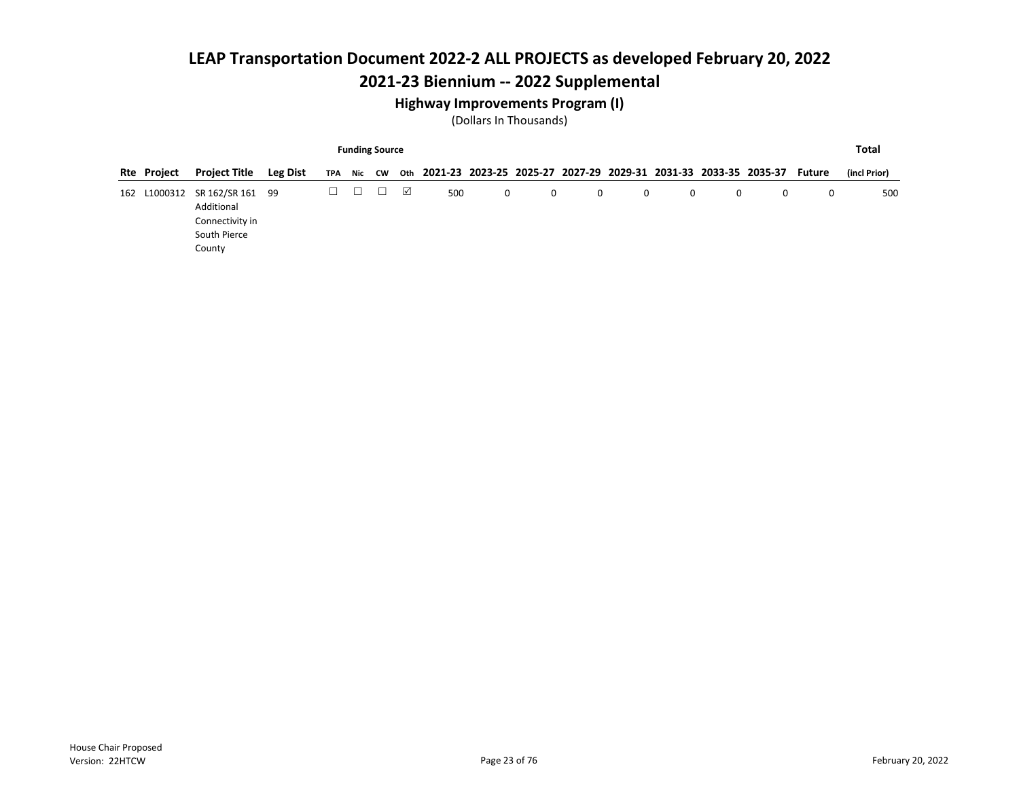## 2021-23 Biennium -- 2022 Supplemental

#### Highway Improvements Program (I)

|     |                                                                                                                                                                    |                                                                             |  |  |  | <b>Funding Source</b> |   |     |   |   |   |   |   |   |   |              | Total |
|-----|--------------------------------------------------------------------------------------------------------------------------------------------------------------------|-----------------------------------------------------------------------------|--|--|--|-----------------------|---|-----|---|---|---|---|---|---|---|--------------|-------|
|     | 2021-23 2023-25 2025-27 2027-29 2029-31 2031-33 2033-35 2035-37<br><b>Project Title</b><br><b>Leg Dist</b><br><b>Rte Project</b><br>Nic CW<br>Oth<br>TPA<br>Future |                                                                             |  |  |  |                       |   |     |   |   |   |   |   |   |   | (incl Prior) |       |
| 162 | L1000312                                                                                                                                                           | SR 162/SR 161 99<br>Additional<br>Connectivity in<br>South Pierce<br>County |  |  |  | □                     | ☑ | 500 | 0 | 0 | 0 | 0 | 0 | 0 | 0 | 0            | 500   |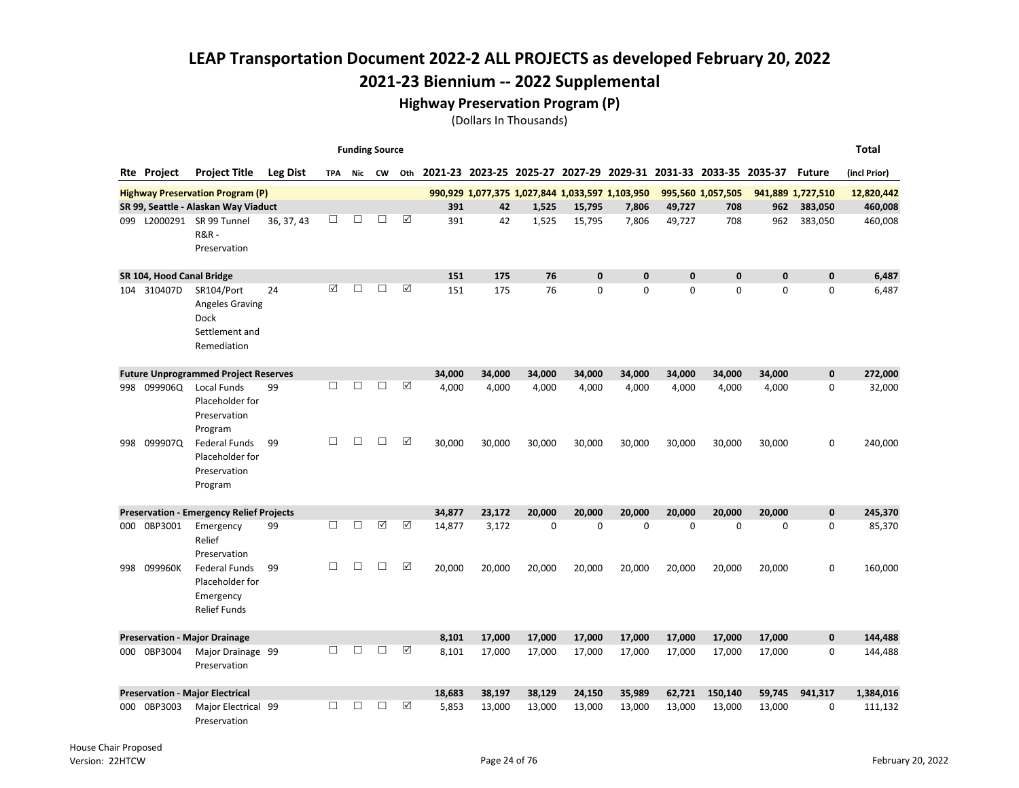2021-23 Biennium -- 2022 Supplemental

Highway Preservation Program (P)

|     |                           |                                                                               |                 |        | <b>Funding Source</b> |    |     |        |                                                 |             |              |             |              |                                                                 |          |                   | <b>Total</b> |
|-----|---------------------------|-------------------------------------------------------------------------------|-----------------|--------|-----------------------|----|-----|--------|-------------------------------------------------|-------------|--------------|-------------|--------------|-----------------------------------------------------------------|----------|-------------------|--------------|
|     | <b>Rte</b> Project        | <b>Project Title</b>                                                          | <b>Leg Dist</b> | TPA    | Nic                   | CW | Oth |        |                                                 |             |              |             |              | 2021-23 2023-25 2025-27 2027-29 2029-31 2031-33 2033-35 2035-37 |          | <b>Future</b>     | (incl Prior) |
|     |                           | <b>Highway Preservation Program (P)</b>                                       |                 |        |                       |    |     |        | 990,929 1,077,375 1,027,844 1,033,597 1,103,950 |             |              |             |              | 995,560 1,057,505                                               |          | 941,889 1,727,510 | 12,820,442   |
|     |                           | SR 99, Seattle - Alaskan Way Viaduct                                          |                 |        |                       |    |     | 391    | 42                                              | 1.525       | 15,795       | 7.806       | 49.727       | 708                                                             | 962      | 383,050           | 460,008      |
| 099 |                           | L2000291 SR 99 Tunnel<br><b>R&amp;R-</b><br>Preservation                      | 36, 37, 43      | $\Box$ | П                     | □  | ☑   | 391    | 42                                              | 1,525       | 15,795       | 7,806       | 49,727       | 708                                                             | 962      | 383,050           | 460,008      |
|     | SR 104, Hood Canal Bridge |                                                                               |                 |        |                       |    |     | 151    | 175                                             | 76          | 0            | $\pmb{0}$   | 0            | $\mathbf{0}$                                                    | $\bf{0}$ | $\mathbf 0$       | 6,487        |
| 104 | 310407D                   | SR104/Port<br>Angeles Graving<br><b>Dock</b><br>Settlement and<br>Remediation | 24              | ⊠      | П                     | □  | ☑   | 151    | 175                                             | 76          | $\mathbf{0}$ | $\mathbf 0$ | $\mathbf{0}$ | $\Omega$                                                        | 0        | 0                 | 6,487        |
|     |                           | <b>Future Unprogrammed Project Reserves</b>                                   |                 |        |                       |    |     | 34.000 | 34.000                                          | 34,000      | 34.000       | 34.000      | 34.000       | 34,000                                                          | 34,000   | $\mathbf{0}$      | 272.000      |
| 998 | 099906Q                   | <b>Local Funds</b><br>Placeholder for<br>Preservation<br>Program              | 99              | П      | П                     | П  | ☑   | 4.000  | 4,000                                           | 4,000       | 4,000        | 4,000       | 4.000        | 4,000                                                           | 4,000    | 0                 | 32,000       |
| 998 | 099907Q                   | <b>Federal Funds</b><br>Placeholder for<br>Preservation<br>Program            | 99              | $\Box$ | □                     | □  | ☑   | 30,000 | 30,000                                          | 30,000      | 30,000       | 30,000      | 30,000       | 30,000                                                          | 30,000   | 0                 | 240,000      |
|     |                           | <b>Preservation - Emergency Relief Projects</b>                               |                 |        |                       |    |     | 34,877 | 23,172                                          | 20,000      | 20,000       | 20,000      | 20,000       | 20,000                                                          | 20,000   | $\mathbf 0$       | 245,370      |
| 000 | 0BP3001                   | Emergency<br>Relief<br>Preservation                                           | 99              | $\Box$ | $\Box$                | ☑  | ☑   | 14,877 | 3,172                                           | $\mathbf 0$ | 0            | $\mathbf 0$ | 0            | $\mathbf 0$                                                     | 0        | 0                 | 85,370       |
| 998 | 099960K                   | Federal Funds<br>Placeholder for<br>Emergency<br><b>Relief Funds</b>          | 99              | $\Box$ | П                     | П  | ☑   | 20,000 | 20,000                                          | 20,000      | 20,000       | 20,000      | 20,000       | 20,000                                                          | 20,000   | 0                 | 160,000      |
|     |                           | <b>Preservation - Major Drainage</b>                                          |                 |        |                       |    |     | 8.101  | 17,000                                          | 17,000      | 17,000       | 17.000      | 17.000       | 17,000                                                          | 17,000   | $\mathbf{0}$      | 144,488      |
| 000 | 0BP3004                   | Major Drainage 99<br>Preservation                                             |                 | П      | П                     | □  | ☑   | 8,101  | 17,000                                          | 17,000      | 17,000       | 17,000      | 17,000       | 17,000                                                          | 17,000   | 0                 | 144,488      |
|     |                           | <b>Preservation - Major Electrical</b>                                        |                 |        |                       |    |     | 18,683 | 38,197                                          | 38,129      | 24,150       | 35,989      | 62,721       | 150,140                                                         | 59,745   | 941,317           | 1,384,016    |
| 000 | 0BP3003                   | Major Electrical 99<br>Preservation                                           |                 | П      | □                     | □  | ☑   | 5,853  | 13,000                                          | 13,000      | 13,000       | 13,000      | 13,000       | 13,000                                                          | 13,000   | 0                 | 111,132      |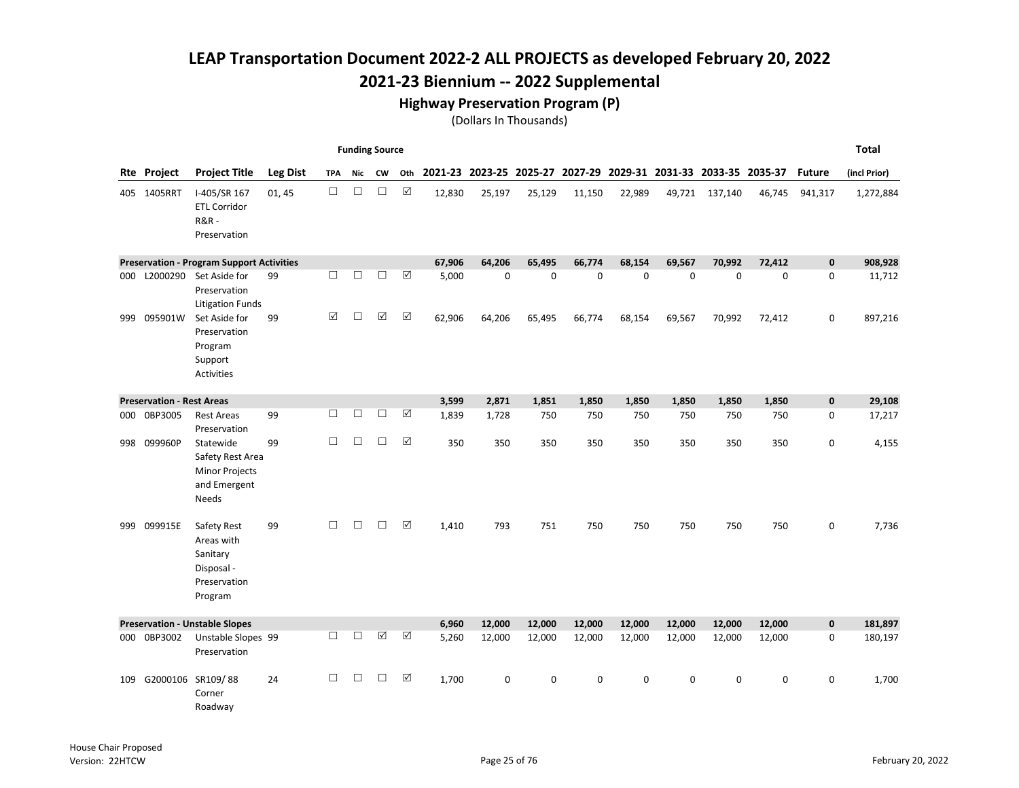## 2021-23 Biennium -- 2022 Supplemental

#### Highway Preservation Program (P)

|     |                                  |                                                                                        |                 |            |        | <b>Funding Source</b> |                      |        |             |                                                                 |             |             |             |                |             |               | <b>Total</b> |
|-----|----------------------------------|----------------------------------------------------------------------------------------|-----------------|------------|--------|-----------------------|----------------------|--------|-------------|-----------------------------------------------------------------|-------------|-------------|-------------|----------------|-------------|---------------|--------------|
|     | <b>Rte Project</b>               | <b>Project Title</b>                                                                   | <b>Leg Dist</b> | <b>TPA</b> | Nic    | CW                    | Oth                  |        |             | 2021-23 2023-25 2025-27 2027-29 2029-31 2031-33 2033-35 2035-37 |             |             |             |                |             | <b>Future</b> | (incl Prior) |
|     | 405 1405RRT                      | I-405/SR 167<br><b>ETL Corridor</b><br><b>R&amp;R-</b><br>Preservation                 | 01, 45          | $\Box$     | $\Box$ | $\Box$                | $\boxtimes$          | 12,830 | 25,197      | 25,129                                                          | 11,150      | 22,989      |             | 49,721 137,140 | 46,745      | 941,317       | 1,272,884    |
|     |                                  | <b>Preservation - Program Support Activities</b>                                       |                 |            |        |                       |                      | 67,906 | 64.206      | 65.495                                                          | 66.774      | 68.154      | 69.567      | 70,992         | 72,412      | $\mathbf 0$   | 908,928      |
| 000 |                                  | L2000290 Set Aside for<br>Preservation<br><b>Litigation Funds</b>                      | 99              | П          | $\Box$ | □                     | $\Delta$             | 5,000  | $\mathbf 0$ | $\mathbf 0$                                                     | $\mathbf 0$ | $\mathbf 0$ | $\mathbf 0$ | $\mathbf 0$    | $\mathbf 0$ | 0             | 11,712       |
| 999 | 095901W                          | Set Aside for<br>Preservation<br>Program<br>Support<br><b>Activities</b>               | 99              | ☑          | $\Box$ | $\Delta$              | ☑                    | 62,906 | 64,206      | 65,495                                                          | 66,774      | 68,154      | 69,567      | 70,992         | 72,412      | 0             | 897,216      |
|     | <b>Preservation - Rest Areas</b> |                                                                                        |                 |            |        |                       |                      | 3,599  | 2,871       | 1,851                                                           | 1,850       | 1,850       | 1,850       | 1,850          | 1,850       | $\pmb{0}$     | 29,108       |
| 000 | 0BP3005                          | <b>Rest Areas</b><br>Preservation                                                      | 99              | $\Box$     | $\Box$ | $\Box$                | ☑                    | 1,839  | 1,728       | 750                                                             | 750         | 750         | 750         | 750            | 750         | 0             | 17,217       |
|     | 998 099960P                      | Statewide<br>Safety Rest Area<br><b>Minor Projects</b><br>and Emergent<br><b>Needs</b> | 99              | $\Box$     | $\Box$ | $\Box$                | ☑                    | 350    | 350         | 350                                                             | 350         | 350         | 350         | 350            | 350         | 0             | 4,155        |
| 999 | 099915E                          | Safety Rest<br>Areas with<br>Sanitary<br>Disposal -<br>Preservation<br>Program         | 99              | $\Box$     | □      | $\Box$                | $\Delta$             | 1,410  | 793         | 751                                                             | 750         | 750         | 750         | 750            | 750         | 0             | 7,736        |
|     |                                  | <b>Preservation - Unstable Slopes</b>                                                  |                 |            |        |                       |                      | 6,960  | 12,000      | 12,000                                                          | 12,000      | 12,000      | 12,000      | 12,000         | 12,000      | $\mathbf 0$   | 181,897      |
|     | 000 0BP3002                      | Unstable Slopes 99<br>Preservation                                                     |                 | $\Box$     | $\Box$ | $\boxed{\checkmark}$  | $\boxed{\checkmark}$ | 5,260  | 12,000      | 12,000                                                          | 12,000      | 12,000      | 12,000      | 12,000         | 12,000      | 0             | 180,197      |
| 109 |                                  | G2000106 SR109/88<br>Corner<br>Roadway                                                 | 24              | П          | □      | □                     | ☑                    | 1.700  | 0           | $\Omega$                                                        | 0           | $\mathbf 0$ | $\Omega$    | $\mathbf 0$    | 0           | 0             | 1,700        |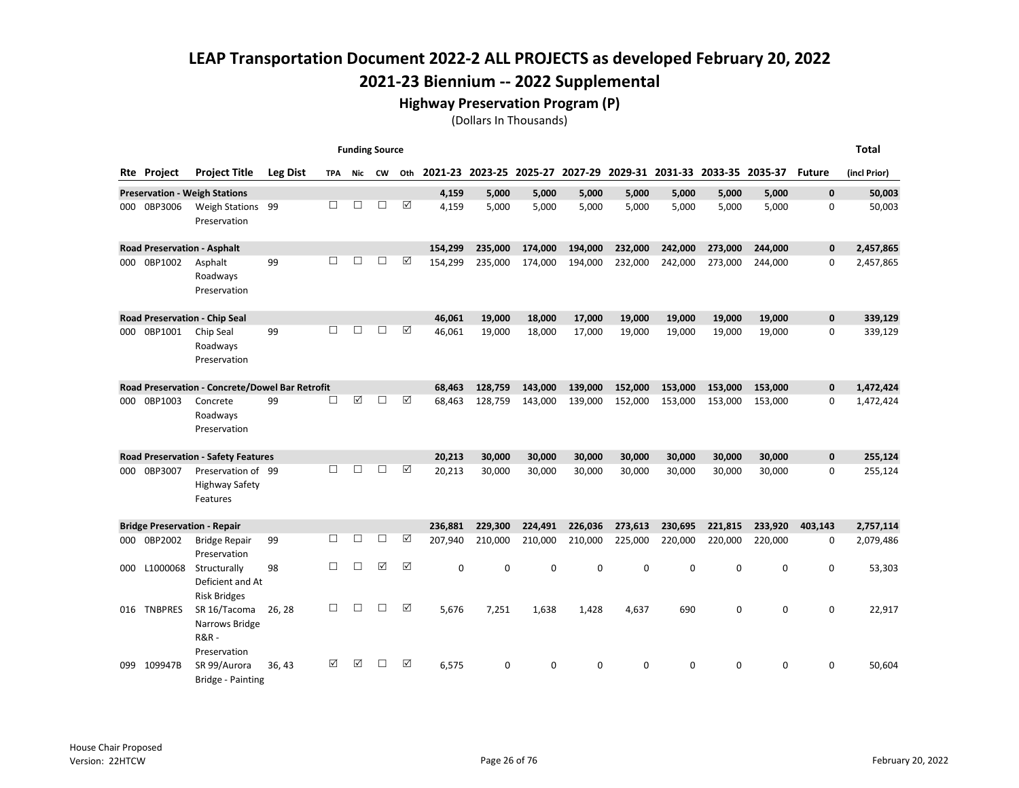#### Highway Preservation Program (P)

|     |                    |                                                                   |                 |     |        | <b>Funding Source</b> |     |          |                                                                 |         |             |         |             |         |             |               | Total        |
|-----|--------------------|-------------------------------------------------------------------|-----------------|-----|--------|-----------------------|-----|----------|-----------------------------------------------------------------|---------|-------------|---------|-------------|---------|-------------|---------------|--------------|
|     | <b>Rte Project</b> | <b>Project Title</b>                                              | <b>Leg Dist</b> | TPA | Nic    | <b>CW</b>             | Oth |          | 2021-23 2023-25 2025-27 2027-29 2029-31 2031-33 2033-35 2035-37 |         |             |         |             |         |             | <b>Future</b> | (incl Prior) |
|     |                    | <b>Preservation - Weigh Stations</b>                              |                 |     |        |                       |     | 4,159    | 5,000                                                           | 5,000   | 5,000       | 5,000   | 5,000       | 5,000   | 5,000       | $\mathbf{0}$  | 50,003       |
| 000 | 0BP3006            | Weigh Stations 99<br>Preservation                                 |                 | П   | П      | П                     | ☑   | 4,159    | 5,000                                                           | 5,000   | 5,000       | 5,000   | 5,000       | 5,000   | 5,000       | 0             | 50,003       |
|     |                    | <b>Road Preservation - Asphalt</b>                                |                 |     |        |                       |     | 154.299  | 235.000                                                         | 174,000 | 194.000     | 232,000 | 242,000     | 273,000 | 244,000     | 0             | 2,457,865    |
| 000 | 0BP1002            | Asphalt<br>Roadways<br>Preservation                               | 99              | п   | П      | П                     | ⊠   | 154,299  | 235,000                                                         | 174,000 | 194,000     | 232,000 | 242,000     | 273.000 | 244,000     | 0             | 2,457,865    |
|     |                    | Road Preservation - Chip Seal                                     |                 |     |        |                       |     | 46,061   | 19,000                                                          | 18,000  | 17,000      | 19.000  | 19,000      | 19,000  | 19,000      | 0             | 339,129      |
| 000 | 0BP1001            | Chip Seal<br>Roadways<br>Preservation                             | 99              | □   | П      | П                     | ☑   | 46,061   | 19,000                                                          | 18,000  | 17,000      | 19,000  | 19,000      | 19,000  | 19,000      | 0             | 339,129      |
|     |                    | Road Preservation - Concrete/Dowel Bar Retrofit                   |                 |     |        |                       |     | 68.463   | 128.759                                                         | 143.000 | 139.000     | 152.000 | 153.000     | 153.000 | 153,000     | 0             | 1,472,424    |
|     | 000 0BP1003        | Concrete<br>Roadways<br>Preservation                              | 99              | □   | ☑      | П                     | ☑   | 68.463   | 128,759                                                         | 143,000 | 139,000     | 152,000 | 153.000     | 153.000 | 153,000     | 0             | 1,472,424    |
|     |                    | <b>Road Preservation - Safety Features</b>                        |                 |     |        |                       |     | 20,213   | 30,000                                                          | 30,000  | 30,000      | 30,000  | 30,000      | 30,000  | 30,000      | 0             | 255,124      |
|     | 000 0BP3007        | Preservation of 99<br><b>Highway Safety</b><br>Features           |                 | П   | П      | П                     | ☑   | 20,213   | 30,000                                                          | 30,000  | 30,000      | 30,000  | 30,000      | 30,000  | 30,000      | 0             | 255,124      |
|     |                    | <b>Bridge Preservation - Repair</b>                               |                 |     |        |                       |     | 236.881  | 229,300                                                         | 224,491 | 226,036     | 273,613 | 230,695     | 221,815 | 233,920     | 403,143       | 2,757,114    |
|     | 000 0BP2002        | <b>Bridge Repair</b><br>Preservation                              | 99              | □   | П      | П                     | ☑   | 207,940  | 210,000                                                         | 210,000 | 210,000     | 225,000 | 220,000     | 220,000 | 220,000     | 0             | 2,079,486    |
| 000 | L1000068           | Structurally<br>Deficient and At<br><b>Risk Bridges</b>           | 98              | □   | □      | ☑                     | ☑   | $\Omega$ | $\mathbf 0$                                                     | 0       | $\mathbf 0$ | 0       | $\mathbf 0$ | 0       | $\mathbf 0$ | 0             | 53,303       |
| 016 | <b>TNBPRES</b>     | SR 16/Tacoma<br>Narrows Bridge<br><b>R&amp;R-</b><br>Preservation | 26, 28          | □   | $\Box$ | П                     | ☑   | 5,676    | 7,251                                                           | 1,638   | 1,428       | 4,637   | 690         | 0       | 0           | 0             | 22,917       |
| 099 | 109947B            | SR 99/Aurora<br>Bridge - Painting                                 | 36.43           | ☑   | ☑      | П                     | ☑   | 6,575    | 0                                                               | 0       | 0           | 0       | $\mathbf 0$ | 0       | 0           | 0             | 50,604       |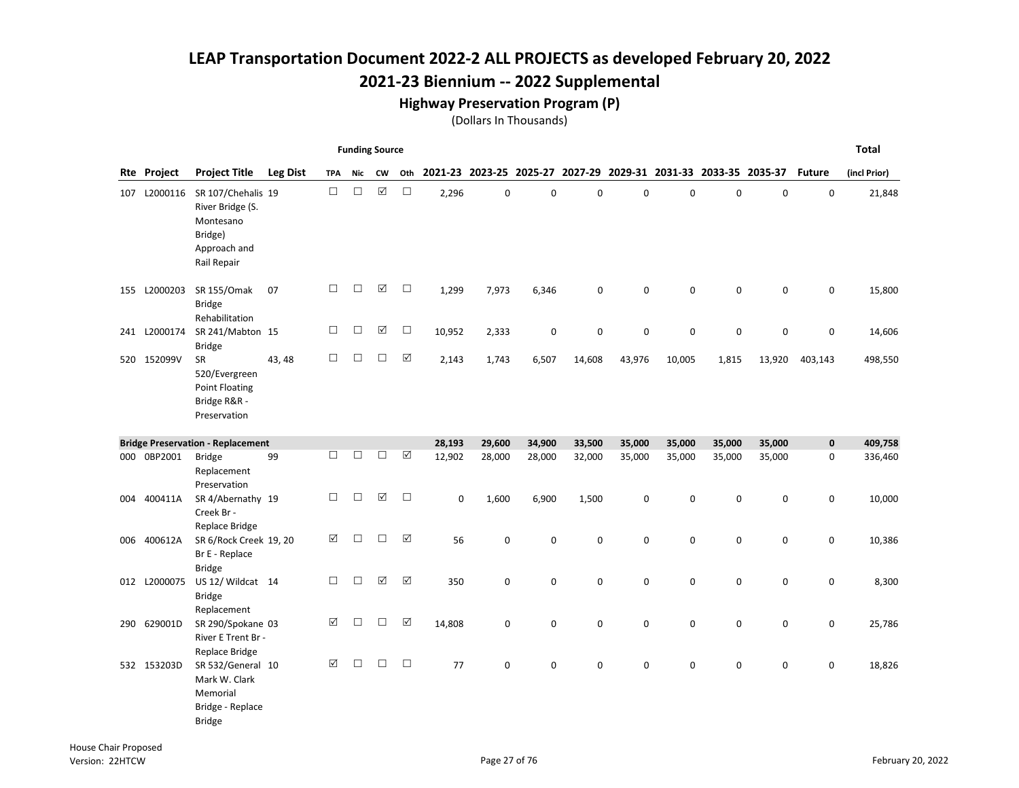## 2021-23 Biennium -- 2022 Supplemental

#### Highway Preservation Program (P)

|              |                                                                                               |                 |            | <b>Funding Source</b> |                      |                      |             |        |             |        |             |                                                                 |             |             |               | <b>Total</b> |
|--------------|-----------------------------------------------------------------------------------------------|-----------------|------------|-----------------------|----------------------|----------------------|-------------|--------|-------------|--------|-------------|-----------------------------------------------------------------|-------------|-------------|---------------|--------------|
| Rte Project  | <b>Project Title</b>                                                                          | <b>Leg Dist</b> | <b>TPA</b> | Nic                   | <b>CW</b>            | Oth                  |             |        |             |        |             | 2021-23 2023-25 2025-27 2027-29 2029-31 2031-33 2033-35 2035-37 |             |             | <b>Future</b> | (incl Prior) |
| 107 L2000116 | SR 107/Chehalis 19<br>River Bridge (S.<br>Montesano<br>Bridge)<br>Approach and<br>Rail Repair |                 | $\Box$     | $\Box$                | $\boxed{\checkmark}$ | $\Box$               | 2,296       | 0      | $\mathbf 0$ | 0      | 0           | $\mathbf 0$                                                     | 0           | $\mathbf 0$ | 0             | 21,848       |
| 155 L2000203 | SR 155/Omak<br><b>Bridge</b><br>Rehabilitation                                                | 07              | $\Box$     | □                     | ☑                    | $\Box$               | 1,299       | 7,973  | 6,346       | 0      | $\mathbf 0$ | $\mathbf 0$                                                     | $\mathbf 0$ | $\mathbf 0$ | 0             | 15,800       |
| 241 L2000174 | SR 241/Mabton 15<br><b>Bridge</b>                                                             |                 | □          | $\Box$                | ☑                    | $\Box$               | 10,952      | 2,333  | $\pmb{0}$   | 0      | 0           | 0                                                               | 0           | 0           | 0             | 14,606       |
| 520 152099V  | <b>SR</b><br>520/Evergreen<br><b>Point Floating</b><br>Bridge R&R -<br>Preservation           | 43, 48          | $\Box$     | □                     | $\Box$               | ☑                    | 2,143       | 1,743  | 6,507       | 14,608 | 43,976      | 10,005                                                          | 1,815       | 13,920      | 403,143       | 498,550      |
|              | <b>Bridge Preservation - Replacement</b>                                                      |                 |            |                       |                      |                      | 28,193      | 29,600 | 34,900      | 33,500 | 35,000      | 35,000                                                          | 35,000      | 35,000      | $\mathbf 0$   | 409,758      |
| 000 0BP2001  | <b>Bridge</b><br>Replacement<br>Preservation                                                  | 99              | $\Box$     | □                     | $\Box$               | $\boxed{\mathbf{v}}$ | 12,902      | 28,000 | 28,000      | 32,000 | 35,000      | 35,000                                                          | 35,000      | 35,000      | 0             | 336,460      |
| 004 400411A  | SR 4/Abernathy 19<br>Creek Br -<br>Replace Bridge                                             |                 | $\Box$     | $\Box$                | ☑                    | $\Box$               | $\mathbf 0$ | 1,600  | 6,900       | 1,500  | $\pmb{0}$   | $\mathbf 0$                                                     | $\mathsf 0$ | $\mathbf 0$ | 0             | 10,000       |
| 006 400612A  | SR 6/Rock Creek 19, 20<br>Br E - Replace<br><b>Bridge</b>                                     |                 | ☑          | $\Box$                | $\Box$               | $\boxed{\mathbf{v}}$ | 56          | 0      | $\mathsf 0$ | 0      | 0           | 0                                                               | $\mathsf 0$ | $\mathbf 0$ | 0             | 10,386       |
| 012 L2000075 | US 12/ Wildcat 14<br><b>Bridge</b><br>Replacement                                             |                 | $\Box$     | □                     | ☑                    | ☑                    | 350         | 0      | 0           | 0      | 0           | 0                                                               | $\mathsf 0$ | $\mathbf 0$ | 0             | 8,300        |
| 290 629001D  | SR 290/Spokane 03<br>River E Trent Br -<br>Replace Bridge                                     |                 | ☑          | □                     | □                    | ☑                    | 14,808      | 0      | $\mathbf 0$ | 0      | $\mathbf 0$ | $\mathbf 0$                                                     | 0           | $\mathbf 0$ | 0             | 25,786       |
| 532 153203D  | SR 532/General 10<br>Mark W. Clark<br>Memorial<br>Bridge - Replace<br><b>Bridge</b>           |                 | ☑          | $\Box$                | $\Box$               | $\Box$               | 77          | 0      | $\mathbf 0$ | 0      | $\mathbf 0$ | $\mathbf 0$                                                     | 0           | 0           | 0             | 18,826       |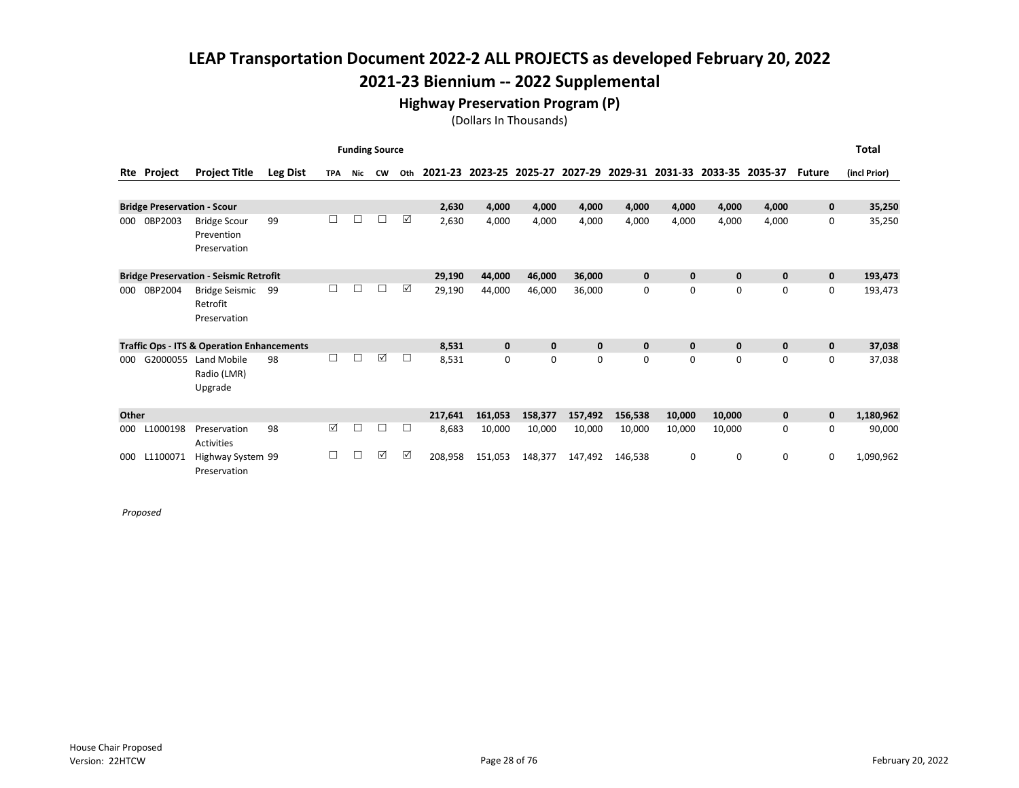## 2021-23 Biennium -- 2022 Supplemental

### Highway Preservation Program (P)

(Dollars In Thousands)

|       |                                    |                                                       |                 |            |            | <b>Funding Source</b> |        |         |              |             |              |             |              |              |             |               | <b>Total</b> |
|-------|------------------------------------|-------------------------------------------------------|-----------------|------------|------------|-----------------------|--------|---------|--------------|-------------|--------------|-------------|--------------|--------------|-------------|---------------|--------------|
| Rte   | Project                            | <b>Project Title</b>                                  | <b>Leg Dist</b> | <b>TPA</b> | <b>Nic</b> | <b>CW</b>             | Oth    | 2021-23 | 2023-25      | 2025-27     | 2027-29      | 2029-31     | 2031-33      | 2033-35      | 2035-37     | <b>Future</b> | (incl Prior) |
|       |                                    |                                                       |                 |            |            |                       |        |         |              |             |              |             |              |              |             |               |              |
|       | <b>Bridge Preservation - Scour</b> |                                                       |                 |            |            |                       |        | 2,630   | 4,000        | 4,000       | 4,000        | 4,000       | 4,000        | 4,000        | 4,000       | $\mathbf 0$   | 35,250       |
| 000   | 0BP2003                            | <b>Bridge Scour</b><br>Prevention                     | 99              | □          | П          | □                     | ☑      | 2,630   | 4,000        | 4,000       | 4,000        | 4,000       | 4,000        | 4,000        | 4,000       | 0             | 35,250       |
|       |                                    | Preservation                                          |                 |            |            |                       |        |         |              |             |              |             |              |              |             |               |              |
|       |                                    | <b>Bridge Preservation - Seismic Retrofit</b>         |                 |            |            |                       |        | 29,190  | 44,000       | 46,000      | 36,000       | $\mathbf 0$ | $\mathbf{0}$ | $\mathbf{0}$ | $\mathbf 0$ | $\mathbf 0$   | 193,473      |
| 000   | 0BP2004                            | <b>Bridge Seismic</b><br>Retrofit<br>Preservation     | 99              | □          | П          | $\Box$                | ☑      | 29,190  | 44,000       | 46,000      | 36,000       | 0           | 0            | $\mathbf 0$  | 0           | 0             | 193,473      |
|       |                                    | <b>Traffic Ops - ITS &amp; Operation Enhancements</b> |                 |            |            |                       |        | 8,531   | $\mathbf{0}$ | $\mathbf 0$ | $\mathbf{0}$ | $\mathbf 0$ | $\mathbf{0}$ | $\mathbf{0}$ | $\mathbf 0$ | $\mathbf 0$   | 37,038       |
| 000   | G2000055                           | Land Mobile<br>Radio (LMR)<br>Upgrade                 | 98              | □          | П          | $\boxed{\mathcal{S}}$ | $\Box$ | 8,531   | 0            | 0           | 0            | 0           | $\Omega$     | 0            | $\Omega$    | 0             | 37,038       |
| Other |                                    |                                                       |                 |            |            |                       |        | 217,641 | 161,053      | 158,377     | 157,492      | 156,538     | 10,000       | 10,000       | $\mathbf 0$ | $\mathbf 0$   | 1,180,962    |
| 000   | L1000198                           | Preservation<br><b>Activities</b>                     | 98              | ☑          | □          | □                     | □      | 8,683   | 10,000       | 10,000      | 10,000       | 10,000      | 10,000       | 10,000       | 0           | 0             | 90,000       |
| 000   | L1100071                           | Highway System 99<br>Preservation                     |                 | □          | П          | ☑                     | ☑      | 208,958 | 151,053      | 148,377     | 147,492      | 146,538     | 0            | 0            | 0           | 0             | 1,090,962    |

Proposed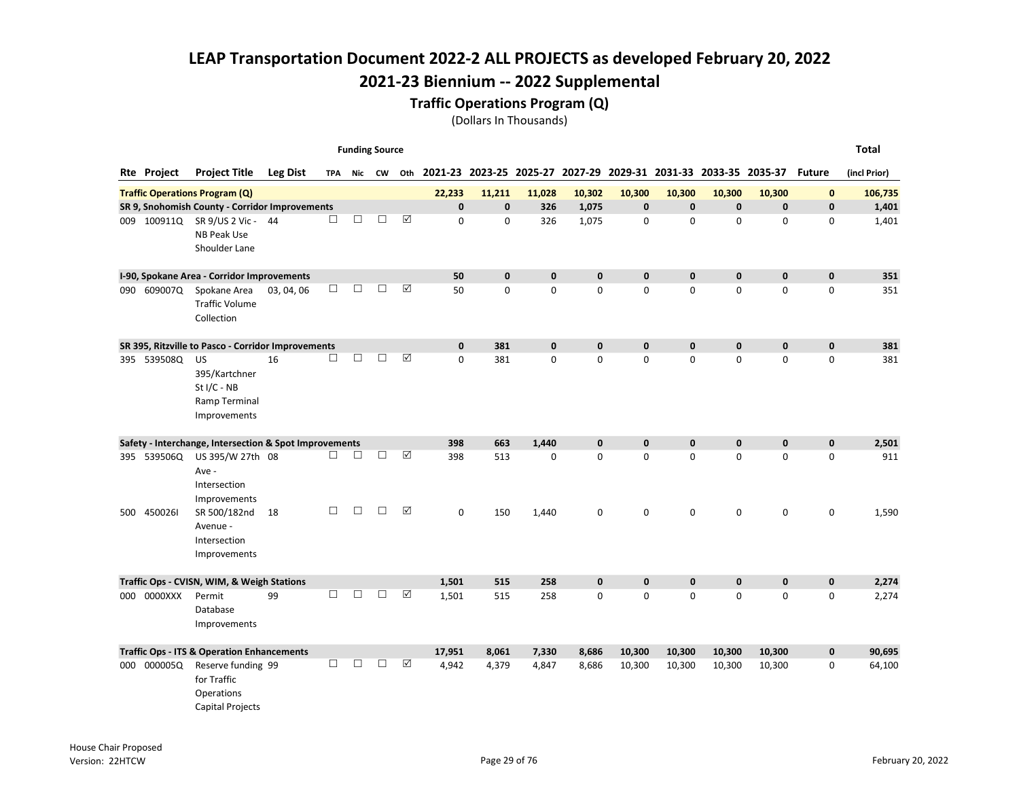#### Traffic Operations Program (Q)

|     |                    |                                                                       |                 |        | <b>Funding Source</b> |        |                       |                                                                                |              |              |             |              |              |              |              |               | <b>Total</b> |
|-----|--------------------|-----------------------------------------------------------------------|-----------------|--------|-----------------------|--------|-----------------------|--------------------------------------------------------------------------------|--------------|--------------|-------------|--------------|--------------|--------------|--------------|---------------|--------------|
|     | <b>Rte Project</b> | <b>Project Title</b>                                                  | <b>Leg Dist</b> |        |                       |        |                       | TPA Nic CW Oth 2021-23 2023-25 2025-27 2027-29 2029-31 2031-33 2033-35 2035-37 |              |              |             |              |              |              |              | <b>Future</b> | (incl Prior) |
|     |                    | <b>Traffic Operations Program (Q)</b>                                 |                 |        |                       |        |                       | 22,233                                                                         | 11,211       | 11,028       | 10,302      | 10,300       | 10,300       | 10,300       | 10,300       | $\mathbf{0}$  | 106,735      |
|     |                    | SR 9, Snohomish County - Corridor Improvements                        |                 |        |                       |        |                       | $\mathbf{0}$                                                                   | $\mathbf{0}$ | 326          | 1,075       | $\mathbf 0$  | $\mathbf{0}$ | $\mathbf{0}$ | $\mathbf{0}$ | $\mathbf 0$   | 1,401        |
|     | 009 100911Q        | SR 9/US 2 Vic - 44<br><b>NB Peak Use</b><br>Shoulder Lane             |                 | $\Box$ | $\Box$                | $\Box$ | ☑                     | 0                                                                              | 0            | 326          | 1,075       | 0            | 0            | 0            | $\mathbf 0$  | 0             | 1,401        |
|     |                    | I-90, Spokane Area - Corridor Improvements                            |                 |        |                       |        |                       | 50                                                                             | 0            | $\mathbf 0$  | $\mathbf 0$ | $\mathbf 0$  | 0            | $\pmb{0}$    | $\mathbf 0$  | $\pmb{0}$     | 351          |
|     | 090 609007Q        | Spokane Area<br><b>Traffic Volume</b><br>Collection                   | 03, 04, 06      | $\Box$ | □                     | П      | $\boxed{\mathcal{S}}$ | 50                                                                             | $\Omega$     | $\Omega$     | 0           | $\mathbf 0$  | $\Omega$     | $\mathbf{0}$ | $\Omega$     | 0             | 351          |
|     |                    | SR 395, Ritzville to Pasco - Corridor Improvements                    |                 |        |                       |        |                       | $\mathbf{0}$                                                                   | 381          | $\mathbf{0}$ | $\mathbf 0$ | $\mathbf{0}$ | $\mathbf{0}$ | $\mathbf{0}$ | $\mathbf{0}$ | $\mathbf 0$   | 381          |
|     | 395 539508Q        | US<br>395/Kartchner<br>$St I/C - NB$<br>Ramp Terminal<br>Improvements | 16              | $\Box$ | □                     | $\Box$ | ☑                     | $\Omega$                                                                       | 381          | $\mathbf 0$  | 0           | $\pmb{0}$    | 0            | 0            | $\mathbf 0$  | $\mathbf 0$   | 381          |
|     |                    | Safety - Interchange, Intersection & Spot Improvements                |                 |        |                       |        |                       | 398                                                                            | 663          | 1,440        | $\mathbf 0$ | $\mathbf 0$  | 0            | 0            | $\mathbf{0}$ | $\mathbf 0$   | 2,501        |
|     | 395 539506Q        | US 395/W 27th 08<br>Ave -<br>Intersection<br>Improvements             |                 | $\Box$ | □                     | $\Box$ | $\boxed{\text{V}}$    | 398                                                                            | 513          | $\mathbf 0$  | 0           | $\mathbf 0$  | $\Omega$     | $\Omega$     | $\mathbf 0$  | 0             | 911          |
|     | 500 4500261        | SR 500/182nd<br>Avenue -<br>Intersection<br>Improvements              | 18              | $\Box$ | $\Box$                | $\Box$ | ☑                     | $\mathbf 0$                                                                    | 150          | 1,440        | 0           | $\mathbf 0$  | $\mathbf 0$  | 0            | $\mathbf 0$  | 0             | 1,590        |
|     |                    | Traffic Ops - CVISN, WIM, & Weigh Stations                            |                 |        |                       |        |                       | 1,501                                                                          | 515          | 258          | $\mathbf 0$ | $\mathbf 0$  | $\mathbf{0}$ | $\mathbf{0}$ | $\mathbf{0}$ | $\mathbf 0$   | 2,274        |
| 000 | 0000XXX            | Permit<br>Database<br>Improvements                                    | 99              | $\Box$ | П                     | П      | $\boxed{\checkmark}$  | 1,501                                                                          | 515          | 258          | $\mathbf 0$ | $\mathbf 0$  | 0            | 0            | $\mathbf 0$  | 0             | 2,274        |
|     |                    | <b>Traffic Ops - ITS &amp; Operation Enhancements</b>                 |                 |        |                       |        |                       | 17,951                                                                         | 8,061        | 7,330        | 8,686       | 10,300       | 10,300       | 10,300       | 10,300       | $\mathbf 0$   | 90,695       |
| 000 | 000005Q            | Reserve funding 99<br>for Traffic<br>Operations<br>Capital Projects   |                 | П      | п                     | П      | ☑                     | 4,942                                                                          | 4,379        | 4,847        | 8,686       | 10,300       | 10,300       | 10,300       | 10,300       | 0             | 64,100       |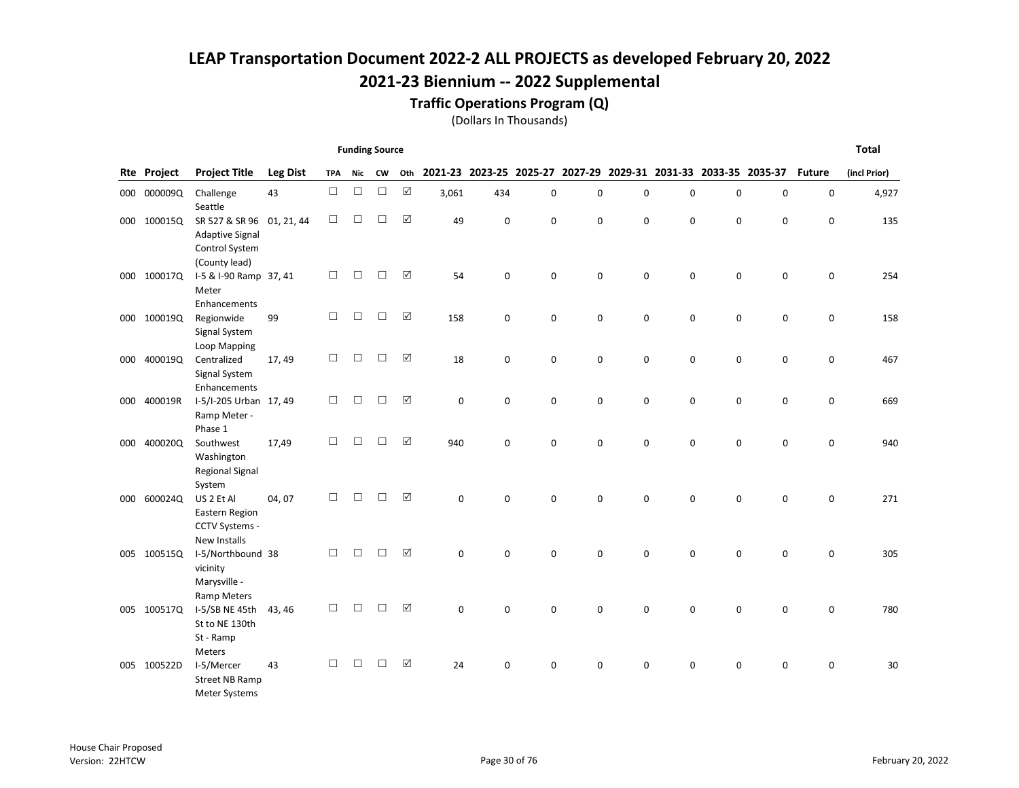### Traffic Operations Program (Q)

|     |                    |                                                                     |                 |            | <b>Funding Source</b> |        |     |          |     |             |          |             |                                                                 |             |   |               | <b>Total</b> |
|-----|--------------------|---------------------------------------------------------------------|-----------------|------------|-----------------------|--------|-----|----------|-----|-------------|----------|-------------|-----------------------------------------------------------------|-------------|---|---------------|--------------|
|     | <b>Rte Project</b> | <b>Project Title</b>                                                | <b>Leg Dist</b> | <b>TPA</b> | Nic                   | CW     | Oth |          |     |             |          |             | 2021-23 2023-25 2025-27 2027-29 2029-31 2031-33 2033-35 2035-37 |             |   | <b>Future</b> | (incl Prior) |
|     | 000 000009Q        | Challenge<br>Seattle                                                | 43              | $\Box$     | $\Box$                | $\Box$ | ☑   | 3,061    | 434 | $\pmb{0}$   | 0        | 0           | 0                                                               | 0           | 0 | 0             | 4,927        |
|     | 000 100015Q        | SR 527 & SR 96<br><b>Adaptive Signal</b><br>Control System          | 01, 21, 44      | □          | □                     | П      | ☑   | 49       | 0   | $\mathbf 0$ | 0        | $\mathbf 0$ | 0                                                               | $\mathbf 0$ | 0 | 0             | 135          |
|     | 000 100017Q        | (County lead)<br>I-5 & I-90 Ramp 37, 41<br>Meter                    |                 | □          | $\Box$                | П      | ☑   | 54       | 0   | $\mathbf 0$ | 0        | $\mathbf 0$ | $\mathbf 0$                                                     | $\mathbf 0$ | 0 | $\mathbf 0$   | 254          |
|     | 000 100019Q        | Enhancements<br>Regionwide<br>Signal System<br>Loop Mapping         | 99              | □          | $\Box$                | $\Box$ | ☑   | 158      | 0   | $\mathbf 0$ | 0        | $\mathbf 0$ | 0                                                               | 0           | 0 | $\mathbf 0$   | 158          |
|     | 000 400019Q        | Centralized<br>Signal System<br>Enhancements                        | 17,49           | □          | $\Box$                | $\Box$ | ☑   | 18       | 0   | $\pmb{0}$   | 0        | $\pmb{0}$   | 0                                                               | $\mathsf 0$ | 0 | 0             | 467          |
|     | 000 400019R        | I-5/I-205 Urban 17, 49<br>Ramp Meter -<br>Phase 1                   |                 | $\Box$     | $\Box$                | $\Box$ | ☑   | 0        | 0   | 0           | 0        | $\mathbf 0$ | 0                                                               | 0           | 0 | 0             | 669          |
| 000 | 400020Q            | Southwest<br>Washington<br><b>Regional Signal</b><br>System         | 17,49           | □          | П                     | П      | ☑   | 940      | 0   | $\mathbf 0$ | 0        | $\mathbf 0$ | 0                                                               | $\mathbf 0$ | 0 | $\mathbf 0$   | 940          |
| 000 | 600024Q            | US 2 Et Al<br>Eastern Region<br>CCTV Systems -                      | 04,07           | П          | П                     | П      | ☑   | $\Omega$ | 0   | $\Omega$    | 0        | $\Omega$    | 0                                                               | 0           | 0 | 0             | 271          |
|     | 005 100515Q        | New Installs<br>I-5/Northbound 38<br>vicinity<br>Marysville -       |                 | □          | П                     | П      | ☑   | $\Omega$ | 0   | $\Omega$    | 0        | $\Omega$    | $\Omega$                                                        | $\Omega$    | 0 | 0             | 305          |
|     | 005 100517Q        | <b>Ramp Meters</b><br>I-5/SB NE 45th<br>St to NE 130th<br>St - Ramp | 43, 46          | □          | □                     | П      | ☑   | $\Omega$ | 0   | $\mathbf 0$ | $\Omega$ | $\Omega$    | 0                                                               | 0           | 0 | 0             | 780          |
|     | 005 100522D        | Meters<br>I-5/Mercer<br>Street NB Ramp<br>Meter Systems             | 43              | □          | П                     | П      | ☑   | 24       | 0   | $\mathbf 0$ | 0        | 0           | 0                                                               | $\mathbf 0$ | 0 | 0             | 30           |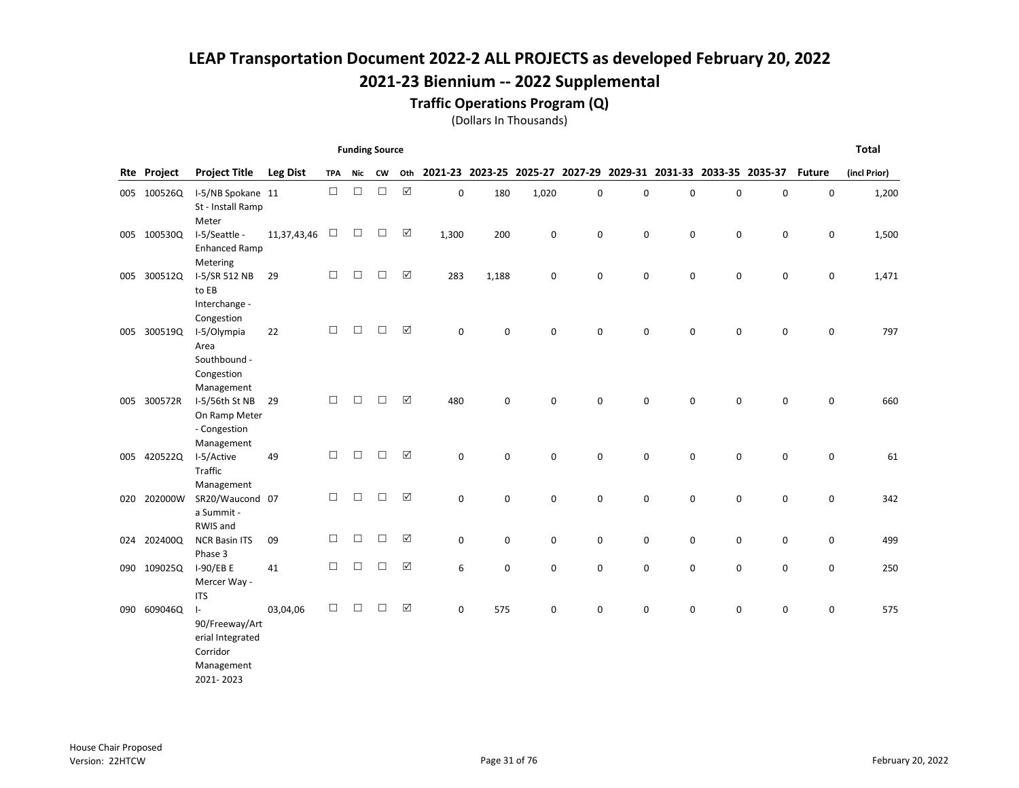### Traffic Operations Program (Q)

|     |             |                                    |                 |            | <b>Funding Source</b> |        |                      |             |       |             |   |             |             |                                                                 |   |               | <b>Total</b> |
|-----|-------------|------------------------------------|-----------------|------------|-----------------------|--------|----------------------|-------------|-------|-------------|---|-------------|-------------|-----------------------------------------------------------------|---|---------------|--------------|
|     | Rte Project | <b>Project Title</b>               | <b>Leg Dist</b> | <b>TPA</b> | Nic                   | CW     | Oth                  |             |       |             |   |             |             | 2021-23 2023-25 2025-27 2027-29 2029-31 2031-33 2033-35 2035-37 |   | <b>Future</b> | (incl Prior) |
|     | 005 100526Q | I-5/NB Spokane 11                  |                 | $\Box$     | $\Box$                | $\Box$ | $\boxtimes$          | $\mathbf 0$ | 180   | 1,020       | 0 | 0           | $\mathbf 0$ | 0                                                               | 0 | 0             | 1,200        |
|     |             | St - Install Ramp                  |                 |            |                       |        |                      |             |       |             |   |             |             |                                                                 |   |               |              |
|     |             | Meter                              |                 |            |                       |        |                      |             |       |             |   |             |             |                                                                 |   |               |              |
|     | 005 100530Q | I-5/Seattle -                      | 11,37,43,46     | $\Box$     | $\Box$                | $\Box$ | ☑                    | 1,300       | 200   | $\mathbf 0$ | 0 | 0           | $\mathbf 0$ | 0                                                               | 0 | 0             | 1,500        |
|     |             | <b>Enhanced Ramp</b><br>Metering   |                 |            |                       |        |                      |             |       |             |   |             |             |                                                                 |   |               |              |
| 005 | 300512Q     | I-5/SR 512 NB                      | 29              | $\Box$     | $\Box$                | $\Box$ | ☑                    | 283         | 1,188 | 0           | 0 | 0           | 0           | $\mathbf 0$                                                     | 0 | 0             | 1,471        |
|     |             | to EB                              |                 |            |                       |        |                      |             |       |             |   |             |             |                                                                 |   |               |              |
|     |             | Interchange -                      |                 |            |                       |        |                      |             |       |             |   |             |             |                                                                 |   |               |              |
|     |             | Congestion                         |                 |            |                       |        |                      |             |       |             |   |             |             |                                                                 |   |               |              |
|     | 005 300519Q | I-5/Olympia                        | 22              | $\Box$     | $\Box$                | $\Box$ | $\Delta$             | $\mathbf 0$ | 0     | $\mathbf 0$ | 0 | $\mathbf 0$ | $\mathbf 0$ | 0                                                               | 0 | 0             | 797          |
|     |             | Area<br>Southbound -               |                 |            |                       |        |                      |             |       |             |   |             |             |                                                                 |   |               |              |
|     |             | Congestion                         |                 |            |                       |        |                      |             |       |             |   |             |             |                                                                 |   |               |              |
|     |             | Management                         |                 |            |                       |        |                      |             |       |             |   |             |             |                                                                 |   |               |              |
|     | 005 300572R | I-5/56th St NB                     | 29              | $\Box$     | $\Box$                | $\Box$ | ☑                    | 480         | 0     | 0           | 0 | 0           | 0           | 0                                                               | 0 | 0             | 660          |
|     |             | On Ramp Meter                      |                 |            |                       |        |                      |             |       |             |   |             |             |                                                                 |   |               |              |
|     |             | - Congestion                       |                 |            |                       |        |                      |             |       |             |   |             |             |                                                                 |   |               |              |
|     | 005 420522Q | Management<br>I-5/Active           | 49              | $\Box$     | □                     | П      | $\boxed{\checkmark}$ | 0           | 0     | $\mathbf 0$ | 0 | $\pmb{0}$   | $\mathbf 0$ | $\mathbf 0$                                                     | 0 | 0             | 61           |
|     |             | Traffic                            |                 |            |                       |        |                      |             |       |             |   |             |             |                                                                 |   |               |              |
|     |             | Management                         |                 |            |                       |        |                      |             |       |             |   |             |             |                                                                 |   |               |              |
|     | 020 202000W | SR20/Waucond 07                    |                 | $\Box$     | $\Box$                | $\Box$ | $\Delta$             | 0           | 0     | $\mathbf 0$ | 0 | $\pmb{0}$   | $\mathbf 0$ | $\mathbf 0$                                                     | 0 | 0             | 342          |
|     |             | a Summit -                         |                 |            |                       |        |                      |             |       |             |   |             |             |                                                                 |   |               |              |
|     | 024 202400Q | RWIS and<br><b>NCR Basin ITS</b>   | 09              | $\Box$     | $\Box$                | $\Box$ | ☑                    | 0           | 0     | $\pmb{0}$   | 0 | $\pmb{0}$   | 0           | 0                                                               | 0 | 0             | 499          |
|     |             | Phase 3                            |                 |            |                       |        |                      |             |       |             |   |             |             |                                                                 |   |               |              |
|     | 090 109025Q | 1-90/EB E                          | 41              | $\Box$     | $\Box$                | $\Box$ | $\boxtimes$          | 6           | 0     | 0           | 0 | $\pmb{0}$   | $\mathbf 0$ | 0                                                               | 0 | 0             | 250          |
|     |             | Mercer Way -                       |                 |            |                       |        |                      |             |       |             |   |             |             |                                                                 |   |               |              |
|     |             | <b>ITS</b>                         |                 |            |                       |        |                      |             |       |             |   |             |             |                                                                 |   |               |              |
| 090 | 609046Q     | $\vert$ -                          | 03,04,06        | $\Box$     | $\Box$                | $\Box$ | ☑                    | 0           | 575   | $\pmb{0}$   | 0 | 0           | 0           | $\mathbf 0$                                                     | 0 | 0             | 575          |
|     |             | 90/Freeway/Art<br>erial Integrated |                 |            |                       |        |                      |             |       |             |   |             |             |                                                                 |   |               |              |
|     |             | Corridor                           |                 |            |                       |        |                      |             |       |             |   |             |             |                                                                 |   |               |              |
|     |             | Management                         |                 |            |                       |        |                      |             |       |             |   |             |             |                                                                 |   |               |              |
|     |             | 2021-2023                          |                 |            |                       |        |                      |             |       |             |   |             |             |                                                                 |   |               |              |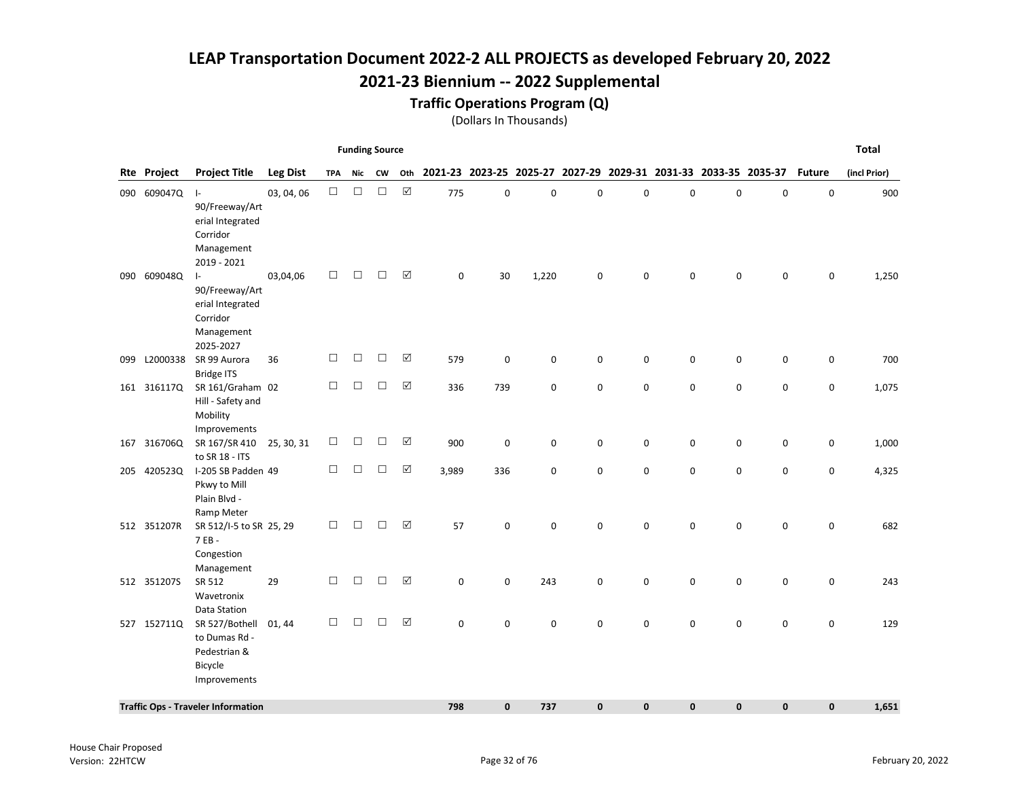## 2021-23 Biennium -- 2022 Supplemental

#### Traffic Operations Program (Q)

|     |             |                                                                                                       |                 |        | <b>Funding Source</b> |        |                      |                                                                     |             |       |             |           |              |             |              |               | <b>Total</b> |
|-----|-------------|-------------------------------------------------------------------------------------------------------|-----------------|--------|-----------------------|--------|----------------------|---------------------------------------------------------------------|-------------|-------|-------------|-----------|--------------|-------------|--------------|---------------|--------------|
|     | Rte Project | <b>Project Title</b>                                                                                  | <b>Leg Dist</b> | TPA    | Nic                   | CW     |                      | Oth 2021-23 2023-25 2025-27 2027-29 2029-31 2031-33 2033-35 2035-37 |             |       |             |           |              |             |              | <b>Future</b> | (incl Prior) |
|     | 090 609047Q | $\vert$ -<br>90/Freeway/Art<br>erial Integrated<br>Corridor<br>Management                             | 03, 04, 06      | $\Box$ | $\Box$                | $\Box$ | $\boxed{\text{V}}$   | 775                                                                 | $\pmb{0}$   | 0     | 0           | 0         | $\mathbf 0$  | $\pmb{0}$   | $\pmb{0}$    | $\mathsf 0$   | 900          |
|     | 090 609048Q | 2019 - 2021<br>$\vert$ -<br>90/Freeway/Art<br>erial Integrated<br>Corridor<br>Management<br>2025-2027 | 03,04,06        | $\Box$ | $\Box$                | □      | ☑                    | 0                                                                   | 30          | 1,220 | 0           | 0         | $\Omega$     | $\mathbf 0$ | 0            | 0             | 1,250        |
| 099 | L2000338    | SR 99 Aurora                                                                                          | 36              | $\Box$ | $\Box$                | $\Box$ | ☑                    | 579                                                                 | $\mathbf 0$ | 0     | 0           | 0         | 0            | 0           | 0            | 0             | 700          |
|     | 161 316117Q | <b>Bridge ITS</b><br>SR 161/Graham 02<br>Hill - Safety and<br>Mobility                                |                 | □      | $\Box$                | $\Box$ | $\Delta$             | 336                                                                 | 739         | 0     | 0           | 0         | $\mathbf 0$  | 0           | 0            | 0             | 1,075        |
|     | 167 316706Q | Improvements<br>SR 167/SR 410<br>to SR 18 - ITS                                                       | 25, 30, 31      | □      | $\Box$                | $\Box$ | ☑                    | 900                                                                 | $\pmb{0}$   | 0     | 0           | 0         | $\mathbf 0$  | 0           | 0            | 0             | 1,000        |
|     | 205 420523Q | I-205 SB Padden 49<br>Pkwy to Mill<br>Plain Blvd -<br>Ramp Meter                                      |                 | $\Box$ | $\Box$                | $\Box$ | $\boxed{\checkmark}$ | 3,989                                                               | 336         | 0     | $\mathbf 0$ | 0         | $\mathbf 0$  | $\mathbf 0$ | 0            | 0             | 4,325        |
|     | 512 351207R | SR 512/I-5 to SR 25, 29<br>7 EB -<br>Congestion                                                       |                 | □      | $\Box$                | $\Box$ | ☑                    | 57                                                                  | $\pmb{0}$   | 0     | 0           | 0         | $\mathbf 0$  | $\mathbf 0$ | 0            | 0             | 682          |
|     | 512 3512075 | Management<br>SR 512<br>Wavetronix<br>Data Station                                                    | 29              | $\Box$ | $\Box$                | □      | ☑                    | 0                                                                   | 0           | 243   | 0           | 0         | $\mathbf 0$  | $\mathbf 0$ | 0            | 0             | 243          |
|     | 527 1527110 | SR 527/Bothell<br>to Dumas Rd -<br>Pedestrian &<br>Bicycle<br>Improvements                            | 01, 44          | □      | $\Box$                | П      | ☑                    | $\Omega$                                                            | $\mathbf 0$ | 0     | $\mathbf 0$ | 0         | $\mathbf 0$  | $\mathbf 0$ | 0            | 0             | 129          |
|     |             | <b>Traffic Ops - Traveler Information</b>                                                             |                 |        |                       |        |                      | 798                                                                 | $\mathbf 0$ | 737   | $\mathbf 0$ | $\pmb{0}$ | $\mathbf{0}$ | $\bf{0}$    | $\mathbf{0}$ | 0             | 1,651        |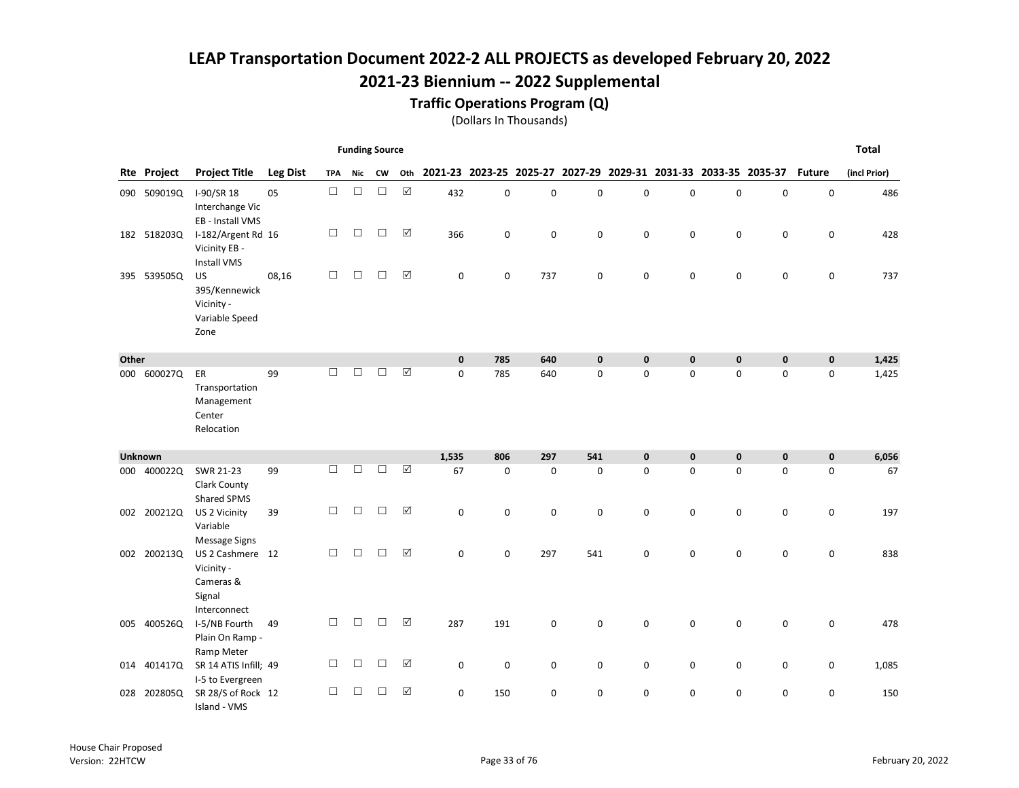### Traffic Operations Program (Q)

|       |                |                                                                       |                 |            | <b>Funding Source</b> |           |                      |              |                                                                 |             |             |             |              |             |             |               | <b>Total</b> |
|-------|----------------|-----------------------------------------------------------------------|-----------------|------------|-----------------------|-----------|----------------------|--------------|-----------------------------------------------------------------|-------------|-------------|-------------|--------------|-------------|-------------|---------------|--------------|
|       | Rte Project    | <b>Project Title</b>                                                  | <b>Leg Dist</b> | <b>TPA</b> | Nic                   | <b>CW</b> | Oth                  |              | 2021-23 2023-25 2025-27 2027-29 2029-31 2031-33 2033-35 2035-37 |             |             |             |              |             |             | <b>Future</b> | (incl Prior) |
|       | 090 509019Q    | I-90/SR 18<br>Interchange Vic<br>EB - Install VMS                     | 05              | $\Box$     | $\Box$                | $\Box$    | $\boxed{\checkmark}$ | 432          | $\pmb{0}$                                                       | $\pmb{0}$   | 0           | 0           | $\mathbf 0$  | $\mathbf 0$ | $\mathbf 0$ | $\mathbf 0$   | 486          |
|       | 182 518203Q    | I-182/Argent Rd 16<br>Vicinity EB -<br><b>Install VMS</b>             |                 | □          | $\Box$                | $\Box$    | $\triangledown$      | 366          | 0                                                               | 0           | 0           | 0           | 0            | 0           | 0           | 0             | 428          |
|       | 395 539505Q    | <b>US</b><br>395/Kennewick<br>Vicinity -<br>Variable Speed<br>Zone    | 08,16           | $\Box$     | $\Box$                | $\Box$    | ☑                    | 0            | 0                                                               | 737         | 0           | 0           | $\mathbf 0$  | $\mathbf 0$ | $\mathbf 0$ | 0             | 737          |
| Other |                |                                                                       |                 |            |                       |           |                      | $\mathbf{0}$ | 785                                                             | 640         | $\mathbf 0$ | $\mathbf 0$ | $\mathbf{0}$ | $\bf{0}$    | $\mathbf 0$ | $\mathbf 0$   | 1,425        |
|       | 000 600027Q    | ER<br>Transportation<br>Management<br>Center<br>Relocation            | 99              | □          | $\Box$                | $\Box$    | $\boxed{\checkmark}$ | $\mathbf 0$  | 785                                                             | 640         | 0           | 0           | $\mathbf 0$  | 0           | $\mathbf 0$ | 0             | 1,425        |
|       | <b>Unknown</b> |                                                                       |                 |            |                       |           |                      | 1,535        | 806                                                             | 297         | 541         | $\pmb{0}$   | $\mathbf{0}$ | $\bf{0}$    | $\mathbf 0$ | $\mathbf 0$   | 6,056        |
|       | 000 400022Q    | SWR 21-23<br>Clark County<br>Shared SPMS                              | 99              | П          | □                     | $\Box$    | ☑                    | 67           | $\mathbf 0$                                                     | $\mathbf 0$ | $\mathbf 0$ | 0           | $\mathbf 0$  | $\Omega$    | $\mathbf 0$ | 0             | 67           |
|       | 002 200212Q    | US 2 Vicinity<br>Variable<br>Message Signs                            | 39              | □          | $\Box$                | $\Box$    | ☑                    | $\mathbf 0$  | 0                                                               | 0           | 0           | $\mathbf 0$ | $\mathbf 0$  | 0           | 0           | $\mathbf 0$   | 197          |
|       | 002 200213Q    | US 2 Cashmere 12<br>Vicinity -<br>Cameras &<br>Signal<br>Interconnect |                 | □          | $\Box$                | $\Box$    | ☑                    | $\mathbf 0$  | $\mathbf 0$                                                     | 297         | 541         | 0           | 0            | $\mathbf 0$ | $\mathbf 0$ | 0             | 838          |
|       | 005 400526Q    | I-5/NB Fourth<br>Plain On Ramp -<br>Ramp Meter                        | 49              | □          | $\Box$                | $\Box$    | ☑                    | 287          | 191                                                             | 0           | 0           | 0           | $\mathbf 0$  | 0           | 0           | 0             | 478          |
|       | 014 401417Q    | SR 14 ATIS Infill; 49<br>I-5 to Evergreen                             |                 | □          | $\Box$                | $\Box$    | $\triangledown$      | 0            | $\pmb{0}$                                                       | 0           | 0           | 0           | 0            | 0           | 0           | 0             | 1,085        |
|       | 028 202805Q    | SR 28/S of Rock 12<br>Island - VMS                                    |                 | □          | $\Box$                | □         | $\boxed{\checkmark}$ | 0            | 150                                                             | 0           | $\mathbf 0$ | 0           | $\mathbf 0$  | $\mathbf 0$ | $\mathbf 0$ | 0             | 150          |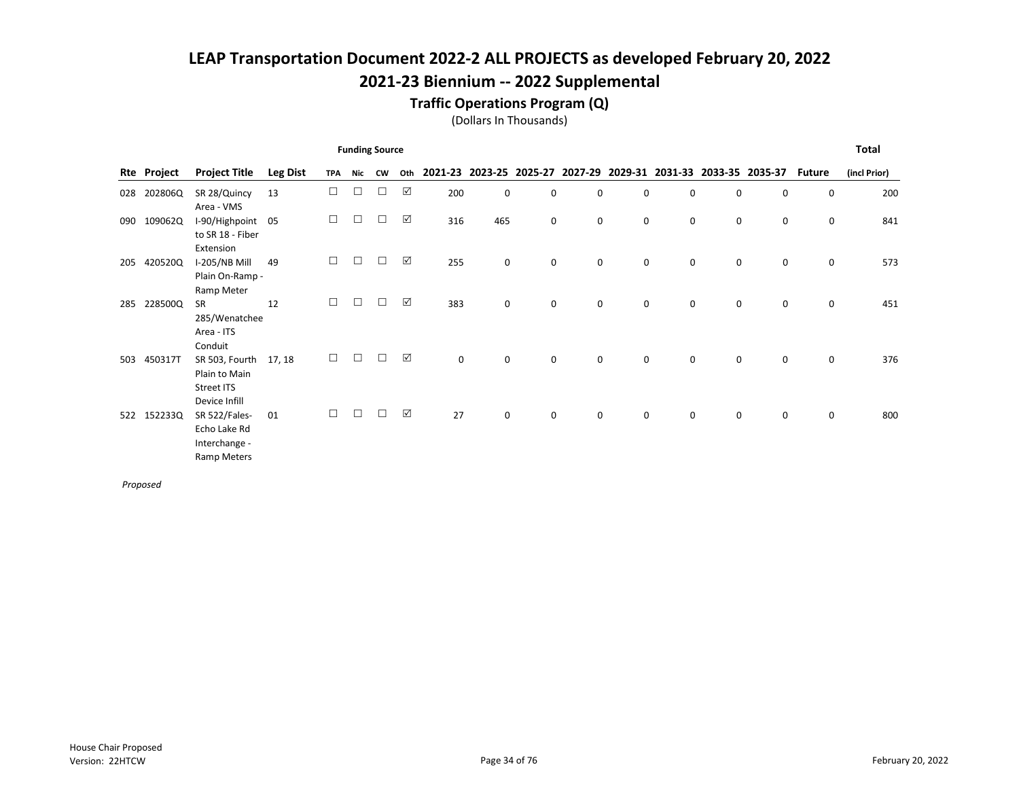#### Traffic Operations Program (Q)

(Dollars In Thousands)

|     |         |                                                                                              |                 |            |        | <b>Funding Source</b> |     |             |             |             |             |             |                                                                 |             |   |               | <b>Total</b> |
|-----|---------|----------------------------------------------------------------------------------------------|-----------------|------------|--------|-----------------------|-----|-------------|-------------|-------------|-------------|-------------|-----------------------------------------------------------------|-------------|---|---------------|--------------|
| Rte | Project | <b>Project Title</b>                                                                         | <b>Leg Dist</b> | <b>TPA</b> | Nic    | <b>CW</b>             | Oth |             |             |             |             |             | 2021-23 2023-25 2025-27 2027-29 2029-31 2031-33 2033-35 2035-37 |             |   | <b>Future</b> | (incl Prior) |
| 028 | 202806Q | SR 28/Quincy<br>Area - VMS                                                                   | 13              | $\Box$     | $\Box$ |                       | ☑   | 200         | $\mathbf 0$ | 0           | 0           | 0           | $\mathbf 0$                                                     | $\mathbf 0$ | 0 | $\mathbf 0$   | 200          |
| 090 | 109062Q | I-90/Highpoint 05<br>to SR 18 - Fiber                                                        |                 | □          | $\Box$ | П                     | ☑   | 316         | 465         | $\mathbf 0$ | 0           | 0           | 0                                                               | 0           | 0 | 0             | 841          |
| 205 | 420520Q | Extension<br>I-205/NB Mill<br>Plain On-Ramp -                                                | 49              | □          | П      |                       | ☑   | 255         | 0           | $\mathbf 0$ | 0           | 0           | 0                                                               | 0           | 0 | 0             | 573          |
| 285 | 228500Q | Ramp Meter<br><b>SR</b><br>285/Wenatchee                                                     | 12              | □          | ┐      |                       | ☑   | 383         | 0           | 0           | 0           | 0           | $\mathbf 0$                                                     | $\mathbf 0$ | 0 | 0             | 451          |
| 503 | 450317T | Area - ITS<br>Conduit<br>SR 503, Fourth<br>Plain to Main                                     | 17, 18          | $\Box$     | $\Box$ | $\Box$                | ☑   | $\mathbf 0$ | 0           | 0           | $\mathbf 0$ | 0           | 0                                                               | 0           | 0 | 0             | 376          |
| 522 | 152233Q | Street ITS<br>Device Infill<br>SR 522/Fales-<br>Echo Lake Rd<br>Interchange -<br>Ramp Meters | 01              | $\Box$     | П      |                       | ☑   | 27          | 0           | $\mathbf 0$ | $\mathbf 0$ | $\mathbf 0$ | $\mathbf 0$                                                     | $\Omega$    | 0 | $\mathbf 0$   | 800          |

Proposed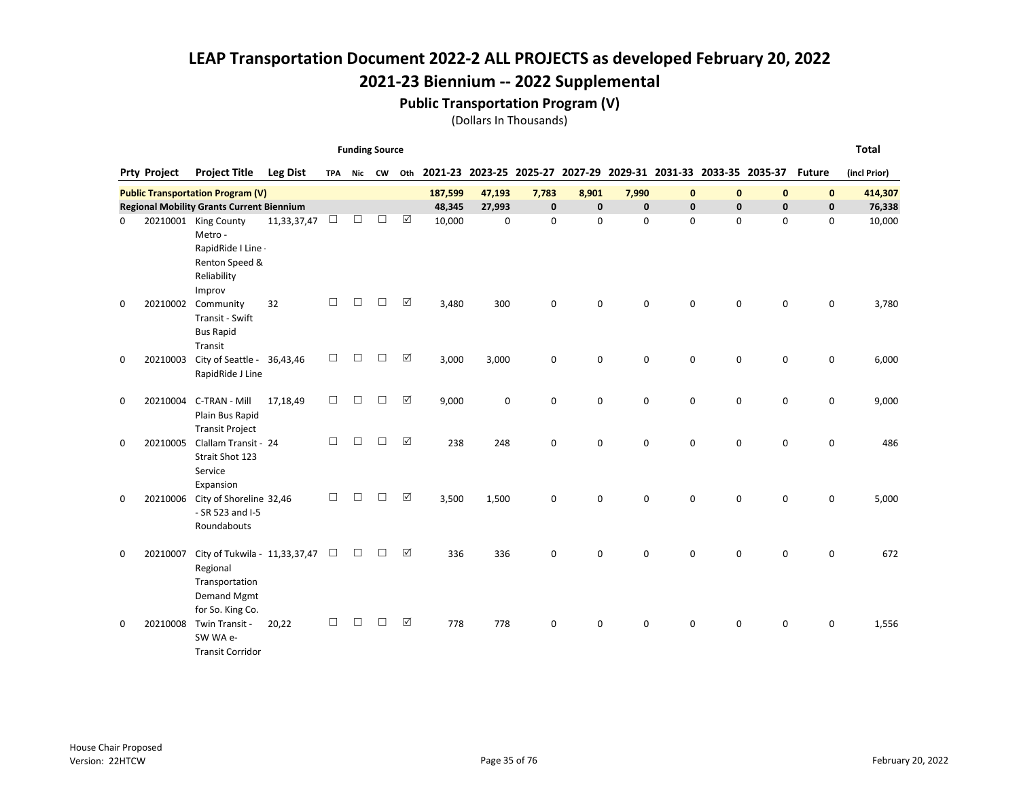#### Public Transportation Program (V)

(Dollars In Thousands)

Funding Source

|             | <b>Prty Project</b> | <b>Project Title</b>                                                                   | Leg Dist    | <b>TPA</b> | Nic    | <b>CW</b> | Oth |         | 2021-23 2023-25 2025-27 |              | 2027-29 2029-31 2031-33 2033-35 2035-37 |             |              |              |              | <b>Future</b> | (incl Prior) |
|-------------|---------------------|----------------------------------------------------------------------------------------|-------------|------------|--------|-----------|-----|---------|-------------------------|--------------|-----------------------------------------|-------------|--------------|--------------|--------------|---------------|--------------|
|             |                     |                                                                                        |             |            |        |           |     |         |                         |              |                                         |             |              |              |              |               |              |
|             |                     | <b>Public Transportation Program (V)</b>                                               |             |            |        |           |     | 187,599 | 47,193                  | 7,783        | 8,901                                   | 7,990       | $\mathbf{0}$ | $\mathbf{0}$ | $\mathbf{0}$ | $\mathbf{0}$  | 414,307      |
|             |                     | <b>Regional Mobility Grants Current Biennium</b>                                       |             |            |        |           |     | 48,345  | 27,993                  | $\mathbf{0}$ | $\mathbf 0$                             | $\mathbf 0$ | $\mathbf{0}$ | $\mathbf{0}$ | $\mathbf{0}$ | $\mathbf 0$   | 76,338       |
| 0           |                     | 20210001 King County<br>Metro -<br>RapidRide I Line -<br>Renton Speed &<br>Reliability | 11,33,37,47 | $\Box$     | П      | П         | ☑   | 10,000  | 0                       | $\mathbf 0$  | 0                                       | $\mathbf 0$ | 0            | $\mathbf 0$  | $\mathbf 0$  | 0             | 10,000       |
|             |                     | Improv                                                                                 |             |            |        |           |     |         |                         |              |                                         |             |              |              |              |               |              |
| 0           | 20210002            | Community<br>Transit - Swift<br><b>Bus Rapid</b><br>Transit                            | 32          | □          | □      | П         | ☑   | 3,480   | 300                     | $\mathbf 0$  | 0                                       | $\mathbf 0$ | 0            | $\mathbf 0$  | 0            | 0             | 3,780        |
| $\mathbf 0$ | 20210003            | City of Seattle - 36,43,46<br>RapidRide J Line                                         |             | $\Box$     | $\Box$ | $\Box$    | ☑   | 3,000   | 3,000                   | 0            | 0                                       | $\mathbf 0$ | 0            | 0            | $\mathbf 0$  | 0             | 6,000        |
| $\mathbf 0$ | 20210004            | C-TRAN - Mill<br>Plain Bus Rapid                                                       | 17,18,49    | $\Box$     | $\Box$ | $\Box$    | ☑   | 9,000   | 0                       | $\mathbf 0$  | 0                                       | $\Omega$    | $\Omega$     | $\mathbf 0$  | $\mathbf 0$  | $\mathbf 0$   | 9,000        |
| 0           | 20210005            | <b>Transit Project</b><br>Clallam Transit - 24<br>Strait Shot 123<br>Service           |             | П          | □      | $\Box$    | ☑   | 238     | 248                     | $\Omega$     | 0                                       | $\Omega$    | $\Omega$     | $\Omega$     | $\Omega$     | $\mathbf 0$   | 486          |
| 0           | 20210006            | Expansion<br>City of Shoreline 32,46<br>- SR 523 and I-5<br>Roundabouts                |             | П          | П      | П         | ☑   | 3,500   | 1,500                   | $\mathbf 0$  | $\mathbf 0$                             | $\Omega$    | $\Omega$     | $\Omega$     | $\Omega$     | 0             | 5,000        |
| 0           | 20210007            | City of Tukwila - 11,33,37,47<br>Regional<br>Transportation<br>Demand Mgmt             |             | $\Box$     | □      | П         | ☑   | 336     | 336                     | 0            | 0                                       | $\Omega$    | $\Omega$     | 0            | 0            | $\mathbf 0$   | 672          |
| 0           | 20210008            | for So. King Co.<br>Twin Transit -<br>SW WA e-<br><b>Transit Corridor</b>              | 20,22       | П          |        |           | ☑   | 778     | 778                     | $\mathbf 0$  | 0                                       | 0           | 0            | 0            | 0            | 0             | 1,556        |

Total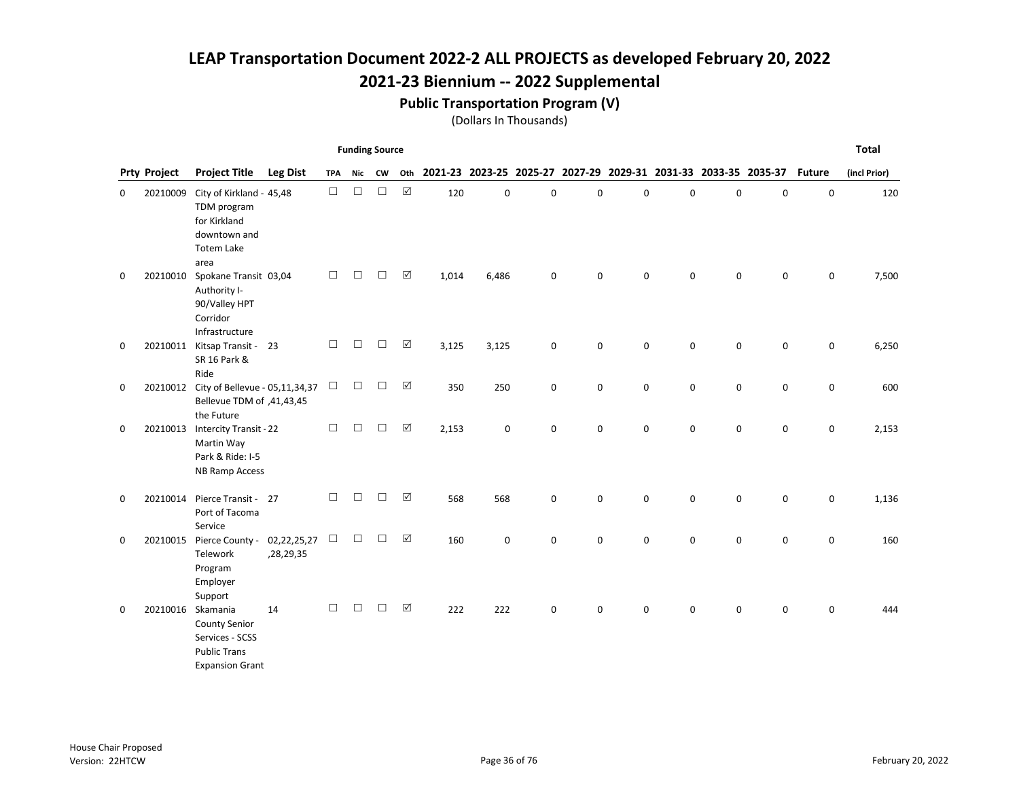## 2021-23 Biennium -- 2022 Supplemental

#### Public Transportation Program (V)

|   |                     |                                                                                                      |                          |            | <b>Funding Source</b> |        |             |       |       |             |                                                                 |             |             |             |             |               | <b>Total</b> |
|---|---------------------|------------------------------------------------------------------------------------------------------|--------------------------|------------|-----------------------|--------|-------------|-------|-------|-------------|-----------------------------------------------------------------|-------------|-------------|-------------|-------------|---------------|--------------|
|   | <b>Prty Project</b> | <b>Project Title</b>                                                                                 | <b>Leg Dist</b>          | <b>TPA</b> | Nic                   | CW     | Oth         |       |       |             | 2021-23 2023-25 2025-27 2027-29 2029-31 2031-33 2033-35 2035-37 |             |             |             |             | <b>Future</b> | (incl Prior) |
| 0 | 20210009            | City of Kirkland - 45,48<br>TDM program<br>for Kirkland<br>downtown and<br><b>Totem Lake</b><br>area |                          | $\Box$     | $\Box$                | $\Box$ | $\boxtimes$ | 120   | 0     | $\mathbf 0$ | 0                                                               | 0           | $\Omega$    | $\mathbf 0$ | 0           | 0             | 120          |
| 0 | 20210010            | Spokane Transit 03,04<br>Authority I-<br>90/Valley HPT<br>Corridor<br>Infrastructure                 |                          | $\Box$     | □                     | $\Box$ | ☑           | 1,014 | 6,486 | $\mathbf 0$ | 0                                                               | 0           | $\mathbf 0$ | $\mathbf 0$ | $\pmb{0}$   | 0             | 7,500        |
| 0 |                     | 20210011 Kitsap Transit - 23<br>SR 16 Park &<br>Ride                                                 |                          | $\Box$     | $\Box$                | $\Box$ | ☑           | 3,125 | 3,125 | 0           | $\mathbf 0$                                                     | $\mathbf 0$ | $\mathbf 0$ | $\mathbf 0$ | $\mathbf 0$ | 0             | 6,250        |
| 0 | 20210012            | City of Bellevue - 05,11,34,37<br>Bellevue TDM of ,41,43,45<br>the Future                            |                          | $\Box$     | $\Box$                | $\Box$ | ☑           | 350   | 250   | $\mathbf 0$ | 0                                                               | $\mathbf 0$ | $\mathbf 0$ | $\mathbf 0$ | $\mathbf 0$ | 0             | 600          |
| 0 | 20210013            | Intercity Transit - 22<br>Martin Way<br>Park & Ride: I-5<br><b>NB Ramp Access</b>                    |                          | $\Box$     | $\Box$                | $\Box$ | $\boxtimes$ | 2,153 | 0     | $\mathbf 0$ | 0                                                               | $\mathbf 0$ | $\mathbf 0$ | 0           | 0           | 0             | 2,153        |
| 0 | 20210014            | Pierce Transit - 27<br>Port of Tacoma<br>Service                                                     |                          | $\Box$     | $\Box$                | $\Box$ | ☑           | 568   | 568   | $\mathsf 0$ | 0                                                               | 0           | 0           | 0           | 0           | 0             | 1,136        |
| 0 | 20210015            | Pierce County -<br>Telework<br>Program<br>Employer<br>Support                                        | 02,22,25,27<br>,28,29,35 | $\Box$     | $\Box$                | $\Box$ | ☑           | 160   | 0     | 0           | 0                                                               | $\mathbf 0$ | 0           | $\mathbf 0$ | 0           | 0             | 160          |
| 0 | 20210016            | Skamania<br><b>County Senior</b><br>Services - SCSS<br><b>Public Trans</b><br><b>Expansion Grant</b> | 14                       | $\Box$     | $\Box$                | $\Box$ | ☑           | 222   | 222   | $\mathsf 0$ | 0                                                               | 0           | 0           | 0           | 0           | 0             | 444          |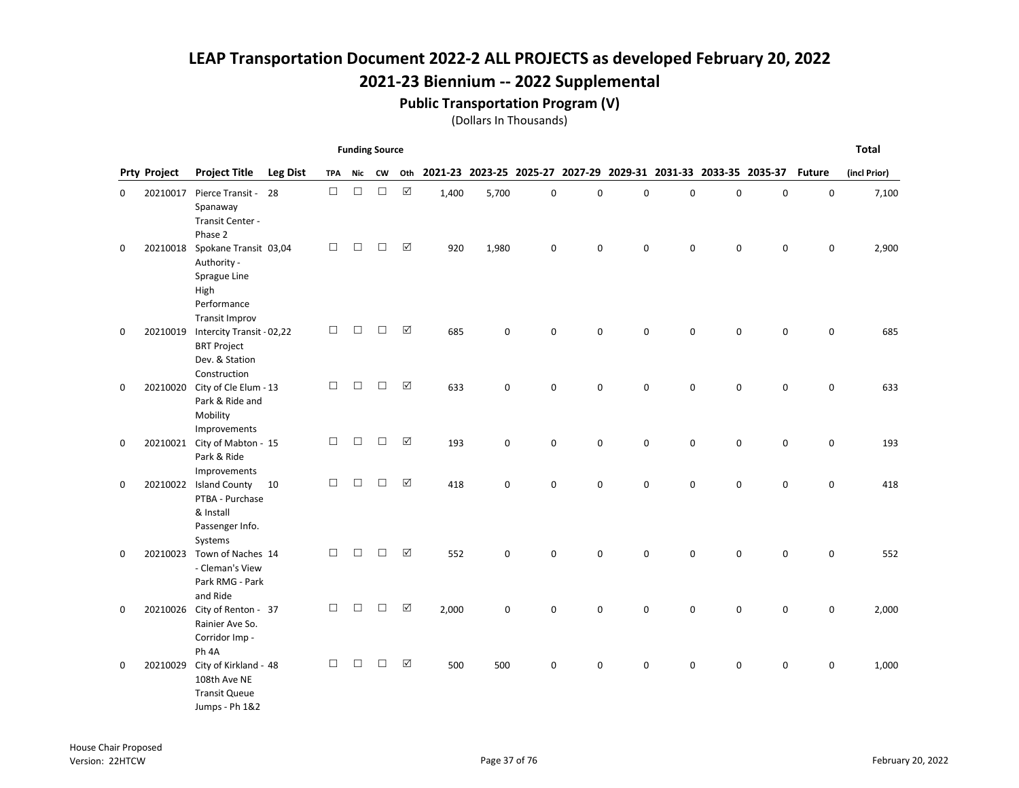#### Public Transportation Program (V)

|   |                     |                                                                                                      |                 |            | <b>Funding Source</b> |           |                      |       |                                                                 |             |   |             |              |             |           |               | <b>Total</b> |
|---|---------------------|------------------------------------------------------------------------------------------------------|-----------------|------------|-----------------------|-----------|----------------------|-------|-----------------------------------------------------------------|-------------|---|-------------|--------------|-------------|-----------|---------------|--------------|
|   | <b>Prty Project</b> | <b>Project Title</b>                                                                                 | <b>Leg Dist</b> | <b>TPA</b> | Nic                   | <b>CW</b> | Oth                  |       | 2021-23 2023-25 2025-27 2027-29 2029-31 2031-33 2033-35 2035-37 |             |   |             |              |             |           | <b>Future</b> | (incl Prior) |
| 0 | 20210017            | Pierce Transit -<br>Spanaway<br>Transit Center -<br>Phase 2                                          | 28              | $\Box$     | $\Box$                | $\Box$    | $\boxed{\text{V}}$   | 1,400 | 5,700                                                           | $\pmb{0}$   | 0 | $\mathsf 0$ | $\mathbf 0$  | $\mathsf 0$ | $\pmb{0}$ | $\mathbf 0$   | 7,100        |
| 0 | 20210018            | Spokane Transit 03,04<br>Authority -<br>Sprague Line<br>High<br>Performance<br><b>Transit Improv</b> |                 | $\Box$     | $\Box$                | □         | $\boxed{\checkmark}$ | 920   | 1,980                                                           | 0           | 0 | $\pmb{0}$   | 0            | 0           | 0         | 0             | 2,900        |
| 0 | 20210019            | Intercity Transit - 02,22<br><b>BRT Project</b><br>Dev. & Station<br>Construction                    |                 | $\Box$     | □                     | □         | ☑                    | 685   | 0                                                               | $\mathbf 0$ | 0 | $\mathbf 0$ | 0            | 0           | 0         | $\mathbf 0$   | 685          |
| 0 | 20210020            | City of Cle Elum - 13<br>Park & Ride and<br>Mobility<br>Improvements                                 |                 | $\Box$     | $\Box$                | $\Box$    | $\boxtimes$          | 633   | 0                                                               | $\mathbf 0$ | 0 | $\mathbf 0$ | 0            | 0           | 0         | 0             | 633          |
| 0 |                     | 20210021 City of Mabton - 15<br>Park & Ride<br>Improvements                                          |                 | $\Box$     | $\Box$                | $\Box$    | $\boxed{\checkmark}$ | 193   | 0                                                               | $\mathbf 0$ | 0 | $\mathbf 0$ | 0            | 0           | 0         | 0             | 193          |
| 0 | 20210022            | <b>Island County</b><br>PTBA - Purchase<br>& Install<br>Passenger Info.<br>Systems                   | 10              | $\Box$     | □                     | □         | ☑                    | 418   | 0                                                               | $\mathbf 0$ | 0 | $\mathbf 0$ | 0            | 0           | 0         | 0             | 418          |
| 0 | 20210023            | Town of Naches 14<br>- Cleman's View<br>Park RMG - Park<br>and Ride                                  |                 | $\Box$     | $\Box$                | $\Box$    | $\boxed{\checkmark}$ | 552   | 0                                                               | 0           | 0 | $\mathbf 0$ | 0            | 0           | 0         | 0             | 552          |
| 0 | 20210026            | City of Renton - 37<br>Rainier Ave So.<br>Corridor Imp -<br>Ph 4A                                    |                 | $\Box$     | П                     | □         | $\boxtimes$          | 2,000 | 0                                                               | $\mathbf 0$ | 0 | $\mathbf 0$ | $\mathbf{0}$ | $\mathbf 0$ | 0         | 0             | 2,000        |
| 0 | 20210029            | City of Kirkland - 48<br>108th Ave NE<br><b>Transit Queue</b><br>Jumps - Ph 1&2                      |                 | $\Box$     | □                     | □         | $\boxed{\checkmark}$ | 500   | 500                                                             | $\mathbf 0$ | 0 | 0           | 0            | 0           | 0         | 0             | 1,000        |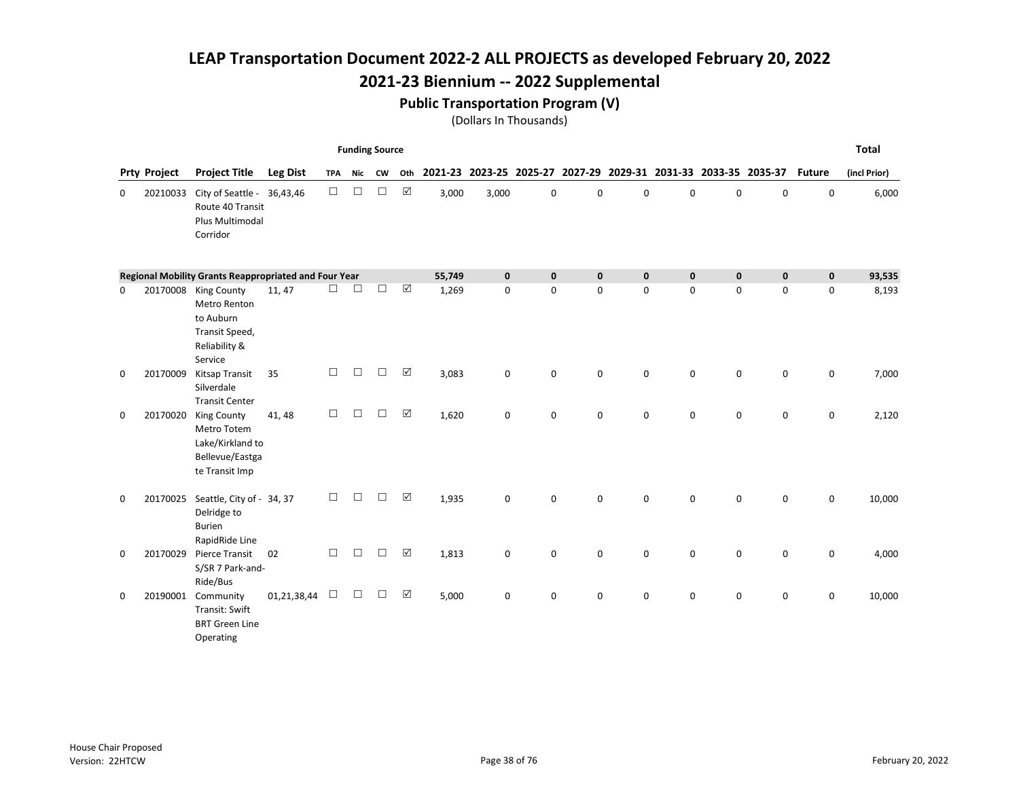### 2021-23 Biennium -- 2022 Supplemental

#### Public Transportation Program (V)

|          |                     |                                                                                                 |                 |            | <b>Funding Source</b> |           |          |        |                         |             |             |             |              |                                         |             |               | <b>Total</b> |
|----------|---------------------|-------------------------------------------------------------------------------------------------|-----------------|------------|-----------------------|-----------|----------|--------|-------------------------|-------------|-------------|-------------|--------------|-----------------------------------------|-------------|---------------|--------------|
|          | <b>Prty Project</b> | <b>Project Title</b>                                                                            | <b>Leg Dist</b> | <b>TPA</b> | <b>Nic</b>            | <b>CW</b> | Oth      |        | 2021-23 2023-25 2025-27 |             |             |             |              | 2027-29 2029-31 2031-33 2033-35 2035-37 |             | <b>Future</b> | (incl Prior) |
| 0        | 20210033            | City of Seattle - 36,43,46<br>Route 40 Transit<br>Plus Multimodal<br>Corridor                   |                 | $\Box$     | $\Box$                | $\Box$    | ☑        | 3,000  | 3,000                   | $\mathsf 0$ | $\mathbf 0$ | 0           | 0            | 0                                       | 0           | 0             | 6,000        |
|          |                     | Regional Mobility Grants Reappropriated and Four Year                                           |                 |            |                       |           |          | 55,749 | $\pmb{0}$               | $\mathbf 0$ | $\pmb{0}$   | $\pmb{0}$   | $\mathbf{0}$ | $\mathbf 0$                             | $\mathbf 0$ | $\pmb{0}$     | 93,535       |
| 0        |                     | 20170008 King County<br>Metro Renton<br>to Auburn<br>Transit Speed,<br>Reliability &<br>Service | 11, 47          | □          | $\Box$                | $\Box$    | ☑        | 1,269  | $\mathbf 0$             | $\mathbf 0$ | 0           | $\mathbf 0$ | $\mathbf 0$  | $\mathbf 0$                             | $\mathbf 0$ | 0             | 8,193        |
| 0        | 20170009            | Kitsap Transit<br>Silverdale<br><b>Transit Center</b>                                           | 35              | $\Box$     | □                     | $\Box$    | ☑        | 3,083  | 0                       | 0           | 0           | 0           | $\mathbf 0$  | 0                                       | $\pmb{0}$   | 0             | 7,000        |
| 0        | 20170020            | <b>King County</b><br>Metro Totem<br>Lake/Kirkland to<br>Bellevue/Eastga<br>te Transit Imp      | 41, 48          | $\Box$     | □                     | $\Box$    | ☑        | 1,620  | 0                       | $\mathbf 0$ | 0           | $\mathbf 0$ | $\mathbf 0$  | $\mathbf 0$                             | 0           | 0             | 2,120        |
| 0        | 20170025            | Seattle, City of - 34, 37<br>Delridge to<br><b>Burien</b><br>RapidRide Line                     |                 | $\Box$     | П                     | П         | ☑        | 1,935  | 0                       | $\mathbf 0$ | $\mathbf 0$ | $\mathbf 0$ | $\Omega$     | $\mathbf 0$                             | 0           | 0             | 10,000       |
| $\Omega$ | 20170029            | <b>Pierce Transit</b><br>S/SR 7 Park-and-<br>Ride/Bus                                           | 02              | $\Box$     | □                     | $\Box$    | ☑        | 1,813  | 0                       | 0           | 0           | 0           | 0            | 0                                       | 0           | 0             | 4,000        |
| 0        | 20190001            | Community<br>Transit: Swift<br><b>BRT Green Line</b><br>Operating                               | 01,21,38,44     | □          | □                     | □         | $\Delta$ | 5,000  | 0                       | 0           | 0           | 0           | 0            | 0                                       | 0           | 0             | 10,000       |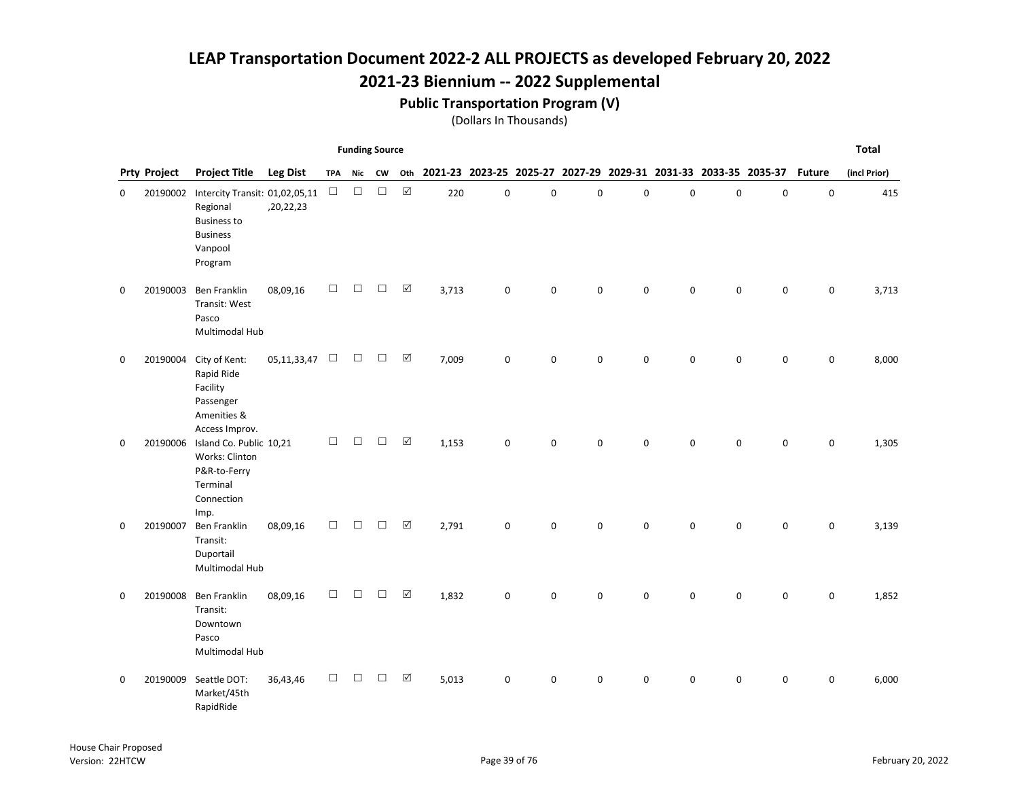### 2021-23 Biennium -- 2022 Supplemental

#### Public Transportation Program (V)

|   |                     |                                                                                                           |                 |            | <b>Funding Source</b> |        |                      |                                                                     |             |             |             |             |             |             |             |               | <b>Total</b> |
|---|---------------------|-----------------------------------------------------------------------------------------------------------|-----------------|------------|-----------------------|--------|----------------------|---------------------------------------------------------------------|-------------|-------------|-------------|-------------|-------------|-------------|-------------|---------------|--------------|
|   | <b>Prty Project</b> | <b>Project Title</b>                                                                                      | <b>Leg Dist</b> | <b>TPA</b> | Nic                   | CW     |                      | Oth 2021-23 2023-25 2025-27 2027-29 2029-31 2031-33 2033-35 2035-37 |             |             |             |             |             |             |             | <b>Future</b> | (incl Prior) |
| 0 | 20190002            | Intercity Transit: 01,02,05,11<br>Regional<br><b>Business to</b><br><b>Business</b><br>Vanpool<br>Program | ,20,22,23       | $\Box$     | $\Box$                | $\Box$ | $\boxed{\text{V}}$   | 220                                                                 | $\pmb{0}$   | $\mathsf 0$ | $\mathbf 0$ | $\mathsf 0$ | $\mathbf 0$ | $\mathsf 0$ | $\pmb{0}$   | $\mathsf 0$   | 415          |
| 0 | 20190003            | <b>Ben Franklin</b><br>Transit: West<br>Pasco<br>Multimodal Hub                                           | 08,09,16        | $\Box$     | П                     | П      | $\boxed{\checkmark}$ | 3,713                                                               | $\mathbf 0$ | $\Omega$    | $\mathbf 0$ | $\mathbf 0$ | $\Omega$    | $\mathbf 0$ | 0           | 0             | 3,713        |
| 0 |                     | 20190004 City of Kent:<br>Rapid Ride<br>Facility<br>Passenger<br>Amenities &<br>Access Improv.            | 05, 11, 33, 47  | $\Box$     | $\Box$                | $\Box$ | $\boxed{\checkmark}$ | 7,009                                                               | 0           | $\mathbf 0$ | $\mathbf 0$ | 0           | $\Omega$    | 0           | 0           | 0             | 8,000        |
| 0 | 20190006            | Island Co. Public 10,21<br>Works: Clinton<br>P&R-to-Ferry<br>Terminal<br>Connection<br>Imp.               |                 | $\Box$     | $\Box$                | П      | $\boxed{\checkmark}$ | 1,153                                                               | $\mathbf 0$ | $\Omega$    | $\mathbf 0$ | $\mathbf 0$ | $\Omega$    | $\mathbf 0$ | 0           | 0             | 1,305        |
| 0 | 20190007            | <b>Ben Franklin</b><br>Transit:<br>Duportail<br>Multimodal Hub                                            | 08,09,16        | $\Box$     | $\Box$                | П      | $\boxed{\checkmark}$ | 2,791                                                               | $\mathbf 0$ | $\mathbf 0$ | 0           | $\mathbf 0$ | 0           | $\mathbf 0$ | $\mathbf 0$ | 0             | 3,139        |
| 0 | 20190008            | Ben Franklin<br>Transit:<br>Downtown<br>Pasco<br>Multimodal Hub                                           | 08,09,16        | $\Box$     | $\Box$                | □      | $\boxed{\checkmark}$ | 1,832                                                               | 0           | $\mathbf 0$ | 0           | 0           | 0           | $\mathbf 0$ | 0           | 0             | 1,852        |
| 0 | 20190009            | Seattle DOT:<br>Market/45th<br>RapidRide                                                                  | 36,43,46        | □          | □                     | П      | $\Delta$             | 5,013                                                               | 0           | $\mathbf 0$ | 0           | $\mathbf 0$ | 0           | 0           | 0           | 0             | 6,000        |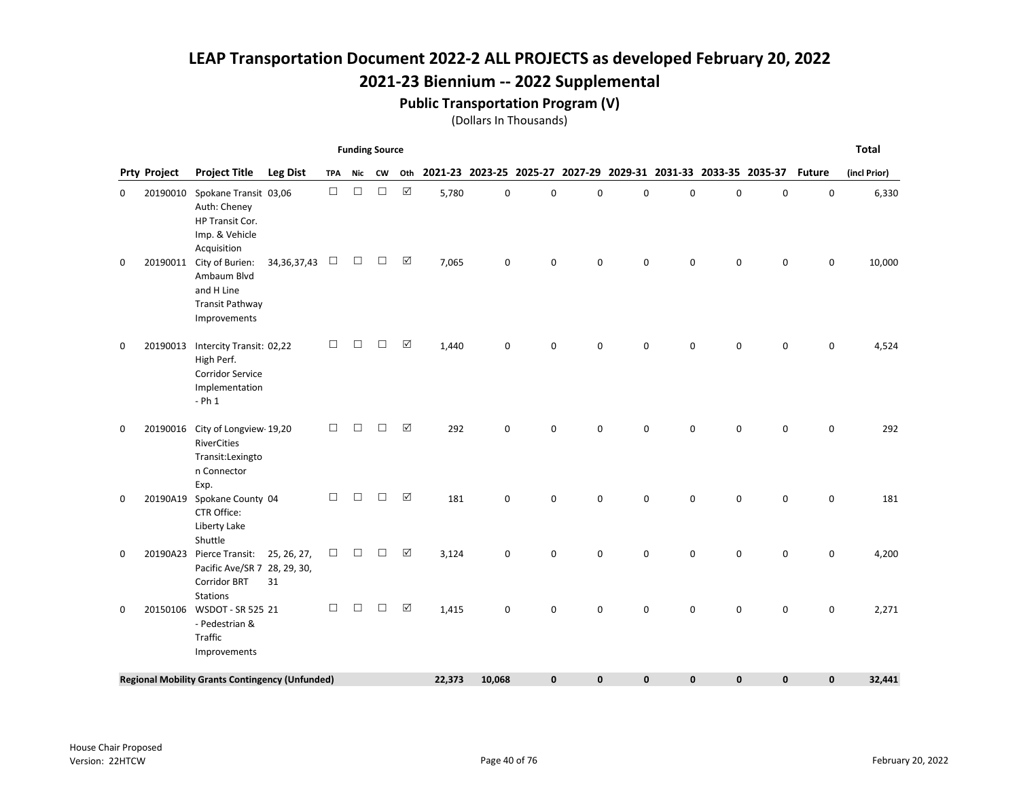## 2021-23 Biennium -- 2022 Supplemental

#### Public Transportation Program (V)

|   |                     |                                                                                                       |                 |            | <b>Funding Source</b> |        |                      |        |        |             |   |             |                                                                        |             |              |             | <b>Total</b> |
|---|---------------------|-------------------------------------------------------------------------------------------------------|-----------------|------------|-----------------------|--------|----------------------|--------|--------|-------------|---|-------------|------------------------------------------------------------------------|-------------|--------------|-------------|--------------|
|   | <b>Prty Project</b> | <b>Project Title</b>                                                                                  | <b>Leg Dist</b> | <b>TPA</b> | Nic                   | CW     | Oth                  |        |        |             |   |             | 2021-23 2023-25 2025-27 2027-29 2029-31 2031-33 2033-35 2035-37 Future |             |              |             | (incl Prior) |
| 0 | 20190010            | Spokane Transit 03,06<br>Auth: Cheney<br>HP Transit Cor.<br>Imp. & Vehicle<br>Acquisition             |                 | $\Box$     | $\Box$                | $\Box$ | ☑                    | 5,780  | 0      | 0           | 0 | 0           | $\mathbf 0$                                                            | $\mathbf 0$ | 0            | $\mathbf 0$ | 6,330        |
| 0 | 20190011            | City of Burien:<br>Ambaum Blvd<br>and H Line<br><b>Transit Pathway</b><br>Improvements                | 34, 36, 37, 43  | $\Box$     | $\Box$                | $\Box$ | ☑                    | 7,065  | 0      | 0           | 0 | 0           | $\mathbf 0$                                                            | 0           | 0            | 0           | 10,000       |
| 0 | 20190013            | Intercity Transit: 02,22<br>High Perf.<br><b>Corridor Service</b><br>Implementation<br>$- Ph1$        |                 | $\Box$     | $\Box$                | $\Box$ | ☑                    | 1,440  | 0      | 0           | 0 | 0           | $\mathbf 0$                                                            | 0           | 0            | 0           | 4,524        |
| 0 | 20190016            | City of Longview 19,20<br>RiverCities<br>Transit:Lexingto<br>n Connector<br>Exp.                      |                 | П          | □                     | □      | $\boxed{\mathbf{v}}$ | 292    | 0      | 0           | 0 | 0           | 0                                                                      | 0           | 0            | 0           | 292          |
| 0 | 20190A19            | Spokane County 04<br>CTR Office:<br>Liberty Lake<br>Shuttle                                           |                 | $\Box$     | □                     | □      | $\Delta$             | 181    | 0      | $\mathbf 0$ | 0 | 0           | $\Omega$                                                               | 0           | 0            | 0           | 181          |
| 0 | 20190A23            | Pierce Transit: 25, 26, 27,<br>Pacific Ave/SR 7 28, 29, 30,<br><b>Corridor BRT</b><br><b>Stations</b> | 31              | □          | □                     | □      | $\Delta$             | 3,124  | 0      | $\mathbf 0$ | 0 | $\mathbf 0$ | $\Omega$                                                               | $\mathbf 0$ | 0            | $\mathbf 0$ | 4,200        |
| 0 | 20150106            | WSDOT - SR 525 21<br>- Pedestrian &<br>Traffic<br>Improvements                                        |                 | $\Box$     | $\Box$                | $\Box$ | $\boxtimes$          | 1,415  | 0      | $\mathbf 0$ | 0 | 0           | $\Omega$                                                               | 0           | 0            | 0           | 2,271        |
|   |                     | <b>Regional Mobility Grants Contingency (Unfunded)</b>                                                |                 |            |                       |        |                      | 22,373 | 10,068 | $\mathbf 0$ | 0 | $\mathbf 0$ | $\mathbf{0}$                                                           | 0           | $\mathbf{0}$ | 0           | 32,441       |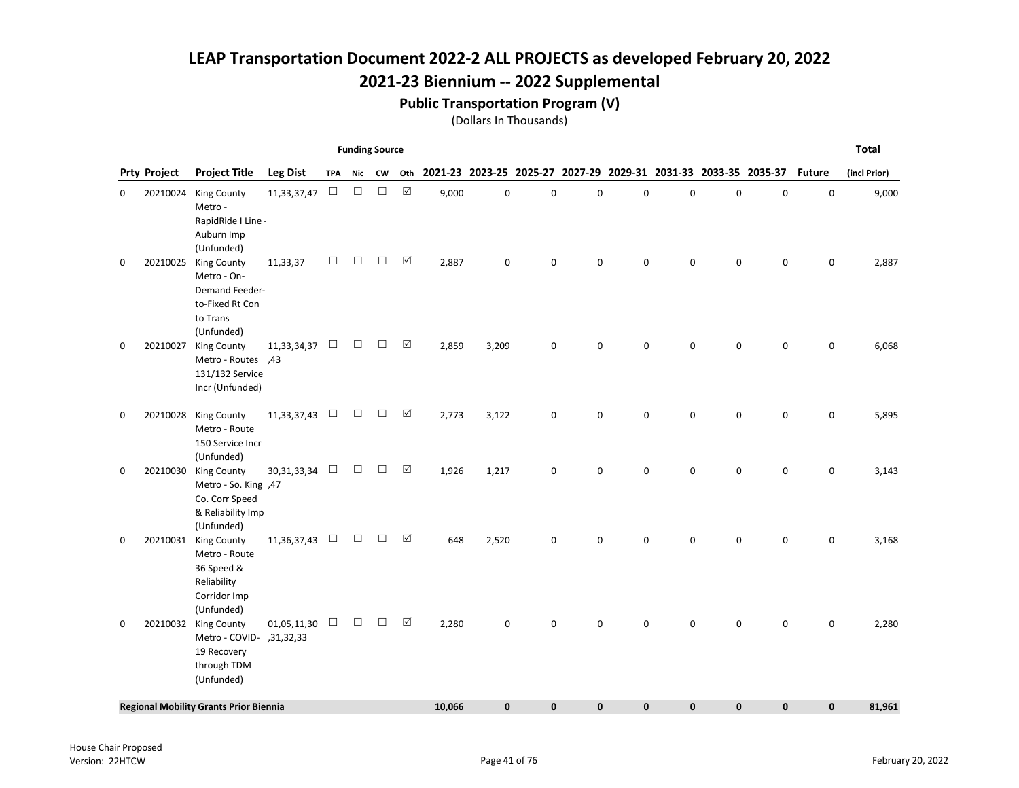### 2021-23 Biennium -- 2022 Supplemental

#### Public Transportation Program (V)

|          |                     |                                                                                                  |                 |            | <b>Funding Source</b> |        |                      |        |       |              |           |             |             |             |                                                                 |               | <b>Total</b> |
|----------|---------------------|--------------------------------------------------------------------------------------------------|-----------------|------------|-----------------------|--------|----------------------|--------|-------|--------------|-----------|-------------|-------------|-------------|-----------------------------------------------------------------|---------------|--------------|
|          | <b>Prty Project</b> | <b>Project Title</b>                                                                             | <b>Leg Dist</b> | <b>TPA</b> | Nic                   | CW     | Oth                  |        |       |              |           |             |             |             | 2021-23 2023-25 2025-27 2027-29 2029-31 2031-33 2033-35 2035-37 | <b>Future</b> | (incl Prior) |
| 0        | 20210024            | <b>King County</b><br>Metro -<br>RapidRide I Line -<br>Auburn Imp<br>(Unfunded)                  | 11,33,37,47     | $\Box$     | $\Box$                | $\Box$ | $\boxed{\checkmark}$ | 9,000  | 0     | $\mathbf 0$  | $\pmb{0}$ | 0           | $\mathbf 0$ | $\mathbf 0$ | $\mathbf 0$                                                     | 0             | 9,000        |
| 0        | 20210025            | <b>King County</b><br>Metro - On-<br>Demand Feeder-<br>to-Fixed Rt Con<br>to Trans<br>(Unfunded) | 11,33,37        | □          | $\Box$                | □      | ☑                    | 2,887  | 0     | $\pmb{0}$    | 0         | $\mathbf 0$ | 0           | $\pmb{0}$   | 0                                                               | 0             | 2,887        |
| 0        | 20210027            | <b>King County</b><br>A3, Metro - Routes<br>131/132 Service<br>Incr (Unfunded)                   | 11, 33, 34, 37  | $\Box$     | $\Box$                | $\Box$ | ☑                    | 2,859  | 3,209 | 0            | 0         | $\mathbf 0$ | 0           | $\mathbf 0$ | $\pmb{0}$                                                       | 0             | 6,068        |
| 0        | 20210028            | <b>King County</b><br>Metro - Route<br>150 Service Incr<br>(Unfunded)                            | 11,33,37,43     | $\Box$     | $\Box$                | $\Box$ | ☑                    | 2,773  | 3,122 | $\pmb{0}$    | 0         | $\mathbf 0$ | 0           | $\mathbf 0$ | 0                                                               | 0             | 5,895        |
| 0        | 20210030            | <b>King County</b><br>Metro - So. King ,47<br>Co. Corr Speed<br>& Reliability Imp<br>(Unfunded)  | 30, 31, 33, 34  | $\Box$     | $\Box$                | $\Box$ | ☑                    | 1,926  | 1,217 | 0            | 0         | 0           | 0           | 0           | 0                                                               | 0             | 3,143        |
| 0        | 20210031            | <b>King County</b><br>Metro - Route<br>36 Speed &<br>Reliability<br>Corridor Imp<br>(Unfunded)   | 11,36,37,43     | $\Box$     | $\Box$                | $\Box$ | ☑                    | 648    | 2,520 | 0            | 0         | $\mathbf 0$ | 0           | 0           | 0                                                               | 0             | 3,168        |
| $\Omega$ | 20210032            | <b>King County</b><br>Aletro - COVID- , 31, 32, 33<br>19 Recovery<br>through TDM<br>(Unfunded)   | 01,05,11,30     | $\Box$     | $\Box$                | $\Box$ | ☑                    | 2,280  | 0     | $\Omega$     | 0         | $\Omega$    | $\Omega$    | $\Omega$    | 0                                                               | 0             | 2,280        |
|          |                     | <b>Regional Mobility Grants Prior Biennia</b>                                                    |                 |            |                       |        |                      | 10,066 | 0     | $\mathbf{0}$ | 0         | $\mathbf 0$ | 0           | $\mathbf 0$ | 0                                                               | $\mathbf 0$   | 81,961       |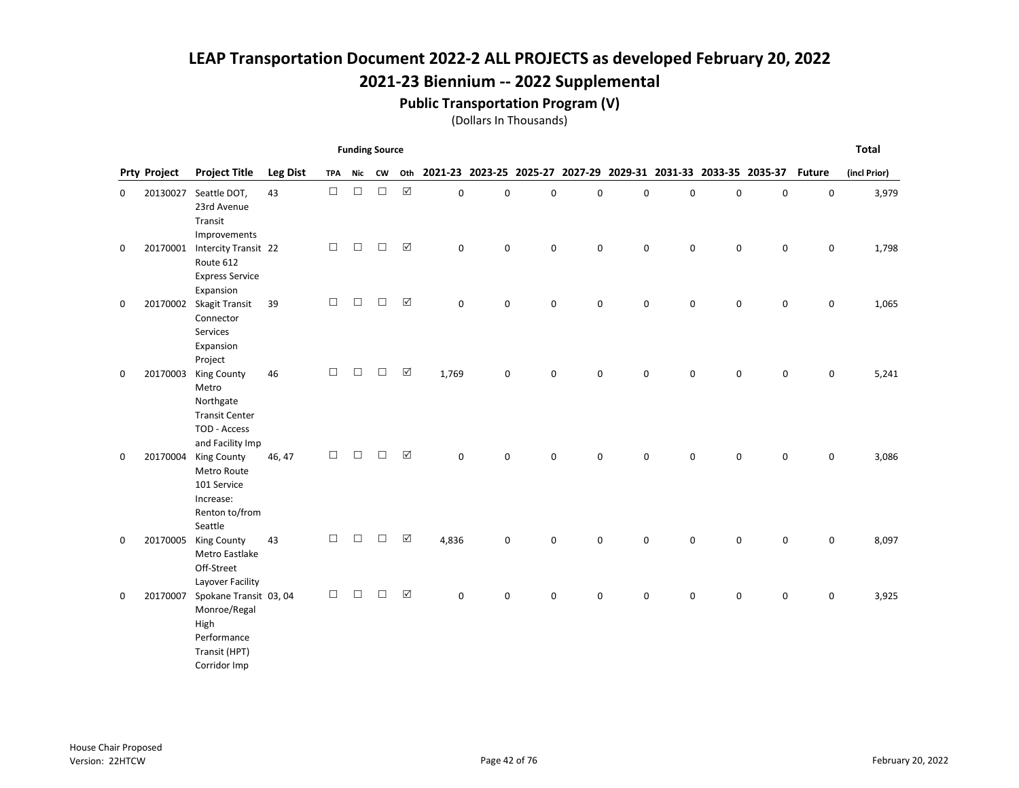#### Public Transportation Program (V)

|   |                     |                                                                                                       |                 |            | <b>Funding Source</b> |        |                      |                                                                        |             |             |   |             |             |             |             |                     | <b>Total</b> |
|---|---------------------|-------------------------------------------------------------------------------------------------------|-----------------|------------|-----------------------|--------|----------------------|------------------------------------------------------------------------|-------------|-------------|---|-------------|-------------|-------------|-------------|---------------------|--------------|
|   | <b>Prty Project</b> | <b>Project Title</b>                                                                                  | <b>Leg Dist</b> | <b>TPA</b> | Nic                   | CW     | Oth                  | 2021-23 2023-25 2025-27 2027-29 2029-31 2031-33 2033-35 2035-37 Future |             |             |   |             |             |             |             |                     | (incl Prior) |
| 0 |                     | 20130027 Seattle DOT,<br>23rd Avenue<br>Transit<br>Improvements                                       | 43              | $\Box$     | $\Box$                | $\Box$ | $\boxtimes$          | $\mathbf 0$                                                            | 0           | 0           | 0 | $\pmb{0}$   | $\mathbf 0$ | $\pmb{0}$   | $\mathbf 0$ | $\mathbf 0$         | 3,979        |
| 0 |                     | 20170001 Intercity Transit 22<br>Route 612<br><b>Express Service</b><br>Expansion                     |                 | $\Box$     | $\Box$                | $\Box$ | $\boxtimes$          | $\mathbf 0$                                                            | $\mathbf 0$ | $\mathsf 0$ | 0 | $\mathsf 0$ | $\mathbf 0$ | $\mathbf 0$ | $\pmb{0}$   | $\pmb{0}$           | 1,798        |
| 0 | 20170002            | Skagit Transit<br>Connector<br>Services<br>Expansion<br>Project                                       | 39              | $\Box$     | $\Box$                | $\Box$ | $\boxtimes$          | $\mathbf 0$                                                            | 0           | 0           | 0 | 0           | 0           | $\mathsf 0$ | $\mathbf 0$ | $\mathsf{O}\xspace$ | 1,065        |
| 0 | 20170003            | <b>King County</b><br>Metro<br>Northgate<br><b>Transit Center</b><br>TOD - Access<br>and Facility Imp | 46              | $\Box$     | $\Box$                | $\Box$ | $\boxtimes$          | 1,769                                                                  | 0           | $\mathbf 0$ | 0 | $\mathbf 0$ | $\Omega$    | $\mathbf 0$ | $\mathbf 0$ | $\mathsf 0$         | 5,241        |
| 0 | 20170004            | <b>King County</b><br>Metro Route<br>101 Service<br>Increase:<br>Renton to/from<br>Seattle            | 46, 47          | $\Box$     | $\Box$                | $\Box$ | ☑                    | $\mathbf 0$                                                            | 0           | 0           | 0 | $\mathbf 0$ | $\mathbf 0$ | $\pmb{0}$   | 0           | $\mathsf{O}\xspace$ | 3,086        |
| 0 | 20170005            | <b>King County</b><br>Metro Eastlake<br>Off-Street<br>Layover Facility                                | 43              | $\Box$     | $\Box$                | $\Box$ | $\boxed{\mathsf{v}}$ | 4,836                                                                  | 0           | $\mathbf 0$ | 0 | $\mathbf 0$ | $\Omega$    | $\mathbf 0$ | 0           | 0                   | 8,097        |
| 0 | 20170007            | Spokane Transit 03, 04<br>Monroe/Regal<br>High<br>Performance<br>Transit (HPT)<br>Corridor Imp        |                 | $\Box$     | □                     | □      | $\boxtimes$          | $\mathbf 0$                                                            | 0           | $\mathbf 0$ | 0 | $\mathbf 0$ | $\mathbf 0$ | $\mathbf 0$ | 0           | $\mathbf 0$         | 3,925        |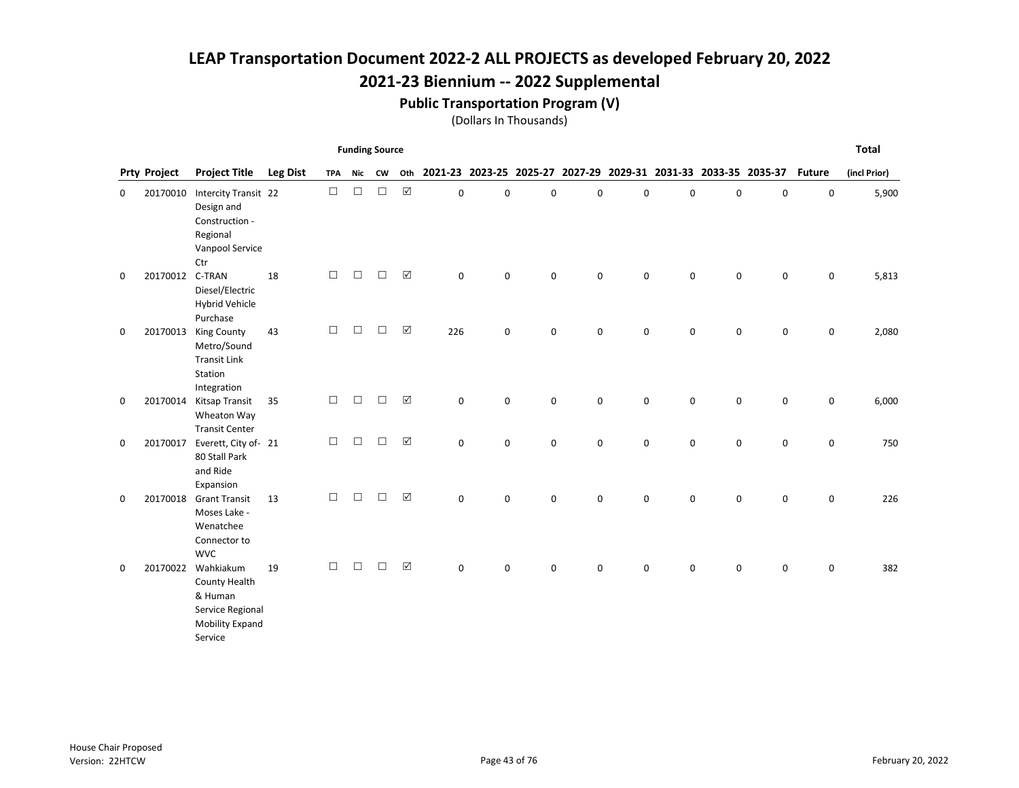### 2021-23 Biennium -- 2022 Supplemental

#### Public Transportation Program (V)

|   |                     |                                                                                            |                 |            | <b>Funding Source</b> |        |                      |              |           |             |                                                                 |   |             |             |             |                     | <b>Total</b> |
|---|---------------------|--------------------------------------------------------------------------------------------|-----------------|------------|-----------------------|--------|----------------------|--------------|-----------|-------------|-----------------------------------------------------------------|---|-------------|-------------|-------------|---------------------|--------------|
|   | <b>Prty Project</b> | <b>Project Title</b>                                                                       | <b>Leg Dist</b> | <b>TPA</b> | <b>Nic</b>            | CW     | Oth                  |              |           |             | 2021-23 2023-25 2025-27 2027-29 2029-31 2031-33 2033-35 2035-37 |   |             |             |             | <b>Future</b>       | (incl Prior) |
| 0 | 20170010            | Intercity Transit 22<br>Design and<br>Construction -<br>Regional<br>Vanpool Service<br>Ctr |                 | $\Box$     | $\Box$                | $\Box$ | $\boxed{\mathbf{v}}$ | $\mathbf 0$  | 0         | $\mathbf 0$ | 0                                                               | 0 | $\Omega$    | $\mathbf 0$ | 0           | $\mathbf 0$         | 5,900        |
| 0 | 20170012 C-TRAN     | Diesel/Electric<br><b>Hybrid Vehicle</b><br>Purchase                                       | 18              | $\Box$     | П                     | П      | $\boxed{\mathbf{v}}$ | 0            | 0         | 0           | 0                                                               | 0 | $\mathbf 0$ | $\mathsf 0$ | $\pmb{0}$   | $\pmb{0}$           | 5,813        |
| 0 | 20170013            | <b>King County</b><br>Metro/Sound<br><b>Transit Link</b><br>Station<br>Integration         | 43              | $\Box$     | $\Box$                | $\Box$ | $\boxtimes$          | 226          | 0         | 0           | 0                                                               | 0 | 0           | $\mathbf 0$ | $\mathbf 0$ | 0                   | 2,080        |
| 0 | 20170014            | Kitsap Transit<br>Wheaton Way<br><b>Transit Center</b>                                     | 35              | $\Box$     | $\Box$                | $\Box$ | $\boxtimes$          | $\mathsf{o}$ | $\pmb{0}$ | $\pmb{0}$   | 0                                                               | 0 | 0           | $\mathbf 0$ | $\mathbf 0$ | $\mathbf 0$         | 6,000        |
| 0 | 20170017            | Everett, City of- 21<br>80 Stall Park<br>and Ride<br>Expansion                             |                 | $\Box$     | $\Box$                | □      | $\boxed{\mathbf{v}}$ | $\Omega$     | 0         | 0           | 0                                                               | 0 | $\mathbf 0$ | $\mathsf 0$ | 0           | $\mathsf{O}\xspace$ | 750          |
| 0 | 20170018            | <b>Grant Transit</b><br>Moses Lake -<br>Wenatchee<br>Connector to<br><b>WVC</b>            | 13              | $\Box$     | $\Box$                | $\Box$ | $\boxed{\mathbf{v}}$ | $\Omega$     | $\Omega$  | $\mathbf 0$ | 0                                                               | 0 | $\Omega$    | $\mathbf 0$ | 0           | $\mathsf{O}\xspace$ | 226          |
| 0 | 20170022            | Wahkiakum<br>County Health<br>& Human<br>Service Regional<br>Mobility Expand<br>Service    | 19              | $\Box$     | П                     | П      | ☑                    | $\mathbf 0$  | 0         | 0           | 0                                                               | 0 | 0           | $\mathsf 0$ | 0           | $\mathbf 0$         | 382          |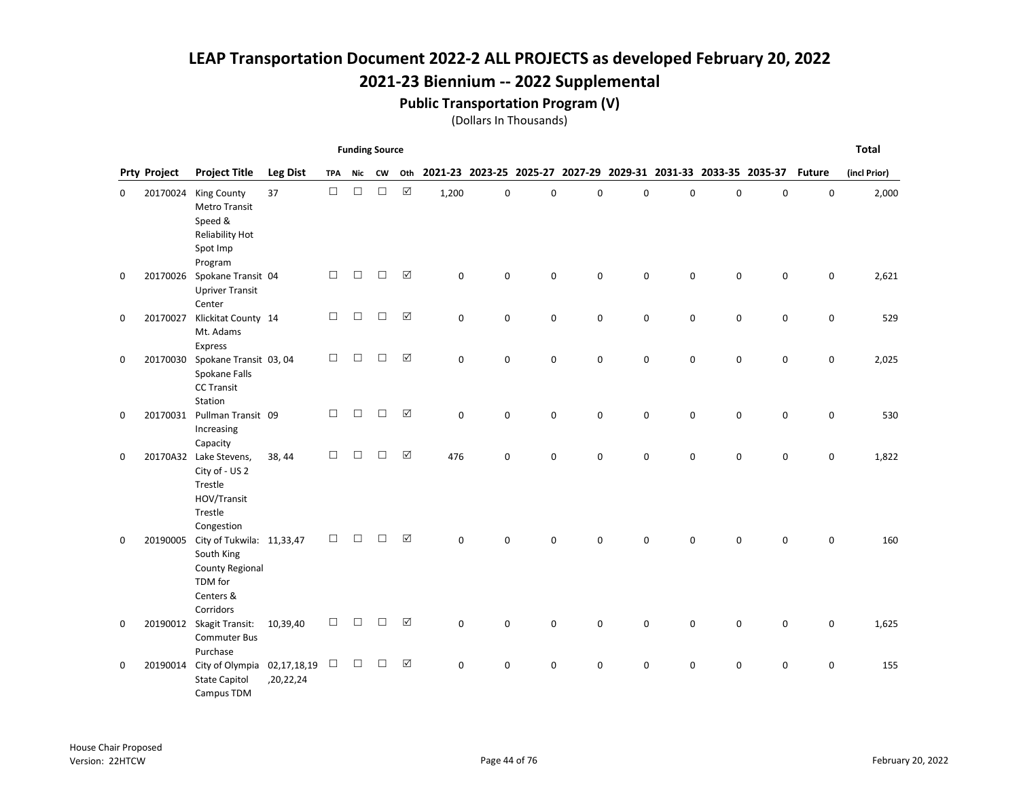### 2021-23 Biennium -- 2022 Supplemental

#### Public Transportation Program (V)

|   |                     |                                                                                                        |                 |            | <b>Funding Source</b> |        |                      |             |          |             |   |             |                                                                 |             |           |               | <b>Total</b> |
|---|---------------------|--------------------------------------------------------------------------------------------------------|-----------------|------------|-----------------------|--------|----------------------|-------------|----------|-------------|---|-------------|-----------------------------------------------------------------|-------------|-----------|---------------|--------------|
|   | <b>Prty Project</b> | <b>Project Title</b>                                                                                   | <b>Leg Dist</b> | <b>TPA</b> | Nic                   | CW     | Oth                  |             |          |             |   |             | 2021-23 2023-25 2025-27 2027-29 2029-31 2031-33 2033-35 2035-37 |             |           | <b>Future</b> | (incl Prior) |
| 0 | 20170024            | <b>King County</b><br><b>Metro Transit</b><br>Speed &<br>Reliability Hot<br>Spot Imp<br>Program        | 37              | $\Box$     | $\Box$                | $\Box$ | $\boxed{\checkmark}$ | 1,200       | 0        | 0           | 0 | 0           | 0                                                               | 0           | $\pmb{0}$ | 0             | 2,000        |
| 0 | 20170026            | Spokane Transit 04<br><b>Upriver Transit</b><br>Center                                                 |                 | $\Box$     | $\Box$                | $\Box$ | $\boxed{\checkmark}$ | $\mathsf 0$ | 0        | 0           | 0 | 0           | 0                                                               | $\pmb{0}$   | 0         | 0             | 2,621        |
| 0 | 20170027            | Klickitat County 14<br>Mt. Adams<br>Express                                                            |                 | $\Box$     | $\Box$                | □      | $\Delta$             | $\mathbf 0$ | 0        | 0           | 0 | 0           | 0                                                               | $\mathbf 0$ | 0         | 0             | 529          |
| 0 | 20170030            | Spokane Transit 03, 04<br>Spokane Falls<br><b>CC Transit</b><br>Station                                |                 | $\Box$     | $\Box$                | $\Box$ | $\boxtimes$          | $\Omega$    | $\Omega$ | $\mathbf 0$ | 0 | $\mathbf 0$ | $\Omega$                                                        | $\mathbf 0$ | 0         | 0             | 2,025        |
| 0 | 20170031            | Pullman Transit 09<br>Increasing<br>Capacity                                                           |                 | $\Box$     | $\Box$                | $\Box$ | $\boxed{\checkmark}$ | 0           | 0        | 0           | 0 | $\pmb{0}$   | 0                                                               | $\pmb{0}$   | $\pmb{0}$ | 0             | 530          |
| 0 |                     | 20170A32 Lake Stevens,<br>City of - US 2<br>Trestle<br>HOV/Transit<br>Trestle<br>Congestion            | 38, 44          | $\Box$     | П                     | □      | $\Delta$             | 476         | 0        | $\mathbf 0$ | 0 | $\mathbf 0$ | 0                                                               | $\mathbf 0$ | 0         | 0             | 1,822        |
| 0 | 20190005            | City of Tukwila: 11,33,47<br>South King<br><b>County Regional</b><br>TDM for<br>Centers &<br>Corridors |                 | $\Box$     | П                     | П      | $\Delta$             | $\Omega$    | 0        | $\mathbf 0$ | 0 | $\mathbf 0$ | 0                                                               | $\mathbf 0$ | 0         | 0             | 160          |
| 0 |                     | 20190012 Skagit Transit:<br><b>Commuter Bus</b><br>Purchase                                            | 10,39,40        | $\Box$     | $\Box$                | □      | $\boxed{\checkmark}$ | $\mathbf 0$ | 0        | $\pmb{0}$   | 0 | 0           | 0                                                               | $\mathbf 0$ | 0         | 0             | 1,625        |
| 0 | 20190014            | City of Olympia 02,17,18,19<br><b>State Capitol</b><br>Campus TDM                                      | ,20,22,24       | $\Box$     | $\Box$                | □      | $\boxtimes$          | $\mathbf 0$ | 0        | 0           | 0 | 0           | 0                                                               | $\pmb{0}$   | 0         | 0             | 155          |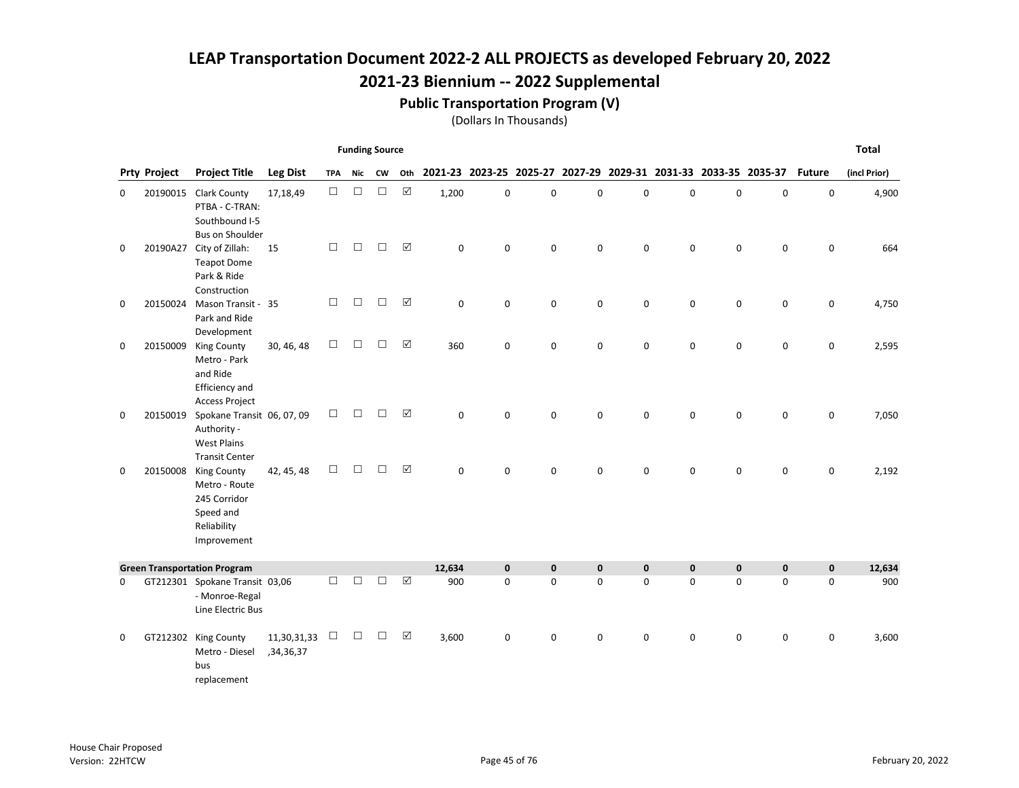## Public Transportation Program (V)

|          |                     |                                                                                                |                          |            | <b>Funding Source</b> |        |                 |          |             |             |                                                                 |             |             |             |             |               | <b>Total</b> |
|----------|---------------------|------------------------------------------------------------------------------------------------|--------------------------|------------|-----------------------|--------|-----------------|----------|-------------|-------------|-----------------------------------------------------------------|-------------|-------------|-------------|-------------|---------------|--------------|
|          | <b>Prty Project</b> | <b>Project Title</b>                                                                           | <b>Leg Dist</b>          | <b>TPA</b> | Nic                   | CW     | Oth             |          |             |             | 2021-23 2023-25 2025-27 2027-29 2029-31 2031-33 2033-35 2035-37 |             |             |             |             | <b>Future</b> | (incl Prior) |
| $\Omega$ | 20190015            | <b>Clark County</b><br>PTBA - C-TRAN:<br>Southbound I-5<br><b>Bus on Shoulder</b>              | 17,18,49                 | $\Box$     | $\Box$                | $\Box$ | $\boxed{\sqrt}$ | 1,200    | $\mathbf 0$ | $\Omega$    | $\mathbf 0$                                                     | $\mathbf 0$ | $\Omega$    | 0           | $\mathbf 0$ | 0             | 4,900        |
| 0        | 20190A27            | City of Zillah:<br><b>Teapot Dome</b><br>Park & Ride<br>Construction                           | 15                       | $\Box$     | $\Box$                | □      | ☑               | $\Omega$ | $\mathbf 0$ | 0           | 0                                                               | $\mathbf 0$ | $\Omega$    | $\mathbf 0$ | $\mathbf 0$ | $\mathsf 0$   | 664          |
| 0        | 20150024            | Mason Transit -<br>Park and Ride<br>Development                                                | 35                       | $\Box$     | $\Box$                | $\Box$ | $\boxed{\sqrt}$ | 0        | $\mathbf 0$ | 0           | 0                                                               | 0           | $\mathbf 0$ | 0           | 0           | 0             | 4,750        |
| 0        | 20150009            | King County<br>Metro - Park<br>and Ride<br>Efficiency and<br><b>Access Project</b>             | 30, 46, 48               | $\Box$     | $\Box$                | □      | $\Delta$        | 360      | 0           | 0           | 0                                                               | 0           | 0           | 0           | 0           | 0             | 2,595        |
| 0        | 20150019            | Spokane Transit 06, 07, 09<br>Authority -<br><b>West Plains</b><br><b>Transit Center</b>       |                          | $\Box$     | П                     | П      | ☑               | $\Omega$ | $\Omega$    | $\Omega$    | 0                                                               | $\Omega$    | $\Omega$    | 0           | $\mathbf 0$ | 0             | 7,050        |
| 0        | 20150008            | <b>King County</b><br>Metro - Route<br>245 Corridor<br>Speed and<br>Reliability<br>Improvement | 42, 45, 48               | $\Box$     | $\Box$                | П      | ☑               | 0        | $\Omega$    | $\Omega$    | 0                                                               | 0           | $\Omega$    | 0           | $\Omega$    | 0             | 2,192        |
|          |                     | <b>Green Transportation Program</b>                                                            |                          |            |                       |        |                 | 12,634   | $\mathbf 0$ | $\mathbf 0$ | $\mathbf 0$                                                     | $\mathbf 0$ | $\mathbf 0$ | $\mathbf 0$ | $\bf{0}$    | $\mathbf 0$   | 12,634       |
| 0        |                     | GT212301 Spokane Transit 03,06<br>- Monroe-Regal<br>Line Electric Bus                          |                          | $\Box$     | $\Box$                | П      | $\boxed{\sqrt}$ | 900      | $\mathbf 0$ | $\Omega$    | $\mathbf 0$                                                     | $\Omega$    | $\Omega$    | $\Omega$    | $\mathbf 0$ | 0             | 900          |
| 0        |                     | GT212302 King County<br>Metro - Diesel<br>bus<br>replacement                                   | 11,30,31,33<br>,34,36,37 | $\Box$     | $\Box$                | □      | $\Delta$        | 3,600    | 0           | 0           | 0                                                               | 0           | $\Omega$    | 0           | 0           | 0             | 3,600        |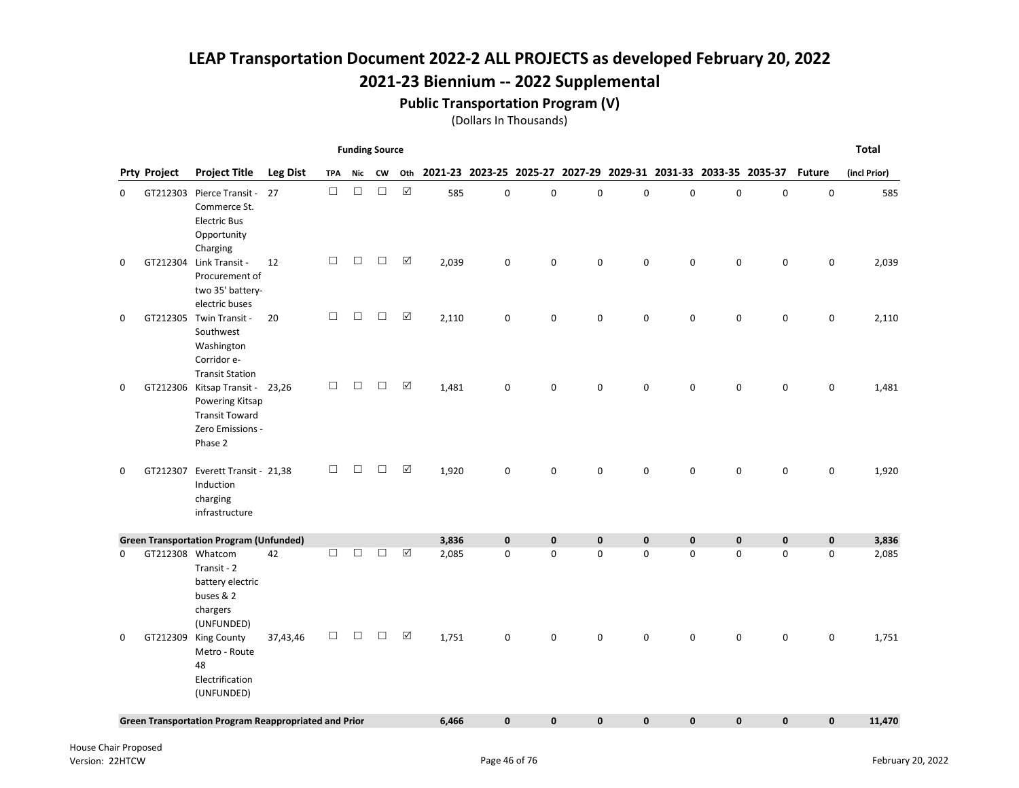## 2021-23 Biennium -- 2022 Supplemental

#### Public Transportation Program (V)

|   |                     |                                                                                                            |                 |            | <b>Funding Source</b> |        |                      |       |              |              |                                                                 |              |              |              |              |               | <b>Total</b> |
|---|---------------------|------------------------------------------------------------------------------------------------------------|-----------------|------------|-----------------------|--------|----------------------|-------|--------------|--------------|-----------------------------------------------------------------|--------------|--------------|--------------|--------------|---------------|--------------|
|   | <b>Prty Project</b> | <b>Project Title</b>                                                                                       | <b>Leg Dist</b> | <b>TPA</b> | Nic                   | CW     | Oth                  |       |              |              | 2021-23 2023-25 2025-27 2027-29 2029-31 2031-33 2033-35 2035-37 |              |              |              |              | <b>Future</b> | (incl Prior) |
| 0 |                     | GT212303 Pierce Transit -<br>Commerce St.<br><b>Electric Bus</b><br>Opportunity<br>Charging                | 27              | $\Box$     | $\Box$                | $\Box$ | $\boxtimes$          | 585   | $\pmb{0}$    | $\pmb{0}$    | $\mathbf 0$                                                     | $\mathbf 0$  | $\mathbf 0$  | $\pmb{0}$    | $\pmb{0}$    | 0             | 585          |
| 0 |                     | GT212304 Link Transit -<br>Procurement of<br>two 35' battery-<br>electric buses                            | 12              | $\Box$     | $\Box$                | $\Box$ | $\boxed{\checkmark}$ | 2,039 | $\mathbf 0$  | $\mathbf 0$  | 0                                                               | $\mathbf 0$  | $\Omega$     | $\mathbf 0$  | 0            | 0             | 2,039        |
| 0 |                     | GT212305 Twin Transit -<br>Southwest<br>Washington<br>Corridor e-<br><b>Transit Station</b>                | 20              | $\Box$     | $\Box$                | $\Box$ | $\boxtimes$          | 2,110 | 0            | $\mathbf 0$  | 0                                                               | $\mathbf 0$  | 0            | 0            | 0            | 0             | 2,110        |
| 0 |                     | GT212306 Kitsap Transit - 23,26<br>Powering Kitsap<br><b>Transit Toward</b><br>Zero Emissions -<br>Phase 2 |                 | $\Box$     | $\Box$                | $\Box$ | $\boxed{\checkmark}$ | 1,481 | $\mathbf 0$  | $\mathbf 0$  | 0                                                               | $\mathbf 0$  | 0            | $\mathbf 0$  | 0            | 0             | 1,481        |
| 0 |                     | GT212307 Everett Transit - 21,38<br>Induction<br>charging<br>infrastructure                                |                 | $\Box$     | П                     | П      | $\boxed{\checkmark}$ | 1,920 | 0            | $\Omega$     | 0                                                               | 0            | $\Omega$     | $\Omega$     | 0            | 0             | 1,920        |
|   |                     | <b>Green Transportation Program (Unfunded)</b>                                                             |                 |            |                       |        |                      | 3,836 | $\mathbf{0}$ | $\mathbf{0}$ | $\mathbf 0$                                                     | $\mathbf{0}$ | $\mathbf{0}$ | $\mathbf{0}$ | $\mathbf{0}$ | $\mathbf 0$   | 3,836        |
| 0 |                     | GT212308 Whatcom<br>Transit - 2<br>battery electric<br>buses & 2<br>chargers<br>(UNFUNDED)                 | 42              | $\Box$     | $\Box$                | $\Box$ | ☑                    | 2,085 | 0            | $\mathbf 0$  | 0                                                               | $\mathbf 0$  | 0            | $\mathbf 0$  | 0            | $\mathbf 0$   | 2,085        |
| 0 |                     | GT212309 King County<br>Metro - Route<br>48<br>Electrification<br>(UNFUNDED)                               | 37,43,46        | $\Box$     | $\Box$                | $\Box$ | $\boxed{\checkmark}$ | 1,751 | 0            | $\mathbf 0$  | 0                                                               | $\mathbf 0$  | 0            | $\mathbf 0$  | 0            | 0             | 1,751        |
|   |                     | <b>Green Transportation Program Reappropriated and Prior</b>                                               |                 |            |                       |        |                      | 6,466 | $\mathbf{0}$ | $\mathbf{0}$ | $\mathbf 0$                                                     | $\mathbf{0}$ | $\mathbf{0}$ | $\mathbf{0}$ | $\mathbf{0}$ | $\mathbf 0$   | 11,470       |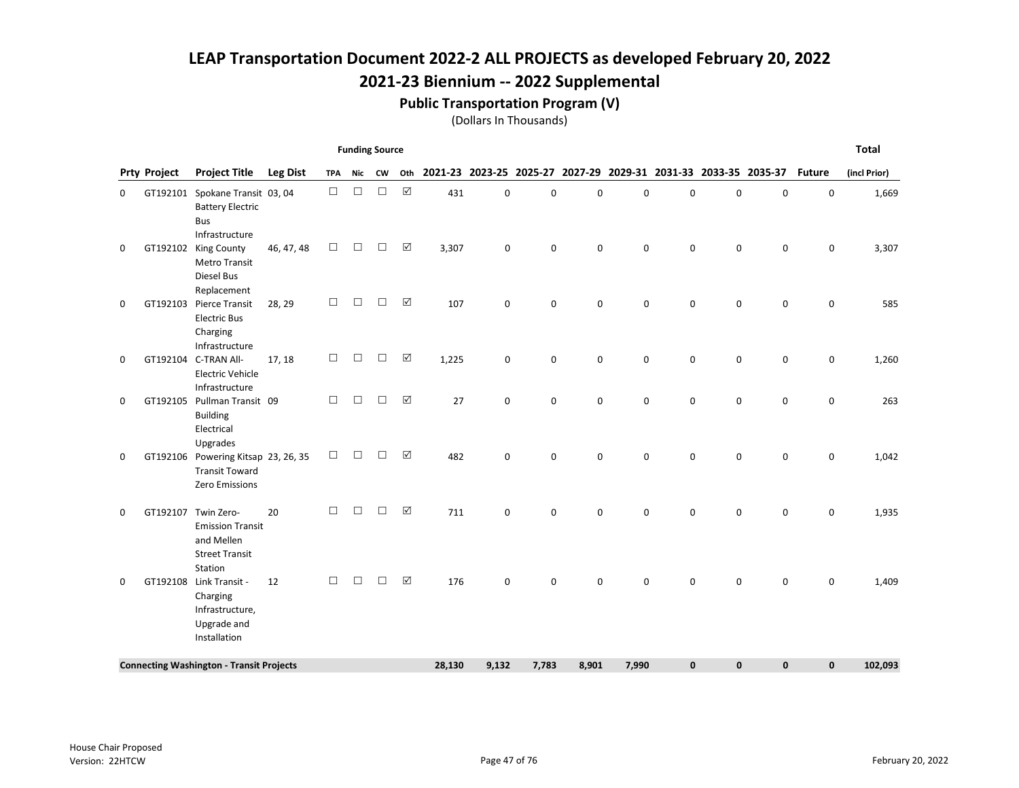## Public Transportation Program (V)

|  | (Dollars In Thousands) |
|--|------------------------|
|--|------------------------|

|   |                     |                                                                                            |                 |            | <b>Funding Source</b> |        |                      |        |                                                                 |             |       |             |              |             |                     |             | <b>Total</b> |
|---|---------------------|--------------------------------------------------------------------------------------------|-----------------|------------|-----------------------|--------|----------------------|--------|-----------------------------------------------------------------|-------------|-------|-------------|--------------|-------------|---------------------|-------------|--------------|
|   | <b>Prty Project</b> | <b>Project Title</b>                                                                       | <b>Leg Dist</b> | <b>TPA</b> | Nic                   | CW     | Oth                  |        | 2021-23 2023-25 2025-27 2027-29 2029-31 2031-33 2033-35 2035-37 |             |       |             |              |             |                     | Future      | (incl Prior) |
| 0 |                     | GT192101 Spokane Transit 03, 04<br><b>Battery Electric</b><br><b>Bus</b><br>Infrastructure |                 | $\Box$     | $\Box$                | $\Box$ | $\boxtimes$          | 431    | 0                                                               | $\mathbf 0$ | 0     | 0           | $\mathbf 0$  | 0           | 0                   | 0           | 1,669        |
| 0 | GT192102            | <b>King County</b><br><b>Metro Transit</b><br>Diesel Bus<br>Replacement                    | 46, 47, 48      | $\Box$     | □                     | $\Box$ | ☑                    | 3,307  | 0                                                               | $\mathbf 0$ | 0     | $\mathbf 0$ | $\Omega$     | $\mathbf 0$ | 0                   | 0           | 3,307        |
| 0 |                     | GT192103 Pierce Transit<br><b>Electric Bus</b><br>Charging<br>Infrastructure               | 28, 29          | □          | $\Box$                | $\Box$ | ☑                    | 107    | 0                                                               | 0           | 0     | $\mathbf 0$ | $\mathbf 0$  | $\mathbf 0$ | 0                   | 0           | 585          |
| 0 |                     | GT192104 C-TRAN All-<br><b>Electric Vehicle</b><br>Infrastructure                          | 17, 18          | $\Box$     | $\Box$                | $\Box$ | ☑                    | 1,225  | 0                                                               | $\pmb{0}$   | 0     | $\pmb{0}$   | $\mathbf 0$  | $\pmb{0}$   | 0                   | 0           | 1,260        |
| 0 | GT192105            | Pullman Transit 09<br><b>Building</b><br>Electrical<br>Upgrades                            |                 | $\Box$     | $\Box$                | $\Box$ | $\Delta$             | 27     | 0                                                               | 0           | 0     | 0           | $\mathbf 0$  | $\mathbf 0$ | $\mathsf{O}\xspace$ | 0           | 263          |
| 0 | GT192106            | Powering Kitsap 23, 26, 35<br><b>Transit Toward</b><br>Zero Emissions                      |                 | $\Box$     | $\Box$                | $\Box$ | $\boxed{\checkmark}$ | 482    | 0                                                               | $\mathbf 0$ | 0     | $\Omega$    | $\Omega$     | $\mathbf 0$ | 0                   | 0           | 1,042        |
| 0 | GT192107            | Twin Zero-<br><b>Emission Transit</b><br>and Mellen<br><b>Street Transit</b><br>Station    | 20              | □          | $\Box$                | $\Box$ | $\Delta$             | 711    | 0                                                               | $\mathbf 0$ | 0     | 0           | 0            | 0           | 0                   | 0           | 1,935        |
| 0 | GT192108            | Link Transit -<br>Charging<br>Infrastructure,<br>Upgrade and<br>Installation               | 12              | □          | □                     | $\Box$ | $\Delta$             | 176    | 0                                                               | $\mathbf 0$ | 0     | 0           | 0            | $\mathbf 0$ | 0                   | 0           | 1,409        |
|   |                     | <b>Connecting Washington - Transit Projects</b>                                            |                 |            |                       |        |                      | 28,130 | 9,132                                                           | 7,783       | 8,901 | 7,990       | $\mathbf{0}$ | 0           | 0                   | $\mathbf 0$ | 102,093      |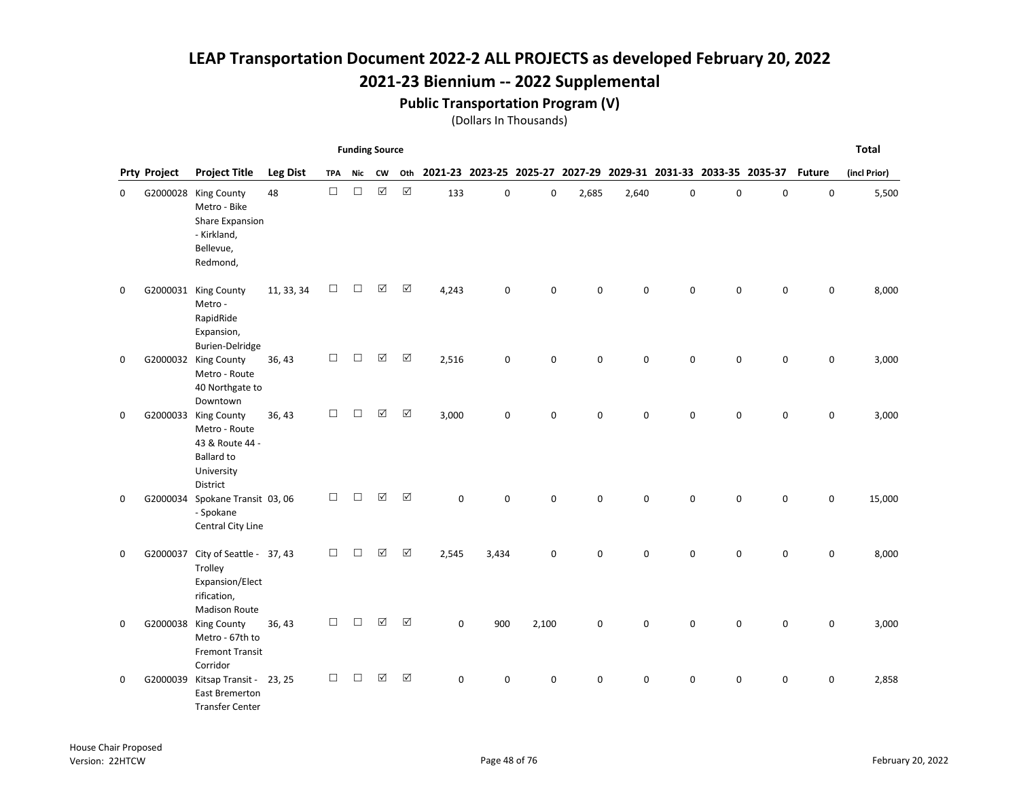### 2021-23 Biennium -- 2022 Supplemental

#### Public Transportation Program (V)

|   |                     |                                                                                                         |                 |            | <b>Funding Source</b> |             |             |             |                                                                 |             |             |             |          |             |           |               | <b>Total</b> |
|---|---------------------|---------------------------------------------------------------------------------------------------------|-----------------|------------|-----------------------|-------------|-------------|-------------|-----------------------------------------------------------------|-------------|-------------|-------------|----------|-------------|-----------|---------------|--------------|
|   | <b>Prty Project</b> | <b>Project Title</b>                                                                                    | <b>Leg Dist</b> | <b>TPA</b> | Nic                   | <b>CW</b>   | Oth         |             | 2021-23 2023-25 2025-27 2027-29 2029-31 2031-33 2033-35 2035-37 |             |             |             |          |             |           | <b>Future</b> | (incl Prior) |
| 0 |                     | G2000028 King County<br>Metro - Bike<br>Share Expansion<br>- Kirkland,<br>Bellevue,<br>Redmond,         | 48              | $\Box$     | $\Box$                | $\boxtimes$ | $\boxtimes$ | 133         | 0                                                               | $\mathsf 0$ | 2,685       | 2,640       | 0        | $\pmb{0}$   | $\pmb{0}$ | 0             | 5,500        |
| 0 |                     | G2000031 King County<br>Metro -<br>RapidRide<br>Expansion,<br><b>Burien-Delridge</b>                    | 11, 33, 34      | □          | □                     | ☑           | $\Delta$    | 4,243       | $\mathbf 0$                                                     | $\Omega$    | $\Omega$    | $\Omega$    | $\Omega$ | $\mathbf 0$ | 0         | 0             | 8,000        |
| 0 |                     | G2000032 King County<br>Metro - Route<br>40 Northgate to<br>Downtown                                    | 36, 43          | $\Box$     | $\Box$                | $\Delta$    | ☑           | 2,516       | 0                                                               | 0           | 0           | $\mathbf 0$ | 0        | 0           | 0         | 0             | 3,000        |
| 0 |                     | G2000033 King County<br>Metro - Route<br>43 & Route 44 -<br><b>Ballard to</b><br>University<br>District | 36, 43          | $\Box$     | П                     | ☑           | ☑           | 3,000       | 0                                                               | $\mathbf 0$ | $\mathbf 0$ | $\mathbf 0$ | $\Omega$ | $\pmb{0}$   | 0         | 0             | 3,000        |
| 0 |                     | G2000034 Spokane Transit 03, 06<br>- Spokane<br>Central City Line                                       |                 | □          | □                     | $\Delta$    | ☑           | $\mathbf 0$ | $\mathbf 0$                                                     | $\mathbf 0$ | 0           | $\mathbf 0$ | $\Omega$ | $\mathbf 0$ | 0         | 0             | 15,000       |
| 0 |                     | G2000037 City of Seattle - 37, 43<br>Trolley<br>Expansion/Elect<br>rification,<br><b>Madison Route</b>  |                 | $\Box$     | $\Box$                | ☑           | ☑           | 2,545       | 3,434                                                           | $\mathsf 0$ | $\mathbf 0$ | 0           | 0        | 0           | 0         | 0             | 8,000        |
| 0 |                     | G2000038 King County<br>Metro - 67th to<br><b>Fremont Transit</b><br>Corridor                           | 36, 43          | □          | $\Box$                | ☑           | ☑           | 0           | 900                                                             | 2,100       | $\mathbf 0$ | 0           | $\Omega$ | $\mathbf 0$ | 0         | $\pmb{0}$     | 3,000        |
| 0 | G2000039            | Kitsap Transit - 23, 25<br>East Bremerton<br><b>Transfer Center</b>                                     |                 | $\Box$     | □                     | ☑           | ☑           | 0           | 0                                                               | 0           | 0           | 0           | 0        | $\mathbf 0$ | 0         | 0             | 2,858        |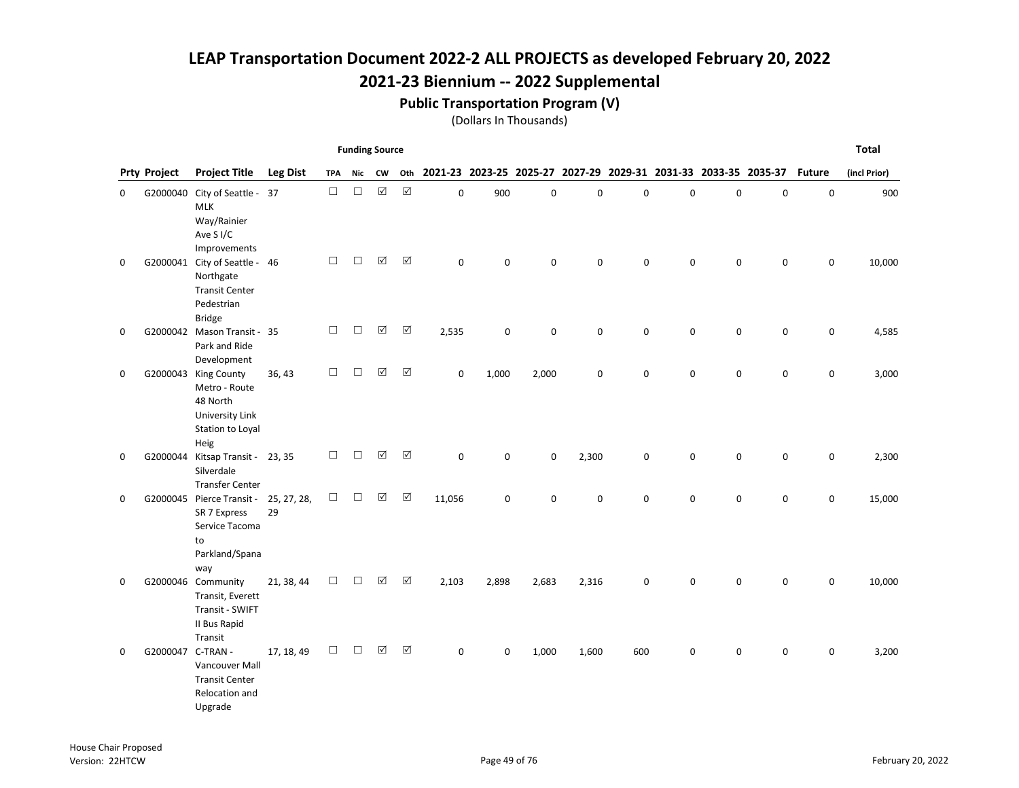## 2021-23 Biennium -- 2022 Supplemental

#### Public Transportation Program (V)

|   |                     |                                                                                                    |                   |            | <b>Funding Source</b> |             |                      |              |             |             |       |             |                                                                 |             |             |               | <b>Total</b> |
|---|---------------------|----------------------------------------------------------------------------------------------------|-------------------|------------|-----------------------|-------------|----------------------|--------------|-------------|-------------|-------|-------------|-----------------------------------------------------------------|-------------|-------------|---------------|--------------|
|   | <b>Prty Project</b> | <b>Project Title</b>                                                                               | <b>Leg Dist</b>   | <b>TPA</b> | Nic                   | CW          | Oth                  |              |             |             |       |             | 2021-23 2023-25 2025-27 2027-29 2029-31 2031-33 2033-35 2035-37 |             |             | <b>Future</b> | (incl Prior) |
| 0 | G2000040            | City of Seattle - 37<br><b>MLK</b><br>Way/Rainier<br>Ave S <sub>I/C</sub><br>Improvements          |                   | $\Box$     | $\Box$                | $\boxtimes$ | $\boxtimes$          | $\mathbf 0$  | 900         | $\pmb{0}$   | 0     | $\pmb{0}$   | $\mathbf 0$                                                     | $\pmb{0}$   | $\mathsf 0$ | $\mathbf 0$   | 900          |
| 0 |                     | G2000041 City of Seattle - 46<br>Northgate<br><b>Transit Center</b><br>Pedestrian<br><b>Bridge</b> |                   | $\Box$     | $\Box$                | $\Delta$    | ☑                    | $\mathbf{0}$ | $\Omega$    | $\mathbf 0$ | 0     | $\Omega$    | $\Omega$                                                        | $\mathbf 0$ | $\mathbf 0$ | 0             | 10,000       |
| 0 |                     | G2000042 Mason Transit - 35<br>Park and Ride<br>Development                                        |                   | $\Box$     | $\Box$                | $\Delta$    | $\boxtimes$          | 2,535        | 0           | 0           | 0     | 0           | $\mathbf 0$                                                     | $\pmb{0}$   | 0           | 0             | 4,585        |
| 0 | G2000043            | <b>King County</b><br>Metro - Route<br>48 North<br>University Link<br>Station to Loyal<br>Heig     | 36, 43            | $\Box$     | $\Box$                | ☑           | ☑                    | $\mathbf 0$  | 1,000       | 2,000       | 0     | $\mathbf 0$ | $\mathbf 0$                                                     | $\mathbf 0$ | 0           | 0             | 3,000        |
| 0 |                     | G2000044 Kitsap Transit - 23, 35<br>Silverdale<br><b>Transfer Center</b>                           |                   | $\Box$     | $\Box$                | $\Delta$    | $\Delta$             | $\mathbf 0$  | $\mathbf 0$ | $\mathbf 0$ | 2,300 | 0           | $\mathbf 0$                                                     | 0           | $\mathbf 0$ | 0             | 2,300        |
| 0 |                     | G2000045 Pierce Transit -<br>SR 7 Express<br>Service Tacoma<br>to<br>Parkland/Spana<br>way         | 25, 27, 28,<br>29 | $\Box$     | $\Box$                | $\Delta$    | ☑                    | 11,056       | 0           | 0           | 0     | 0           | $\mathbf 0$                                                     | 0           | $\mathsf 0$ | 0             | 15,000       |
| 0 |                     | G2000046 Community<br>Transit, Everett<br>Transit - SWIFT<br>II Bus Rapid<br>Transit               | 21, 38, 44        | $\Box$     | $\Box$                | ☑           | ☑                    | 2,103        | 2,898       | 2,683       | 2,316 | $\mathbf 0$ | $\Omega$                                                        | 0           | 0           | 0             | 10,000       |
| 0 | G2000047            | C-TRAN -<br>Vancouver Mall<br><b>Transit Center</b><br>Relocation and<br>Upgrade                   | 17, 18, 49        | $\Box$     | $\Box$                | ☑           | $\boxed{\checkmark}$ | $\mathbf 0$  | 0           | 1,000       | 1,600 | 600         | $\mathbf 0$                                                     | $\mathbf 0$ | $\mathbf 0$ | 0             | 3,200        |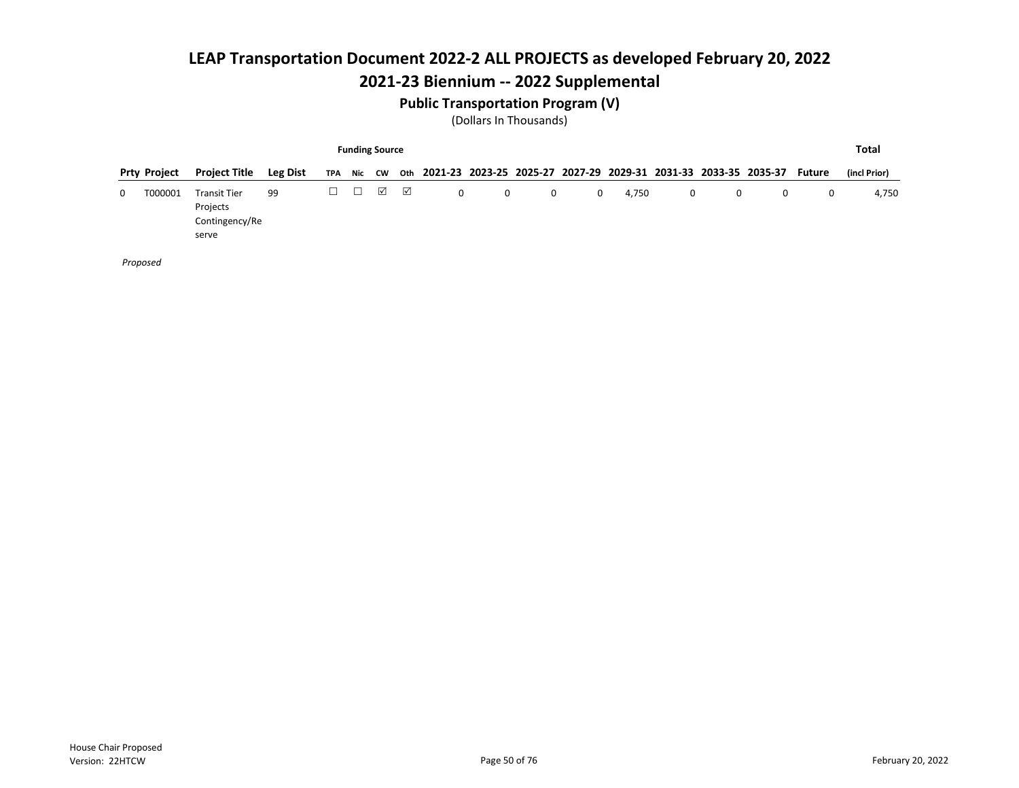### 2021-23 Biennium -- 2022 Supplemental

#### Public Transportation Program (V)

(Dollars In Thousands)

|          |                     |                                                            |                 |   |        | <b>Funding Source</b> |            |   |   |   |   |       |            |   |                                                                     |        | Total        |
|----------|---------------------|------------------------------------------------------------|-----------------|---|--------|-----------------------|------------|---|---|---|---|-------|------------|---|---------------------------------------------------------------------|--------|--------------|
|          | <b>Prty Project</b> | <b>Project Title</b>                                       | <b>Leg Dist</b> |   |        | TPA Nic CW            |            |   |   |   |   |       |            |   | oth 2021-23 2023-25 2025-27 2027-29 2029-31 2031-33 2033-35 2035-37 | Future | (incl Prior) |
| $\Omega$ | T000001             | <b>Transit Tier</b><br>Projects<br>Contingency/Re<br>serve | 99              | ⊔ | $\Box$ | ☑                     | $\sqrt{ }$ | 0 | 0 | 0 | 0 | 4,750 | $^{\circ}$ | 0 | 0                                                                   | 0      | 4,750        |

Proposed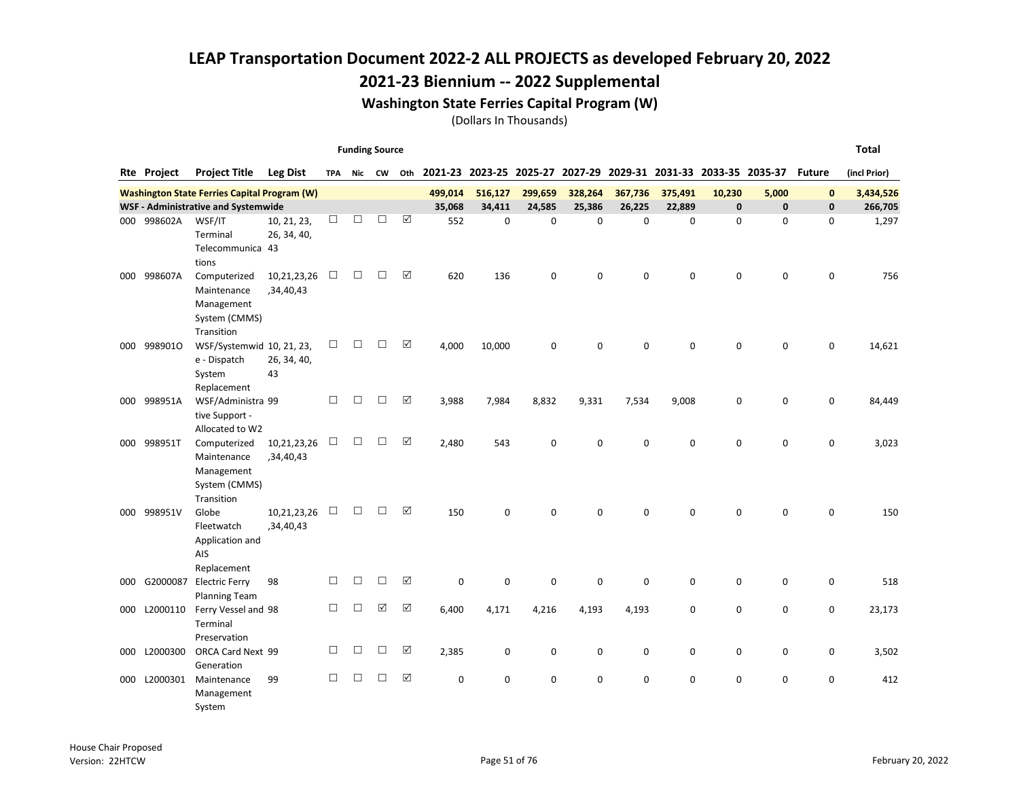#### 2021-23 Biennium -- 2022 Supplemental

#### Washington State Ferries Capital Program (W)

|     |                    |                                                                          |                            |        |        | <b>Funding Source</b> |                      |          |          |             |         |                                                                 |             |              |             |               | <b>Total</b> |
|-----|--------------------|--------------------------------------------------------------------------|----------------------------|--------|--------|-----------------------|----------------------|----------|----------|-------------|---------|-----------------------------------------------------------------|-------------|--------------|-------------|---------------|--------------|
|     | <b>Rte Project</b> | <b>Project Title</b>                                                     | <b>Leg Dist</b>            | TPA    |        | Nic CW                | Oth                  |          |          |             |         | 2021-23 2023-25 2025-27 2027-29 2029-31 2031-33 2033-35 2035-37 |             |              |             | <b>Future</b> | (incl Prior) |
|     |                    | <b>Washington State Ferries Capital Program (W)</b>                      |                            |        |        |                       |                      | 499,014  | 516,127  | 299,659     | 328,264 | 367,736                                                         | 375,491     | 10,230       | 5,000       | $\mathbf 0$   | 3,434,526    |
|     |                    | WSF - Administrative and Systemwide                                      |                            |        |        |                       |                      | 35,068   | 34,411   | 24,585      | 25,386  | 26,225                                                          | 22,889      | $\mathbf{0}$ | $\mathbf 0$ | 0             | 266,705      |
|     | 000 998602A        | WSF/IT<br>Terminal<br>Telecommunica 43<br>tions                          | 10, 21, 23,<br>26, 34, 40, | □      | $\Box$ | $\Box$                | ☑                    | 552      | 0        | $\mathbf 0$ | 0       | $\mathbf 0$                                                     | $\mathbf 0$ | $\mathbf 0$  | $\mathbf 0$ | 0             | 1,297        |
| 000 | 998607A            | Computerized<br>Maintenance<br>Management<br>System (CMMS)<br>Transition | 10,21,23,26<br>,34,40,43   | □      | $\Box$ | $\Box$                | ☑                    | 620      | 136      | $\mathbf 0$ | 0       | $\mathbf 0$                                                     | $\mathbf 0$ | $\mathbf 0$  | $\mathbf 0$ | 0             | 756          |
| 000 | 9989010            | WSF/Systemwid 10, 21, 23,<br>e - Dispatch<br>System<br>Replacement       | 26, 34, 40,<br>43          | □      | $\Box$ | $\Box$                | $\Delta$             | 4,000    | 10,000   | $\mathbf 0$ | 0       | $\mathbf 0$                                                     | $\mathbf 0$ | $\mathbf 0$  | $\mathbf 0$ | 0             | 14,621       |
|     | 000 998951A        | WSF/Administra 99<br>tive Support -<br>Allocated to W2                   |                            | □      | $\Box$ | $\Box$                | ☑                    | 3,988    | 7,984    | 8,832       | 9,331   | 7,534                                                           | 9,008       | 0            | $\mathbf 0$ | 0             | 84,449       |
|     | 000 998951T        | Computerized<br>Maintenance<br>Management<br>System (CMMS)<br>Transition | 10,21,23,26<br>,34,40,43   | $\Box$ | □      | □                     | $\boxed{\checkmark}$ | 2,480    | 543      | $\mathbf 0$ | 0       | $\pmb{0}$                                                       | $\mathbf 0$ | 0            | $\mathbf 0$ | 0             | 3,023        |
| 000 | 998951V            | Globe<br>Fleetwatch<br>Application and<br>AIS<br>Replacement             | 10,21,23,26<br>,34,40,43   | $\Box$ | $\Box$ | $\Box$                | $\boxed{\checkmark}$ | 150      | 0        | $\mathbf 0$ | 0       | $\mathbf 0$                                                     | $\mathbf 0$ | $\mathbf 0$  | $\mathbf 0$ | 0             | 150          |
| 000 | G2000087           | <b>Electric Ferry</b><br><b>Planning Team</b>                            | 98                         | □      | $\Box$ | $\Box$                | ☑                    | 0        | 0        | $\mathbf 0$ | 0       | $\mathbf 0$                                                     | 0           | $\mathbf 0$  | $\mathbf 0$ | 0             | 518          |
| 000 | L2000110           | Ferry Vessel and 98<br>Terminal<br>Preservation                          |                            | □      | □      | $\Delta$              | ☑                    | 6,400    | 4,171    | 4,216       | 4,193   | 4,193                                                           | $\mathbf 0$ | $\mathbf 0$  | 0           | 0             | 23,173       |
| 000 | L2000300           | ORCA Card Next 99<br>Generation                                          |                            | П      | □      | □                     | ☑                    | 2,385    | 0        | $\mathbf 0$ | 0       | 0                                                               | 0           | $\mathbf 0$  | $\mathbf 0$ | 0             | 3,502        |
| 000 | L2000301           | Maintenance<br>Management<br>System                                      | 99                         | П      | П      | П                     | ☑                    | $\Omega$ | $\Omega$ | $\Omega$    | 0       | $\mathbf 0$                                                     | $\Omega$    | $\Omega$     | $\mathbf 0$ | 0             | 412          |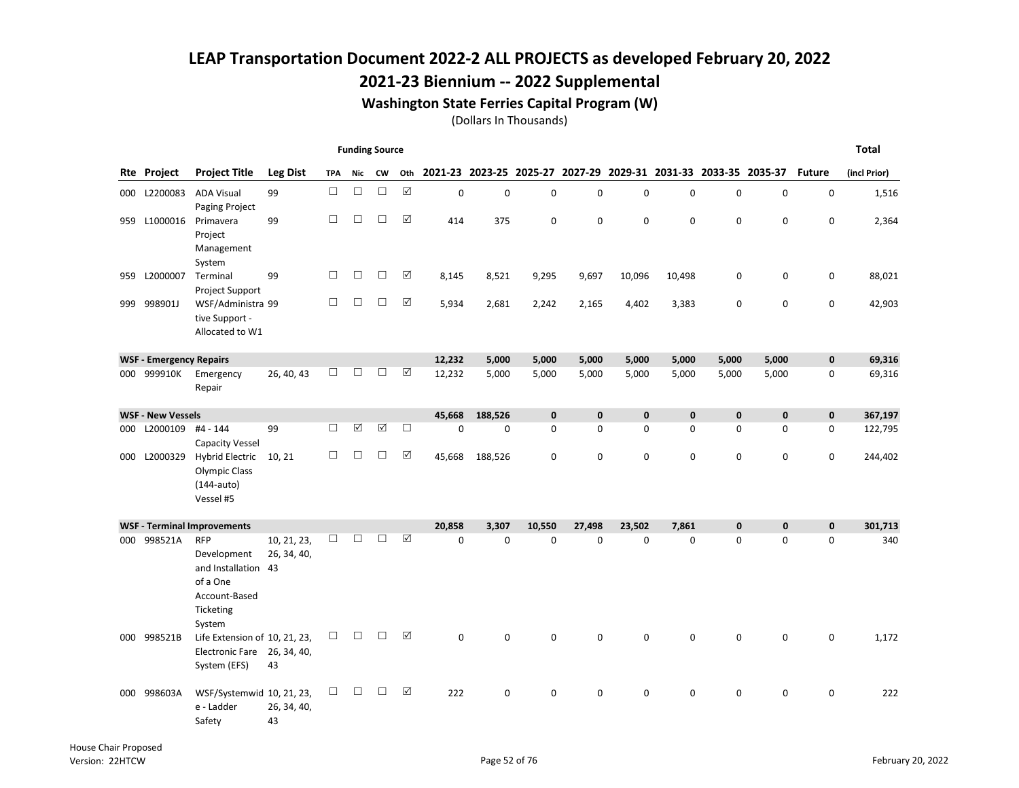### 2021-23 Biennium -- 2022 Supplemental

#### Washington State Ferries Capital Program (W)

|     |                                |                                                                                                      |                            |            | <b>Funding Source</b> |           |          |              |                                                                 |              |             |             |              |              |              |               | <b>Total</b> |
|-----|--------------------------------|------------------------------------------------------------------------------------------------------|----------------------------|------------|-----------------------|-----------|----------|--------------|-----------------------------------------------------------------|--------------|-------------|-------------|--------------|--------------|--------------|---------------|--------------|
| Rte | Project                        | <b>Project Title</b>                                                                                 | <b>Leg Dist</b>            | <b>TPA</b> | Nic                   | <b>CW</b> | Oth      |              | 2021-23 2023-25 2025-27 2027-29 2029-31 2031-33 2033-35 2035-37 |              |             |             |              |              |              | <b>Future</b> | (incl Prior) |
|     | 000 L2200083                   | <b>ADA Visual</b>                                                                                    | 99                         | $\Box$     | $\Box$                | $\Box$    | $\Delta$ | $\mathbf 0$  | 0                                                               | $\pmb{0}$    | 0           | 0           | 0            | $\mathbf 0$  | $\mathbf 0$  | 0             | 1,516        |
| 959 | L1000016                       | Paging Project<br>Primavera<br>Project<br>Management<br>System                                       | 99                         | П          | $\Box$                | $\Box$    | ☑        | 414          | 375                                                             | $\mathbf 0$  | 0           | $\mathbf 0$ | 0            | 0            | $\mathbf 0$  | 0             | 2,364        |
| 959 | L2000007                       | Terminal<br><b>Project Support</b>                                                                   | 99                         | П          | □                     | П         | ☑        | 8,145        | 8,521                                                           | 9,295        | 9,697       | 10,096      | 10,498       | 0            | $\mathbf 0$  | 0             | 88,021       |
| 999 | 998901J                        | WSF/Administra 99<br>tive Support -<br>Allocated to W1                                               |                            | П          | $\Box$                | □         | ☑        | 5,934        | 2,681                                                           | 2,242        | 2,165       | 4,402       | 3,383        | $\mathbf 0$  | $\mathbf 0$  | 0             | 42,903       |
|     | <b>WSF - Emergency Repairs</b> |                                                                                                      |                            |            |                       |           |          | 12,232       | 5,000                                                           | 5,000        | 5,000       | 5,000       | 5,000        | 5,000        | 5,000        | $\pmb{0}$     | 69,316       |
|     | 000 999910K                    | Emergency<br>Repair                                                                                  | 26, 40, 43                 | □          | □                     | □         | ☑        | 12,232       | 5,000                                                           | 5,000        | 5,000       | 5,000       | 5,000        | 5,000        | 5,000        | 0             | 69,316       |
|     | <b>WSF - New Vessels</b>       |                                                                                                      |                            |            |                       |           |          | 45,668       | 188,526                                                         | $\mathbf{0}$ | $\mathbf 0$ | $\mathbf 0$ | $\mathbf{0}$ | $\mathbf{0}$ | $\mathbf{0}$ | $\mathbf 0$   | 367,197      |
| 000 | L2000109                       | #4 - 144<br><b>Capacity Vessel</b>                                                                   | 99                         | $\Box$     | ☑                     | ☑         | $\Box$   | $\Omega$     | $\Omega$                                                        | $\Omega$     | 0           | $\mathbf 0$ | $\Omega$     | $\Omega$     | $\Omega$     | 0             | 122,795      |
| 000 | L2000329                       | <b>Hybrid Electric</b><br><b>Olympic Class</b><br>$(144$ -auto)<br>Vessel #5                         | 10, 21                     | $\Box$     | □                     | □         | ☑        | 45,668       | 188,526                                                         | $\mathbf 0$  | 0           | $\mathbf 0$ | 0            | $\mathbf 0$  | $\mathbf 0$  | 0             | 244,402      |
|     |                                | <b>WSF - Terminal Improvements</b>                                                                   |                            |            |                       |           |          | 20.858       | 3.307                                                           | 10.550       | 27.498      | 23.502      | 7.861        | $\mathbf{0}$ | $\mathbf{0}$ | $\mathbf{0}$  | 301,713      |
| 000 | 998521A                        | <b>RFP</b><br>Development<br>and Installation 43<br>of a One<br>Account-Based<br>Ticketing<br>System | 10, 21, 23,<br>26, 34, 40, | П          | П                     | П         | ☑        | $\Omega$     | $\mathbf{0}$                                                    | $\Omega$     | $\Omega$    | $\Omega$    | $\Omega$     | $\Omega$     | $\Omega$     | 0             | 340          |
| 000 | 998521B                        | Life Extension of 10, 21, 23,<br>Electronic Fare 26, 34, 40,<br>System (EFS)                         | 43                         | □          | $\Box$                | □         | ☑        | $\mathbf{0}$ | $\Omega$                                                        | $\Omega$     | $\Omega$    | $\Omega$    | $\Omega$     | $\Omega$     | 0            | 0             | 1,172        |
|     | 000 998603A                    | WSF/Systemwid 10, 21, 23,<br>e - Ladder<br>Safety                                                    | 26, 34, 40,<br>43          | □          | $\Box$                | П         | ☑        | 222          | 0                                                               | $\mathbf 0$  | 0           | 0           | 0            | $\mathbf 0$  | 0            | 0             | 222          |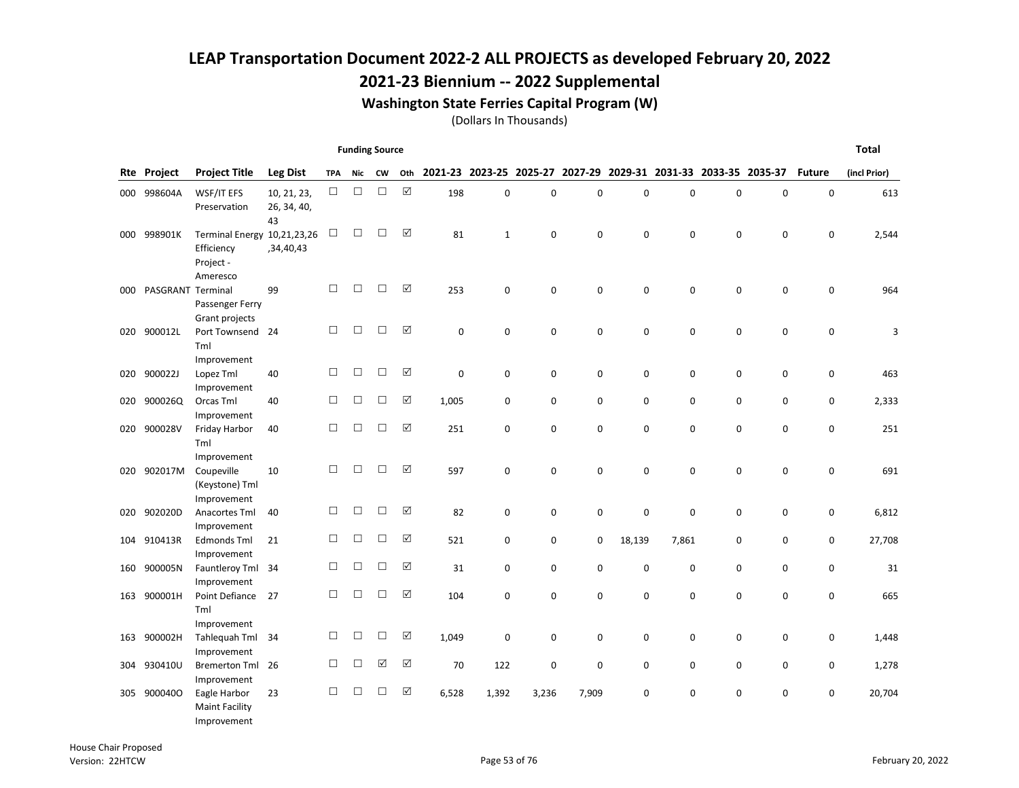### 2021-23 Biennium -- 2022 Supplemental

#### Washington State Ferries Capital Program (W)

|     |                   |                                                                    |                                  |            | <b>Funding Source</b> |                      |                      |             |                         |       |       |           |             |                                         |             |               | <b>Total</b> |
|-----|-------------------|--------------------------------------------------------------------|----------------------------------|------------|-----------------------|----------------------|----------------------|-------------|-------------------------|-------|-------|-----------|-------------|-----------------------------------------|-------------|---------------|--------------|
| Rte | Project           | <b>Project Title</b>                                               | <b>Leg Dist</b>                  | <b>TPA</b> | Nic                   | <b>CW</b>            | Oth                  |             | 2021-23 2023-25 2025-27 |       |       |           |             | 2027-29 2029-31 2031-33 2033-35 2035-37 |             | <b>Future</b> | (incl Prior) |
| 000 | 998604A           | WSF/IT EFS<br>Preservation                                         | 10, 21, 23,<br>26, 34, 40,<br>43 | $\Box$     | $\Box$                | $\Box$               | $\boxtimes$          | 198         | $\mathbf 0$             | 0     | 0     | 0         | $\mathbf 0$ | 0                                       | $\pmb{0}$   | $\mathsf 0$   | 613          |
| 000 | 998901K           | Terminal Energy 10,21,23,26<br>Efficiency<br>Project -<br>Ameresco | ,34,40,43                        | $\Box$     | $\Box$                | $\Box$               | ☑                    | 81          | $\mathbf{1}$            | 0     | 0     | 0         | $\Omega$    | 0                                       | $\mathbf 0$ | $\mathbf 0$   | 2,544        |
| 000 | PASGRANT Terminal | Passenger Ferry<br>Grant projects                                  | 99                               | $\Box$     | $\Box$                | $\Box$               | ☑                    | 253         | 0                       | 0     | 0     | 0         | 0           | 0                                       | $\pmb{0}$   | $\mathsf 0$   | 964          |
| 020 | 900012L           | Port Townsend 24<br>Tml<br>Improvement                             |                                  | □          | □                     | $\Box$               | $\boxed{\checkmark}$ | $\mathbf 0$ | 0                       | 0     | 0     | 0         | $\mathbf 0$ | $\mathbf 0$                             | $\mathbf 0$ | $\mathbf 0$   | 3            |
| 020 | 900022J           | Lopez Tml<br>Improvement                                           | 40                               | $\Box$     | $\Box$                | $\Box$               | ☑                    | $\mathbf 0$ | 0                       | 0     | 0     | 0         | $\mathbf 0$ | 0                                       | 0           | 0             | 463          |
| 020 | 900026Q           | Orcas Tml<br>Improvement                                           | 40                               | □          | $\Box$                | □                    | ☑                    | 1,005       | 0                       | 0     | 0     | 0         | 0           | 0                                       | 0           | 0             | 2,333        |
| 020 | 900028V           | Friday Harbor<br>Tml<br>Improvement                                | 40                               | $\Box$     | $\Box$                | $\Box$               | $\boxed{\checkmark}$ | 251         | 0                       | 0     | 0     | 0         | $\mathbf 0$ | 0                                       | $\mathbf 0$ | $\mathbf 0$   | 251          |
| 020 | 902017M           | Coupeville<br>(Keystone) Tml<br>Improvement                        | 10                               | □          | $\Box$                | П                    | ☑                    | 597         | 0                       | 0     | 0     | 0         | 0           | 0                                       | $\mathbf 0$ | 0             | 691          |
| 020 | 902020D           | Anacortes Tml<br>Improvement                                       | 40                               | □          | $\Box$                | □                    | ☑                    | 82          | 0                       | 0     | 0     | $\pmb{0}$ | $\mathbf 0$ | 0                                       | 0           | 0             | 6,812        |
|     | 104 910413R       | Edmonds Tml<br>Improvement                                         | 21                               | □          | $\Box$                | $\Box$               | ☑                    | 521         | 0                       | 0     | 0     | 18,139    | 7,861       | 0                                       | 0           | 0             | 27,708       |
| 160 | 900005N           | Fauntleroy Tml 34<br>Improvement                                   |                                  | □          | $\Box$                | $\Box$               | ☑                    | 31          | 0                       | 0     | 0     | 0         | $\mathbf 0$ | 0                                       | $\mathbf 0$ | 0             | 31           |
| 163 | 900001H           | Point Defiance<br>Tml<br>Improvement                               | 27                               | □          | □                     | $\Box$               | ☑                    | 104         | 0                       | 0     | 0     | 0         | 0           | 0                                       | $\mathbf 0$ | 0             | 665          |
| 163 | 900002H           | Tahlequah Tml 34<br>Improvement                                    |                                  | □          | $\Box$                | $\Box$               | ☑                    | 1,049       | 0                       | 0     | 0     | 0         | 0           | 0                                       | 0           | 0             | 1,448        |
|     | 304 930410U       | Bremerton Tml 26<br>Improvement                                    |                                  | □          | $\Box$                | $\boxed{\checkmark}$ | ☑                    | 70          | 122                     | 0     | 0     | 0         | $\mathbf 0$ | 0                                       | $\mathbf 0$ | 0             | 1,278        |
|     | 305 9000400       | Eagle Harbor<br><b>Maint Facility</b><br>Improvement               | 23                               | □          | $\Box$                | $\Box$               | ☑                    | 6,528       | 1,392                   | 3,236 | 7,909 | 0         | 0           | 0                                       | $\mathbf 0$ | 0             | 20,704       |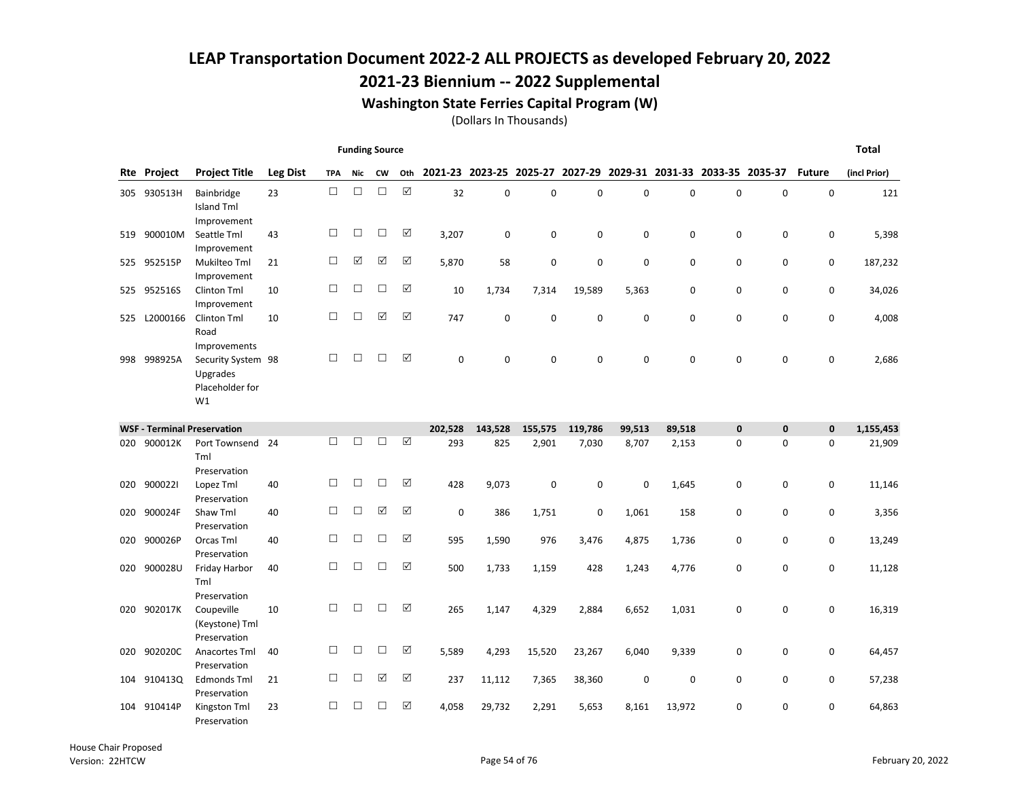### 2021-23 Biennium -- 2022 Supplemental

#### Washington State Ferries Capital Program (W)

|     |             |                                                                         |                 |            | <b>Funding Source</b> |           |          |             |                         |             |             |                                         |             |             |             |               | <b>Total</b> |
|-----|-------------|-------------------------------------------------------------------------|-----------------|------------|-----------------------|-----------|----------|-------------|-------------------------|-------------|-------------|-----------------------------------------|-------------|-------------|-------------|---------------|--------------|
|     | Rte Project | <b>Project Title</b>                                                    | <b>Leg Dist</b> | <b>TPA</b> | <b>Nic</b>            | <b>CW</b> | Oth      |             | 2021-23 2023-25 2025-27 |             |             | 2027-29 2029-31 2031-33 2033-35 2035-37 |             |             |             | <b>Future</b> | (incl Prior) |
| 305 | 930513H     | Bainbridge<br><b>Island Tml</b><br>Improvement                          | 23              | $\Box$     | $\Box$                | $\Box$    | $\Delta$ | 32          | $\mathbf 0$             | $\mathbf 0$ | $\mathbf 0$ | $\mathbf 0$                             | $\mathbf 0$ | $\mathbf 0$ | 0           | $\mathbf 0$   | 121          |
| 519 | 900010M     | Seattle Tml<br>Improvement                                              | 43              | П          | $\Box$                | □         | ☑        | 3,207       | 0                       | 0           | 0           | 0                                       | 0           | 0           | 0           | 0             | 5,398        |
| 525 | 952515P     | Mukilteo Tml<br>Improvement                                             | 21              | $\Box$     | ☑                     | ☑         | ☑        | 5,870       | 58                      | $\mathbf 0$ | 0           | $\mathbf 0$                             | 0           | $\mathbf 0$ | 0           | 0             | 187,232      |
|     | 525 952516S | Clinton Tml<br>Improvement                                              | 10              | $\Box$     | □                     | □         | ☑        | 10          | 1,734                   | 7,314       | 19,589      | 5,363                                   | 0           | $\mathbf 0$ | $\mathbf 0$ | 0             | 34,026       |
| 525 | L2000166    | Clinton Tml<br>Road                                                     | 10              | $\Box$     | $\Box$                | ☑         | ☑        | 747         | $\mathbf 0$             | $\mathbf 0$ | 0           | 0                                       | 0           | $\mathbf 0$ | 0           | 0             | 4,008        |
| 998 | 998925A     | Improvements<br>Security System 98<br>Upgrades<br>Placeholder for<br>W1 |                 | П          | П                     | □         | ☑        | 0           | $\mathbf 0$             | $\mathbf 0$ | $\mathbf 0$ | $\mathbf 0$                             | 0           | $\mathbf 0$ | 0           | 0             | 2,686        |
|     |             | <b>WSF - Terminal Preservation</b>                                      |                 |            |                       |           |          | 202,528     | 143,528                 | 155,575     | 119,786     | 99,513                                  | 89,518      | $\mathbf 0$ | $\bf{0}$    | $\mathbf 0$   | 1,155,453    |
| 020 | 900012K     | Port Townsend<br>Tml<br>Preservation                                    | 24              | П          | □                     | □         | ☑        | 293         | 825                     | 2,901       | 7,030       | 8,707                                   | 2,153       | $\mathbf 0$ | $\mathbf 0$ | $\mathbf 0$   | 21,909       |
| 020 | 9000221     | Lopez Tml<br>Preservation                                               | 40              | П          | □                     | □         | ☑        | 428         | 9,073                   | $\mathbf 0$ | 0           | 0                                       | 1,645       | 0           | 0           | 0             | 11,146       |
| 020 | 900024F     | Shaw Tml<br>Preservation                                                | 40              | $\Box$     | $\Box$                | ☑         | ☑        | $\mathbf 0$ | 386                     | 1,751       | 0           | 1,061                                   | 158         | $\mathbf 0$ | 0           | 0             | 3,356        |
| 020 | 900026P     | Orcas Tml<br>Preservation                                               | 40              | $\Box$     | $\Box$                | □         | ☑        | 595         | 1,590                   | 976         | 3,476       | 4,875                                   | 1,736       | $\mathbf 0$ | 0           | 0             | 13,249       |
| 020 | 900028U     | Friday Harbor<br>Tml<br>Preservation                                    | 40              | $\Box$     | $\Box$                | $\Box$    | ☑        | 500         | 1,733                   | 1,159       | 428         | 1,243                                   | 4,776       | 0           | 0           | 0             | 11,128       |
| 020 | 902017K     | Coupeville<br>(Keystone) Tml                                            | 10              | П          | □                     | □         | ☑        | 265         | 1,147                   | 4,329       | 2,884       | 6,652                                   | 1,031       | $\mathbf 0$ | 0           | 0             | 16,319       |
| 020 | 902020C     | Preservation<br>Anacortes Tml<br>Preservation                           | 40              | П          | □                     | □         | ☑        | 5,589       | 4,293                   | 15,520      | 23,267      | 6,040                                   | 9,339       | $\mathbf 0$ | 0           | 0             | 64,457       |
| 104 | 910413Q     | Edmonds Tml<br>Preservation                                             | 21              | □          | $\Box$                | ☑         | ☑        | 237         | 11,112                  | 7,365       | 38,360      | 0                                       | 0           | $\mathbf 0$ | 0           | 0             | 57,238       |
| 104 | 910414P     | Kingston Tml<br>Preservation                                            | 23              | П          | □                     | □         | ☑        | 4,058       | 29,732                  | 2,291       | 5,653       | 8,161                                   | 13,972      | $\mathbf 0$ | $\mathbf 0$ | 0             | 64,863       |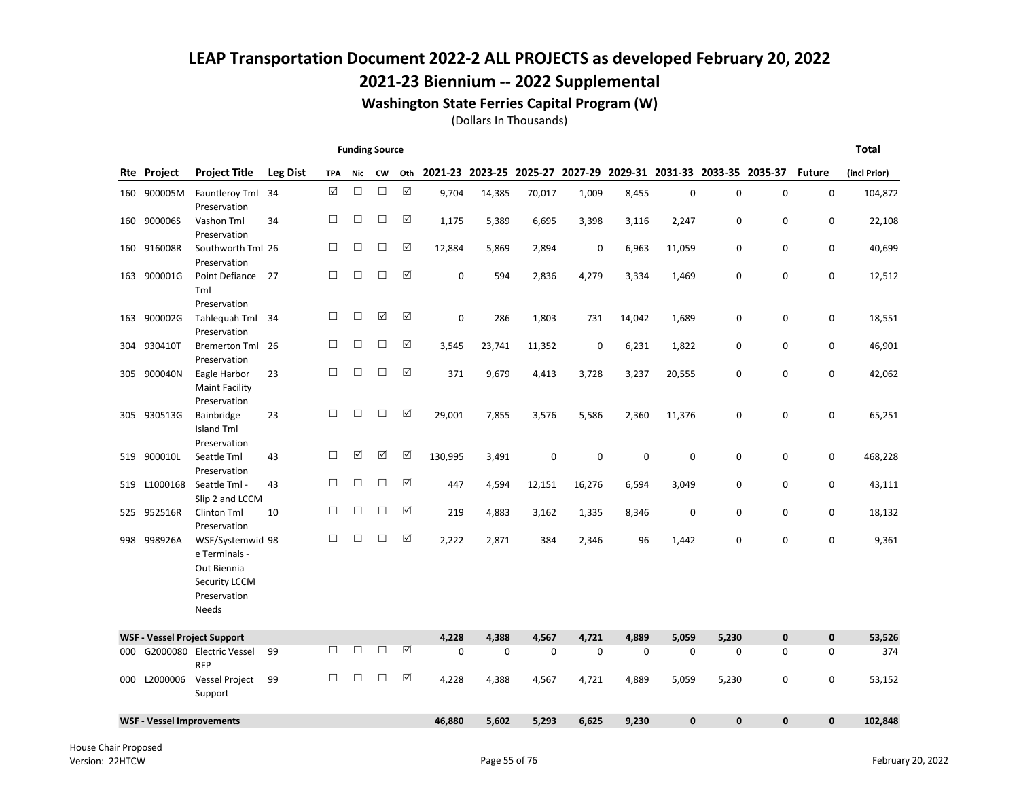### 2021-23 Biennium -- 2022 Supplemental

#### Washington State Ferries Capital Program (W)

|     |                    |                                                                                                          |                 |            |        | <b>Funding Source</b> |             |         |             |             |             |             |        |                     |                                                                 |               | <b>Total</b> |
|-----|--------------------|----------------------------------------------------------------------------------------------------------|-----------------|------------|--------|-----------------------|-------------|---------|-------------|-------------|-------------|-------------|--------|---------------------|-----------------------------------------------------------------|---------------|--------------|
|     | <b>Rte Project</b> | <b>Project Title</b>                                                                                     | <b>Leg Dist</b> | <b>TPA</b> | Nic    | <b>CW</b>             | Oth         |         |             |             |             |             |        |                     | 2021-23 2023-25 2025-27 2027-29 2029-31 2031-33 2033-35 2035-37 | <b>Future</b> | (incl Prior) |
| 160 | 900005M            | Fauntleroy Tml<br>Preservation                                                                           | 34              | ☑          | $\Box$ | $\Box$                | $\boxtimes$ | 9,704   | 14,385      | 70,017      | 1,009       | 8,455       | 0      | $\mathsf 0$         | $\mathbf 0$                                                     | $\mathbf 0$   |              |
| 160 | 900006S            | Vashon Tml<br>Preservation                                                                               | 34              | $\Box$     | $\Box$ | $\Box$                | ☑           | 1,175   | 5,389       | 6,695       | 3,398       | 3,116       | 2,247  | 0                   | 0                                                               | 0             |              |
|     | 160 916008R        | Southworth Tml 26<br>Preservation                                                                        |                 | □          | □      | $\Box$                | ☑           | 12,884  | 5,869       | 2,894       | $\mathbf 0$ | 6,963       | 11,059 | 0                   | 0                                                               | $\mathsf 0$   |              |
| 163 | 900001G            | Point Defiance<br>Tml<br>Preservation                                                                    | 27              | $\Box$     | □      | $\Box$                | ☑           | 0       | 594         | 2,836       | 4,279       | 3,334       | 1,469  | 0                   | 0                                                               | $\mathbf 0$   |              |
|     | 163 900002G        | Tahlequah Tml<br>Preservation                                                                            | - 34            | $\Box$     | □      | ☑                     | ☑           | 0       | 286         | 1,803       | 731         | 14,042      | 1,689  | $\mathbf 0$         | $\mathsf 0$                                                     | $\mathsf 0$   |              |
|     | 304 930410T        | Bremerton Tml 26<br>Preservation                                                                         |                 | □          | $\Box$ | $\Box$                | ☑           | 3,545   | 23,741      | 11,352      | $\mathbf 0$ | 6,231       | 1,822  | 0                   | 0                                                               | $\mathbf 0$   |              |
|     | 305 900040N        | Eagle Harbor<br><b>Maint Facility</b><br>Preservation                                                    | 23              | $\Box$     | □      | $\Box$                | ☑           | 371     | 9,679       | 4,413       | 3,728       | 3,237       | 20,555 | 0                   | 0                                                               | $\mathsf 0$   |              |
|     | 305 930513G        | Bainbridge<br><b>Island Tml</b><br>Preservation                                                          | 23              | $\Box$     | $\Box$ | $\Box$                | ☑           | 29,001  | 7,855       | 3,576       | 5,586       | 2,360       | 11,376 | 0                   | 0                                                               | 0             |              |
| 519 | 900010L            | Seattle Tml<br>Preservation                                                                              | 43              | □          | ☑      | ☑                     | ☑           | 130,995 | 3,491       | $\mathbf 0$ | $\mathbf 0$ | $\mathbf 0$ | 0      | 0                   | 0                                                               | $\mathbf 0$   |              |
| 519 | L1000168           | Seattle Tml -<br>Slip 2 and LCCM                                                                         | 43              | □          | □      | $\Box$                | ☑           | 447     | 4,594       | 12,151      | 16,276      | 6,594       | 3,049  | 0                   | 0                                                               | 0             |              |
|     | 525 952516R        | Clinton Tml<br>Preservation                                                                              | 10              | $\Box$     | □      | $\Box$                | ☑           | 219     | 4,883       | 3,162       | 1,335       | 8,346       | 0      | $\mathsf{O}\xspace$ | 0                                                               | $\mathsf 0$   |              |
|     | 998 998926A        | WSF/Systemwid 98<br>e Terminals -<br>Out Biennia<br><b>Security LCCM</b><br>Preservation<br><b>Needs</b> |                 | □          | $\Box$ | $\Box$                | ☑           | 2,222   | 2,871       | 384         | 2,346       | 96          | 1,442  | 0                   | 0                                                               | $\mathbf 0$   |              |
|     |                    | <b>WSF - Vessel Project Support</b>                                                                      |                 |            |        |                       |             | 4,228   | 4,388       | 4,567       | 4,721       | 4,889       | 5,059  | 5,230               | $\pmb{0}$                                                       | $\mathbf 0$   |              |
|     |                    | 000 G2000080 Electric Vessel<br><b>RFP</b>                                                               | 99              | $\Box$     | $\Box$ | $\Box$                | ☑           | 0       | $\mathbf 0$ | 0           | $\mathbf 0$ | $\mathbf 0$ | 0      | $\mathbf 0$         | 0                                                               | $\mathbf 0$   |              |
| 000 |                    | L2000006 Vessel Project<br>Support                                                                       | 99              | □          | $\Box$ | $\Box$                | ☑           | 4,228   | 4,388       | 4,567       | 4,721       | 4,889       | 5,059  | 5,230               | $\mathbf 0$                                                     | $\mathbf 0$   |              |
|     |                    | <b>WSF - Vessel Improvements</b>                                                                         |                 |            |        |                       |             | 46.880  | 5,602       | 5,293       | 6,625       | 9,230       | 0      | $\mathbf{0}$        | $\mathbf{0}$                                                    | $\mathbf{0}$  |              |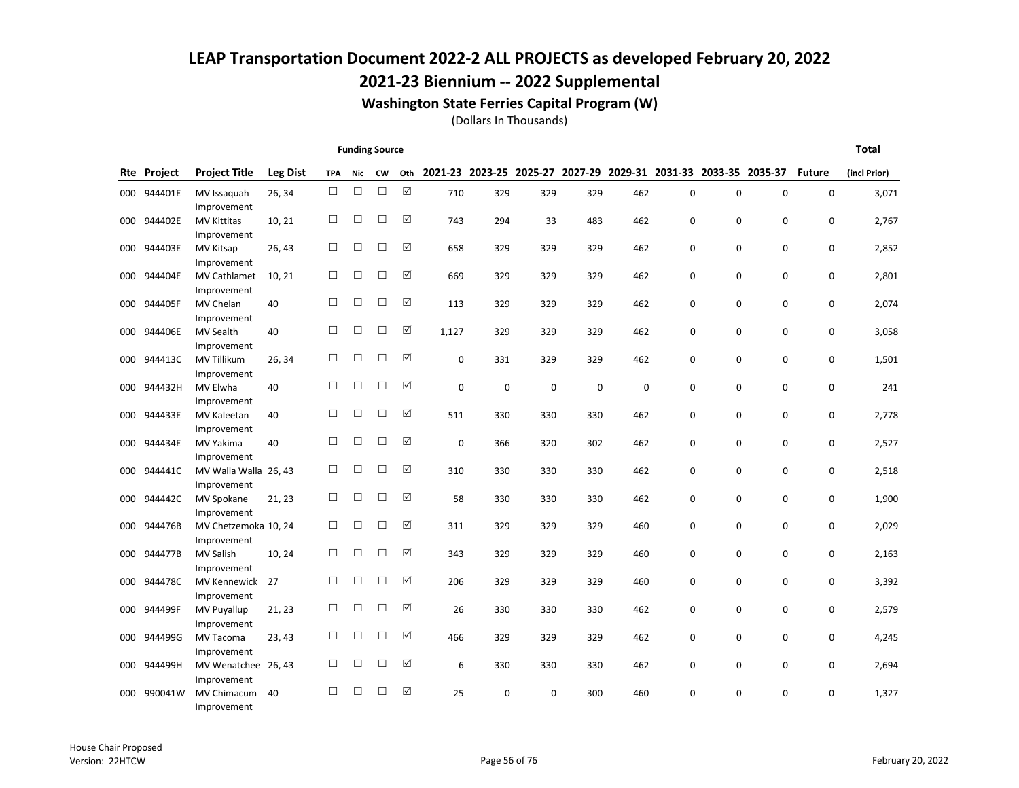### 2021-23 Biennium -- 2022 Supplemental

#### Washington State Ferries Capital Program (W)

|     |             |                                      |                 |            | <b>Funding Source</b> |        |             |       |             |                                                                 |             |     |   |   |             |               | <b>Total</b> |
|-----|-------------|--------------------------------------|-----------------|------------|-----------------------|--------|-------------|-------|-------------|-----------------------------------------------------------------|-------------|-----|---|---|-------------|---------------|--------------|
|     | Rte Project | <b>Project Title</b>                 | <b>Leg Dist</b> | <b>TPA</b> | Nic                   | CW     | Oth         |       |             | 2021-23 2023-25 2025-27 2027-29 2029-31 2031-33 2033-35 2035-37 |             |     |   |   |             | <b>Future</b> | (incl Prior) |
| 000 | 944401E     | MV Issaguah<br>Improvement           | 26, 34          | $\Box$     | $\Box$                | $\Box$ | $\boxtimes$ | 710   | 329         | 329                                                             | 329         | 462 | 0 | 0 | $\mathbf 0$ | 0             | 3,071        |
| 000 | 944402E     | <b>MV Kittitas</b><br>Improvement    | 10, 21          | $\Box$     | $\Box$                | □      | ☑           | 743   | 294         | 33                                                              | 483         | 462 | 0 | 0 | 0           | 0             | 2,767        |
| 000 | 944403E     | MV Kitsap<br>Improvement             | 26, 43          | $\Box$     | $\Box$                | □      | ☑           | 658   | 329         | 329                                                             | 329         | 462 | 0 | 0 | 0           | 0             | 2,852        |
| 000 | 944404E     | MV Cathlamet<br>Improvement          | 10, 21          | $\Box$     | □                     | □      | ☑           | 669   | 329         | 329                                                             | 329         | 462 | 0 | 0 | $\mathbf 0$ | 0             | 2,801        |
| 000 | 944405F     | MV Chelan<br>Improvement             | 40              | $\Box$     | $\Box$                | □      | ☑           | 113   | 329         | 329                                                             | 329         | 462 | 0 | 0 | $\mathbf 0$ | 0             | 2,074        |
| 000 | 944406E     | <b>MV Sealth</b><br>Improvement      | 40              | $\Box$     | $\Box$                | $\Box$ | ☑           | 1,127 | 329         | 329                                                             | 329         | 462 | 0 | 0 | $\mathbf 0$ | 0             | 3,058        |
| 000 | 944413C     | MV Tillikum<br>Improvement           | 26, 34          | □          | $\Box$                | □      | ☑           | 0     | 331         | 329                                                             | 329         | 462 | 0 | 0 | $\mathbf 0$ | 0             | 1,501        |
| 000 | 944432H     | MV Elwha<br>Improvement              | 40              | $\Box$     | $\Box$                | □      | ☑           | 0     | $\mathbf 0$ | $\mathbf 0$                                                     | $\mathbf 0$ | 0   | 0 | 0 | $\mathbf 0$ | 0             | 241          |
| 000 | 944433E     | <b>MV Kaleetan</b><br>Improvement    | 40              | $\Box$     | $\Box$                | □      | ☑           | 511   | 330         | 330                                                             | 330         | 462 | 0 | 0 | $\mathbf 0$ | 0             | 2,778        |
| 000 | 944434E     | MV Yakima<br>Improvement             | 40              | □          | $\Box$                | П      | ☑           | 0     | 366         | 320                                                             | 302         | 462 | 0 | 0 | 0           | 0             | 2,527        |
| 000 | 944441C     | MV Walla Walla 26, 43<br>Improvement |                 | $\Box$     | □                     | П      | ☑           | 310   | 330         | 330                                                             | 330         | 462 | 0 | 0 | $\mathbf 0$ | 0             | 2,518        |
| 000 | 944442C     | MV Spokane<br>Improvement            | 21, 23          | $\Box$     | $\Box$                | $\Box$ | ☑           | 58    | 330         | 330                                                             | 330         | 462 | 0 | 0 | $\mathbf 0$ | 0             | 1,900        |
| 000 | 944476B     | MV Chetzemoka 10, 24<br>Improvement  |                 | $\Box$     | □                     | □      | ☑           | 311   | 329         | 329                                                             | 329         | 460 | 0 | 0 | 0           | 0             | 2,029        |
| 000 | 944477B     | <b>MV Salish</b><br>Improvement      | 10, 24          | $\Box$     | $\Box$                | □      | ☑           | 343   | 329         | 329                                                             | 329         | 460 | 0 | 0 | 0           | 0             | 2,163        |
| 000 | 944478C     | MV Kennewick<br>Improvement          | 27              | $\Box$     | $\Box$                | □      | ☑           | 206   | 329         | 329                                                             | 329         | 460 | 0 | 0 | $\mathbf 0$ | 0             | 3,392        |
| 000 | 944499F     | MV Puyallup<br>Improvement           | 21, 23          | $\Box$     | $\Box$                | □      | ☑           | 26    | 330         | 330                                                             | 330         | 462 | 0 | 0 | $\mathbf 0$ | 0             | 2,579        |
| 000 | 944499G     | MV Tacoma<br>Improvement             | 23, 43          | П          | $\Box$                | П      | ☑           | 466   | 329         | 329                                                             | 329         | 462 | 0 | 0 | 0           | 0             | 4,245        |
| 000 | 944499H     | MV Wenatchee 26, 43<br>Improvement   |                 | $\Box$     | $\Box$                | □      | ☑           | 6     | 330         | 330                                                             | 330         | 462 | 0 | 0 | $\mathbf 0$ | 0             | 2,694        |
| 000 | 990041W     | MV Chimacum<br>Improvement           | 40              | □          | □                     | □      | ☑           | 25    | 0           | 0                                                               | 300         | 460 | 0 | 0 | 0           | 0             | 1,327        |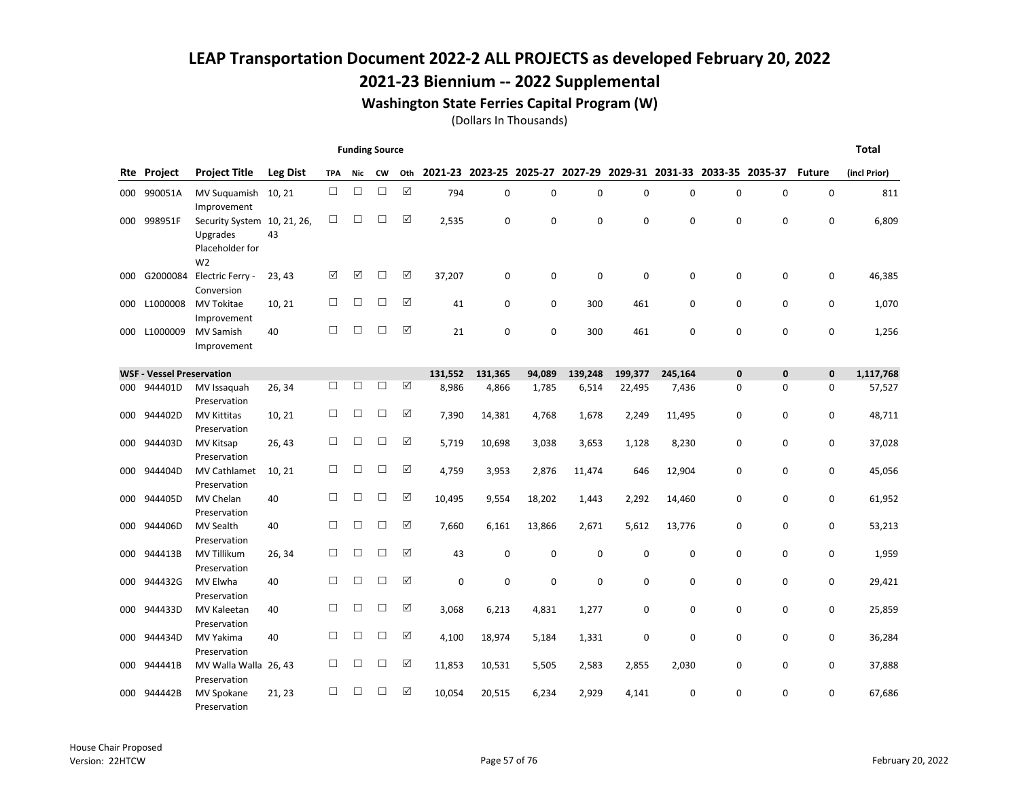### 2021-23 Biennium -- 2022 Supplemental

#### Washington State Ferries Capital Program (W)

|     |                                  |                                                                              |                 |            | <b>Funding Source</b> |           |     |         |                         |             |             |                                         |             |              |              |               | <b>Total</b> |
|-----|----------------------------------|------------------------------------------------------------------------------|-----------------|------------|-----------------------|-----------|-----|---------|-------------------------|-------------|-------------|-----------------------------------------|-------------|--------------|--------------|---------------|--------------|
|     | <b>Rte</b> Project               | <b>Project Title</b>                                                         | <b>Leg Dist</b> | <b>TPA</b> | Nic                   | <b>CW</b> | Oth |         | 2021-23 2023-25 2025-27 |             |             | 2027-29 2029-31 2031-33 2033-35 2035-37 |             |              |              | <b>Future</b> | (incl Prior) |
| 000 | 990051A                          | MV Suguamish<br>Improvement                                                  | 10, 21          | $\Box$     | $\Box$                | $\Box$    | ☑   | 794     | 0                       | $\mathbf 0$ | 0           | 0                                       | $\mathbf 0$ | 0            | 0            | 0             | 811          |
| 000 | 998951F                          | Security System 10, 21, 26,<br>Upgrades<br>Placeholder for<br>W <sub>2</sub> | 43              | □          | □                     | □         | ☑   | 2,535   | 0                       | 0           | 0           | 0                                       | 0           | $\mathbf 0$  | $\mathbf 0$  | 0             | 6,809        |
| 000 | G2000084                         | Electric Ferry -<br>Conversion                                               | 23, 43          | ☑          | ☑                     | □         | ☑   | 37,207  | $\mathbf 0$             | $\mathbf 0$ | $\mathbf 0$ | 0                                       | $\mathbf 0$ | 0            | 0            | 0             | 46,385       |
| 000 | L1000008                         | MV Tokitae<br>Improvement                                                    | 10, 21          | $\Box$     | □                     | П         | ☑   | 41      | 0                       | 0           | 300         | 461                                     | 0           | $\mathbf 0$  | 0            | 0             | 1,070        |
| 000 | L1000009                         | <b>MV Samish</b><br>Improvement                                              | 40              | П          | П                     | П         | ☑   | 21      | $\Omega$                | $\Omega$    | 300         | 461                                     | $\Omega$    | $\Omega$     | $\Omega$     | 0             | 1,256        |
|     | <b>WSF - Vessel Preservation</b> |                                                                              |                 |            |                       |           |     | 131,552 | 131,365                 | 94,089      | 139,248     | 199,377                                 | 245,164     | $\mathbf{0}$ | $\mathbf{0}$ | 0             | 1,117,768    |
| 000 | 944401D                          | MV Issaquah<br>Preservation                                                  | 26, 34          | □          | □                     | □         | ☑   | 8,986   | 4,866                   | 1,785       | 6,514       | 22,495                                  | 7,436       | 0            | $\mathbf 0$  | 0             | 57,527       |
| 000 | 944402D                          | <b>MV Kittitas</b><br>Preservation                                           | 10, 21          | $\Box$     | $\Box$                | □         | ☑   | 7,390   | 14,381                  | 4,768       | 1,678       | 2,249                                   | 11,495      | 0            | $\mathbf 0$  | 0             | 48,711       |
| 000 | 944403D                          | MV Kitsap<br>Preservation                                                    | 26, 43          | $\Box$     | $\Box$                | □         | ☑   | 5,719   | 10,698                  | 3,038       | 3,653       | 1,128                                   | 8,230       | $\mathbf 0$  | $\mathbf 0$  | 0             | 37,028       |
| 000 | 944404D                          | MV Cathlamet<br>Preservation                                                 | 10, 21          | П          | □                     | □         | ☑   | 4,759   | 3,953                   | 2,876       | 11,474      | 646                                     | 12,904      | $\mathbf 0$  | $\mathbf 0$  | 0             | 45,056       |
| 000 | 944405D                          | MV Chelan<br>Preservation                                                    | 40              | □          | $\Box$                | П         | ☑   | 10,495  | 9,554                   | 18,202      | 1,443       | 2,292                                   | 14,460      | $\mathbf 0$  | $\mathbf 0$  | 0             | 61,952       |
| 000 | 944406D                          | <b>MV Sealth</b><br>Preservation                                             | 40              | □          | □                     | □         | ☑   | 7,660   | 6,161                   | 13,866      | 2,671       | 5,612                                   | 13,776      | 0            | $\mathbf 0$  | 0             | 53,213       |
| 000 | 944413B                          | <b>MV Tillikum</b><br>Preservation                                           | 26, 34          | П          | □                     | П         | ☑   | 43      | 0                       | 0           | 0           | 0                                       | 0           | $\mathbf 0$  | 0            | 0             | 1,959        |
| 000 | 944432G                          | MV Elwha<br>Preservation                                                     | 40              | $\Box$     | $\Box$                | □         | ☑   | 0       | $\mathbf 0$             | 0           | 0           | 0                                       | 0           | 0            | 0            | 0             | 29,421       |
| 000 | 944433D                          | <b>MV Kaleetan</b><br>Preservation                                           | 40              | □          | □                     | □         | ☑   | 3,068   | 6,213                   | 4,831       | 1,277       | 0                                       | $\mathbf 0$ | $\mathbf 0$  | $\mathbf 0$  | 0             | 25,859       |
| 000 | 944434D                          | MV Yakima<br>Preservation                                                    | 40              | $\Box$     | $\Box$                | □         | ☑   | 4,100   | 18,974                  | 5,184       | 1,331       | 0                                       | 0           | $\mathbf 0$  | 0            | 0             | 36,284       |
| 000 | 944441B                          | MV Walla Walla 26, 43<br>Preservation                                        |                 | $\Box$     | $\Box$                | □         | ☑   | 11,853  | 10,531                  | 5,505       | 2,583       | 2,855                                   | 2,030       | $\mathbf 0$  | $\mathbf 0$  | 0             | 37,888       |
| 000 | 944442B                          | MV Spokane<br>Preservation                                                   | 21, 23          | □          | □                     | П         | ☑   | 10,054  | 20,515                  | 6,234       | 2,929       | 4,141                                   | 0           | $\Omega$     | $\Omega$     | 0             | 67,686       |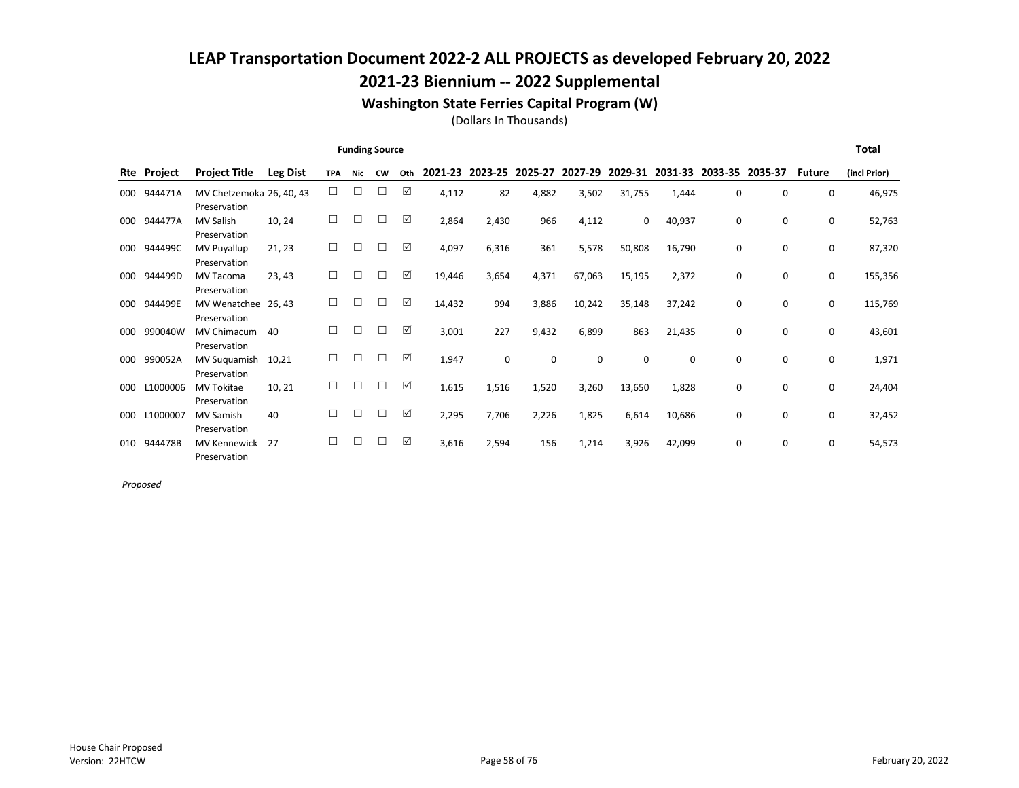### 2021-23 Biennium -- 2022 Supplemental

#### Washington State Ferries Capital Program (W)

(Dollars In Thousands)

|     |          |                                          |                 |            | <b>Funding Source</b> |           |     |         |         |         |             |             |         |                 |          |               | <b>Total</b> |
|-----|----------|------------------------------------------|-----------------|------------|-----------------------|-----------|-----|---------|---------|---------|-------------|-------------|---------|-----------------|----------|---------------|--------------|
| Rte | Project  | <b>Project Title</b>                     | <b>Leg Dist</b> | <b>TPA</b> | <b>Nic</b>            | <b>CW</b> | Oth | 2021-23 | 2023-25 | 2025-27 | 2027-29     | 2029-31     | 2031-33 | 2033-35 2035-37 |          | <b>Future</b> | (incl Prior) |
| 000 | 944471A  | MV Chetzemoka 26, 40, 43<br>Preservation |                 | □          | □                     | $\Box$    | ☑   | 4,112   | 82      | 4,882   | 3,502       | 31,755      | 1,444   | $\Omega$        | $\Omega$ | 0             | 46,975       |
| 000 | 944477A  | <b>MV Salish</b><br>Preservation         | 10, 24          | □          | □                     | □         | ☑   | 2,864   | 2,430   | 966     | 4,112       | 0           | 40,937  | 0               | 0        | 0             | 52,763       |
| 000 | 944499C  | MV Puyallup<br>Preservation              | 21, 23          |            | Г                     | П         | ☑   | 4,097   | 6,316   | 361     | 5,578       | 50,808      | 16,790  | $\Omega$        | 0        | $\mathbf 0$   | 87,320       |
| 000 | 944499D  | <b>MV Tacoma</b><br>Preservation         | 23, 43          | П          | П                     | П         | ☑   | 19,446  | 3,654   | 4,371   | 67,063      | 15,195      | 2,372   | 0               | 0        | 0             | 155,356      |
| 000 | 944499E  | MV Wenatchee<br>Preservation             | 26.43           | п          | П                     | П         | ☑   | 14,432  | 994     | 3,886   | 10,242      | 35,148      | 37,242  | 0               | 0        | 0             | 115,769      |
| 000 | 990040W  | <b>MV Chimacum</b><br>Preservation       | 40              | П          | П                     | П         | ☑   | 3,001   | 227     | 9,432   | 6,899       | 863         | 21,435  | 0               | 0        | 0             | 43,601       |
| 000 | 990052A  | MV Suguamish<br>Preservation             | 10,21           | П          | П                     | П         | ☑   | 1,947   | 0       | 0       | $\mathbf 0$ | $\mathbf 0$ | 0       | 0               | 0        | 0             | 1,971        |
| 000 | L1000006 | <b>MV Tokitae</b><br>Preservation        | 10, 21          | П          | L                     | П         | ☑   | 1,615   | 1,516   | 1,520   | 3,260       | 13,650      | 1,828   | 0               | 0        | 0             | 24,404       |
| 000 | L1000007 | <b>MV Samish</b><br>Preservation         | 40              |            | □                     | □         | ☑   | 2,295   | 7,706   | 2,226   | 1,825       | 6,614       | 10,686  | 0               | 0        | 0             | 32,452       |
| 010 | 944478B  | <b>MV Kennewick</b><br>Preservation      | 27              |            | П                     | П         | ☑   | 3,616   | 2,594   | 156     | 1,214       | 3,926       | 42,099  | 0               | 0        | 0             | 54,573       |

Proposed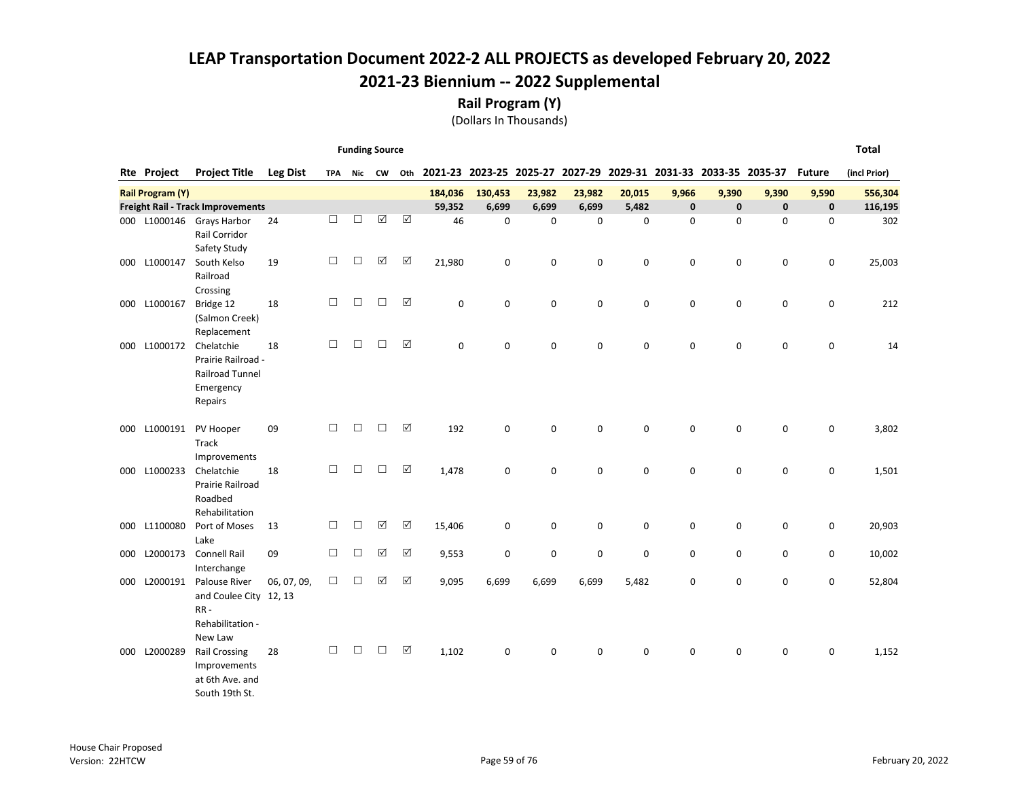Rail Program (Y)

(Dollars In Thousands)

|     |                         |                                                                                    |                 |        | <b>Funding Source</b> |                       |                      |             |             |             |                                                                        |           |             |             |             |             | <b>Total</b> |
|-----|-------------------------|------------------------------------------------------------------------------------|-----------------|--------|-----------------------|-----------------------|----------------------|-------------|-------------|-------------|------------------------------------------------------------------------|-----------|-------------|-------------|-------------|-------------|--------------|
|     | Rte Project             | <b>Project Title</b>                                                               | <b>Leg Dist</b> |        | TPA Nic CW            |                       | Oth                  |             |             |             | 2021-23 2023-25 2025-27 2027-29 2029-31 2031-33 2033-35 2035-37 Future |           |             |             |             |             | (incl Prior) |
|     | <b>Rail Program (Y)</b> |                                                                                    |                 |        |                       |                       |                      | 184,036     | 130,453     | 23,982      | 23,982                                                                 | 20,015    | 9,966       | 9,390       | 9,390       | 9,590       | 556,304      |
|     |                         | <b>Freight Rail - Track Improvements</b>                                           |                 |        |                       |                       |                      | 59,352      | 6,699       | 6,699       | 6,699                                                                  | 5,482     | $\mathbf 0$ | $\mathbf 0$ | $\mathbf 0$ | $\mathbf 0$ | 116,195      |
|     |                         | 000 L1000146 Grays Harbor<br>Rail Corridor<br>Safety Study                         | 24              | $\Box$ | □                     | $\boxed{\mathcal{S}}$ | $\boxed{\checkmark}$ | 46          | $\mathbf 0$ | $\mathbf 0$ | 0                                                                      | $\pmb{0}$ | $\mathbf 0$ | $\mathbf 0$ | $\mathbf 0$ | 0           | 302          |
| 000 | L1000147                | South Kelso<br>Railroad<br>Crossing                                                | 19              | $\Box$ | $\Box$                | ☑                     | ☑                    | 21,980      | 0           | $\mathbf 0$ | 0                                                                      | 0         | $\mathbf 0$ | $\mathbf 0$ | $\mathbf 0$ | 0           | 25,003       |
| 000 | L1000167                | Bridge 12<br>(Salmon Creek)<br>Replacement                                         | 18              | $\Box$ | $\Box$                | $\Box$                | $\boxed{\checkmark}$ | $\mathbf 0$ | 0           | $\mathbf 0$ | 0                                                                      | 0         | $\mathbf 0$ | 0           | 0           | 0           | 212          |
| 000 | L1000172                | Chelatchie<br>Prairie Railroad -<br><b>Railroad Tunnel</b><br>Emergency<br>Repairs | 18              | $\Box$ | $\Box$                | $\Box$                | $\boxed{\checkmark}$ | $\mathbf 0$ | 0           | $\mathbf 0$ | 0                                                                      | 0         | $\mathbf 0$ | 0           | $\mathbf 0$ | $\mathsf 0$ | 14           |
| 000 | L1000191                | PV Hooper<br>Track<br>Improvements                                                 | 09              | $\Box$ | $\Box$                | $\Box$                | ☑                    | 192         | 0           | 0           | 0                                                                      | 0         | 0           | 0           | 0           | 0           | 3,802        |
|     | 000 L1000233            | Chelatchie<br>Prairie Railroad<br>Roadbed<br>Rehabilitation                        | 18              | □      | $\Box$                | $\Box$                | $\boxed{\checkmark}$ | 1,478       | 0           | $\mathbf 0$ | 0                                                                      | 0         | $\mathbf 0$ | 0           | 0           | 0           | 1,501        |
| 000 | L1100080                | Port of Moses<br>Lake                                                              | 13              | □      | □                     | ☑                     | ☑                    | 15,406      | 0           | $\mathbf 0$ | 0                                                                      | 0         | 0           | 0           | 0           | 0           | 20,903       |
| 000 | L2000173                | <b>Connell Rail</b><br>Interchange                                                 | 09              | $\Box$ | $\Box$                | ☑                     | $\boxed{\checkmark}$ | 9,553       | 0           | $\mathbf 0$ | 0                                                                      | 0         | 0           | $\mathbf 0$ | 0           | 0           | 10,002       |
| 000 | L2000191                | Palouse River<br>and Coulee City 12, 13<br>$RR -$<br>Rehabilitation -<br>New Law   | 06, 07, 09,     | $\Box$ | □                     | ☑                     | $\boxed{\checkmark}$ | 9,095       | 6,699       | 6,699       | 6,699                                                                  | 5,482     | 0           | 0           | 0           | 0           | 52,804       |
| 000 | L2000289                | <b>Rail Crossing</b><br>Improvements<br>at 6th Ave. and                            | 28              | $\Box$ | $\Box$                | $\Box$                | $\boxed{\checkmark}$ | 1,102       | $\mathbf 0$ | $\mathbf 0$ | 0                                                                      | 0         | $\mathbf 0$ | $\mathbf 0$ | 0           | 0           | 1,152        |

South 19th St.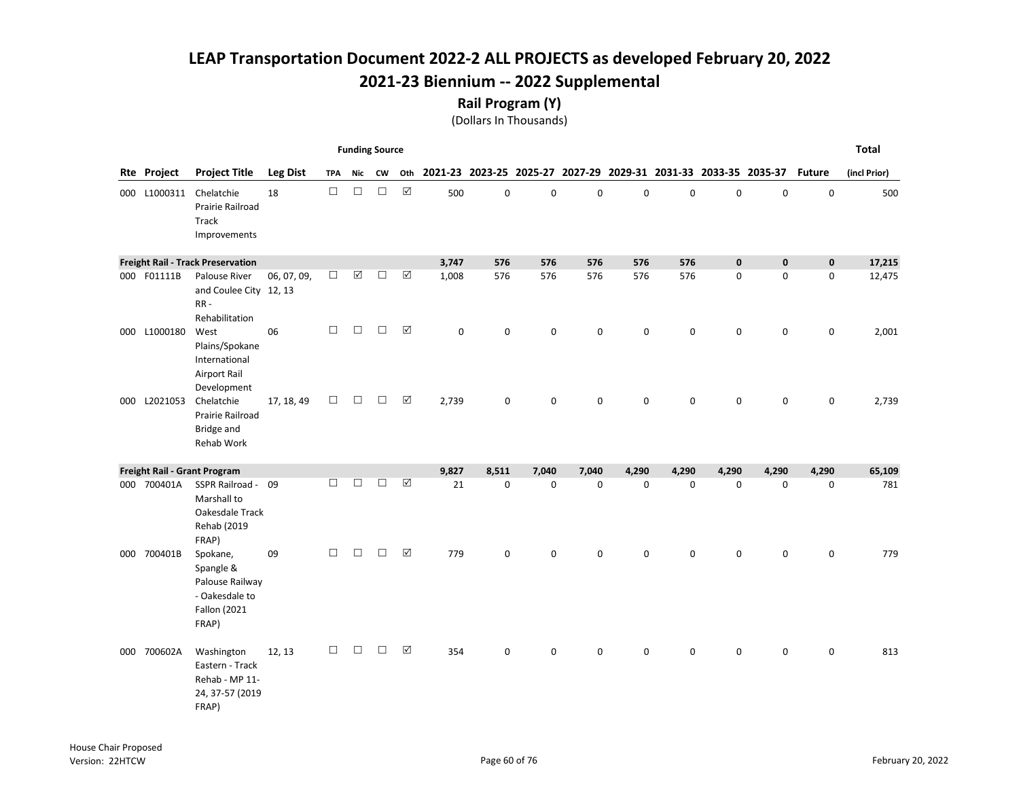#### Rail Program (Y)

|     |              |                                                                                            |                 |            | <b>Funding Source</b> |           |                      |             |                                                                 |             |             |             |             |             |             |               | <b>Total</b> |
|-----|--------------|--------------------------------------------------------------------------------------------|-----------------|------------|-----------------------|-----------|----------------------|-------------|-----------------------------------------------------------------|-------------|-------------|-------------|-------------|-------------|-------------|---------------|--------------|
|     | Rte Project  | <b>Project Title</b>                                                                       | <b>Leg Dist</b> | <b>TPA</b> | Nic                   | <b>CW</b> | Oth                  |             | 2021-23 2023-25 2025-27 2027-29 2029-31 2031-33 2033-35 2035-37 |             |             |             |             |             |             | <b>Future</b> | (incl Prior) |
|     | 000 L1000311 | Chelatchie<br>Prairie Railroad<br>Track<br>Improvements                                    | 18              | $\Box$     | $\Box$                | $\Box$    | $\boxed{\checkmark}$ | 500         | $\mathsf 0$                                                     | $\mathbf 0$ | $\mathbf 0$ | 0           | $\mathbf 0$ | $\mathbf 0$ | 0           | $\mathbf 0$   | 500          |
|     |              | <b>Freight Rail - Track Preservation</b>                                                   |                 |            |                       |           |                      | 3,747       | 576                                                             | 576         | 576         | 576         | 576         | $\mathbf 0$ | $\mathbf 0$ | $\pmb{0}$     | 17,215       |
|     | 000 F01111B  | Palouse River<br>and Coulee City 12, 13<br>RR-<br>Rehabilitation                           | 06, 07, 09,     | $\Box$     | $\boxed{\mathbf{v}}$  | $\Box$    | ☑                    | 1,008       | 576                                                             | 576         | 576         | 576         | 576         | $\mathbf 0$ | 0           | 0             | 12,475       |
|     | 000 L1000180 | West<br>Plains/Spokane<br>International<br><b>Airport Rail</b><br>Development              | 06              | $\Box$     | $\Box$                | $\Box$    | $\Delta$             | $\mathbf 0$ | $\mathbf 0$                                                     | $\mathbf 0$ | $\mathbf 0$ | $\mathbf 0$ | $\mathbf 0$ | $\mathbf 0$ | 0           | $\mathsf{o}$  | 2,001        |
|     | 000 L2021053 | Chelatchie<br>Prairie Railroad<br>Bridge and<br>Rehab Work                                 | 17, 18, 49      | $\Box$     | $\Box$                | $\Box$    | $\Delta$             | 2,739       | 0                                                               | $\mathbf 0$ | $\mathbf 0$ | $\mathbf 0$ | $\mathbf 0$ | 0           | 0           | 0             | 2,739        |
|     |              | Freight Rail - Grant Program                                                               |                 |            |                       |           |                      | 9,827       | 8,511                                                           | 7,040       | 7,040       | 4,290       | 4,290       | 4,290       | 4,290       | 4,290         | 65,109       |
|     | 000 700401A  | SSPR Railroad - 09<br>Marshall to<br>Oakesdale Track<br>Rehab (2019<br>FRAP)               |                 | П          | $\Box$                | $\Box$    | $\boxed{\checkmark}$ | 21          | 0                                                               | $\mathbf 0$ | $\mathsf 0$ | 0           | 0           | $\mathbf 0$ | 0           | 0             | 781          |
|     | 000 700401B  | Spokane,<br>Spangle &<br>Palouse Railway<br>- Oakesdale to<br><b>Fallon</b> (2021<br>FRAP) | 09              | □          | $\Box$                | $\Box$    | $\boxtimes$          | 779         | 0                                                               | $\mathbf 0$ | 0           | $\mathbf 0$ | $\mathbf 0$ | $\mathsf 0$ | 0           | 0             | 779          |
| 000 | 700602A      | Washington<br>Eastern - Track<br>Rehab - MP 11-<br>24, 37-57 (2019<br>FRAP)                | 12, 13          | $\Box$     | $\Box$                | $\Box$    | $\Delta$             | 354         | 0                                                               | $\mathbf 0$ | 0           | $\Omega$    | $\Omega$    | 0           | 0           | 0             | 813          |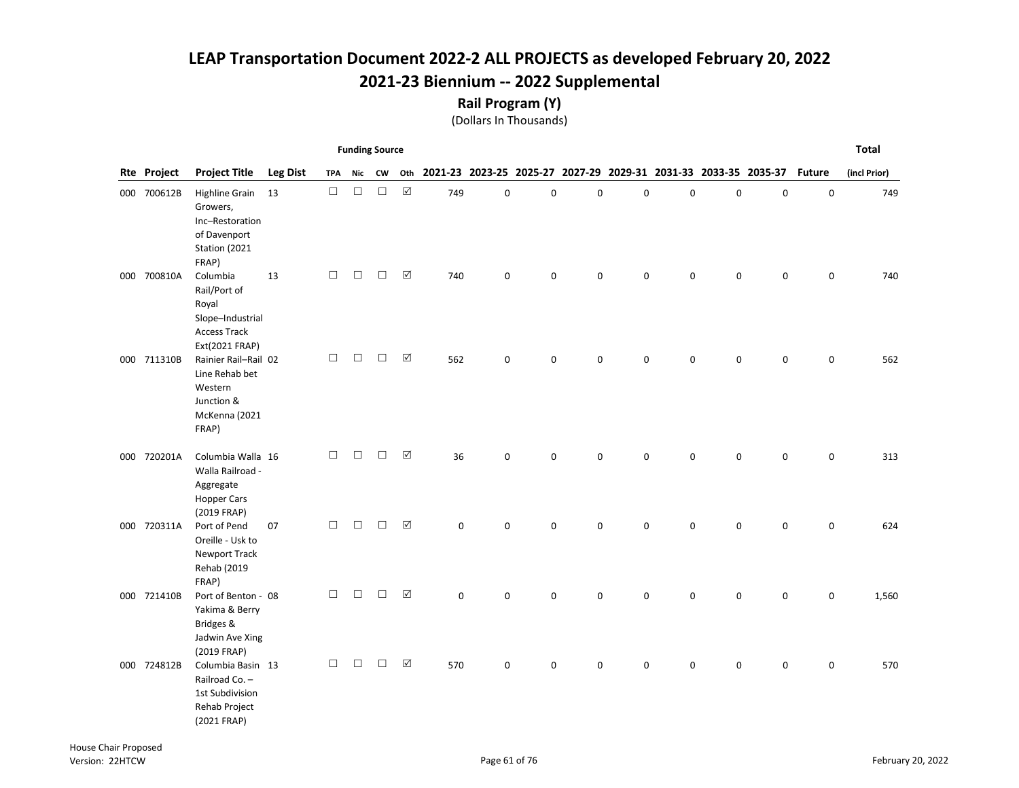Rail Program (Y)

|             |                                                                                                |                 |        | <b>Funding Source</b> |        |                      |             |             |             |   |             |                                                                 |             |             |               | <b>Total</b> |
|-------------|------------------------------------------------------------------------------------------------|-----------------|--------|-----------------------|--------|----------------------|-------------|-------------|-------------|---|-------------|-----------------------------------------------------------------|-------------|-------------|---------------|--------------|
| Rte Project | <b>Project Title</b>                                                                           | <b>Leg Dist</b> | TPA    | Nic                   | CW     | Oth                  |             |             |             |   |             | 2021-23 2023-25 2025-27 2027-29 2029-31 2031-33 2033-35 2035-37 |             |             | <b>Future</b> | (incl Prior) |
| 000 700612B | Highline Grain 13<br>Growers,<br>Inc-Restoration<br>of Davenport<br>Station (2021<br>FRAP)     |                 | $\Box$ | $\Box$                | $\Box$ | $\boxtimes$          | 749         | 0           | $\pmb{0}$   | 0 | $\pmb{0}$   | 0                                                               | $\pmb{0}$   | $\mathbf 0$ | 0             | 749          |
| 000 700810A | Columbia<br>Rail/Port of<br>Royal<br>Slope-Industrial<br><b>Access Track</b><br>Ext(2021 FRAP) | 13              | $\Box$ | $\Box$                | $\Box$ | ☑                    | 740         | 0           | $\pmb{0}$   | 0 | 0           | 0                                                               | $\mathbf 0$ | 0           | 0             | 740          |
| 000 711310B | Rainier Rail-Rail 02<br>Line Rehab bet<br>Western<br>Junction &<br>McKenna (2021<br>FRAP)      |                 | □      | $\Box$                | $\Box$ | ☑                    | 562         | $\mathbf 0$ | $\pmb{0}$   | 0 | 0           | 0                                                               | $\mathsf 0$ | 0           | 0             | 562          |
| 000 720201A | Columbia Walla 16<br>Walla Railroad -<br>Aggregate<br><b>Hopper Cars</b><br>(2019 FRAP)        |                 | $\Box$ | $\Box$                | $\Box$ | ☑                    | 36          | $\pmb{0}$   | $\mathbf 0$ | 0 | $\mathbf 0$ | 0                                                               | $\mathsf 0$ | $\mathsf 0$ | 0             | 313          |
| 000 720311A | Port of Pend<br>Oreille - Usk to<br><b>Newport Track</b><br>Rehab (2019<br>FRAP)               | 07              | $\Box$ | $\Box$                | $\Box$ | $\boxtimes$          | 0           | $\mathbf 0$ | $\pmb{0}$   | 0 | $\mathbf 0$ | $\mathbf 0$                                                     | $\mathsf 0$ | $\mathsf 0$ | $\mathbf 0$   | 624          |
| 000 721410B | Port of Benton - 08<br>Yakima & Berry<br>Bridges &<br>Jadwin Ave Xing<br>(2019 FRAP)           |                 | $\Box$ | $\Box$                | $\Box$ | $\boxed{\checkmark}$ | $\mathbf 0$ | 0           | $\mathbf 0$ | 0 | 0           | $\mathbf 0$                                                     | 0           | 0           | 0             | 1,560        |
| 000 724812B | Columbia Basin 13<br>Railroad Co. -<br>1st Subdivision<br>Rehab Project<br>(2021 FRAP)         |                 | $\Box$ | $\Box$                | $\Box$ | $\Delta$             | 570         | 0           | 0           | 0 | $\mathbf 0$ | $\mathbf 0$                                                     | $\mathsf 0$ | 0           | 0             | 570          |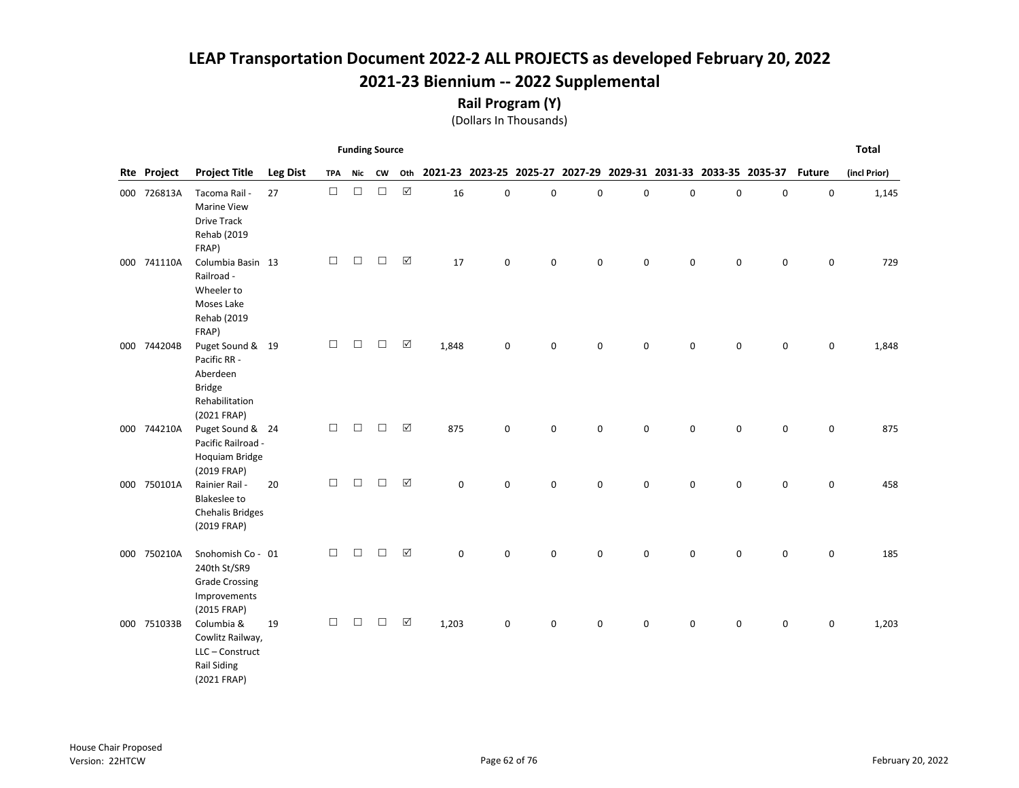Rail Program (Y)

|             |                                                                                                |                 |            | <b>Funding Source</b> |           |                      |                                                                     |             |           |   |             |             |             |             |               | <b>Total</b> |
|-------------|------------------------------------------------------------------------------------------------|-----------------|------------|-----------------------|-----------|----------------------|---------------------------------------------------------------------|-------------|-----------|---|-------------|-------------|-------------|-------------|---------------|--------------|
| Rte Project | <b>Project Title</b>                                                                           | <b>Leg Dist</b> | <b>TPA</b> | Nic                   | <b>CW</b> |                      | Oth 2021-23 2023-25 2025-27 2027-29 2029-31 2031-33 2033-35 2035-37 |             |           |   |             |             |             |             | <b>Future</b> | (incl Prior) |
| 000 726813A | Tacoma Rail -<br><b>Marine View</b><br><b>Drive Track</b><br>Rehab (2019<br>FRAP)              | 27              | $\Box$     | $\Box$                | $\Box$    | $\boxed{\text{V}}$   | 16                                                                  | 0           | $\pmb{0}$ | 0 | 0           | $\mathsf 0$ | $\pmb{0}$   | $\mathsf 0$ | $\mathbf 0$   | 1,145        |
| 000 741110A | Columbia Basin 13<br>Railroad -<br>Wheeler to<br>Moses Lake<br>Rehab (2019<br>FRAP)            |                 | □          | $\Box$                | $\Box$    | $\boxed{\checkmark}$ | 17                                                                  | $\pmb{0}$   | 0         | 0 | 0           | $\mathbf 0$ | $\mathbf 0$ | 0           | 0             | 729          |
| 000 744204B | Puget Sound & 19<br>Pacific RR -<br>Aberdeen<br><b>Bridge</b><br>Rehabilitation<br>(2021 FRAP) |                 | $\Box$     | $\Box$                | $\Box$    | ☑                    | 1,848                                                               | 0           | 0         | 0 | 0           | $\mathbf 0$ | 0           | 0           | 0             | 1,848        |
| 000 744210A | Puget Sound & 24<br>Pacific Railroad -<br>Hoquiam Bridge<br>(2019 FRAP)                        |                 | $\Box$     | $\Box$                | $\Box$    | $\boxed{\checkmark}$ | 875                                                                 | $\mathbf 0$ | 0         | 0 | 0           | $\Omega$    | 0           | 0           | 0             | 875          |
| 000 750101A | Rainier Rail -<br><b>Blakeslee to</b><br><b>Chehalis Bridges</b><br>(2019 FRAP)                | 20              | $\Box$     | $\Box$                | □         | $\boxed{\checkmark}$ | $\Omega$                                                            | $\mathbf 0$ | 0         | 0 | $\mathbf 0$ | $\Omega$    | $\Omega$    | 0           | 0             | 458          |
| 000 750210A | Snohomish Co - 01<br>240th St/SR9<br><b>Grade Crossing</b><br>Improvements<br>(2015 FRAP)      |                 | $\Box$     | $\Box$                | $\Box$    | $\boxed{\checkmark}$ | 0                                                                   | $\mathbf 0$ | 0         | 0 | 0           | 0           | 0           | 0           | 0             | 185          |
| 000 751033B | Columbia &<br>Cowlitz Railway,<br>LLC - Construct<br><b>Rail Siding</b><br>(2021 FRAP)         | 19              | □          | $\Box$                | $\Box$    | $\boxed{\checkmark}$ | 1,203                                                               | $\pmb{0}$   | 0         | 0 | 0           | $\mathbf 0$ | $\mathbf 0$ | 0           | 0             | 1,203        |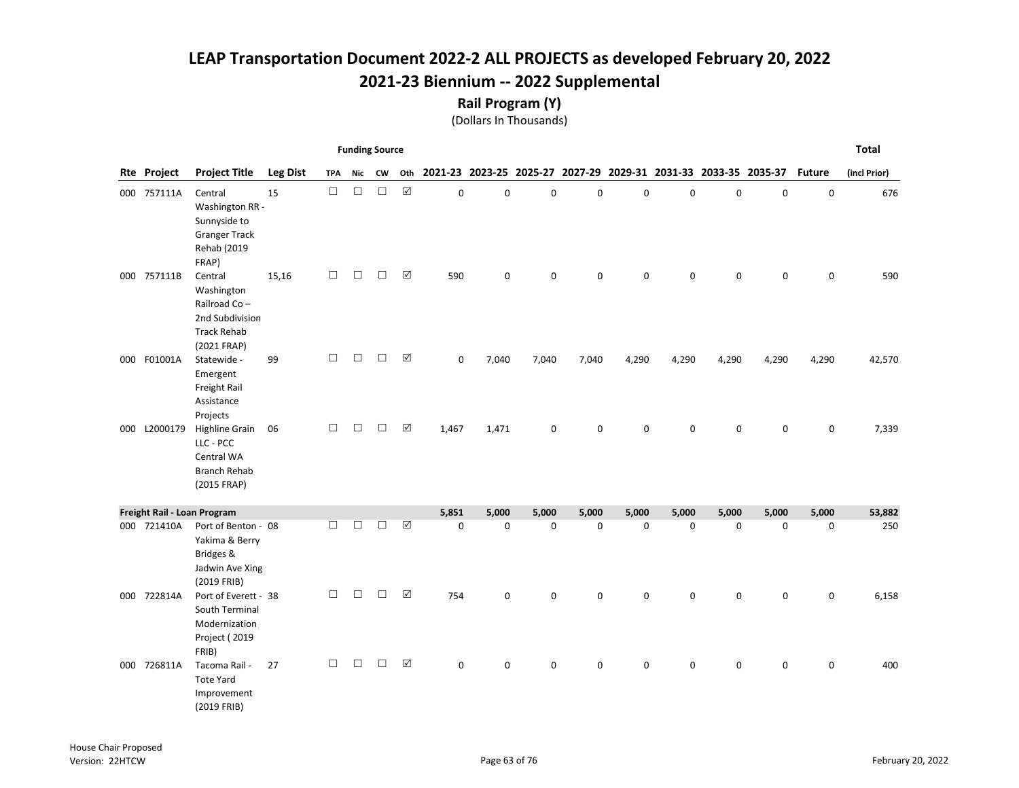Rail Program (Y)

|     |                    |                                                                                               |                 |            | <b>Funding Source</b> |        |                      |             |             |             |       |             |             |             |                                                                 |               | <b>Total</b> |
|-----|--------------------|-----------------------------------------------------------------------------------------------|-----------------|------------|-----------------------|--------|----------------------|-------------|-------------|-------------|-------|-------------|-------------|-------------|-----------------------------------------------------------------|---------------|--------------|
|     | <b>Rte Project</b> | <b>Project Title</b>                                                                          | <b>Leg Dist</b> | <b>TPA</b> | Nic                   | CW     | Oth                  |             |             |             |       |             |             |             | 2021-23 2023-25 2025-27 2027-29 2029-31 2031-33 2033-35 2035-37 | <b>Future</b> | (incl Prior) |
|     | 000 757111A        | Central<br>Washington RR -<br>Sunnyside to<br><b>Granger Track</b><br>Rehab (2019<br>FRAP)    | 15              | $\Box$     | $\Box$                | $\Box$ | $\boxed{\checkmark}$ | $\pmb{0}$   | $\pmb{0}$   | $\mathbf 0$ | 0     | 0           | 0           | $\mathsf 0$ | $\mathbf 0$                                                     | 0             | 676          |
|     | 000 757111B        | Central<br>Washington<br>Railroad Co-<br>2nd Subdivision<br><b>Track Rehab</b><br>(2021 FRAP) | 15,16           | □          | $\Box$                | $\Box$ | ☑                    | 590         | 0           | $\mathbf 0$ | 0     | 0           | 0           | $\mathbf 0$ | $\mathbf 0$                                                     | 0             | 590          |
| 000 | F01001A            | Statewide -<br>Emergent<br>Freight Rail<br>Assistance<br>Projects                             | 99              | □          | $\Box$                | $\Box$ | ☑                    | 0           | 7,040       | 7,040       | 7,040 | 4,290       | 4,290       | 4,290       | 4,290                                                           | 4,290         | 42,570       |
| 000 | L2000179           | Highline Grain<br>LLC - PCC<br>Central WA<br><b>Branch Rehab</b><br>(2015 FRAP)               | 06              | □          | П                     | П      | $\boxed{\checkmark}$ | 1,467       | 1,471       | $\mathbf 0$ | 0     | $\mathbf 0$ | $\mathbf 0$ | $\mathbf 0$ | $\mathbf 0$                                                     | 0             | 7,339        |
|     |                    | Freight Rail - Loan Program                                                                   |                 |            |                       |        |                      | 5,851       | 5,000       | 5,000       | 5,000 | 5,000       | 5,000       | 5,000       | 5,000                                                           | 5,000         | 53,882       |
|     | 000 721410A        | Port of Benton - 08<br>Yakima & Berry<br>Bridges &<br>Jadwin Ave Xing<br>(2019 FRIB)          |                 | $\Box$     | $\Box$                | П      | ☑                    | $\mathbf 0$ | $\mathbf 0$ | $\mathbf 0$ | 0     | $\mathbf 0$ | $\mathbf 0$ | $\mathsf 0$ | $\mathbf 0$                                                     | 0             | 250          |
|     | 000 722814A        | Port of Everett - 38<br>South Terminal<br>Modernization<br>Project (2019<br>FRIB)             |                 | □          | $\Box$                | $\Box$ | ☑                    | 754         | $\Omega$    | 0           | 0     | $\mathbf 0$ | $\Omega$    | $\mathbf 0$ | $\mathbf 0$                                                     | 0             | 6,158        |
|     | 000 726811A        | Tacoma Rail -<br><b>Tote Yard</b><br>Improvement<br>(2019 FRIB)                               | 27              | $\Box$     | $\Box$                | $\Box$ | $\boxed{\mathsf{v}}$ | $\Omega$    | 0           | 0           | 0     | 0           | 0           | $\mathsf 0$ | $\mathbf 0$                                                     | 0             | 400          |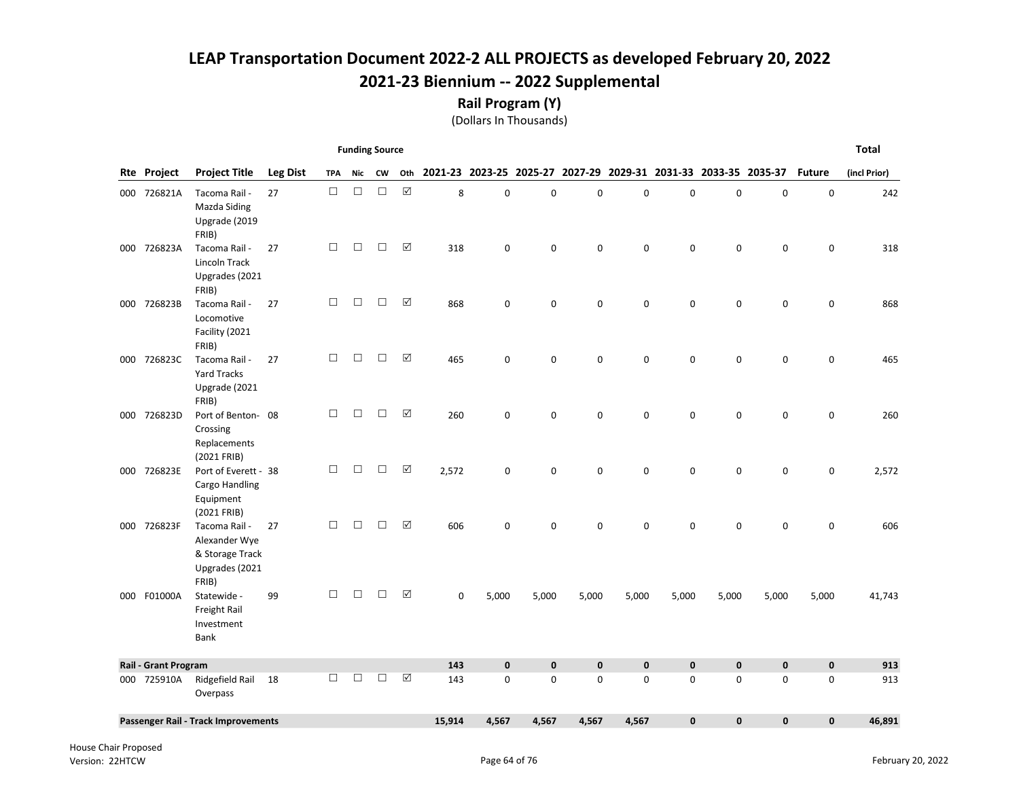Rail Program (Y)

|                             |                                                                              |                 |            | <b>Funding Source</b> |        |     |             |              |              |              |             |              |                                                                 |              |               | <b>Total</b> |
|-----------------------------|------------------------------------------------------------------------------|-----------------|------------|-----------------------|--------|-----|-------------|--------------|--------------|--------------|-------------|--------------|-----------------------------------------------------------------|--------------|---------------|--------------|
| <b>Rte Project</b>          | <b>Project Title</b>                                                         | <b>Leg Dist</b> | <b>TPA</b> | Nic                   | CW     | Oth |             |              |              |              |             |              | 2021-23 2023-25 2025-27 2027-29 2029-31 2031-33 2033-35 2035-37 |              | <b>Future</b> | (incl Prior) |
| 000 726821A                 | Tacoma Rail -<br>Mazda Siding<br>Upgrade (2019<br>FRIB)                      | 27              | $\Box$     | $\Box$                | $\Box$ | ☑   | 8           | 0            | $\mathbf 0$  | $\mathbf 0$  | 0           | $\mathsf 0$  | 0                                                               | $\mathsf 0$  | $\mathsf 0$   | 242          |
| 000 726823A                 | Tacoma Rail -<br>Lincoln Track<br>Upgrades (2021<br>FRIB)                    | 27              | $\Box$     | $\Box$                | $\Box$ | ☑   | 318         | 0            | $\mathbf 0$  | 0            | $\mathbf 0$ | $\mathsf 0$  | 0                                                               | $\mathbf 0$  | 0             | 318          |
| 000 726823B                 | Tacoma Rail -<br>Locomotive<br>Facility (2021<br>FRIB)                       | 27              | $\Box$     | $\Box$                | $\Box$ | ☑   | 868         | $\mathbf 0$  | $\mathbf 0$  | $\mathbf 0$  | $\mathbf 0$ | $\mathbf 0$  | 0                                                               | $\mathbf 0$  | 0             | 868          |
| 000 726823C                 | Tacoma Rail -<br>Yard Tracks<br>Upgrade (2021<br>FRIB)                       | 27              | $\Box$     | $\Box$                | $\Box$ | ☑   | 465         | $\mathbf 0$  | $\mathbf 0$  | 0            | $\mathbf 0$ | $\mathbf 0$  | $\mathbf 0$                                                     | $\mathsf 0$  | 0             | 465          |
| 000 726823D                 | Port of Benton-08<br>Crossing<br>Replacements<br>(2021 FRIB)                 |                 | П.         | $\Box$                | $\Box$ | ☑   | 260         | $\mathbf 0$  | $\mathbf 0$  | 0            | $\mathbf 0$ | $\mathbf 0$  | $\mathbf 0$                                                     | $\mathbf 0$  | 0             | 260          |
| 000 726823E                 | Port of Everett - 38<br>Cargo Handling<br>Equipment<br>(2021 FRIB)           |                 | $\Box$     | $\Box$                | $\Box$ | ☑   | 2,572       | $\mathbf 0$  | $\mathbf 0$  | 0            | $\mathbf 0$ | $\mathbf 0$  | $\mathbf 0$                                                     | 0            | 0             | 2,572        |
| 000 726823F                 | Tacoma Rail -<br>Alexander Wye<br>& Storage Track<br>Upgrades (2021<br>FRIB) | 27              | $\Box$     | □                     | П      | ☑   | 606         | 0            | 0            | 0            | $\mathbf 0$ | $\mathbf 0$  | 0                                                               | 0            | 0             | 606          |
| 000 F01000A                 | Statewide -<br>Freight Rail<br>Investment<br>Bank                            | 99              | $\Box$     | П                     | П      | ☑   | $\mathbf 0$ | 5,000        | 5,000        | 5,000        | 5,000       | 5,000        | 5,000                                                           | 5,000        | 5,000         | 41,743       |
| <b>Rail - Grant Program</b> |                                                                              |                 |            |                       |        |     | 143         | $\mathbf{0}$ | $\mathbf{0}$ | $\mathbf{0}$ | $\mathbf 0$ | $\mathbf{0}$ | $\mathbf{0}$                                                    | $\mathbf{0}$ | $\mathbf 0$   | 913          |
| 000 725910A                 | Ridgefield Rail<br>Overpass                                                  | 18              | $\Box$     | $\Box$                | $\Box$ | ☑   | 143         | 0            | $\mathbf 0$  | 0            | $\mathbf 0$ | 0            | 0                                                               | 0            | 0             | 913          |
|                             | Passenger Rail - Track Improvements                                          |                 |            |                       |        |     | 15,914      | 4,567        | 4,567        | 4,567        | 4,567       | $\mathbf{0}$ | $\mathbf 0$                                                     | $\mathbf{0}$ | $\mathbf{0}$  | 46,891       |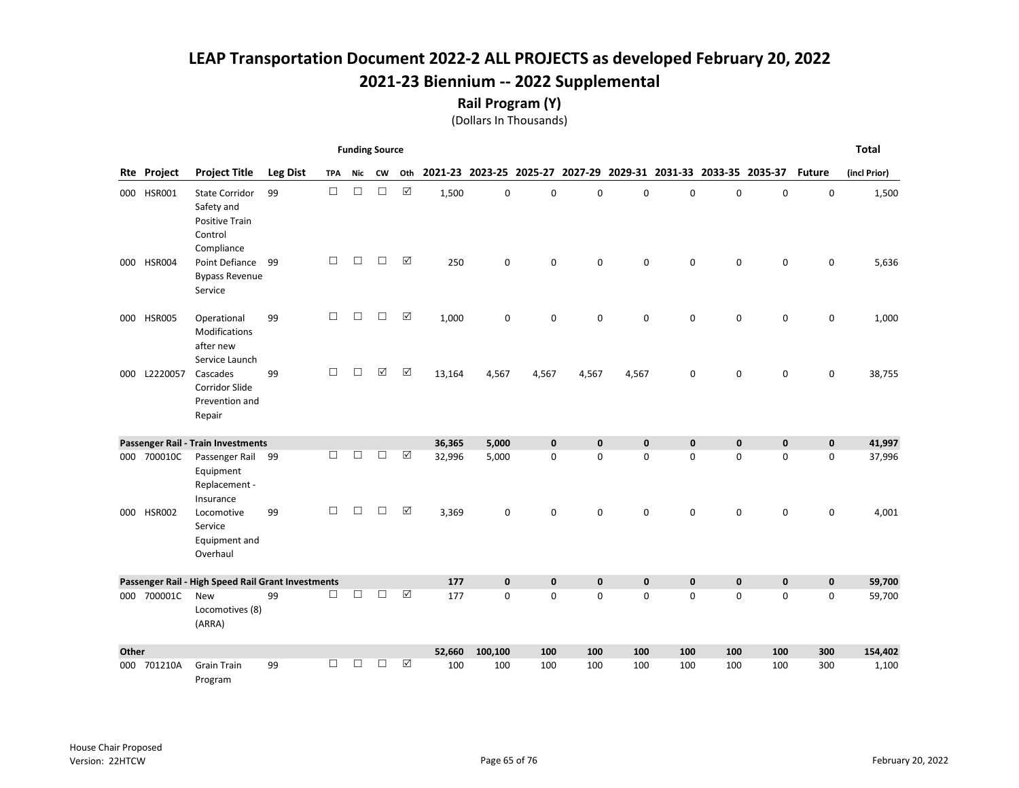Rail Program (Y)

|       |              |                                                                                       |                 |            | <b>Funding Source</b> |           |                       |                                                                     |             |              |             |             |              |             |             |               | <b>Total</b> |
|-------|--------------|---------------------------------------------------------------------------------------|-----------------|------------|-----------------------|-----------|-----------------------|---------------------------------------------------------------------|-------------|--------------|-------------|-------------|--------------|-------------|-------------|---------------|--------------|
|       | Rte Project  | <b>Project Title</b>                                                                  | <b>Leg Dist</b> | <b>TPA</b> | Nic                   | <b>CW</b> |                       | Oth 2021-23 2023-25 2025-27 2027-29 2029-31 2031-33 2033-35 2035-37 |             |              |             |             |              |             |             | <b>Future</b> | (incl Prior) |
|       | 000 HSR001   | <b>State Corridor</b><br>Safety and<br><b>Positive Train</b><br>Control<br>Compliance | 99              | $\Box$     | $\Box$                | $\Box$    | $\boxtimes$           | 1,500                                                               | $\mathbf 0$ | 0            | $\mathbf 0$ | 0           | $\mathbf 0$  | $\mathbf 0$ | $\mathbf 0$ | $\mathbf 0$   | 1,500        |
|       | 000 HSR004   | Point Defiance<br><b>Bypass Revenue</b><br>Service                                    | 99              | $\Box$     | $\Box$                | $\Box$    | $\boxtimes$           | 250                                                                 | 0           | 0            | 0           | $\mathbf 0$ | $\mathbf 0$  | $\pmb{0}$   | 0           | 0             | 5,636        |
|       | 000 HSR005   | Operational<br>Modifications<br>after new<br>Service Launch                           | 99              | $\Box$     | $\Box$                | $\Box$    | $\boxed{\mathbf{v}}$  | 1,000                                                               | 0           | 0            | $\mathbf 0$ | $\mathbf 0$ | $\mathbf 0$  | $\mathbf 0$ | $\mathbf 0$ | 0             | 1,000        |
|       | 000 L2220057 | Cascades<br><b>Corridor Slide</b><br>Prevention and<br>Repair                         | 99              | $\Box$     | П                     | ☑         | $\boxed{\checkmark}$  | 13,164                                                              | 4,567       | 4,567        | 4,567       | 4,567       | 0            | $\mathbf 0$ | 0           | 0             | 38,755       |
|       |              | Passenger Rail - Train Investments                                                    |                 |            |                       |           |                       | 36,365                                                              | 5,000       | $\mathbf{0}$ | $\mathbf 0$ | $\mathbf 0$ | $\mathbf{0}$ | $\mathbf 0$ | $\mathbf 0$ | $\mathbf 0$   | 41,997       |
|       | 000 700010C  | Passenger Rail 99<br>Equipment<br>Replacement -<br>Insurance                          |                 | П          | П                     | $\Box$    | $\boxed{\mathbf{v}}$  | 32,996                                                              | 5,000       | $\mathbf 0$  | $\mathbf 0$ | $\mathbf 0$ | $\mathbf 0$  | $\mathbf 0$ | $\mathbf 0$ | 0             | 37,996       |
|       | 000 HSR002   | Locomotive<br>Service<br>Equipment and<br>Overhaul                                    | 99              | П          | П                     | $\Box$    | ☑                     | 3,369                                                               | 0           | 0            | $\mathbf 0$ | $\mathbf 0$ | $\Omega$     | $\Omega$    | 0           | $\mathbf 0$   | 4,001        |
|       |              | Passenger Rail - High Speed Rail Grant Investments                                    |                 |            |                       |           |                       | 177                                                                 | $\mathbf 0$ | $\mathbf 0$  | $\mathbf 0$ | $\mathbf 0$ | $\mathbf{0}$ | $\mathbf 0$ | $\mathbf 0$ | $\mathbf 0$   | 59,700       |
|       | 000 700001C  | <b>New</b><br>Locomotives (8)<br>(ARRA)                                               | 99              | □          | $\Box$                | $\Box$    | $\boxed{\mathcal{S}}$ | 177                                                                 | $\mathbf 0$ | $\Omega$     | $\mathbf 0$ | 0           | $\Omega$     | $\Omega$    | $\Omega$    | 0             | 59,700       |
| Other |              |                                                                                       |                 |            |                       |           |                       | 52,660                                                              | 100,100     | 100          | 100         | 100         | 100          | 100         | 100         | 300           | 154,402      |
|       | 000 701210A  | <b>Grain Train</b><br>Program                                                         | 99              | $\Box$     | П                     | $\Box$    | $\boxed{\checkmark}$  | 100                                                                 | 100         | 100          | 100         | 100         | 100          | 100         | 100         | 300           | 1,100        |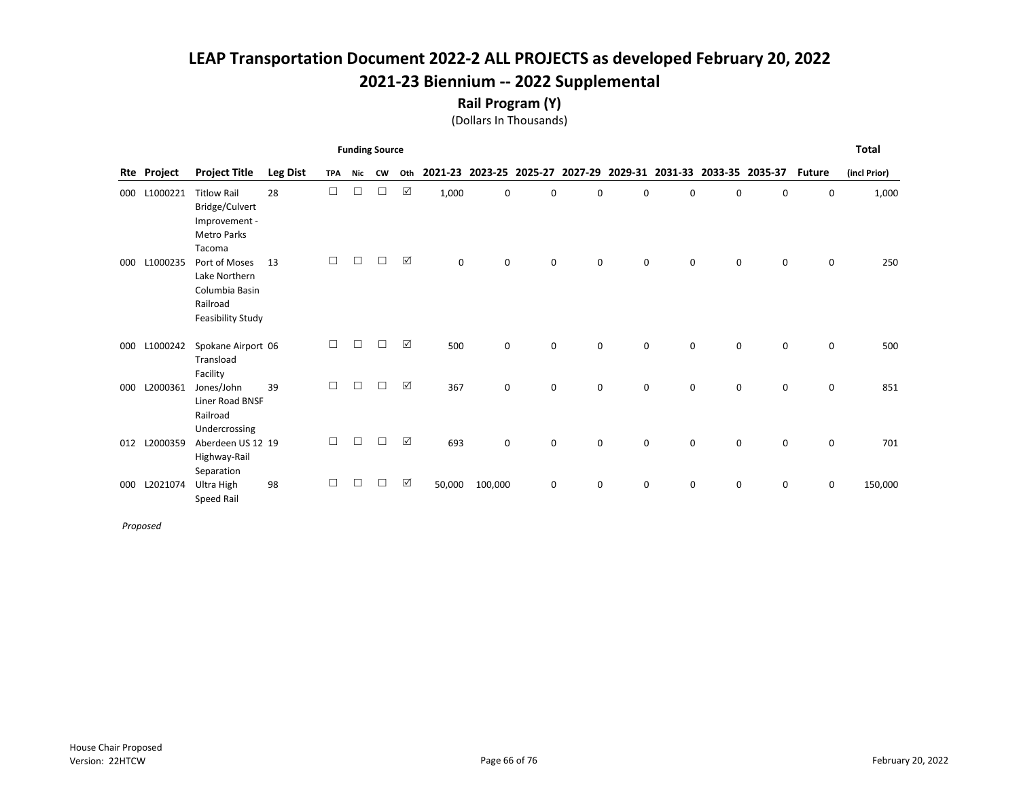Rail Program (Y)

(Dollars In Thousands)

|     |             |                                                                                       |                 |            |        | <b>Funding Source</b> |                      |             |         |             |   |   |                                                                 |   |             |               | <b>Total</b> |
|-----|-------------|---------------------------------------------------------------------------------------|-----------------|------------|--------|-----------------------|----------------------|-------------|---------|-------------|---|---|-----------------------------------------------------------------|---|-------------|---------------|--------------|
|     | Rte Project | <b>Project Title</b>                                                                  | <b>Leg Dist</b> | <b>TPA</b> | Nic    | <b>CW</b>             | Oth                  |             |         |             |   |   | 2021-23 2023-25 2025-27 2027-29 2029-31 2031-33 2033-35 2035-37 |   |             | <b>Future</b> | (incl Prior) |
| 000 | L1000221    | <b>Titlow Rail</b><br>Bridge/Culvert<br>Improvement -<br><b>Metro Parks</b><br>Tacoma | 28              | $\Box$     | □      | $\Box$                | ☑                    | 1,000       | 0       | 0           | 0 | 0 | 0                                                               | 0 | 0           | 0             | 1,000        |
| 000 | L1000235    | Port of Moses<br>Lake Northern<br>Columbia Basin<br>Railroad<br>Feasibility Study     | 13              | $\Box$     | $\Box$ | $\Box$                | ☑                    | $\mathbf 0$ | 0       | 0           | 0 | 0 | 0                                                               | 0 | 0           | 0             | 250          |
| 000 | L1000242    | Spokane Airport 06<br>Transload<br>Facility                                           |                 | П          | П      | □                     | ☑                    | 500         | 0       | $\mathbf 0$ | 0 | 0 | $\mathbf 0$                                                     | 0 | 0           | 0             | 500          |
| 000 | L2000361    | Jones/John<br>Liner Road BNSF<br>Railroad<br>Undercrossing                            | 39              | $\Box$     | $\Box$ | $\Box$                | $\boxed{\checkmark}$ | 367         | 0       | 0           | 0 | 0 | 0                                                               | 0 | $\mathbf 0$ | 0             | 851          |
| 012 | L2000359    | Aberdeen US 12 19<br>Highway-Rail<br>Separation                                       |                 | □          | □      | $\Box$                | $\Delta$             | 693         | 0       | 0           | 0 | 0 | $\mathbf 0$                                                     | 0 | $\mathbf 0$ | 0             | 701          |
| 000 | L2021074    | Ultra High<br>Speed Rail                                                              | 98              | П          |        | П                     | ☑                    | 50,000      | 100,000 | $\mathbf 0$ | 0 | 0 | 0                                                               | 0 | 0           | 0             | 150,000      |

Proposed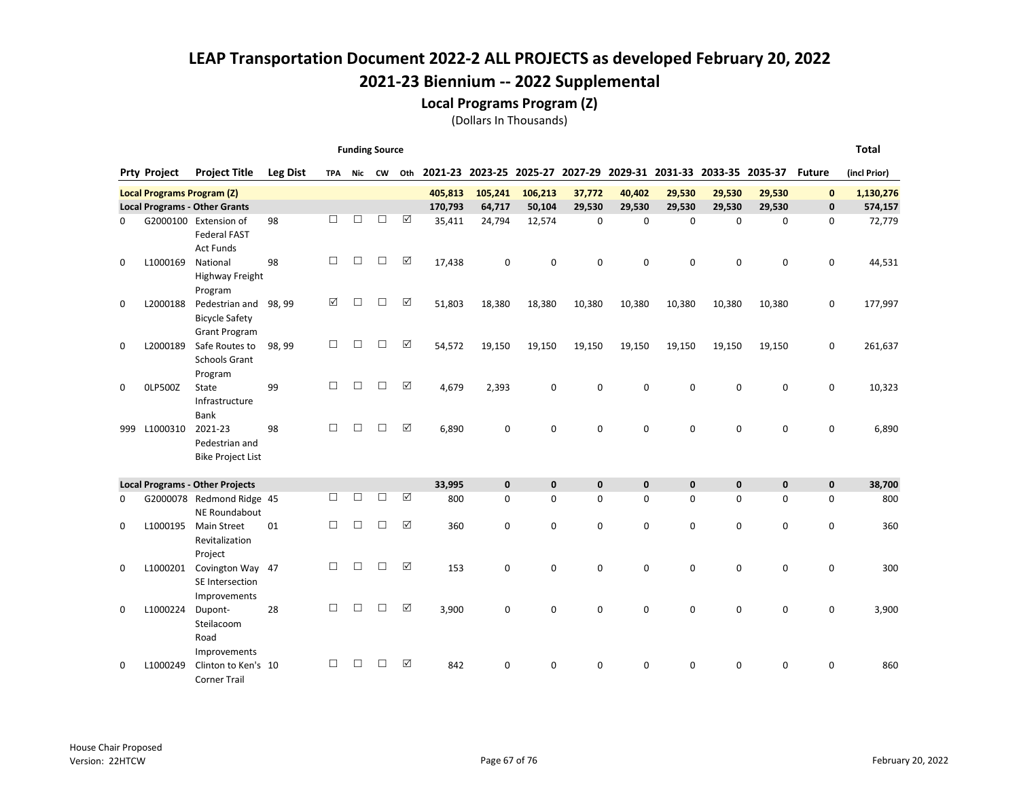Local Programs Program (Z)

|          |                                   |                                                                                    |                 |            | <b>Funding Source</b> |        |                       |               |                             |                          |                                                                 |                          |                          |                          |                          |              | <b>Total</b>  |
|----------|-----------------------------------|------------------------------------------------------------------------------------|-----------------|------------|-----------------------|--------|-----------------------|---------------|-----------------------------|--------------------------|-----------------------------------------------------------------|--------------------------|--------------------------|--------------------------|--------------------------|--------------|---------------|
|          | <b>Prty Project</b>               | <b>Project Title</b>                                                               | <b>Leg Dist</b> | <b>TPA</b> |                       | Nic CW | Oth                   |               |                             |                          | 2021-23 2023-25 2025-27 2027-29 2029-31 2031-33 2033-35 2035-37 |                          |                          |                          |                          | Future       | (incl Prior)  |
|          | <b>Local Programs Program (Z)</b> |                                                                                    |                 |            |                       |        |                       | 405,813       | 105,241                     | 106,213                  | 37,772                                                          | 40,402                   | 29,530                   | 29,530                   | 29,530                   | $\mathbf{0}$ | 1,130,276     |
|          |                                   | <b>Local Programs - Other Grants</b>                                               |                 |            |                       |        |                       | 170,793       | 64,717                      | 50,104                   | 29,530                                                          | 29,530                   | 29,530                   | 29,530                   | 29,530                   | 0            | 574,157       |
| 0        |                                   | G2000100 Extension of<br><b>Federal FAST</b><br><b>Act Funds</b>                   | 98              | П          | $\Box$                | □      | $\boxed{\mathcal{S}}$ | 35,411        | 24,794                      | 12,574                   | $\pmb{0}$                                                       | $\mathbf 0$              | $\Omega$                 | $\mathbf 0$              | $\mathbf 0$              | 0            | 72,779        |
| 0        | L1000169                          | National<br>Highway Freight                                                        | 98              | □          | □                     | $\Box$ | $\boxed{\checkmark}$  | 17,438        | $\mathbf 0$                 | 0                        | $\mathbf 0$                                                     | $\mathbf 0$              | $\Omega$                 | 0                        | 0                        | 0            | 44,531        |
| 0        | L2000188                          | Program<br>Pedestrian and<br><b>Bicycle Safety</b>                                 | 98, 99          | ☑          | □                     | $\Box$ | $\boxed{\checkmark}$  | 51,803        | 18,380                      | 18,380                   | 10,380                                                          | 10,380                   | 10,380                   | 10,380                   | 10,380                   | 0            | 177,997       |
| 0        | L2000189                          | <b>Grant Program</b><br>Safe Routes to<br><b>Schools Grant</b>                     | 98, 99          | П          | П                     | $\Box$ | ☑                     | 54,572        | 19,150                      | 19,150                   | 19,150                                                          | 19,150                   | 19,150                   | 19,150                   | 19,150                   | 0            | 261,637       |
| 0        | <b>OLP500Z</b>                    | Program<br>State<br>Infrastructure                                                 | 99              | П          | □                     | $\Box$ | $\boxed{\checkmark}$  | 4,679         | 2,393                       | 0                        | 0                                                               | $\mathbf 0$              | $\Omega$                 | 0                        | 0                        | 0            | 10,323        |
| 999      | L1000310                          | <b>Bank</b><br>2021-23<br>Pedestrian and<br><b>Bike Project List</b>               | 98              | П          | П                     | $\Box$ | ☑                     | 6,890         | $\mathbf 0$                 | 0                        | 0                                                               | $\mathbf 0$              | $\Omega$                 | 0                        | 0                        | 0            | 6,890         |
|          |                                   |                                                                                    |                 |            |                       |        |                       |               |                             |                          |                                                                 |                          |                          |                          |                          |              |               |
| 0        | G2000078                          | <b>Local Programs - Other Projects</b><br>Redmond Ridge 45<br><b>NE Roundabout</b> |                 | П          | П                     | П      | ☑                     | 33,995<br>800 | $\mathbf{0}$<br>$\mathbf 0$ | $\mathbf{0}$<br>$\Omega$ | 0<br>0                                                          | $\mathbf{0}$<br>$\Omega$ | $\mathbf{0}$<br>$\Omega$ | $\mathbf{0}$<br>$\Omega$ | $\mathbf{0}$<br>$\Omega$ | 0<br>0       | 38,700<br>800 |
| 0        | L1000195                          | <b>Main Street</b><br>Revitalization<br>Project                                    | 01              | □          | □                     | □      | ☑                     | 360           | 0                           | 0                        | $\mathbf 0$                                                     | $\mathbf 0$              | 0                        | 0                        | $\mathbf 0$              | 0            | 360           |
| 0        | L1000201                          | Covington Way 47<br>SE Intersection                                                |                 | П          | □                     | □      | $\boxed{\checkmark}$  | 153           | $\mathbf 0$                 | 0                        | 0                                                               | $\mathbf 0$              | $\Omega$                 | 0                        | $\mathbf 0$              | 0            | 300           |
| $\Omega$ | L1000224                          | Improvements<br>Dupont-<br>Steilacoom<br>Road                                      | 28              | П          | $\Box$                | □      | ☑                     | 3,900         | 0                           | 0                        | $\mathbf 0$                                                     | $\mathbf 0$              | $\Omega$                 | 0                        | 0                        | 0            | 3,900         |
| 0        | L1000249                          | Improvements<br>Clinton to Ken's 10<br><b>Corner Trail</b>                         |                 | □          | □                     | □      | ☑                     | 842           | 0                           | 0                        | 0                                                               | 0                        | 0                        | 0                        | 0                        | 0            | 860           |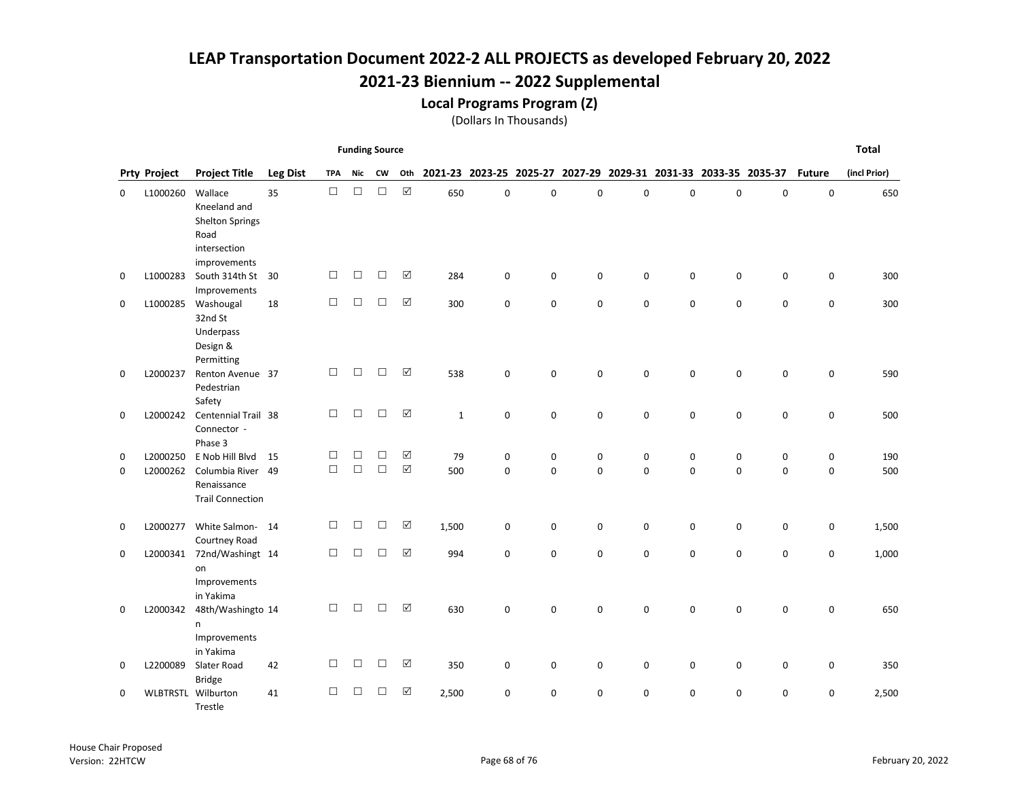Local Programs Program (Z)

|             |                     |                               |                 |            | <b>Funding Source</b> |           |             |              |             |             |             |             |             |             |                                                                 |               | <b>Total</b> |
|-------------|---------------------|-------------------------------|-----------------|------------|-----------------------|-----------|-------------|--------------|-------------|-------------|-------------|-------------|-------------|-------------|-----------------------------------------------------------------|---------------|--------------|
|             | <b>Prty Project</b> | <b>Project Title</b>          | <b>Leg Dist</b> | <b>TPA</b> | <b>Nic</b>            | <b>CW</b> | Oth         |              |             |             |             |             |             |             | 2021-23 2023-25 2025-27 2027-29 2029-31 2031-33 2033-35 2035-37 | <b>Future</b> | (incl Prior) |
| 0           | L1000260            | Wallace                       | 35              | $\Box$     | $\Box$                | $\Box$    | $\boxtimes$ | 650          | 0           | $\mathsf 0$ | $\mathbf 0$ | $\pmb{0}$   | 0           | $\pmb{0}$   | $\pmb{0}$                                                       | 0             | 650          |
|             |                     | Kneeland and                  |                 |            |                       |           |             |              |             |             |             |             |             |             |                                                                 |               |              |
|             |                     | <b>Shelton Springs</b>        |                 |            |                       |           |             |              |             |             |             |             |             |             |                                                                 |               |              |
|             |                     | Road                          |                 |            |                       |           |             |              |             |             |             |             |             |             |                                                                 |               |              |
|             |                     | intersection<br>improvements  |                 |            |                       |           |             |              |             |             |             |             |             |             |                                                                 |               |              |
| 0           | L1000283            | South 314th St                | 30              | П          | □                     | $\Box$    | $\Delta$    | 284          | $\mathbf 0$ | $\mathbf 0$ | 0           | $\mathbf 0$ | 0           | $\mathbf 0$ | 0                                                               | 0             | 300          |
|             |                     | Improvements                  |                 |            |                       |           |             |              |             |             |             |             |             |             |                                                                 |               |              |
| $\mathbf 0$ | L1000285            | Washougal                     | 18              | $\Box$     | $\Box$                | $\Box$    | ☑           | 300          | 0           | $\mathbf 0$ | 0           | $\mathbf 0$ | 0           | $\mathbf 0$ | 0                                                               | 0             | 300          |
|             |                     | 32nd St                       |                 |            |                       |           |             |              |             |             |             |             |             |             |                                                                 |               |              |
|             |                     | Underpass                     |                 |            |                       |           |             |              |             |             |             |             |             |             |                                                                 |               |              |
|             |                     | Design &                      |                 |            |                       |           |             |              |             |             |             |             |             |             |                                                                 |               |              |
|             |                     | Permitting                    |                 |            |                       |           |             |              |             |             |             |             |             |             |                                                                 |               |              |
| 0           | L2000237            | Renton Avenue 37              |                 | □          | $\Box$                | $\Box$    | ☑           | 538          | 0           | $\mathbf 0$ | $\mathbf 0$ | 0           | $\mathbf 0$ | $\mathbf 0$ | 0                                                               | 0             | 590          |
|             |                     | Pedestrian                    |                 |            |                       |           |             |              |             |             |             |             |             |             |                                                                 |               |              |
| 0           | L2000242            | Safety<br>Centennial Trail 38 |                 | П          | $\Box$                | $\Box$    | ☑           | $\mathbf{1}$ | 0           | $\mathbf 0$ | 0           | $\mathbf 0$ | 0           | 0           | 0                                                               | 0             | 500          |
|             |                     | Connector -                   |                 |            |                       |           |             |              |             |             |             |             |             |             |                                                                 |               |              |
|             |                     | Phase 3                       |                 |            |                       |           |             |              |             |             |             |             |             |             |                                                                 |               |              |
| 0           | L2000250            | E Nob Hill Blvd               | 15              | $\Box$     | $\Box$                | $\Box$    | $\Delta$    | 79           | 0           | $\mathsf 0$ | 0           | 0           | $\mathbf 0$ | 0           | $\pmb{0}$                                                       | 0             | 190          |
| $\Omega$    | L2000262            | Columbia River 49             |                 | $\Box$     | $\Box$                | $\Box$    | $\boxtimes$ | 500          | $\Omega$    | $\Omega$    | $\Omega$    | $\Omega$    | $\Omega$    | $\Omega$    | $\Omega$                                                        | $\Omega$      | 500          |
|             |                     | Renaissance                   |                 |            |                       |           |             |              |             |             |             |             |             |             |                                                                 |               |              |
|             |                     | <b>Trail Connection</b>       |                 |            |                       |           |             |              |             |             |             |             |             |             |                                                                 |               |              |
| 0           | L2000277            | White Salmon-14               |                 | □          | $\Box$                | $\Box$    | ☑           | 1,500        | 0           | 0           | 0           | 0           | 0           | 0           | 0                                                               | 0             | 1,500        |
|             |                     | Courtney Road                 |                 |            |                       |           |             |              |             |             |             |             |             |             |                                                                 |               |              |
| $\mathbf 0$ | L2000341            | 72nd/Washingt 14              |                 | $\Box$     | $\Box$                | $\Box$    | ☑           | 994          | 0           | $\mathbf 0$ | $\mathbf 0$ | 0           | 0           | 0           | 0                                                               | 0             | 1,000        |
|             |                     | on                            |                 |            |                       |           |             |              |             |             |             |             |             |             |                                                                 |               |              |
|             |                     | Improvements                  |                 |            |                       |           |             |              |             |             |             |             |             |             |                                                                 |               |              |
|             |                     | in Yakima                     |                 |            |                       |           |             |              |             |             |             |             |             |             |                                                                 |               |              |
| 0           | L2000342            | 48th/Washingto 14             |                 | $\Box$     | □                     | □         | ☑           | 630          | $\mathbf 0$ | $\mathbf 0$ | $\mathbf 0$ | $\mathbf 0$ | $\Omega$    | $\mathbf 0$ | 0                                                               | 0             | 650          |
|             |                     | n                             |                 |            |                       |           |             |              |             |             |             |             |             |             |                                                                 |               |              |
|             |                     | Improvements                  |                 |            |                       |           |             |              |             |             |             |             |             |             |                                                                 |               |              |
| 0           | L2200089            | in Yakima<br>Slater Road      | 42              | $\Box$     | $\Box$                | $\Box$    | ☑           | 350          | 0           | 0           | 0           | 0           | 0           | 0           | 0                                                               | 0             | 350          |
|             |                     | <b>Bridge</b>                 |                 |            |                       |           |             |              |             |             |             |             |             |             |                                                                 |               |              |
| 0           |                     | WLBTRSTL Wilburton            | 41              | П          | $\Box$                | □         | $\boxtimes$ | 2,500        | 0           | $\mathbf 0$ | 0           | 0           | 0           | $\mathbf 0$ | 0                                                               | 0             | 2,500        |
|             |                     | Trestle                       |                 |            |                       |           |             |              |             |             |             |             |             |             |                                                                 |               |              |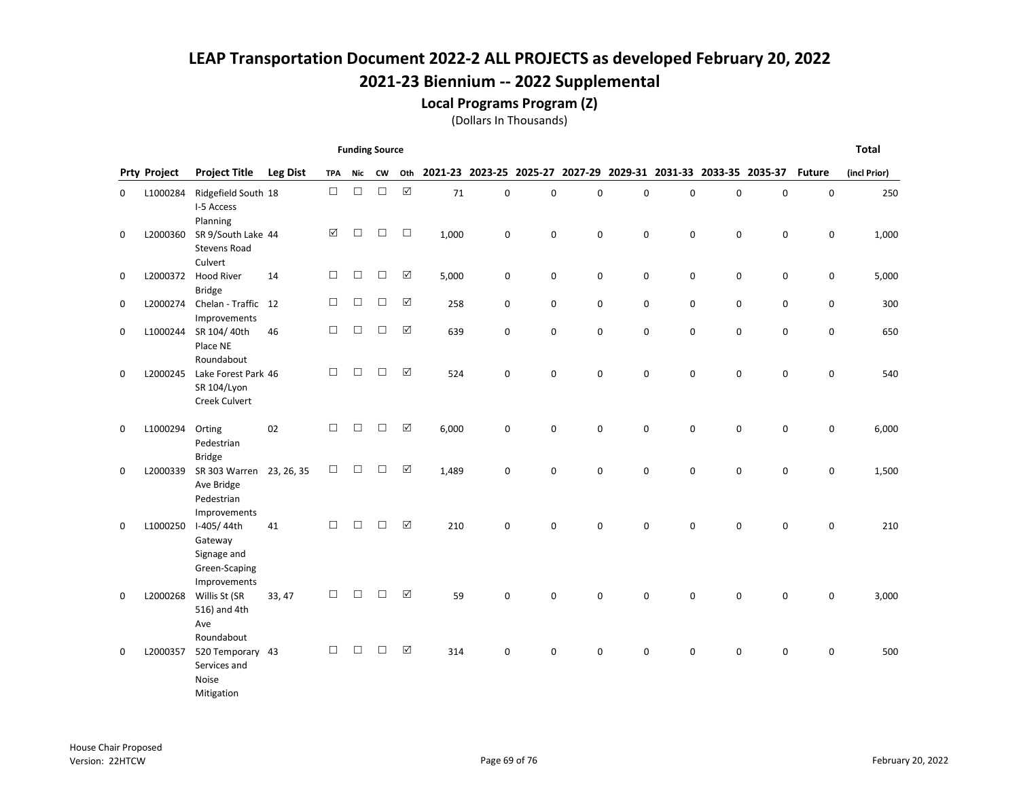Local Programs Program (Z)

|   |                     |                                                                            |                 |                      | <b>Funding Source</b> |           |                      |       |             |             |   |                                                                 |             |             |                     |               | <b>Total</b> |
|---|---------------------|----------------------------------------------------------------------------|-----------------|----------------------|-----------------------|-----------|----------------------|-------|-------------|-------------|---|-----------------------------------------------------------------|-------------|-------------|---------------------|---------------|--------------|
|   | <b>Prty Project</b> | <b>Project Title</b>                                                       | <b>Leg Dist</b> | <b>TPA</b>           | Nic                   | <b>CW</b> | Oth                  |       |             |             |   | 2021-23 2023-25 2025-27 2027-29 2029-31 2031-33 2033-35 2035-37 |             |             |                     | <b>Future</b> | (incl Prior) |
| 0 | L1000284            | Ridgefield South 18<br>I-5 Access                                          |                 | $\Box$               | $\Box$                | $\Box$    | $\boxed{\checkmark}$ | 71    | 0           | $\pmb{0}$   | 0 | 0                                                               | $\mathbf 0$ | 0           | $\mathbf 0$         | 0             | 250          |
| 0 | L2000360            | Planning<br>SR 9/South Lake 44<br><b>Stevens Road</b>                      |                 | $\boxed{\checkmark}$ | $\Box$                | $\Box$    | $\Box$               | 1,000 | $\mathbf 0$ | $\mathbf 0$ | 0 | $\mathbf 0$                                                     | $\mathbf 0$ | $\mathbf 0$ | 0                   | 0             | 1,000        |
| 0 | L2000372            | Culvert<br><b>Hood River</b><br><b>Bridge</b>                              | 14              | $\Box$               | $\Box$                | □         | ☑                    | 5,000 | 0           | $\mathbf 0$ | 0 | $\pmb{0}$                                                       | $\mathbf 0$ | 0           | $\mathbf 0$         | 0             | 5,000        |
| 0 | L2000274            | Chelan - Traffic 12<br>Improvements                                        |                 | $\Box$               | $\Box$                | $\Box$    | $\boxed{\text{V}}$   | 258   | 0           | 0           | 0 | 0                                                               | 0           | 0           | $\mathsf{O}\xspace$ | 0             | 300          |
| 0 | L1000244            | SR 104/40th<br>Place NE                                                    | 46              | □                    | $\Box$                | П         | ☑                    | 639   | $\mathbf 0$ | $\mathbf 0$ | 0 | $\mathbf 0$                                                     | $\mathbf 0$ | $\mathbf 0$ | $\mathbf 0$         | 0             | 650          |
| 0 | L2000245            | Roundabout<br>Lake Forest Park 46<br>SR 104/Lyon<br>Creek Culvert          |                 | $\Box$               | $\Box$                | $\Box$    | $\Delta$             | 524   | 0           | $\mathbf 0$ | 0 | $\pmb{0}$                                                       | $\mathbf 0$ | $\pmb{0}$   | $\mathsf 0$         | 0             | 540          |
| 0 | L1000294            | Orting<br>Pedestrian                                                       | 02              | $\Box$               | $\Box$                | $\Box$    | $\Delta$             | 6,000 | 0           | $\mathbf 0$ | 0 | 0                                                               | $\mathbf 0$ | $\pmb{0}$   | $\mathbf 0$         | 0             | 6,000        |
| 0 | L2000339            | <b>Bridge</b><br>SR 303 Warren<br>Ave Bridge<br>Pedestrian<br>Improvements | 23, 26, 35      | $\Box$               | $\Box$                | □         | $\Delta$             | 1,489 | 0           | $\mathbf 0$ | 0 | $\mathbf 0$                                                     | $\mathbf 0$ | $\mathbf 0$ | 0                   | 0             | 1,500        |
| 0 | L1000250            | I-405/44th<br>Gateway<br>Signage and<br>Green-Scaping                      | 41              | П                    | П                     | П         | $\Delta$             | 210   | 0           | $\mathbf 0$ | 0 | $\pmb{0}$                                                       | $\mathbf 0$ | $\mathbf 0$ | 0                   | 0             | 210          |
| 0 | L2000268            | Improvements<br>Willis St (SR<br>516) and 4th<br>Ave<br>Roundabout         | 33, 47          | П                    | $\Box$                | П         | ☑                    | 59    | 0           | $\mathbf 0$ | 0 | $\mathbf 0$                                                     | $\Omega$    | 0           | $\mathbf 0$         | 0             | 3,000        |
| 0 | L2000357            | 520 Temporary 43<br>Services and<br>Noise<br>Mitigation                    |                 | $\Box$               | $\Box$                | □         | $\boxed{\checkmark}$ | 314   | 0           | $\mathbf 0$ | 0 | $\mathbf 0$                                                     | 0           | $\mathbf 0$ | 0                   | 0             | 500          |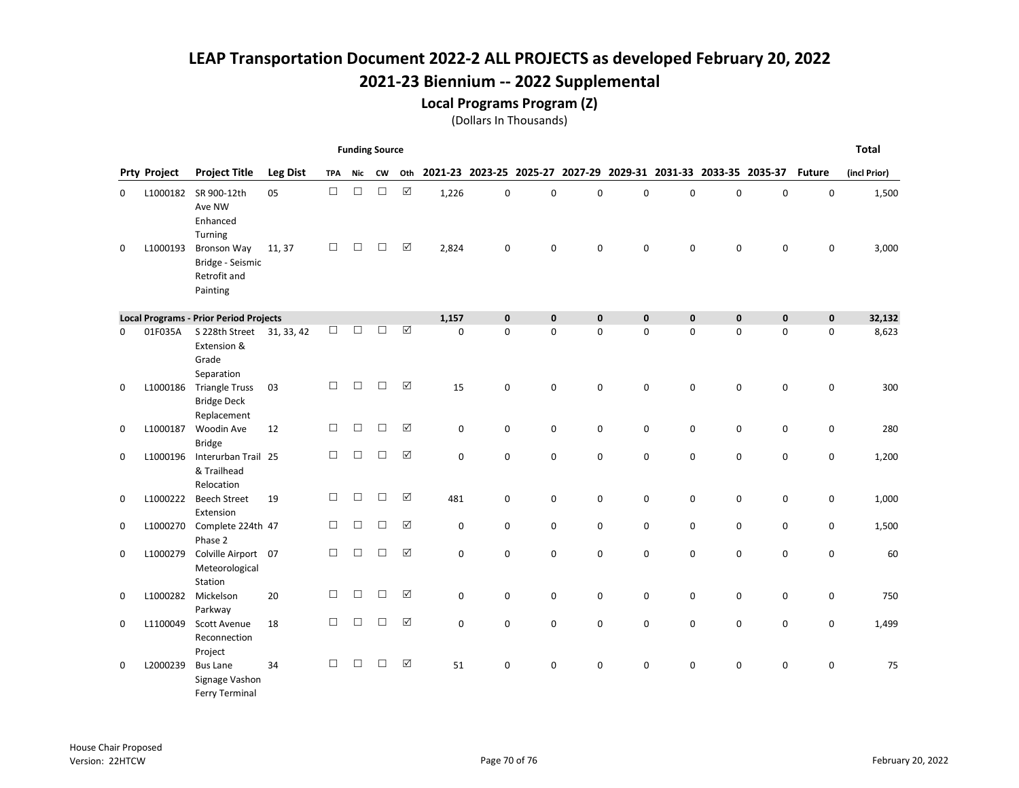Local Programs Program (Z)

|   |                     |                                                                    |                 |            | <b>Funding Source</b> |           |             |             |             |             |             |             |             |                                                                 |             |               | <b>Total</b> |
|---|---------------------|--------------------------------------------------------------------|-----------------|------------|-----------------------|-----------|-------------|-------------|-------------|-------------|-------------|-------------|-------------|-----------------------------------------------------------------|-------------|---------------|--------------|
|   | <b>Prty Project</b> | <b>Project Title</b>                                               | <b>Leg Dist</b> | <b>TPA</b> | Nic                   | <b>CW</b> | Oth         |             |             |             |             |             |             | 2021-23 2023-25 2025-27 2027-29 2029-31 2031-33 2033-35 2035-37 |             | <b>Future</b> | (incl Prior) |
| 0 | L1000182            | SR 900-12th<br>Ave NW<br>Enhanced<br>Turning                       | 05              | $\Box$     | $\Box$                | $\Box$    | $\boxtimes$ | 1,226       | 0           | $\mathbf 0$ | $\mathbf 0$ | $\mathsf 0$ | $\mathbf 0$ | $\mathbf 0$                                                     | $\mathbf 0$ | $\mathbf 0$   | 1,500        |
| 0 | L1000193            | <b>Bronson Way</b><br>Bridge - Seismic<br>Retrofit and<br>Painting | 11, 37          | $\Box$     | $\Box$                | □         | $\Delta$    | 2,824       | 0           | 0           | 0           | 0           | 0           | 0                                                               | 0           | 0             | 3,000        |
|   |                     | <b>Local Programs - Prior Period Projects</b>                      |                 |            |                       |           |             | 1,157       | $\mathbf 0$ | $\mathbf 0$ | $\mathbf 0$ | $\mathbf 0$ | $\mathbf 0$ | $\mathbf 0$                                                     | $\mathbf 0$ | 0             | 32,132       |
| 0 | 01F035A             | S 228th Street<br>Extension &<br>Grade<br>Separation               | 31, 33, 42      | $\Box$     | $\Box$                | $\Box$    | $\Delta$    | $\Omega$    | $\Omega$    | $\mathbf 0$ | 0           | $\mathbf 0$ | $\Omega$    | $\Omega$                                                        | $\Omega$    | $\mathbf 0$   | 8,623        |
| 0 | L1000186            | <b>Triangle Truss</b><br><b>Bridge Deck</b><br>Replacement         | 03              | П          | $\Box$                | П         | ☑           | 15          | 0           | $\mathbf 0$ | 0           | 0           | 0           | $\mathbf 0$                                                     | $\mathbf 0$ | 0             | 300          |
| 0 | L1000187            | Woodin Ave<br><b>Bridge</b>                                        | 12              | $\Box$     | $\Box$                | $\Box$    | $\Delta$    | 0           | 0           | 0           | 0           | 0           | 0           | 0                                                               | 0           | 0             | 280          |
| 0 | L1000196            | Interurban Trail 25<br>& Trailhead<br>Relocation                   |                 | $\Box$     | $\Box$                | $\Box$    | $\Delta$    | $\mathbf 0$ | 0           | $\mathbf 0$ | 0           | $\mathsf 0$ | 0           | 0                                                               | 0           | 0             | 1,200        |
| 0 | L1000222            | <b>Beech Street</b><br>Extension                                   | 19              | $\Box$     | $\Box$                | □         | ☑           | 481         | 0           | 0           | 0           | 0           | 0           | 0                                                               | $\pmb{0}$   | 0             | 1,000        |
| 0 | L1000270            | Complete 224th 47<br>Phase 2                                       |                 | $\Box$     | $\Box$                | $\Box$    | ☑           | 0           | 0           | $\mathbf 0$ | 0           | 0           | 0           | $\mathbf 0$                                                     | 0           | 0             | 1,500        |
| 0 | L1000279            | Colville Airport 07<br>Meteorological<br>Station                   |                 | $\Box$     | $\Box$                | П         | ☑           | 0           | 0           | $\mathbf 0$ | 0           | $\mathbf 0$ | 0           | 0                                                               | 0           | 0             | 60           |
| 0 | L1000282            | Mickelson<br>Parkway                                               | 20              | П          | □                     | П         | $\Delta$    | $\mathbf 0$ | 0           | 0           | 0           | 0           | $\mathbf 0$ | 0                                                               | 0           | 0             | 750          |
| 0 | L1100049            | <b>Scott Avenue</b><br>Reconnection<br>Project                     | 18              | П          | $\Box$                | П         | ☑           | 0           | 0           | $\mathbf 0$ | 0           | $\mathbf 0$ | 0           | 0                                                               | 0           | 0             | 1,499        |
| 0 | L2000239            | <b>Bus Lane</b><br>Signage Vashon<br>Ferry Terminal                | 34              | $\Box$     | □                     | □         | $\Delta$    | 51          | 0           | 0           | 0           | 0           | 0           | 0                                                               | 0           | 0             | 75           |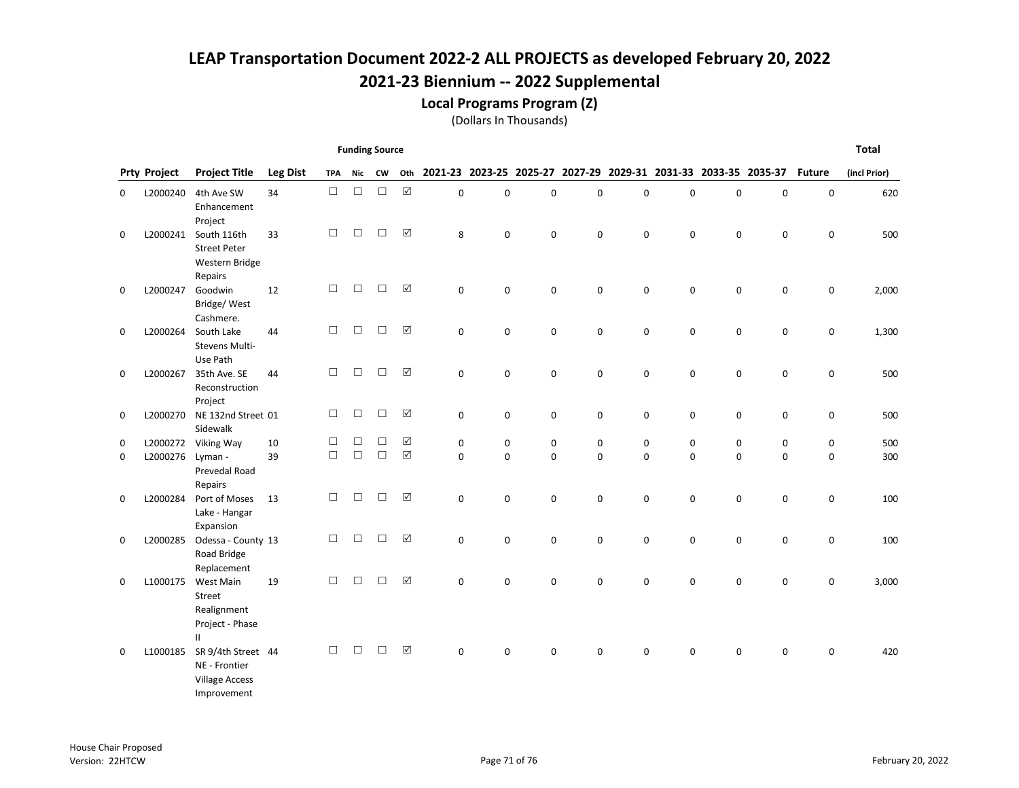Local Programs Program (Z)

|             |                     |                                                                                              |                 |            | <b>Funding Source</b> |        |                      |             |             |             |   |             |                                                                 |             |             |               | <b>Total</b> |
|-------------|---------------------|----------------------------------------------------------------------------------------------|-----------------|------------|-----------------------|--------|----------------------|-------------|-------------|-------------|---|-------------|-----------------------------------------------------------------|-------------|-------------|---------------|--------------|
|             | <b>Prty Project</b> | <b>Project Title</b>                                                                         | <b>Leg Dist</b> | <b>TPA</b> | Nic                   | CW     | Oth                  |             |             |             |   |             | 2021-23 2023-25 2025-27 2027-29 2029-31 2031-33 2033-35 2035-37 |             |             | <b>Future</b> | (incl Prior) |
| 0           | L2000240            | 4th Ave SW<br>Enhancement                                                                    | 34              | $\Box$     | $\Box$                | $\Box$ | $\boxtimes$          | $\mathbf 0$ | 0           | $\mathbf 0$ | 0 | 0           | 0                                                               | $\pmb{0}$   | 0           | $\mathbf 0$   | 620          |
| 0           | L2000241            | Project<br>South 116th<br><b>Street Peter</b><br>Western Bridge                              | 33              | $\Box$     | $\Box$                | П      | ☑                    | 8           | 0           | $\mathbf 0$ | 0 | $\mathbf 0$ | $\mathbf 0$                                                     | $\mathbf 0$ | $\mathsf 0$ | 0             | 500          |
| 0           | L2000247            | Repairs<br>Goodwin<br>Bridge/West                                                            | 12              | $\Box$     | $\Box$                | $\Box$ | $\boxtimes$          | 0           | 0           | $\mathsf 0$ | 0 | 0           | 0                                                               | $\pmb{0}$   | 0           | 0             | 2,000        |
| 0           | L2000264            | Cashmere.<br>South Lake<br>Stevens Multi-<br>Use Path                                        | 44              | $\Box$     | $\Box$                | □      | $\Delta$             | $\mathbf 0$ | 0           | $\mathbf 0$ | 0 | 0           | 0                                                               | $\mathbf 0$ | 0           | 0             | 1,300        |
| $\mathbf 0$ | L2000267            | 35th Ave. SE<br>Reconstruction<br>Project                                                    | 44              | $\Box$     | $\Box$                | □      | $\boxed{\sqrt}$      | $\mathbf 0$ | 0           | $\mathbf 0$ | 0 | 0           | $\mathbf 0$                                                     | $\mathbf 0$ | 0           | 0             | 500          |
| 0           | L2000270            | NE 132nd Street 01<br>Sidewalk                                                               |                 | $\Box$     | $\Box$                | □      | ☑                    | 0           | 0           | $\mathbf 0$ | 0 | 0           | 0                                                               | 0           | $\mathsf 0$ | 0             | 500          |
| 0           | L2000272            | Viking Way                                                                                   | 10              | □          | □                     | П      | $\Delta$             | 0           | 0           | 0           | 0 | 0           | 0                                                               | 0           | 0           | 0             | 500          |
| $\mathbf 0$ | L2000276            | Lyman -<br>Prevedal Road<br>Repairs                                                          | 39              | $\Box$     | $\Box$                | $\Box$ | $\boxed{\mathsf{v}}$ | $\mathbf 0$ | $\mathbf 0$ | $\mathbf 0$ | 0 | 0           | $\mathbf 0$                                                     | $\mathbf 0$ | $\mathbf 0$ | $\mathbf 0$   | 300          |
| 0           | L2000284            | Port of Moses<br>Lake - Hangar<br>Expansion                                                  | 13              | $\Box$     | $\Box$                | □      | $\boxed{\checkmark}$ | 0           | 0           | $\mathbf 0$ | 0 | 0           | 0                                                               | 0           | $\pmb{0}$   | 0             | 100          |
| 0           | L2000285            | Odessa - County 13<br>Road Bridge                                                            |                 | $\Box$     | $\Box$                | □      | ☑                    | $\mathbf 0$ | 0           | $\mathsf 0$ | 0 | 0           | 0                                                               | $\mathbf 0$ | 0           | 0             | 100          |
| 0           | L1000175            | Replacement<br>West Main<br>Street<br>Realignment<br>Project - Phase                         | 19              | $\Box$     | $\Box$                | П      | ☑                    | $\Omega$    | 0           | 0           | 0 | $\mathbf 0$ | $\Omega$                                                        | $\mathbf 0$ | $\mathbf 0$ | $\mathbf 0$   | 3,000        |
| 0           | L1000185            | $\mathbf{II}$<br>SR 9/4th Street 44<br>NE - Frontier<br><b>Village Access</b><br>Improvement |                 | $\Box$     | П                     | □      | $\boxed{\mathsf{v}}$ | $\Omega$    | 0           | $\mathbf 0$ | 0 | $\mathbf 0$ | $\Omega$                                                        | $\mathbf 0$ | $\mathbf 0$ | $\mathbf 0$   | 420          |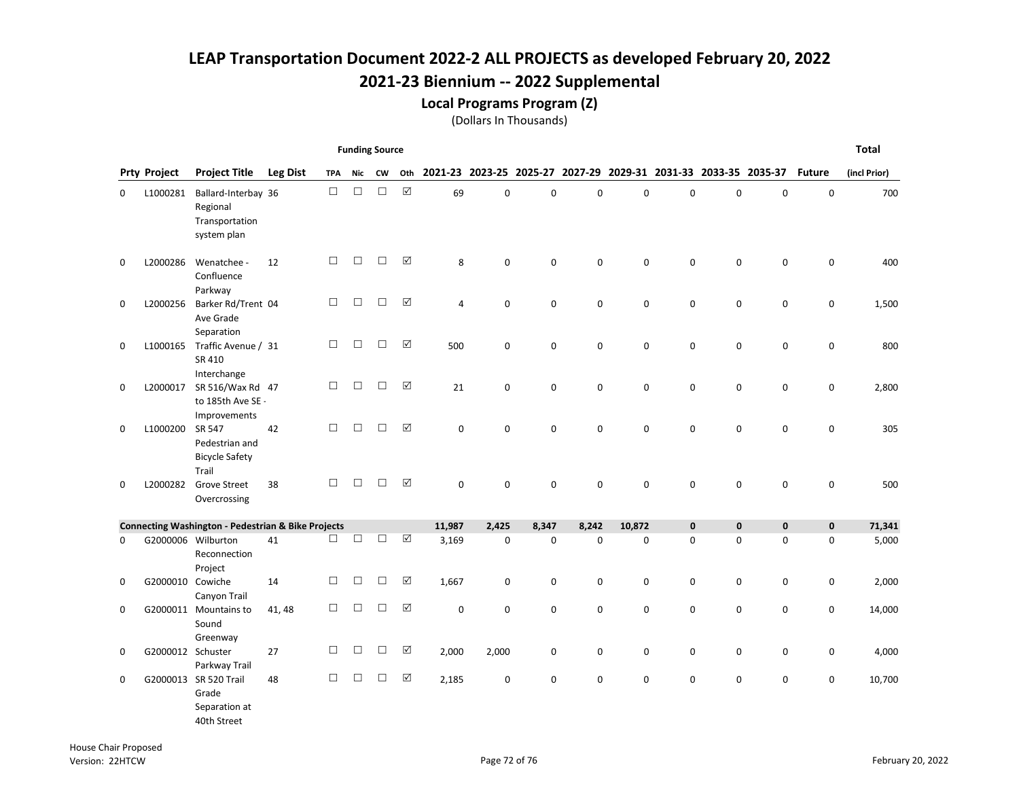Local Programs Program (Z)

|             | <b>Funding Source</b> |                                                                  |                 |            |            |           |             |             |                         |             |             |             |                                         |             |           | <b>Total</b>  |              |
|-------------|-----------------------|------------------------------------------------------------------|-----------------|------------|------------|-----------|-------------|-------------|-------------------------|-------------|-------------|-------------|-----------------------------------------|-------------|-----------|---------------|--------------|
|             | <b>Prty Project</b>   | <b>Project Title</b>                                             | <b>Leg Dist</b> | <b>TPA</b> | <b>Nic</b> | <b>CW</b> | Oth         |             | 2021-23 2023-25 2025-27 |             |             |             | 2027-29 2029-31 2031-33 2033-35 2035-37 |             |           | <b>Future</b> | (incl Prior) |
| 0           | L1000281              | Ballard-Interbay 36<br>Regional<br>Transportation<br>system plan |                 | $\Box$     | □          | $\Box$    | $\boxtimes$ | 69          | $\mathbf 0$             | $\mathsf 0$ | $\mathbf 0$ | 0           | 0                                       | 0           | 0         | 0             | 700          |
| $\mathbf 0$ | L2000286              | Wenatchee -<br>Confluence<br>Parkway                             | 12              | П          | П          | П         | ☑           | 8           | $\Omega$                | $\mathbf 0$ | $\mathbf 0$ | $\mathbf 0$ | $\Omega$                                | $\mathbf 0$ | 0         | $\mathbf 0$   | 400          |
| $\mathbf 0$ | L2000256              | Barker Rd/Trent 04<br>Ave Grade<br>Separation                    |                 | □          | $\Box$     | $\Box$    | ☑           | 4           | 0                       | $\mathsf 0$ | 0           | 0           | $\mathbf 0$                             | 0           | $\pmb{0}$ | 0             | 1,500        |
| 0           | L1000165              | Traffic Avenue / 31<br>SR 410<br>Interchange                     |                 | □          | $\Box$     | $\Box$    | ☑           | 500         | 0                       | $\mathbf 0$ | $\mathbf 0$ | $\mathbf 0$ | $\mathbf 0$                             | $\mathbf 0$ | 0         | 0             | 800          |
| $\mathbf 0$ | L2000017              | SR 516/Wax Rd 47<br>to 185th Ave SE -<br>Improvements            |                 | П          | $\Box$     | $\Box$    | ☑           | 21          | $\mathbf 0$             | $\mathbf 0$ | $\mathbf 0$ | $\mathbf 0$ | 0                                       | $\mathbf 0$ | 0         | $\mathbf 0$   | 2,800        |
| 0           | L1000200              | SR 547<br>Pedestrian and<br><b>Bicycle Safety</b><br>Trail       | 42              | П          | $\Box$     | $\Box$    | ☑           | $\mathbf 0$ | 0                       | $\mathbf 0$ | $\mathbf 0$ | $\mathbf 0$ | 0                                       | 0           | 0         | 0             | 305          |
| 0           | L2000282              | <b>Grove Street</b><br>Overcrossing                              | 38              | $\Box$     | □          | □         | ☑           | 0           | 0                       | $\mathbf 0$ | 0           | 0           | 0                                       | 0           | 0         | 0             | 500          |
|             |                       | <b>Connecting Washington - Pedestrian &amp; Bike Projects</b>    |                 |            |            |           |             | 11,987      | 2,425                   | 8,347       | 8,242       | 10,872      | $\mathbf 0$                             | $\mathbf 0$ | $\pmb{0}$ | $\mathbf 0$   | 71,341       |
| 0           |                       | G2000006 Wilburton<br>Reconnection<br>Project                    | 41              | П          | $\Box$     | $\Box$    | $\Delta$    | 3,169       | 0                       | $\mathbf 0$ | $\mathbf 0$ | $\mathbf 0$ | $\Omega$                                | $\Omega$    | $\Omega$  | $\mathbf 0$   | 5,000        |
| 0           | G2000010 Cowiche      | Canyon Trail                                                     | 14              | $\Box$     | $\Box$     | $\Box$    | ☑           | 1,667       | 0                       | 0           | 0           | 0           | 0                                       | 0           | 0         | 0             | 2,000        |
| 0           |                       | G2000011 Mountains to<br>Sound<br>Greenway                       | 41, 48          | □          | $\Box$     | $\Box$    | ☑           | $\mathsf 0$ | 0                       | $\mathbf 0$ | 0           | 0           | 0                                       | 0           | 0         | 0             | 14,000       |
| 0           | G2000012 Schuster     | Parkway Trail                                                    | 27              | $\Box$     | □          | □         | ☑           | 2,000       | 2,000                   | 0           | 0           | 0           | 0                                       | 0           | 0         | 0             | 4,000        |
| 0           |                       | G2000013 SR 520 Trail<br>Grade<br>Separation at<br>40th Street   | 48              | $\Box$     | $\Box$     | $\Box$    | ☑           | 2,185       | $\mathbf 0$             | $\mathbf 0$ | $\mathbf 0$ | $\mathbf 0$ | $\Omega$                                | $\mathbf 0$ | 0         | 0             | 10,700       |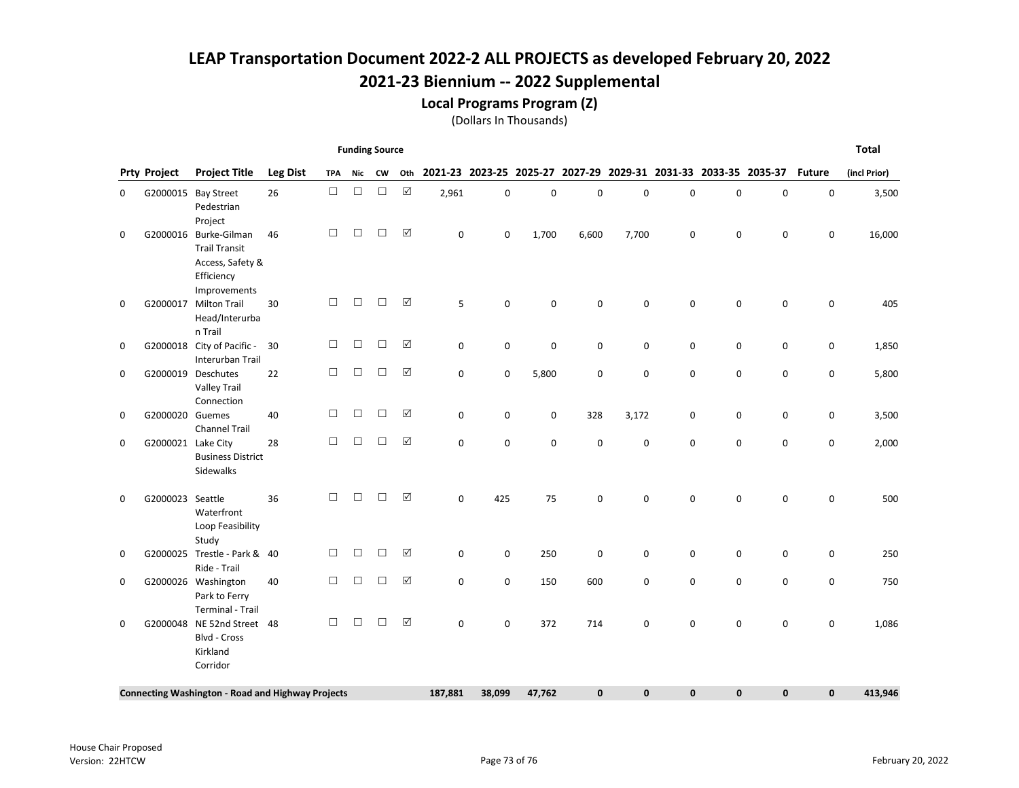Local Programs Program (Z)

(Dollars In Thousands)

| <b>Funding Source</b> |                     |                                                                                        |                 |            |        |        |             |             |        |                                                                 |              |             |              |             | <b>Total</b> |               |              |
|-----------------------|---------------------|----------------------------------------------------------------------------------------|-----------------|------------|--------|--------|-------------|-------------|--------|-----------------------------------------------------------------|--------------|-------------|--------------|-------------|--------------|---------------|--------------|
|                       | <b>Prty Project</b> | <b>Project Title</b>                                                                   | <b>Leg Dist</b> | <b>TPA</b> | Nic    | CW     | Oth         |             |        | 2021-23 2023-25 2025-27 2027-29 2029-31 2031-33 2033-35 2035-37 |              |             |              |             |              | <b>Future</b> | (incl Prior) |
| 0                     |                     | G2000015 Bay Street<br>Pedestrian<br>Project                                           | 26              | $\Box$     | $\Box$ | $\Box$ | $\boxtimes$ | 2,961       | 0      | $\pmb{0}$                                                       | 0            | 0           | $\mathbf 0$  | $\mathbf 0$ | 0            | 0             | 3,500        |
| 0                     | G2000016            | Burke-Gilman<br><b>Trail Transit</b><br>Access, Safety &<br>Efficiency<br>Improvements | 46              | □          | $\Box$ | $\Box$ | ☑           | 0           | 0      | 1,700                                                           | 6,600        | 7,700       | $\mathbf 0$  | $\mathbf 0$ | 0            | 0             | 16,000       |
| 0                     | G2000017            | <b>Milton Trail</b><br>Head/Interurba<br>n Trail                                       | 30              | □          | □      | $\Box$ | ☑           | 5           | 0      | $\mathbf 0$                                                     | 0            | $\mathbf 0$ | $\Omega$     | $\mathbf 0$ | $\mathbf 0$  | 0             | 405          |
| 0                     | G2000018            | City of Pacific -<br>Interurban Trail                                                  | 30              | □          | □      | $\Box$ | ☑           | 0           | 0      | $\mathbf 0$                                                     | 0            | 0           | $\mathbf 0$  | 0           | 0            | 0             | 1,850        |
| 0                     |                     | G2000019 Deschutes<br><b>Valley Trail</b><br>Connection                                | 22              | □          | □      | $\Box$ | ☑           | 0           | 0      | 5,800                                                           | 0            | $\mathbf 0$ | 0            | $\mathbf 0$ | 0            | 0             | 5,800        |
| 0                     | G2000020 Guemes     | <b>Channel Trail</b>                                                                   | 40              | $\Box$     | □      | $\Box$ | ☑           | 0           | 0      | 0                                                               | 328          | 3,172       | $\mathbf 0$  | $\mathbf 0$ | 0            | 0             | 3,500        |
| 0                     | G2000021            | Lake City<br><b>Business District</b><br>Sidewalks                                     | 28              | □          | $\Box$ | $\Box$ | $\Delta$    | $\Omega$    | 0      | $\mathbf 0$                                                     | 0            | $\mathbf 0$ | $\Omega$     | $\mathbf 0$ | $\mathbf 0$  | $\mathbf 0$   | 2,000        |
| 0                     | G2000023 Seattle    | Waterfront<br>Loop Feasibility<br>Study                                                | 36              | П          | □      | □      | ☑           | 0           | 425    | 75                                                              | 0            | $\Omega$    | $\Omega$     | 0           | 0            | 0             | 500          |
| 0                     | G2000025            | Trestle - Park & 40<br>Ride - Trail                                                    |                 | □          | □      | □      | $\Delta$    | $\mathbf 0$ | 0      | 250                                                             | 0            | $\mathbf 0$ | $\mathbf 0$  | 0           | 0            | $\mathbf 0$   | 250          |
| 0                     |                     | G2000026 Washington<br>Park to Ferry<br><b>Terminal - Trail</b>                        | 40              | □          | $\Box$ | $\Box$ | $\Delta$    | 0           | 0      | 150                                                             | 600          | $\mathbf 0$ | $\mathbf 0$  | $\mathbf 0$ | $\mathbf 0$  | $\mathbf 0$   | 750          |
| 0                     | G2000048            | NE 52nd Street 48<br><b>Blvd - Cross</b><br>Kirkland<br>Corridor                       |                 | $\Box$     | $\Box$ | $\Box$ | ☑           | $\mathbf 0$ | 0      | 372                                                             | 714          | 0           | 0            | $\mathbf 0$ | $\mathbf 0$  | 0             | 1,086        |
|                       |                     | <b>Connecting Washington - Road and Highway Projects</b>                               |                 |            |        |        |             | 187,881     | 38,099 | 47,762                                                          | $\mathbf{0}$ | $\mathbf 0$ | $\mathbf{0}$ | 0           | 0            | $\mathbf{0}$  | 413,946      |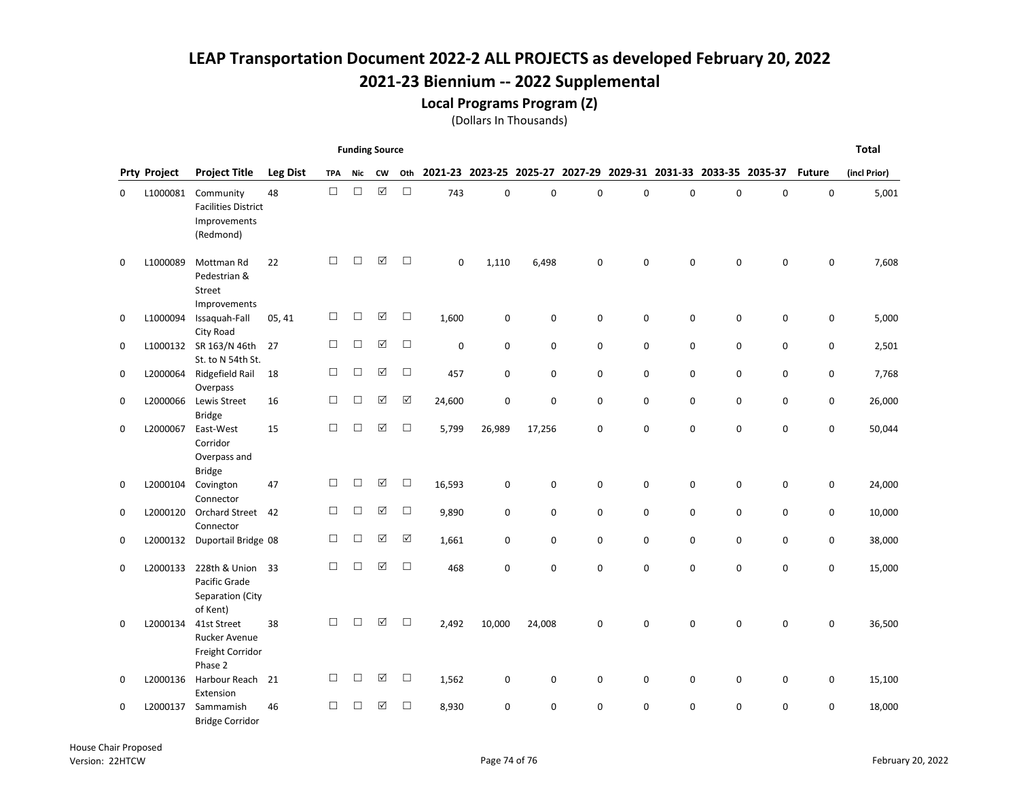Local Programs Program (Z)

(Dollars In Thousands)

| <b>Funding Source</b> |                     |                                                                      |                 |            |        |                      |          |             |                                                                 |             |   |             |             |          | <b>Total</b> |               |              |
|-----------------------|---------------------|----------------------------------------------------------------------|-----------------|------------|--------|----------------------|----------|-------------|-----------------------------------------------------------------|-------------|---|-------------|-------------|----------|--------------|---------------|--------------|
|                       | <b>Prty Project</b> | <b>Project Title</b>                                                 | <b>Leg Dist</b> | <b>TPA</b> | Nic    | <b>CW</b>            | Oth      |             | 2021-23 2023-25 2025-27 2027-29 2029-31 2031-33 2033-35 2035-37 |             |   |             |             |          |              | <b>Future</b> | (incl Prior) |
| 0                     | L1000081            | Community<br><b>Facilities District</b><br>Improvements<br>(Redmond) | 48              | $\Box$     | $\Box$ | $\boxed{\checkmark}$ | $\Box$   | 743         | 0                                                               | $\mathbf 0$ | 0 | $\mathbf 0$ | $\mathbf 0$ | 0        | $\pmb{0}$    | 0             | 5,001        |
| 0                     | L1000089            | Mottman Rd<br>Pedestrian &<br>Street<br>Improvements                 | 22              | П          | П      | ☑                    | $\Box$   | $\mathbf 0$ | 1,110                                                           | 6,498       | 0 | $\Omega$    | $\Omega$    | $\Omega$ | $\mathbf 0$  | 0             | 7,608        |
| 0                     | L1000094            | Issaquah-Fall<br>City Road                                           | 05, 41          | $\Box$     | □      | ☑                    | $\Box$   | 1,600       | 0                                                               | $\mathbf 0$ | 0 | 0           | $\mathbf 0$ | 0        | $\mathbf 0$  | 0             | 5,000        |
| 0                     |                     | L1000132 SR 163/N 46th<br>St. to N 54th St.                          | 27              | $\Box$     | $\Box$ | ☑                    | $\Box$   | 0           | 0                                                               | $\mathbf 0$ | 0 | 0           | 0           | 0        | 0            | 0             | 2,501        |
| 0                     | L2000064            | Ridgefield Rail<br>Overpass                                          | 18              | $\Box$     | $\Box$ | ☑                    | $\Box$   | 457         | 0                                                               | $\mathbf 0$ | 0 | 0           | $\mathbf 0$ | 0        | 0            | 0             | 7,768        |
| 0                     | L2000066            | Lewis Street<br><b>Bridge</b>                                        | 16              | $\Box$     | $\Box$ | ☑                    | ☑        | 24,600      | 0                                                               | $\mathbf 0$ | 0 | 0           | 0           | 0        | 0            | 0             | 26,000       |
| 0                     | L2000067            | East-West<br>Corridor<br>Overpass and<br><b>Bridge</b>               | 15              | $\Box$     | $\Box$ | ☑                    | $\Box$   | 5,799       | 26,989                                                          | 17,256      | 0 | $\mathbf 0$ | $\mathbf 0$ | 0        | $\mathbf 0$  | 0             | 50,044       |
| 0                     | L2000104            | Covington<br>Connector                                               | 47              | $\Box$     | □      | ☑                    | $\Box$   | 16,593      | 0                                                               | $\mathbf 0$ | 0 | 0           | 0           | 0        | 0            | 0             | 24,000       |
| 0                     | L2000120            | <b>Orchard Street</b><br>Connector                                   | 42              | $\Box$     | $\Box$ | ☑                    | $\Box$   | 9,890       | 0                                                               | $\mathbf 0$ | 0 | 0           | $\mathbf 0$ | 0        | $\mathbf 0$  | 0             | 10,000       |
| 0                     |                     | L2000132 Duportail Bridge 08                                         |                 | $\Box$     | □      | ☑                    | $\Delta$ | 1,661       | 0                                                               | 0           | 0 | 0           | 0           | 0        | 0            | 0             | 38,000       |
| 0                     | L2000133            | 228th & Union<br>Pacific Grade<br>Separation (City<br>of Kent)       | 33              | $\Box$     | $\Box$ | ☑                    | $\Box$   | 468         | 0                                                               | $\mathbf 0$ | 0 | 0           | $\mathbf 0$ | 0        | $\mathbf 0$  | 0             | 15,000       |
| 0                     | L2000134            | 41st Street<br><b>Rucker Avenue</b><br>Freight Corridor<br>Phase 2   | 38              | $\Box$     | П      | ☑                    | $\Box$   | 2,492       | 10,000                                                          | 24,008      | 0 | $\mathbf 0$ | $\mathbf 0$ | 0        | $\pmb{0}$    | 0             | 36,500       |
| 0                     | L2000136            | Harbour Reach<br>Extension                                           | 21              | $\Box$     | □      | ☑                    | $\Box$   | 1,562       | 0                                                               | 0           | 0 | 0           | 0           | 0        | 0            | 0             | 15,100       |
| $\Omega$              | L2000137            | Sammamish<br><b>Bridge Corridor</b>                                  | 46              | $\Box$     | П      | ☑                    | $\Box$   | 8,930       | 0                                                               | $\Omega$    | 0 | $\mathbf 0$ | $\Omega$    | $\Omega$ | $\Omega$     | 0             | 18,000       |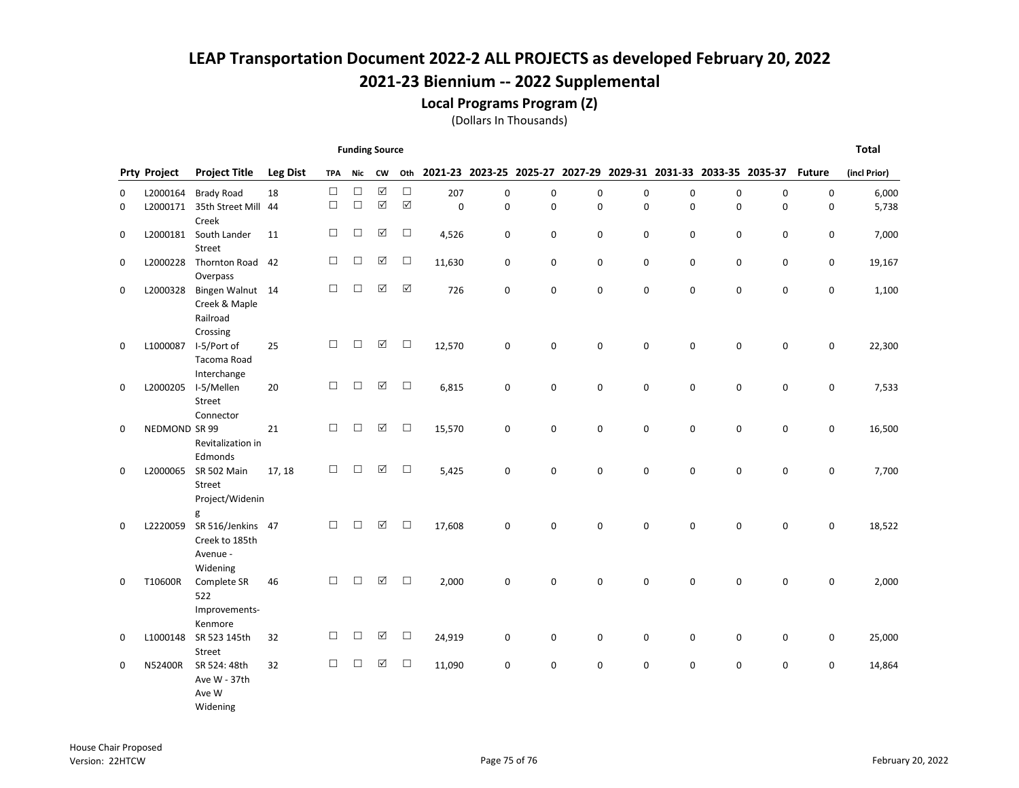Local Programs Program (Z)

(Dollars In Thousands)

|   | <b>Funding Source</b> |                               |                 |            |        |                      |                      |        |             |          |                                                                 |             |             |             |   | <b>Total</b>  |              |
|---|-----------------------|-------------------------------|-----------------|------------|--------|----------------------|----------------------|--------|-------------|----------|-----------------------------------------------------------------|-------------|-------------|-------------|---|---------------|--------------|
|   | <b>Prty Project</b>   | <b>Project Title</b>          | <b>Leg Dist</b> | <b>TPA</b> | Nic    | <b>CW</b>            | Oth                  |        |             |          | 2021-23 2023-25 2025-27 2027-29 2029-31 2031-33 2033-35 2035-37 |             |             |             |   | <b>Future</b> | (incl Prior) |
| 0 | L2000164              | <b>Brady Road</b>             | 18              | $\Box$     | □      | $\boxed{\checkmark}$ | $\Box$               | 207    | 0           | 0        | $\pmb{0}$                                                       | $\mathsf 0$ | $\mathbf 0$ | 0           | 0 | $\pmb{0}$     | 6,000        |
| 0 | L2000171              | 35th Street Mill 44           |                 | $\Box$     | $\Box$ | ☑                    | $\boxed{\mathsf{v}}$ | 0      | 0           | 0        | 0                                                               | $\pmb{0}$   | 0           | 0           | 0 | 0             | 5,738        |
|   |                       | Creek                         |                 |            |        |                      |                      |        |             |          |                                                                 |             |             |             |   |               |              |
| 0 | L2000181              | South Lander<br>Street        | 11              | $\Box$     | □      | ☑                    | $\Box$               | 4,526  | 0           | 0        | 0                                                               | 0           | 0           | 0           | 0 | 0             | 7,000        |
| 0 | L2000228              | Thornton Road 42              |                 | $\Box$     | $\Box$ | ☑                    | $\Box$               | 11,630 | 0           | 0        | 0                                                               | 0           | 0           | 0           | 0 | 0             | 19,167       |
|   |                       | Overpass                      |                 |            |        |                      |                      |        |             |          |                                                                 |             |             |             |   |               |              |
| 0 | L2000328              | Bingen Walnut 14              |                 | $\Box$     | $\Box$ | ☑                    | $\boxed{\mathbf{v}}$ | 726    | $\mathbf 0$ | 0        | 0                                                               | $\mathbf 0$ | 0           | $\mathbf 0$ | 0 | $\mathsf 0$   | 1,100        |
|   |                       | Creek & Maple<br>Railroad     |                 |            |        |                      |                      |        |             |          |                                                                 |             |             |             |   |               |              |
|   |                       | Crossing                      |                 |            |        |                      |                      |        |             |          |                                                                 |             |             |             |   |               |              |
| 0 | L1000087              | I-5/Port of                   | 25              | $\Box$     | $\Box$ | ☑                    | $\Box$               | 12,570 | 0           | 0        | 0                                                               | $\pmb{0}$   | $\mathsf 0$ | 0           | 0 | 0             | 22,300       |
|   |                       | Tacoma Road                   |                 |            |        |                      |                      |        |             |          |                                                                 |             |             |             |   |               |              |
|   |                       | Interchange                   |                 |            |        |                      |                      |        |             |          |                                                                 |             |             |             |   |               |              |
| 0 | L2000205              | I-5/Mellen<br>Street          | 20              | □          | □      | ☑                    | $\Box$               | 6,815  | $\mathbf 0$ | 0        | 0                                                               | 0           | $\mathbf 0$ | $\mathbf 0$ | 0 | 0             | 7,533        |
|   |                       | Connector                     |                 |            |        |                      |                      |        |             |          |                                                                 |             |             |             |   |               |              |
| 0 | NEDMOND SR 99         |                               | 21              | $\Box$     | □      | ☑                    | $\Box$               | 15,570 | $\mathbf 0$ | 0        | 0                                                               | 0           | 0           | $\mathbf 0$ | 0 | 0             | 16,500       |
|   |                       | Revitalization in             |                 |            |        |                      |                      |        |             |          |                                                                 |             |             |             |   |               |              |
| 0 | L2000065              | Edmonds<br><b>SR 502 Main</b> | 17, 18          | П          | □      | ☑                    | $\Box$               | 5,425  | $\mathbf 0$ | $\Omega$ | $\mathbf 0$                                                     | $\mathbf 0$ | 0           | $\mathbf 0$ | 0 | $\mathsf 0$   | 7,700        |
|   |                       | Street                        |                 |            |        |                      |                      |        |             |          |                                                                 |             |             |             |   |               |              |
|   |                       | Project/Widenin               |                 |            |        |                      |                      |        |             |          |                                                                 |             |             |             |   |               |              |
|   |                       | g                             |                 |            |        |                      |                      |        |             |          |                                                                 |             |             |             |   |               |              |
| 0 | L2220059              | SR 516/Jenkins 47             |                 | $\Box$     | $\Box$ | $\Delta$             | $\Box$               | 17,608 | 0           | 0        | 0                                                               | 0           | 0           | 0           | 0 | 0             | 18,522       |
|   |                       | Creek to 185th<br>Avenue -    |                 |            |        |                      |                      |        |             |          |                                                                 |             |             |             |   |               |              |
|   |                       | Widening                      |                 |            |        |                      |                      |        |             |          |                                                                 |             |             |             |   |               |              |
| 0 | T10600R               | Complete SR                   | 46              | П          | □      | ☑                    | $\Box$               | 2,000  | $\mathbf 0$ | 0        | $\mathbf 0$                                                     | 0           | 0           | $\pmb{0}$   | 0 | $\mathbf 0$   | 2,000        |
|   |                       | 522                           |                 |            |        |                      |                      |        |             |          |                                                                 |             |             |             |   |               |              |
|   |                       | Improvements-<br>Kenmore      |                 |            |        |                      |                      |        |             |          |                                                                 |             |             |             |   |               |              |
| 0 | L1000148              | SR 523 145th                  | 32              | □          | □      | ☑                    | $\Box$               | 24,919 | 0           | 0        | 0                                                               | $\mathbf 0$ | 0           | 0           | 0 | 0             | 25,000       |
|   |                       | Street                        |                 |            |        |                      |                      |        |             |          |                                                                 |             |             |             |   |               |              |
| 0 | N52400R               | SR 524: 48th                  | 32              | $\Box$     | □      | ☑                    | $\Box$               | 11,090 | 0           | 0        | 0                                                               | 0           | 0           | 0           | 0 | 0             | 14,864       |
|   |                       | Ave W - 37th                  |                 |            |        |                      |                      |        |             |          |                                                                 |             |             |             |   |               |              |
|   |                       | Ave W<br>Widening             |                 |            |        |                      |                      |        |             |          |                                                                 |             |             |             |   |               |              |